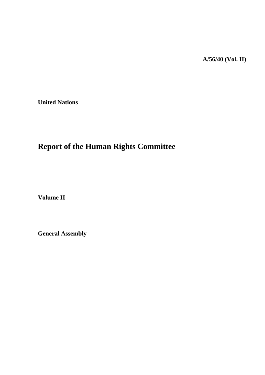**A/56/40 (Vol. II)** 

**United Nations** 

# **Report of the Human Rights Committee**

**Volume II** 

**General Assembly**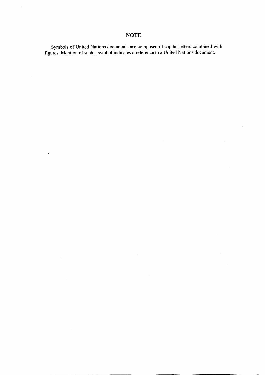# **NOTE**

 $\ddot{\phantom{0}}$ 

 $\hat{\mathcal{A}}$ 

 $\hat{\mathcal{E}}$ 

Symbols of United Nations documents are composed of capital letters combined with<br>figures. Mention of such a symbol indicates a reference to a United Nations document.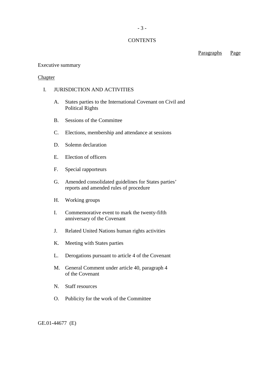#### **CONTENTS**

Paragraphs Page

#### Executive summary

#### Chapter

- I. JURISDICTION AND ACTIVITIES
	- A. States parties to the International Covenant on Civil and Political Rights
	- B. Sessions of the Committee
	- C. Elections, membership and attendance at sessions
	- D. Solemn declaration
	- E. Election of officers
	- F. Special rapporteurs
	- G. Amended consolidated guidelines for States parties' reports and amended rules of procedure
	- H. Working groups
	- I. Commemorative event to mark the twenty-fifth anniversary of the Covenant
	- J. Related United Nations human rights activities
	- K. Meeting with States parties
	- L. Derogations pursuant to article 4 of the Covenant
	- M. General Comment under article 40, paragraph 4 of the Covenant
	- N. Staff resources
	- O. Publicity for the work of the Committee

GE.01-44677 (E)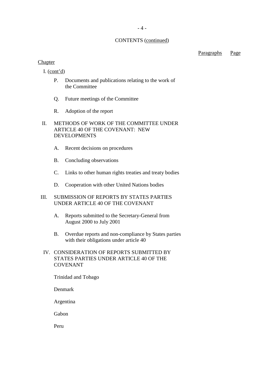#### Paragraphs Page

#### **Chapter**

#### I. (cont'd)

- P. Documents and publications relating to the work of the Committee
- Q. Future meetings of the Committee
- R. Adoption of the report

# II. METHODS OF WORK OF THE COMMITTEE UNDER ARTICLE 40 OF THE COVENANT: NEW DEVELOPMENTS

- A. Recent decisions on procedures
- B. Concluding observations
- C. Links to other human rights treaties and treaty bodies
- D. Cooperation with other United Nations bodies

#### III. SUBMISSION OF REPORTS BY STATES PARTIES UNDER ARTICLE 40 OF THE COVENANT

- A. Reports submitted to the Secretary-General from August 2000 to July 2001
- B. Overdue reports and non-compliance by States parties with their obligations under article 40

#### IV. CONSIDERATION OF REPORTS SUBMITTED BY STATES PARTIES UNDER ARTICLE 40 OF THE COVENANT

Trinidad and Tobago

Denmark

Argentina

Gabon

Peru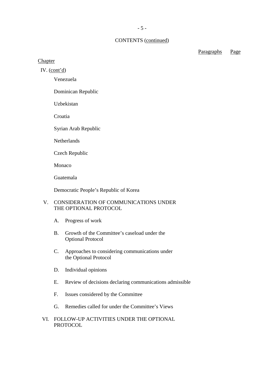Paragraphs Page

**Chapter** 

IV.  $(\text{cont'd})$ 

Venezuela

Dominican Republic

Uzbekistan

Croatia

Syrian Arab Republic

**Netherlands** 

Czech Republic

Monaco

Guatemala

Democratic People's Republic of Korea

#### V. CONSIDERATION OF COMMUNICATIONS UNDER THE OPTIONAL PROTOCOL

- A. Progress of work
- B. Growth of the Committee's caseload under the Optional Protocol
- C. Approaches to considering communications under the Optional Protocol
- D. Individual opinions
- E. Review of decisions declaring communications admissible
- F. Issues considered by the Committee
- G. Remedies called for under the Committee's Views
- VI. FOLLOW-UP ACTIVITIES UNDER THE OPTIONAL PROTOCOL.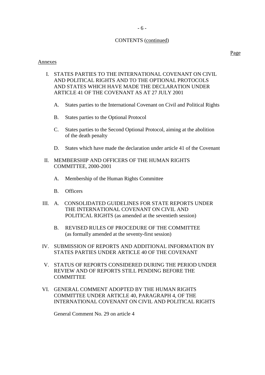- 6 -

#### Annexes

- I. STATES PARTIES TO THE INTERNATIONAL COVENANT ON CIVIL AND POLITICAL RIGHTS AND TO THE OPTIONAL PROTOCOLS AND STATES WHICH HAVE MADE THE DECLARATION UNDER ARTICLE 41 OF THE COVENANT AS AT 27 JULY 2001
	- A. States parties to the International Covenant on Civil and Political Rights
	- B. States parties to the Optional Protocol
	- C. States parties to the Second Optional Protocol, aiming at the abolition of the death penalty
	- D. States which have made the declaration under article 41 of the Covenant

#### II. MEMBERSHIP AND OFFICERS OF THE HUMAN RIGHTS COMMITTEE, 2000-2001

- A. Membership of the Human Rights Committee
- B. Officers
- III. A. CONSOLIDATED GUIDELINES FOR STATE REPORTS UNDER THE INTERNATIONAL COVENANT ON CIVIL AND POLITICAL RIGHTS (as amended at the seventieth session)
	- B. REVISED RULES OF PROCEDURE OF THE COMMITTEE (as formally amended at the seventy-first session)
- IV. SUBMISSION OF REPORTS AND ADDITIONAL INFORMATION BY STATES PARTIES UNDER ARTICLE 40 OF THE COVENANT
- V. STATUS OF REPORTS CONSIDERED DURING THE PERIOD UNDER REVIEW AND OF REPORTS STILL PENDING BEFORE THE **COMMITTEE**
- VI. GENERAL COMMENT ADOPTED BY THE HUMAN RIGHTS COMMITTEE UNDER ARTICLE 40, PARAGRAPH 4, OF THE INTERNATIONAL COVENANT ON CIVIL AND POLITICAL RIGHTS

General Comment No. 29 on article 4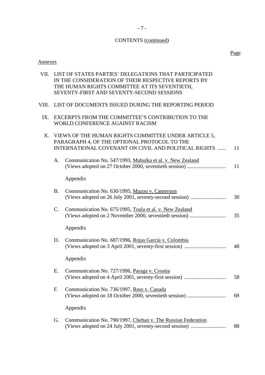# Annexes

| VII.  | LIST OF STATES PARTIES' DELEGATIONS THAT PARTICIPATED<br>IN THE CONSIDERATION OF THEIR RESPECTIVE REPORTS BY<br>THE HUMAN RIGHTS COMMITTEE AT ITS SEVENTIETH,<br>SEVENTY-FIRST AND SEVENTY-SECOND SESSIONS |                                                                                                                                                              |    |
|-------|------------------------------------------------------------------------------------------------------------------------------------------------------------------------------------------------------------|--------------------------------------------------------------------------------------------------------------------------------------------------------------|----|
| VIII. | LIST OF DOCUMENTS ISSUED DURING THE REPORTING PERIOD                                                                                                                                                       |                                                                                                                                                              |    |
| IX.   | EXCERPTS FROM THE COMMITTEE'S CONTRIBUTION TO THE<br>WORLD CONFERENCE AGAINST RACISM                                                                                                                       |                                                                                                                                                              |    |
| X.    |                                                                                                                                                                                                            | VIEWS OF THE HUMAN RIGHTS COMMITTEE UNDER ARTICLE 5,<br>PARAGRAPH 4, OF THE OPTIONAL PROTOCOL TO THE<br>INTERNATIONAL COVENANT ON CIVIL AND POLITICAL RIGHTS | 11 |
|       | A.                                                                                                                                                                                                         | Communication No. 547/1993, Mahuika et al. v. New Zealand                                                                                                    | 11 |
|       |                                                                                                                                                                                                            | Appendix                                                                                                                                                     |    |
|       | <b>B.</b>                                                                                                                                                                                                  | Communication No. 630/1995, Mazou v. Cameroon                                                                                                                | 30 |
|       | $\mathcal{C}$ .                                                                                                                                                                                            | Communication No. 675/1995, Toala et al. v. New Zealand                                                                                                      | 35 |
|       |                                                                                                                                                                                                            | Appendix                                                                                                                                                     |    |
|       | D.                                                                                                                                                                                                         | Communication No. 687/1996, Rojas García v. Colombia                                                                                                         | 48 |
|       |                                                                                                                                                                                                            | Appendix                                                                                                                                                     |    |
|       | Е.                                                                                                                                                                                                         | Communication No. 727/1996, Paraga v. Croatia                                                                                                                | 58 |
|       | F.                                                                                                                                                                                                         | Communication No. 736/1997, Ross v. Canada                                                                                                                   | 69 |
|       |                                                                                                                                                                                                            | Appendix                                                                                                                                                     |    |
|       | G.                                                                                                                                                                                                         | Communication No. 790/1997, Cheban v. The Russian Federation                                                                                                 | 88 |

Page **Page**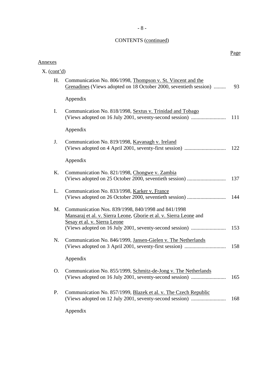# Page **Page**

| <u>Annexes</u> |                                                                                                                                                          |     |
|----------------|----------------------------------------------------------------------------------------------------------------------------------------------------------|-----|
| X. (cont'd)    |                                                                                                                                                          |     |
| H.             | Communication No. 806/1998, Thompson v. St. Vincent and the<br>Grenadines (Views adopted on 18 October 2000, seventieth session)                         | 93  |
|                | Appendix                                                                                                                                                 |     |
| I.             | Communication No. 818/1998, Sextus v. Trinidad and Tobago                                                                                                | 111 |
|                | Appendix                                                                                                                                                 |     |
| J.             | Communication No. 819/1998, Kavanagh v. Ireland                                                                                                          | 122 |
|                | Appendix                                                                                                                                                 |     |
| K.             | Communication No. 821/1998, Chongwe v. Zambia                                                                                                            | 137 |
| L.             | Communication No. 833/1998, Karker v. France                                                                                                             | 144 |
| M.             | Communication Nos. 839/1998, 840/1998 and 841/1998<br>Mansaraj et al. v. Sierra Leone, Gborie et al. v. Sierra Leone and<br>Sesay et al. v. Sierra Leone |     |
|                |                                                                                                                                                          | 153 |
| N.             | Communication No. 846/1999, Jansen-Gielen v. The Netherlands                                                                                             | 158 |
|                | Appendix                                                                                                                                                 |     |
| O.             | Communication No. 855/1999, Schmitz-de-Jong v. The Netherlands                                                                                           | 165 |
| P.             | Communication No. 857/1999, Blazek et al. v. The Czech Republic                                                                                          | 168 |
|                | Appendix                                                                                                                                                 |     |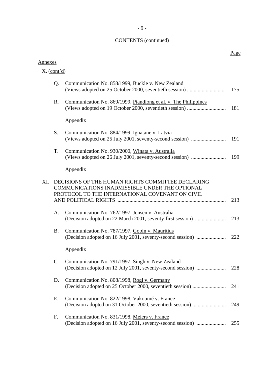#### Page **Page**

| <u>Annexes</u>                                                                                                                                                |                |                                                                 |     |
|---------------------------------------------------------------------------------------------------------------------------------------------------------------|----------------|-----------------------------------------------------------------|-----|
|                                                                                                                                                               | $X.$ (cont'd)  |                                                                 |     |
|                                                                                                                                                               | Q.             | Communication No. 858/1999, Buckle v. New Zealand               | 175 |
|                                                                                                                                                               | R.             | Communication No. 869/1999, Piandiong et al. v. The Philippines | 181 |
|                                                                                                                                                               |                | Appendix                                                        |     |
|                                                                                                                                                               | S.             | Communication No. 884/1999, Ignatane v. Latvia                  | 191 |
|                                                                                                                                                               | T.             | Communication No. 930/2000, Winata v. Australia                 | 199 |
|                                                                                                                                                               |                | Appendix                                                        |     |
| DECISIONS OF THE HUMAN RIGHTS COMMITTEE DECLARING<br>XI.<br>COMMUNICATIONS INADMISSIBLE UNDER THE OPTIONAL<br>PROTOCOL TO THE INTERNATIONAL COVENANT ON CIVIL |                | 213                                                             |     |
|                                                                                                                                                               |                |                                                                 |     |
|                                                                                                                                                               | A.             | Communication No. 762/1997, Jensen v. Australia                 | 213 |
|                                                                                                                                                               | <b>B.</b>      | Communication No. 787/1997, Gobin v. Mauritius                  | 222 |
|                                                                                                                                                               |                | Appendix                                                        |     |
|                                                                                                                                                               | $\mathbf{C}$ . | Communication No. 791/1997, Singh v. New Zealand                | 228 |
|                                                                                                                                                               | D.             | Communication No. 808/1998, Rogl v. Germany                     | 241 |
|                                                                                                                                                               | Ε.             | Communication No. 822/1998, Vakoumé v. France                   | 249 |
|                                                                                                                                                               | F.             | Communication No. 831/1998, Meiers v. France                    | 255 |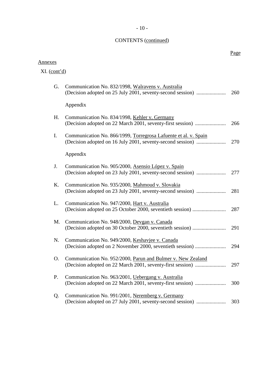# - 10 -

# CONTENTS (continued)

Page **Page** 

# Annexes

XI. (cont'd)

| G. | Communication No. 832/1998, Walravens v. Australia                                                             | 260 |
|----|----------------------------------------------------------------------------------------------------------------|-----|
|    | Appendix                                                                                                       |     |
| H. | Communication No. 834/1998, Kehler v. Germany                                                                  | 266 |
| I. | Communication No. 866/1999, Torregrosa Lafuente et al. v. Spain                                                | 270 |
|    | Appendix                                                                                                       |     |
| J. | Communication No. 905/2000, Asensio López v. Spain                                                             | 277 |
| K. | Communication No. 935/2000, Mahmoud v. Slovakia<br>(Decision adopted on 23 July 2001, seventy-second session)  | 281 |
| L. | Communication No. 947/2000, Hart v. Australia                                                                  | 287 |
| M. | Communication No. 948/2000, Devgan v. Canada                                                                   | 291 |
| N. | Communication No. 949/2000, Keshavjee v. Canada                                                                | 294 |
| O. | Communication No. 952/2000, Parun and Bulmer v. New Zealand                                                    | 297 |
| P. | Communication No. 963/2001, Uebergang v. Australia                                                             | 300 |
| Q. | Communication No. 991/2001, Neremberg v. Germany<br>(Decision adopted on 27 July 2001, seventy-second session) | 303 |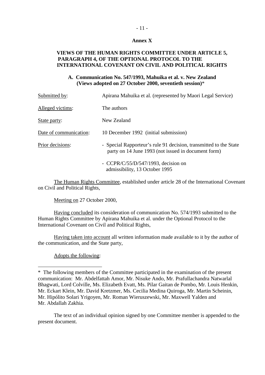#### **Annex X**

#### **VIEWS OF THE HUMAN RIGHTS COMMITTEE UNDER ARTICLE 5, PARAGRAPH 4, OF THE OPTIONAL PROTOCOL TO THE INTERNATIONAL COVENANT ON CIVIL AND POLITICAL RIGHTS**

#### **A. Communication No. 547/1993, Mahuika et al. v. New Zealand (Views adopted on 27 October 2000, seventieth session)**\*

| Submitted by:          | Apirana Mahuika et al. (represented by Maori Legal Service)                                                              |
|------------------------|--------------------------------------------------------------------------------------------------------------------------|
| Alleged victims:       | The authors                                                                                                              |
| State party:           | New Zealand                                                                                                              |
| Date of communication: | 10 December 1992 (initial submission)                                                                                    |
| Prior decisions:       | - Special Rapporteur's rule 91 decision, transmitted to the State<br>party on 14 June 1993 (not issued in document form) |
|                        | - CCPR/C/55/D/547/1993, decision on<br>admissibility, 13 October 1995                                                    |

 The Human Rights Committee, established under article 28 of the International Covenant on Civil and Political Rights,

Meeting on 27 October 2000,

 Having concluded its consideration of communication No. 574/1993 submitted to the Human Rights Committee by Apirana Mahuika et al. under the Optional Protocol to the International Covenant on Civil and Political Rights,

 Having taken into account all written information made available to it by the author of the communication, and the State party,

Adopts the following:

 $\overline{a}$ 

The text of an individual opinion signed by one Committee member is appended to the present document.

<sup>\*</sup> The following members of the Committee participated in the examination of the present communication: Mr. Abdelfattah Amor, Mr. Nisuke Ando, Mr. Prafullachandra Natwarlal Bhagwati, Lord Colville, Ms. Elizabeth Evatt, Ms. Pilar Gaitan de Pombo, Mr. Louis Henkin, Mr. Eckart Klein, Mr. David Kretzmer, Ms. Cecilia Medina Quiroga, Mr. Martin Scheinin, Mr. Hipólito Solari Yrigoyen, Mr. Roman Wieruszewski, Mr. Maxwell Yalden and Mr. Abdallah Zakhia.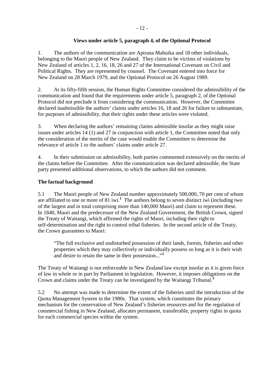# **Views under article 5, paragraph 4, of the Optional Protocol**

1. The authors of the communication are Apirana Mahuika and 18 other individuals, belonging to the Maori people of New Zealand. They claim to be victims of violations by New Zealand of articles 1, 2, 16, 18, 26 and 27 of the International Covenant on Civil and Political Rights. They are represented by counsel. The Covenant entered into force for New Zealand on 28 March 1979, and the Optional Protocol on 26 August 1989.

2. At its fifty-fifth session, the Human Rights Committee considered the admissibility of the communication and found that the requirements under article 5, paragraph 2, of the Optional Protocol did not preclude it from considering the communication. However, the Committee declared inadmissible the authors' claims under articles 16, 18 and 26 for failure to substantiate, for purposes of admissibility, that their rights under these articles were violated.

3. When declaring the authors' remaining claims admissible insofar as they might raise issues under articles 14 (1) and 27 in conjunction with article 1, the Committee noted that only the consideration of the merits of the case would enable the Committee to determine the relevance of article 1 to the authors' claims under article 27.

4. In their submission on admissibility, both parties commented extensively on the merits of the claims before the Committee. After the communication was declared admissible, the State party presented additional observations, to which the authors did not comment.

# **The factual background**

5.1 The Maori people of New Zealand number approximately 500,000, 70 per cent of whom are affiliated to one or more of 81 iwi.**<sup>1</sup>** The authors belong to seven distinct iwi (including two of the largest and in total comprising more than 140,000 Maori) and claim to represent these. In 1840, Maori and the predecessor of the New Zealand Government, the British Crown, signed the Treaty of Waitangi, which affirmed the rights of Maori, including their right to self-determination and the right to control tribal fisheries. In the second article of the Treaty, the Crown guarantees to Maori:

"The full exclusive and undisturbed possession of their lands, forests, fisheries and other properties which they may collectively or individually possess so long as it is their wish and desire to retain the same in their possession..."**<sup>2</sup>**

The Treaty of Waitangi is not enforceable in New Zealand law except insofar as it is given force of law in whole or in part by Parliament in legislation. However, it imposes obligations on the Crown and claims under the Treaty can be investigated by the Waitangi Tribunal.**<sup>3</sup>**

5.2 No attempt was made to determine the extent of the fisheries until the introduction of the Quota Management System in the 1980s. That system, which constitutes the primary mechanism for the conservation of New Zealand's fisheries resources and for the regulation of commercial fishing in New Zealand, allocates permanent, transferable, property rights in quota for each commercial species within the system.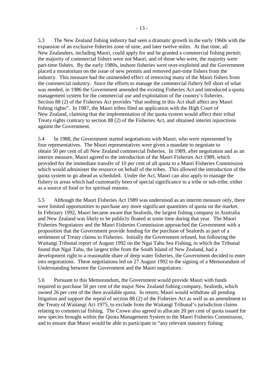5.3 The New Zealand fishing industry had seen a dramatic growth in the early 1960s with the expansion of an exclusive fisheries zone of nine, and later twelve miles. At that time, all New Zealanders, including Maori, could apply for and be granted a commercial fishing permit; the majority of commercial fishers were not Maori, and of those who were, the majority were part-time fishers. By the early 1980s, inshore fisheries were over-exploited and the Government placed a moratorium on the issue of new permits and removed part-time fishers from the industry. This measure had the unintended effect of removing many of the Maori fishers from the commercial industry. Since the efforts to manage the commercial fishery fell short of what was needed, in 1986 the Government amended the existing Fisheries Act and introduced a quota management system for the commercial use and exploitation of the country's fisheries. Section 88 (2) of the Fisheries Act provides "that nothing in this Act shall affect any Maori fishing rights". In 1987, the Maori tribes filed an application with the High Court of New Zealand, claiming that the implementation of the quota system would affect their tribal Treaty rights contrary to section 88 (2) of the Fisheries Act, and obtained interim injunctions against the Government.

5.4 In 1988, the Government started negotiations with Maori, who were represented by four representatives. The Maori representatives were given a mandate to negotiate to obtain 50 per cent of all New Zealand commercial fisheries. In 1989, after negotiation and as an interim measure, Maori agreed to the introduction of the Maori Fisheries Act 1989, which provided for the immediate transfer of 10 per cent of all quota to a Maori Fisheries Commission which would administer the resource on behalf of the tribes. This allowed the introduction of the quota system to go ahead as scheduled. Under the Act, Maori can also apply to manage the fishery in areas which had customarily been of special significance to a tribe or sub-tribe, either as a source of food or for spiritual reasons.

5.5 Although the Maori Fisheries Act 1989 was understood as an interim measure only, there were limited opportunities to purchase any more significant quantities of quota on the market. In February 1992, Maori became aware that Sealords, the largest fishing company in Australia and New Zealand was likely to be publicly floated at some time during that year. The Maori Fisheries Negotiators and the Maori Fisheries Commission approached the Government with a proposition that the Government provide funding for the purchase of Sealords as part of a settlement of Treaty claims to Fisheries. Initially the Government refused, but following the Waitangi Tribunal report of August 1992 on the Ngai Tahu Sea Fishing, in which the Tribunal found that Ngai Tahu, the largest tribe from the South Island of New Zealand, had a development right to a reasonable share of deep water fisheries, the Government decided to enter into negotiations. These negotiations led on 27 August 1992 to the signing of a Memorandum of Understanding between the Government and the Maori negotiators.

5.6 Pursuant to this Memorandum, the Government would provide Maori with funds required to purchase 50 per cent of the major New Zealand fishing company, Sealords, which owned 26 per cent of the then available quota. In return, Maori would withdraw all pending litigation and support the repeal of section 88 (2) of the Fisheries Act as well as an amendment to the Treaty of Waitangi Act 1975, to exclude from the Waitangi Tribunal's jurisdiction claims relating to commercial fishing. The Crown also agreed to allocate 20 per cent of quota issued for new species brought within the Quota Management System to the Maori Fisheries Commission, and to ensure that Maori would be able to participate in "any relevant statutory fishing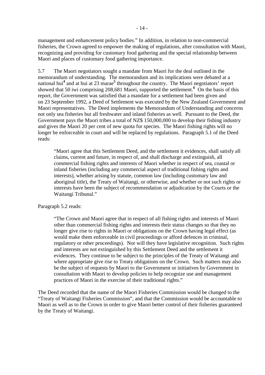management and enhancement policy bodies." In addition, in relation to non-commercial fisheries, the Crown agreed to empower the making of regulations, after consultation with Maori, recognizing and providing for customary food gathering and the special relationship between Maori and places of customary food gathering importance.

5.7 The Maori negotiators sought a mandate from Maori for the deal outlined in the memorandum of understanding. The memorandum and its implications were debated at a national hui<sup>4</sup> and at hui at 23 marae<sup>5</sup> throughout the country. The Maori negotiators' report showed that 50 iwi comprising 208,681 Maori, supported the settlement.<sup>6</sup> On the basis of this report, the Government was satisfied that a mandate for a settlement had been given and on 23 September 1992, a Deed of Settlement was executed by the New Zealand Government and Maori representatives. The Deed implements the Memorandum of Understanding and concerns not only sea fisheries but all freshwater and inland fisheries as well. Pursuant to the Deed, the Government pays the Maori tribes a total of NZ\$ 150,000,000 to develop their fishing industry and gives the Maori 20 per cent of new quota for species. The Maori fishing rights will no longer be enforceable in court and will be replaced by regulations. Paragraph 5.1 of the Deed reads:

"Maori agree that this Settlement Deed, and the settlement it evidences, shall satisfy all claims, current and future, in respect of, and shall discharge and extinguish, all commercial fishing rights and interests of Maori whether in respect of sea, coastal or inland fisheries (including any commercial aspect of traditional fishing rights and interests), whether arising by statute, common law (including customary law and aboriginal title), the Treaty of Waitangi, or otherwise, and whether or not such rights or interests have been the subject of recommendation or adjudication by the Courts or the Waitangi Tribunal."

#### Paragraph 5.2 reads:

"The Crown and Maori agree that in respect of all fishing rights and interests of Maori other than commercial fishing rights and interests their status changes so that they no longer give rise to rights in Maori or obligations on the Crown having legal effect (as would make them enforceable in civil proceedings or afford defences in criminal, regulatory or other proceedings). Nor will they have legislative recognition. Such rights and interests are not extinguished by this Settlement Deed and the settlement it evidences. They continue to be subject to the principles of the Treaty of Waitangi and where appropriate give rise to Treaty obligations on the Crown. Such matters may also be the subject of requests by Maori to the Government or initiatives by Government in consultation with Maori to develop policies to help recognize use and management practices of Maori in the exercise of their traditional rights."

The Deed recorded that the name of the Maori Fisheries Commission would be changed to the "Treaty of Waitangi Fisheries Commission", and that the Commission would be accountable to Maori as well as to the Crown in order to give Maori better control of their fisheries guaranteed by the Treaty of Waitangi.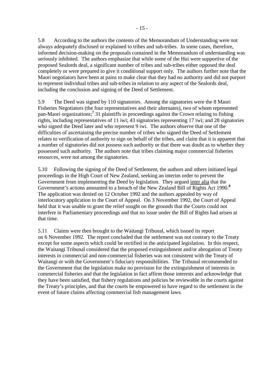5.8 According to the authors the contents of the Memorandum of Understanding were not always adequately disclosed or explained to tribes and sub-tribes. In some cases, therefore, informed decision-making on the proposals contained in the Memorandum of understanding was seriously inhibited. The authors emphasize that while some of the Hui were supportive of the proposed Sealords deal, a significant number of tribes and sub-tribes either opposed the deal completely or were prepared to give it conditional support only. The authors further note that the Maori negotiators have been at pains to make clear that they had no authority and did not purport to represent individual tribes and sub-tribes in relation to any aspect of the Sealords deal, including the conclusion and signing of the Deed of Settlement.

5.9 The Deed was signed by 110 signatories. Among the signatories were the 8 Maori Fisheries Negotiators (the four representatives and their alternates), two of whom represented pan-Maori organizations;**<sup>7</sup>** 31 plaintiffs in proceedings against the Crown relating to fishing rights, including representatives of 11 iwi; 43 signatories representing 17 iwi; and 28 signatories who signed the Deed later and who represent 9 iwi. The authors observe that one of the difficulties of ascertaining the precise number of tribes who signed the Deed of Settlement relates to verification of authority to sign on behalf of the tribes, and claim that it is apparent that a number of signatories did not possess such authority or that there was doubt as to whether they possessed such authority. The authors note that tribes claiming major commercial fisheries resources, were not among the signatories.

5.10 Following the signing of the Deed of Settlement, the authors and others initiated legal proceedings in the High Court of New Zealand, seeking an interim order to prevent the Government from implementing the Deed by legislation. They argued inter alia that the Government's actions amounted to a breach of the New Zealand Bill of Rights Act 1990.**<sup>8</sup>** The application was denied on 12 October 1992 and the authors appealed by way of interlocutory application to the Court of Appeal. On 3 November 1992, the Court of Appeal held that it was unable to grant the relief sought on the grounds that the Courts could not interfere in Parliamentary proceedings and that no issue under the Bill of Rights had arisen at that time.

5.11 Claims were then brought to the Waitangi Tribunal, which issued its report on 6 November 1992. The report concluded that the settlement was not contrary to the Treaty except for some aspects which could be rectified in the anticipated legislation. In this respect, the Waitangi Tribunal considered that the proposed extinguishment and/or abrogation of Treaty interests in commercial and non-commercial fisheries was not consistent with the Treaty of Waitangi or with the Government's fiduciary responsibilities. The Tribunal recommended to the Government that the legislation make no provision for the extinguishment of interests in commercial fisheries and that the legislation in fact affirm those interests and acknowledge that they have been satisfied, that fishery regulations and policies be reviewable in the courts against the Treaty's principles, and that the courts be empowered to have regard to the settlement in the event of future claims affecting commercial fish management laws.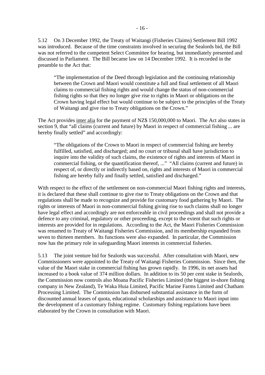5.12 On 3 December 1992, the Treaty of Waitangi (Fisheries Claims) Settlement Bill 1992 was introduced. Because of the time constraints involved in securing the Sealords bid, the Bill was not referred to the competent Select Committee for hearing, but immediately presented and discussed in Parliament. The Bill became law on 14 December 1992. It is recorded in the preamble to the Act that:

"The implementation of the Deed through legislation and the continuing relationship between the Crown and Maori would constitute a full and final settlement of all Maori claims to commercial fishing rights and would change the status of non-commercial fishing rights so that they no longer give rise to rights in Maori or obligations on the Crown having legal effect but would continue to be subject to the principles of the Treaty of Waitangi and give rise to Treaty obligations on the Crown."

The Act provides inter alia for the payment of NZ\$ 150,000,000 to Maori. The Act also states in section 9, that "all claims (current and future) by Maori in respect of commercial fishing ... are hereby finally settled" and accordingly:

"The obligations of the Crown to Maori in respect of commercial fishing are hereby fulfilled, satisfied, and discharged; and no court or tribunal shall have jurisdiction to inquire into the validity of such claims, the existence of rights and interests of Maori in commercial fishing, or the quantification thereof, ..." "All claims (current and future) in respect of, or directly or indirectly based on, rights and interests of Maori in commercial fishing are hereby fully and finally settled, satisfied and discharged."

With respect to the effect of the settlement on non-commercial Maori fishing rights and interests, it is declared that these shall continue to give rise to Treaty obligations on the Crown and that regulations shall be made to recognize and provide for customary food gathering by Maori. The rights or interests of Maori in non-commercial fishing giving rise to such claims shall no longer have legal effect and accordingly are not enforceable in civil proceedings and shall not provide a defence to any criminal, regulatory or other proceeding, except to the extent that such rights or interests are provided for in regulations. According to the Act, the Maori Fisheries Commission was renamed to Treaty of Waitangi Fisheries Commission, and its membership expanded from seven to thirteen members. Its functions were also expanded. In particular, the Commission now has the primary role in safeguarding Maori interests in commercial fisheries.

5.13 The joint venture bid for Sealords was successful. After consultation with Maori, new Commissioners were appointed to the Treaty of Waitangi Fisheries Commission. Since then, the value of the Maori stake in commercial fishing has grown rapidly. In 1996, its net assets had increased to a book value of 374 million dollars. In addition to its 50 per cent stake in Sealords, the Commission now controls also Moana Pacific Fisheries Limited (the biggest in-shore fishing company in New Zealand), Te Waka Huia Limited, Pacific Marine Farms Limited and Chatham Processing Limited. The Commission has disbursed substantial assistance in the form of discounted annual leases of quota, educational scholarships and assistance to Maori input into the development of a customary fishing regime. Customary fishing regulations have been elaborated by the Crown in consultation with Maori.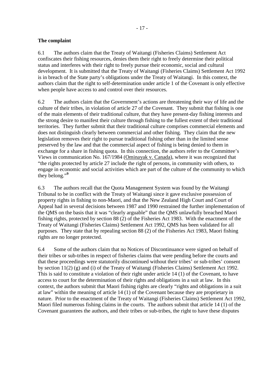# **The complaint**

6.1 The authors claim that the Treaty of Waitangi (Fisheries Claims) Settlement Act confiscates their fishing resources, denies them their right to freely determine their political status and interferes with their right to freely pursue their economic, social and cultural development. It is submitted that the Treaty of Waitangi (Fisheries Claims) Settlement Act 1992 is in breach of the State party's obligations under the Treaty of Waitangi. In this context, the authors claim that the right to self-determination under article 1 of the Covenant is only effective when people have access to and control over their resources.

6.2 The authors claim that the Government's actions are threatening their way of life and the culture of their tribes, in violation of article 27 of the Covenant. They submit that fishing is one of the main elements of their traditional culture, that they have present-day fishing interests and the strong desire to manifest their culture through fishing to the fullest extent of their traditional territories. They further submit that their traditional culture comprises commercial elements and does not distinguish clearly between commercial and other fishing. They claim that the new legislation removes their right to pursue traditional fishing other than in the limited sense preserved by the law and that the commercial aspect of fishing is being denied to them in exchange for a share in fishing quota. In this connection, the authors refer to the Committee's Views in communication No. 167/1984 (Ominayak v. Canada), where it was recognized that "the rights protected by article 27 include the right of persons, in community with others, to engage in economic and social activities which are part of the culture of the community to which they belong."**<sup>9</sup>**

6.3 The authors recall that the Quota Management System was found by the Waitangi Tribunal to be in conflict with the Treaty of Waitangi since it gave exclusive possession of property rights in fishing to non-Maori, and that the New Zealand High Court and Court of Appeal had in several decisions between 1987 and 1990 restrained the further implementation of the QMS on the basis that it was "clearly arguable" that the QMS unlawfully breached Maori fishing rights, protected by section 88 (2) of the Fisheries Act 1983. With the enactment of the Treaty of Waitangi (Fisheries Claims) Settlement Act 1992, QMS has been validated for all purposes. They state that by repealing section 88 (2) of the Fisheries Act 1983, Maori fishing rights are no longer protected.

6.4 Some of the authors claim that no Notices of Discontinuance were signed on behalf of their tribes or sub-tribes in respect of fisheries claims that were pending before the courts and that these proceedings were statutorily discontinued without their tribes' or sub-tribes' consent by section 11(2) (g) and (i) of the Treaty of Waitangi (Fisheries Claims) Settlement Act 1992. This is said to constitute a violation of their right under article 14 (1) of the Covenant, to have access to court for the determination of their rights and obligations in a suit at law. In this context, the authors submit that Maori fishing rights are clearly "rights and obligations in a suit at law" within the meaning of article 14 (1) of the Covenant because they are proprietary in nature. Prior to the enactment of the Treaty of Waitangi (Fisheries Claims) Settlement Act 1992, Maori filed numerous fishing claims in the courts. The authors submit that article 14 (1) of the Covenant guarantees the authors, and their tribes or sub-tribes, the right to have these disputes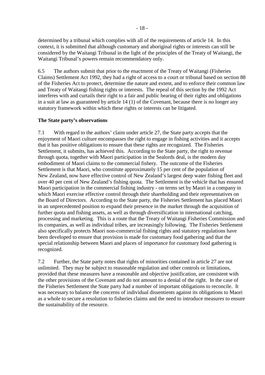determined by a tribunal which complies with all of the requirements of article 14. In this context, it is submitted that although customary and aboriginal rights or interests can still be considered by the Waitangi Tribunal in the light of the principles of the Treaty of Waitangi, the Waitangi Tribunal's powers remain recommendatory only.

6.5 The authors submit that prior to the enactment of the Treaty of Waitangi (Fisheries Claims) Settlement Act 1992, they had a right of access to a court or tribunal based on section 88 of the Fisheries Act to protect, determine the nature and extent, and to enforce their common law and Treaty of Waitangi fishing rights or interests. The repeal of this section by the 1992 Act interferes with and curtails their right to a fair and public hearing of their rights and obligations in a suit at law as guaranteed by article 14 (1) of the Covenant, because there is no longer any statutory framework within which these rights or interests can be litigated.

#### **The State party's observations**

7.1 With regard to the authors' claim under article 27, the State party accepts that the enjoyment of Maori culture encompasses the right to engage in fishing activities and it accepts that it has positive obligations to ensure that these rights are recognized. The Fisheries Settlement, it submits, has achieved this. According to the State party, the right to revenue through quota, together with Maori participation in the Sealords deal, is the modern day embodiment of Maori claims to the commercial fishery. The outcome of the Fisheries Settlement is that Maori, who constitute approximately 15 per cent of the population of New Zealand, now have effective control of New Zealand's largest deep water fishing fleet and over 40 per cent of New Zealand's fishing quota. The Settlement is the vehicle that has ensured Maori participation in the commercial fishing industry - on terms set by Maori in a company in which Maori exercise effective control through their shareholding and their representatives on the Board of Directors. According to the State party, the Fisheries Settlement has placed Maori in an unprecedented position to expand their presence in the market through the acquisition of further quota and fishing assets, as well as through diversification in international catching, processing and marketing. This is a route that the Treaty of Waitangi Fisheries Commission and its companies, as well as individual tribes, are increasingly following. The Fisheries Settlement also specifically protects Maori non-commercial fishing rights and statutory regulations have been developed to ensure that provision is made for customary food gathering and that the special relationship between Maori and places of importance for customary food gathering is recognized.

7.2 Further, the State party notes that rights of minorities contained in article 27 are not unlimited. They may be subject to reasonable regulation and other controls or limitations, provided that these measures have a reasonable and objective justification, are consistent with the other provisions of the Covenant and do not amount to a denial of the right. In the case of the Fisheries Settlement the State party had a number of important obligations to reconcile. It was necessary to balance the concerns of individual dissentients against its obligations to Maori as a whole to secure a resolution to fisheries claims and the need to introduce measures to ensure the sustainability of the resource.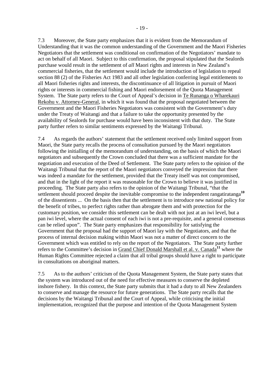7.3 Moreover, the State party emphasizes that it is evident from the Memorandum of Understanding that it was the common understanding of the Government and the Maori Fisheries Negotiators that the settlement was conditional on confirmation of the Negotiators' mandate to act on behalf of all Maori. Subject to this confirmation, the proposal stipulated that the Sealords purchase would result in the settlement of *all* Maori rights and interests in New Zealand's commercial fisheries, that the settlement would include the introduction of legislation to repeal section 88 (2) of the Fisheries Act 1983 and all other legislation conferring legal entitlements to all Maori fisheries rights and interests, the discontinuance of all litigation in pursuit of Maori rights or interests in commercial fishing and Maori endorsement of the Quota Management System. The State party refers to the Court of Appeal's decision in Te Runanga o Wharekauri Rekohu v. Attorney-General, in which it was found that the proposal negotiated between the Government and the Maori Fisheries Negotiators was consistent with the Government's duty under the Treaty of Waitangi and that a failure to take the opportunity presented by the availability of Sealords for purchase would have been inconsistent with that duty. The State party further refers to similar sentiments expressed by the Waitangi Tribunal.

7.4 As regards the authors' statement that the settlement received only limited support from Maori, the State party recalls the process of consultation pursued by the Maori negotiators following the initialling of the memorandum of understanding, on the basis of which the Maori negotiators and subsequently the Crown concluded that there was a sufficient mandate for the negotiation and execution of the Deed of Settlement. The State party refers to the opinion of the Waitangi Tribunal that the report of the Maori negotiators conveyed the impression that there was indeed a mandate for the settlement, provided that the Treaty itself was not compromised, and that in the light of the report it was reasonable for the Crown to believe it was justified in proceeding. The State party also refers to the opinion of the Waitangi Tribunal, "that the settlement should proceed despite the inevitable compromise to the independent rangatiratanga**<sup>10</sup>** of the dissentients ... On the basis then that the settlement is to introduce new national policy for the benefit of tribes, to perfect rights rather than abrogate them and with protection for the customary position, we consider this settlement can be dealt with not just at an iwi level, but a pan iwi level, where the actual consent of each iwi is not a pre-requisite, and a general consensus can be relied upon". The State party emphasizes that responsibility for satisfying the Government that the proposal had the support of Maori lay with the Negotiators, and that the process of internal decision making within Maori was not a matter of direct concern to the Government which was entitled to rely on the report of the Negotiators. The State party further refers to the Committee's decision in Grand Chief Donald Marshall et al. v. Canada**<sup>11</sup>** where the Human Rights Committee rejected a claim that all tribal groups should have a right to participate in consultations on aboriginal matters.

7.5 As to the authors' criticism of the Quota Management System, the State party states that the system was introduced out of the need for effective measures to conserve the depleted inshore fishery. In this context, the State party submits that it had a duty to all New Zealanders to conserve and manage the resource for future generations. The State party recalls that the decisions by the Waitangi Tribunal and the Court of Appeal, while criticising the initial implementation, recognized that the purpose and intention of the Quota Management System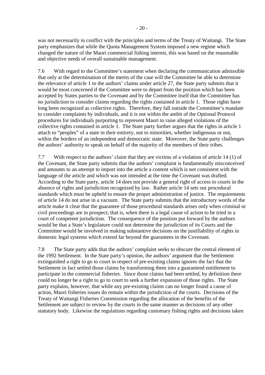was not necessarily in conflict with the principles and terms of the Treaty of Waitangi. The State party emphasizes that while the Quota Management System imposed a new regime which changed the nature of the Maori commercial fishing interest, this was based on the reasonable and objective needs of overall sustainable management.

7.6 With regard to the Committee's statement when declaring the communication admissible that only at the determination of the merits of the case will the Committee be able to determine the relevance of article 1 to the authors' claims under article 27, the State party submits that it would be most concerned if the Committee were to depart from the position which has been accepted by States parties to the Covenant and by the Committee itself that the Committee has no jurisdiction to consider claims regarding the rights contained in article 1. Those rights have long been recognized as collective rights. Therefore, they fall outside the Committee's mandate to consider complaints by individuals, and it is not within the ambit of the Optional Protocol procedures for individuals purporting to represent Maori to raise alleged violations of the collective rights contained in article 1. The State party further argues that the rights in article 1 attach to "peoples" of a state in their entirety, not to minorities, whether indigenous or not, within the borders of an independent and democratic state. Moreover, the State party challenges the authors' authority to speak on behalf of the majority of the members of their tribes.

7.7 With respect to the authors' claim that they are victims of a violation of article 14 (1) of the Covenant, the State party submits that the authors' complaint is fundamentally misconceived and amounts to an attempt to import into the article a content which is not consistent with the language of the article and which was not intended at the time the Covenant was drafted. According to the State party, article 14 does not provide a general right of access to courts in the absence of rights and jurisdiction recognized by law. Rather article 14 sets out procedural standards which must be upheld to ensure the proper administration of justice. The requirements of article 14 do not arise in a vacuum. The State party submits that the introductory words of the article make it clear that the guarantee of those procedural standards arises only when criminal or civil proceedings are in prospect; that is, when there is a legal cause of action to be tried in a court of competent jurisdiction. The consequence of the position put forward by the authors would be that a State's legislature could not determine the jurisdiction of its Courts and the Committee would be involved in making substantive decisions on the justifiability of rights in domestic legal systems which extend far beyond the guarantees in the Covenant.

7.8 The State party adds that the authors' complaint seeks to obscure the central element of the 1992 Settlement. In the State party's opinion, the authors' argument that the Settlement extinguished a right to go to court in respect of pre-existing claims ignores the fact that the Settlement in fact settled those claims by transforming them into a guaranteed entitlement to participate in the commercial fisheries. Since those claims had been settled, by definition there could no longer be a right to go to court to seek a further expansion of those rights. The State party explains, however, that while any pre-existing claims can no longer found a cause of action, Maori fisheries issues do remain within the jurisdiction of the courts. Decisions of the Treaty of Waitangi Fisheries Commission regarding the allocation of the benefits of the Settlement are subject to review by the courts in the same manner as decisions of any other statutory body. Likewise the regulations regarding customary fishing rights and decisions taken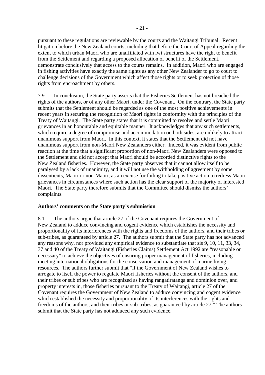pursuant to these regulations are reviewable by the courts and the Waitangi Tribunal. Recent litigation before the New Zealand courts, including that before the Court of Appeal regarding the extent to which urban Maori who are unaffiliated with iwi structures have the right to benefit from the Settlement and regarding a proposed allocation of benefit of the Settlement, demonstrate conclusively that access to the courts remains. In addition, Maori who are engaged in fishing activities have exactly the same rights as any other New Zealander to go to court to challenge decisions of the Government which affect those rights or to seek protection of those rights from encroachment by others.

7.9 In conclusion, the State party asserts that the Fisheries Settlement has not breached the rights of the authors, or of any other Maori, under the Covenant. On the contrary, the State party submits that the Settlement should be regarded as one of the most positive achievements in recent years in securing the recognition of Maori rights in conformity with the principles of the Treaty of Waitangi. The State party states that it is committed to resolve and settle Maori grievances in an honourable and equitable manner. It acknowledges that any such settlements, which require a degree of compromise and accommodation on both sides, are unlikely to attract unanimous support from Maori. In this context, it states that the Settlement did not have unanimous support from non-Maori New Zealanders either. Indeed, it was evident from public reaction at the time that a significant proportion of non-Maori New Zealanders were opposed to the Settlement and did not accept that Maori should be accorded distinctive rights to the New Zealand fisheries. However, the State party observes that it cannot allow itself to be paralysed by a lack of unanimity, and it will not use the withholding of agreement by some dissentients, Maori or non-Maori, as an excuse for failing to take positive action to redress Maori grievances in circumstances where such action has the clear support of the majority of interested Maori. The State party therefore submits that the Committee should dismiss the authors' complaints.

#### **Authors' comments on the State party's submission**

8.1 The authors argue that article 27 of the Covenant requires the Government of New Zealand to adduce convincing and cogent evidence which establishes the necessity and proportionality of its interferences with the rights and freedoms of the authors, and their tribes or sub-tribes, as guaranteed by article 27. The authors submit that the State party has not advanced any reasons why, nor provided any empirical evidence to substantiate that sis 9, 10, 11, 33, 34, 37 and 40 of the Treaty of Waitangi (Fisheries Claims) Settlement Act 1992 are "reasonable or necessary" to achieve the objectives of ensuring proper management of fisheries, including meeting international obligations for the conservation and management of marine living resources. The authors further submit that "if the Government of New Zealand wishes to arrogate to itself the power to regulate Maori fisheries without the consent of the authors, and their tribes or sub tribes who are recognized as having rangatiratanga and dominion over, and property interests in, those fisheries pursuant to the Treaty of Waitangi, article 27 of the Covenant requires the Government of New Zealand to adduce convincing and cogent evidence which established the necessity and proportionality of its interferences with the rights and freedoms of the authors, and their tribes or sub-tribes, as guaranteed by article 27." The authors submit that the State party has not adduced any such evidence.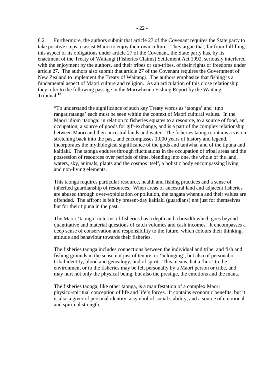8.2 Furthermore, the authors submit that article 27 of the Covenant requires the State party to take positive steps to assist Maori to enjoy their own culture. They argue that, far from fulfilling this aspect of its obligations under article 27 of the Covenant, the State party has, by its enactment of the Treaty of Waitangi (Fisheries Claims) Settlement Act 1992, seriously interfered with the enjoyment by the authors, and their tribes or sub-tribes, of their rights or freedoms under article 27. The authors also submit that article 27 of the Covenant requires the Government of New Zealand to implement the Treaty of Waitangi. The authors emphasize that fishing is a fundamental aspect of Maori culture and religion. As an articulation of this close relationship they refer to the following passage in the Muriwhenua Fishing Report by the Waitangi Tribunal.**<sup>12</sup>**

"To understand the significance of such key Treaty words as 'taonga' and 'tino rangatiratanga' each must be seen within the context of Maori cultural values. In the Maori idiom 'taonga' in relation to fisheries equates to a resource, to a source of food, an occupation, a source of goods for gift-exchange, and is a part of the complex relationship between Maori and their ancestral lands and water. The fisheries taonga contains a vision stretching back into the past, and encompasses 1,000 years of history and legend, incorporates the mythological significance of the gods and taniwha, and of the tipuna and kaitiaki. The taonga endures through fluctuations in the occupation of tribal areas and the possession of resources over periods of time, blending into one, the whole of the land, waters, sky, animals, plants and the cosmos itself, a holistic body encompassing living and non-living elements.

This taonga requires particular resource, health and fishing practices and a sense of inherited guardianship of resources. When areas of ancestral land and adjacent fisheries are abused through over-exploitation or pollution, the tangata whenua and their values are offended. The affront is felt by present-day kaitiaki (guardians) not just for themselves but for their tipuna in the past.

The Maori 'taonga' in terms of fisheries has a depth and a breadth which goes beyond quantitative and material questions of catch volumes and cash incomes. It encompasses a deep sense of conservation and responsibility to the future, which colours their thinking, attitude and behaviour towards their fisheries.

The fisheries taonga includes connections between the individual and tribe, and fish and fishing grounds in the sense not just of tenure, or 'belonging', but also of personal or tribal identity, blood and genealogy, and of spirit. This means that a 'hurt' to the environment or to the fisheries may be felt personally by a Maori person or tribe, and may hurt not only the physical being, but also the prestige, the emotions and the mana.

The fisheries taonga, like other taonga, is a manifestation of a complex Maori physico-spiritual conception of life and life's forces. It contains economic benefits, but it is also a giver of personal identity, a symbol of social stability, and a source of emotional and spiritual strength.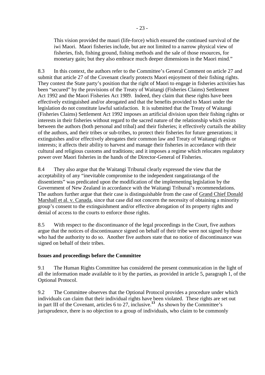This vision provided the mauri (life-force) which ensured the continued survival of the iwi Maori. Maori fisheries include, but are not limited to a narrow physical view of fisheries, fish, fishing ground, fishing methods and the sale of those resources, for monetary gain; but they also embrace much deeper dimensions in the Maori mind."

8.3 In this context, the authors refer to the Committee's General Comment on article 27 and submit that article 27 of the Covenant clearly protects Maori enjoyment of their fishing rights. They contest the State party's position that the right of Maori to engage in fisheries activities has been "secured" by the provisions of the Treaty of Waitangi (Fisheries Claims) Settlement Act 1992 and the Maori Fisheries Act 1989. Indeed, they claim that these rights have been effectively extinguished and/or abrogated and that the benefits provided to Maori under the legislation do not constitute lawful satisfaction. It is submitted that the Treaty of Waitangi (Fisheries Claims) Settlement Act 1992 imposes an artificial division upon their fishing rights or interests in their fisheries without regard to the sacred nature of the relationship which exists between the authors (both personal and tribal) and their fisheries; it effectively curtails the ability of the authors, and their tribes or sub-tribes, to protect their fisheries for future generations; it extinguishes and/or effectively abrogates their common law and Treaty of Waitangi rights or interests; it affects their ability to harvest and manage their fisheries in accordance with their cultural and religious customs and traditions; and it imposes a regime which relocates regulatory power over Maori fisheries in the hands of the Director-General of Fisheries.

8.4 They also argue that the Waitangi Tribunal clearly expressed the view that the acceptability of any "inevitable compromise to the independent rangatiratanga of the dissentients" was predicated upon the modification of the implementing legislation by the Government of New Zealand in accordance with the Waitangi Tribunal's recommendations. The authors further argue that their case is distinguishable from the case of Grand Chief Donald Marshall et al. v. Canada, since that case did not concern the necessity of obtaining a minority group's consent to the extinguishment and/or effective abrogation of its property rights and denial of access to the courts to enforce those rights.

8.5 With respect to the discontinuance of the legal proceedings in the Court, five authors argue that the notices of discontinuance signed on behalf of their tribe were not signed by those who had the authority to do so. Another five authors state that no notice of discontinuance was signed on behalf of their tribes.

# **Issues and proceedings before the Committee**

9.1 The Human Rights Committee has considered the present communication in the light of all the information made available to it by the parties, as provided in article 5, paragraph 1, of the Optional Protocol.

9.2 The Committee observes that the Optional Protocol provides a procedure under which individuals can claim that their individual rights have been violated. These rights are set out in part III of the Covenant, articles 6 to 27, inclusive.**<sup>13</sup>** As shown by the Committee's jurisprudence, there is no objection to a group of individuals, who claim to be commonly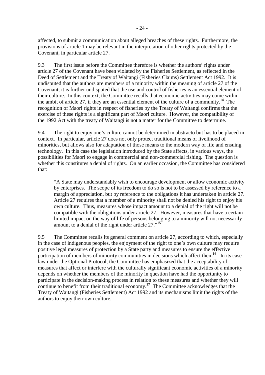affected, to submit a communication about alleged breaches of these rights. Furthermore, the provisions of article 1 may be relevant in the interpretation of other rights protected by the Covenant, in particular article 27.

9.3 The first issue before the Committee therefore is whether the authors' rights under article 27 of the Covenant have been violated by the Fisheries Settlement, as reflected in the Deed of Settlement and the Treaty of Waitangi (Fisheries Claims) Settlement Act 1992. It is undisputed that the authors are members of a minority within the meaning of article 27 of the Covenant; it is further undisputed that the use and control of fisheries is an essential element of their culture. In this context, the Committee recalls that economic activities may come within the ambit of article 27, if they are an essential element of the culture of a community.**<sup>14</sup>** The recognition of Maori rights in respect of fisheries by the Treaty of Waitangi confirms that the exercise of these rights is a significant part of Maori culture. However, the compatibility of the 1992 Act with the treaty of Waitangi is not a matter for the Committee to determine.

9.4 The right to enjoy one's culture cannot be determined in abstracto but has to be placed in context. In particular, article 27 does not only protect traditional means of livelihood of minorities, but allows also for adaptation of those means to the modern way of life and ensuing technology. In this case the legislation introduced by the State affects, in various ways, the possibilities for Maori to engage in commercial and non-commercial fishing. The question is whether this constitutes a denial of rights. On an earlier occasion, the Committee has considered that:

"A State may understandably wish to encourage development or allow economic activity by enterprises. The scope of its freedom to do so is not to be assessed by reference to a margin of appreciation, but by reference to the obligations it has undertaken in article 27. Article 27 requires that a member of a minority shall not be denied his right to enjoy his own culture. Thus, measures whose impact amount to a denial of the right will not be compatible with the obligations under article 27. However, measures that have a certain limited impact on the way of life of persons belonging to a minority will not necessarily amount to a denial of the right under article 27."**<sup>15</sup>**

9.5 The Committee recalls its general comment on article 27, according to which, especially in the case of indigenous peoples, the enjoyment of the right to one's own culture may require positive legal measures of protection by a State party and measures to ensure the effective participation of members of minority communities in decisions which affect them**<sup>16</sup>**. In its case law under the Optional Protocol, the Committee has emphasized that the acceptability of measures that affect or interfere with the culturally significant economic activities of a minority depends on whether the members of the minority in question have had the opportunity to participate in the decision-making process in relation to these measures and whether they will continue to benefit from their traditional economy.**<sup>17</sup>** The Committee acknowledges that the Treaty of Waitangi (Fisheries Settlement) Act 1992 and its mechanisms limit the rights of the authors to enjoy their own culture.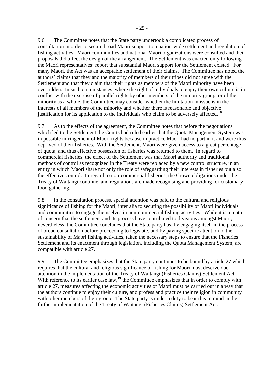9.6 The Committee notes that the State party undertook a complicated process of consultation in order to secure broad Maori support to a nation-wide settlement and regulation of fishing activities. Maori communities and national Maori organizations were consulted and their proposals did affect the design of the arrangement. The Settlement was enacted only following the Maori representatives' report that substantial Maori support for the Settlement existed. For many Maori, the Act was an acceptable settlement of their claims. The Committee has noted the authors' claims that they and the majority of members of their tribes did not agree with the Settlement and that they claim that their rights as members of the Maori minority have been overridden. In such circumstances, where the right of individuals to enjoy their own culture is in conflict with the exercise of parallel rights by other members of the minority group, or of the minority as a whole, the Committee may consider whether the limitation in issue is in the interests of all members of the minority and whether there is reasonable and objective justification for its application to the individuals who claim to be adversely affected.**<sup>18</sup>**

9.7 As to the effects of the agreement, the Committee notes that before the negotiations which led to the Settlement the Courts had ruled earlier that the Quota Management System was in possible infringement of Maori rights because in practice Maori had no part in it and were thus deprived of their fisheries. With the Settlement, Maori were given access to a great percentage of quota, and thus effective possession of fisheries was returned to them. In regard to commercial fisheries, the effect of the Settlement was that Maori authority and traditional methods of control as recognized in the Treaty were replaced by a new control structure, in an entity in which Maori share not only the role of safeguarding their interests in fisheries but also the effective control. In regard to non-commercial fisheries, the Crown obligations under the Treaty of Waitangi continue, and regulations are made recognising and providing for customary food gathering.

9.8 In the consultation process, special attention was paid to the cultural and religious significance of fishing for the Maori, inter alia to securing the possibility of Maori individuals and communities to engage themselves in non-commercial fishing activities. While it is a matter of concern that the settlement and its process have contributed to divisions amongst Maori, nevertheless, the Committee concludes that the State party has, by engaging itself in the process of broad consultation before proceeding to legislate, and by paying specific attention to the sustainability of Maori fishing activities, taken the necessary steps to ensure that the Fisheries Settlement and its enactment through legislation, including the Quota Management System, are compatible with article 27.

9.9 The Committee emphasizes that the State party continues to be bound by article 27 which requires that the cultural and religious significance of fishing for Maori must deserve due attention in the implementation of the Treaty of Waitangi (Fisheries Claims) Settlement Act. With reference to its earlier case law,<sup>19</sup> the Committee emphasizes that in order to comply with article 27, measures affecting the economic activities of Maori must be carried out in a way that the authors continue to enjoy their culture, and profess and practice their religion in community with other members of their group. The State party is under a duty to bear this in mind in the further implementation of the Treaty of Waitangi (Fisheries Claims) Settlement Act.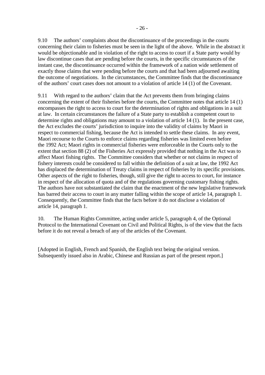9.10 The authors' complaints about the discontinuance of the proceedings in the courts concerning their claim to fisheries must be seen in the light of the above. While in the abstract it would be objectionable and in violation of the right to access to court if a State party would by law discontinue cases that are pending before the courts, in the specific circumstances of the instant case, the discontinuance occurred within the framework of a nation wide settlement of exactly those claims that were pending before the courts and that had been adjourned awaiting the outcome of negotiations. In the circumstances, the Committee finds that the discontinuance of the authors' court cases does not amount to a violation of article 14 (1) of the Covenant.

9.11 With regard to the authors' claim that the Act prevents them from bringing claims concerning the extent of their fisheries before the courts, the Committee notes that article 14 (1) encompasses the right to access to court for the determination of rights and obligations in a suit at law. In certain circumstances the failure of a State party to establish a competent court to determine rights and obligations may amount to a violation of article 14 (1). In the present case, the Act excludes the courts' jurisdiction to inquire into the validity of claims by Maori in respect to commercial fishing, because the Act is intended to settle these claims. In any event, Maori recourse to the Courts to enforce claims regarding fisheries was limited even before the 1992 Act; Maori rights in commercial fisheries were enforceable in the Courts only to the extent that section 88 (2) of the Fisheries Act expressly provided that nothing in the Act was to affect Maori fishing rights. The Committee considers that whether or not claims in respect of fishery interests could be considered to fall within the definition of a suit at law, the 1992 Act has displaced the determination of Treaty claims in respect of fisheries by its specific provisions. Other aspects of the right to fisheries, though, still give the right to access to court, for instance in respect of the allocation of quota and of the regulations governing customary fishing rights. The authors have not substantiated the claim that the enactment of the new legislative framework has barred their access to court in any matter falling within the scope of article 14, paragraph 1. Consequently, the Committee finds that the facts before it do not disclose a violation of article 14, paragraph 1.

10. The Human Rights Committee, acting under article 5, paragraph 4, of the Optional Protocol to the International Covenant on Civil and Political Rights, is of the view that the facts before it do not reveal a breach of any of the articles of the Covenant.

[Adopted in English, French and Spanish, the English text being the original version. Subsequently issued also in Arabic, Chinese and Russian as part of the present report.]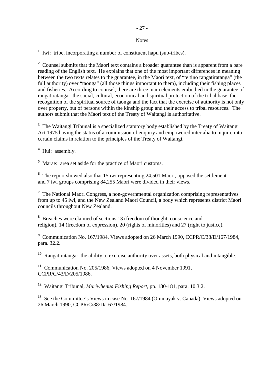#### **Notes**

<sup>1</sup> Iwi: tribe, incorporating a number of constituent hapu (sub-tribes).

<sup>2</sup> Counsel submits that the Maori text contains a broader guarantee than is apparent from a bare reading of the English text. He explains that one of the most important differences in meaning between the two texts relates to the guarantee, in the Maori text, of "te tino rangatiratanga" (the full authority) over "taonga" (all those things important to them), including their fishing places and fisheries. According to counsel, there are three main elements embodied in the guarantee of rangatiratanga: the social, cultural, economical and spiritual protection of the tribal base, the recognition of the spiritual source of taonga and the fact that the exercise of authority is not only over property, but of persons within the kinship group and their access to tribal resources. The authors submit that the Maori text of the Treaty of Waitangi is authoritative.

<sup>3</sup> The Waitangi Tribunal is a specialized statutory body established by the Treaty of Waitangi Act 1975 having the status of a commission of enquiry and empowered inter alia to inquire into certain claims in relation to the principles of the Treaty of Waitangi.

**4** Hui: assembly.

**5** Marae: area set aside for the practice of Maori customs.

<sup>6</sup> The report showed also that 15 iwi representing 24,501 Maori, opposed the settlement and 7 iwi groups comprising 84,255 Maori were divided in their views.

<sup>7</sup> The National Maori Congress, a non-governmental organization comprising representatives from up to 45 iwi, and the New Zealand Maori Council, a body which represents district Maori councils throughout New Zealand.

<sup>8</sup> Breaches were claimed of sections 13 (freedom of thought, conscience and religion), 14 (freedom of expression), 20 (rights of minorities) and 27 (right to justice).

<sup>9</sup> Communication No. 167/1984, Views adopted on 26 March 1990, CCPR/C/38/D/167/1984, para. 32.2.

**<sup>10</sup>** Rangatiratanga: the ability to exercise authority over assets, both physical and intangible.

**<sup>11</sup>** Communication No. 205/1986, Views adopted on 4 November 1991, CCPR/C/43/D/205/1986.

**<sup>12</sup>** Waitangi Tribunal, *Muriwhenua Fishing Report*, pp. 180-181, para. 10.3.2.

**<sup>13</sup>** See the Committee's Views in case No. 167/1984 (Ominayak v. Canada), Views adopted on 26 March 1990, CCPR/C/38/D/167/1984.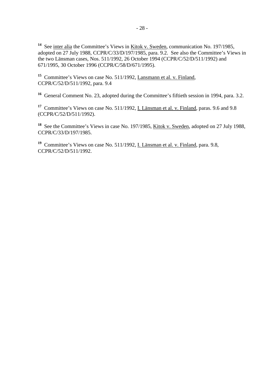**<sup>14</sup>** See inter alia the Committee's Views in Kitok v. Sweden, communication No. 197/1985, adopted on 27 July 1988, CCPR/C/33/D/197/1985, para. 9.2. See also the Committee's Views in the two Länsman cases, Nos. 511/1992, 26 October 1994 (CCPR/C/52/D/511/1992) and 671/1995, 30 October 1996 (CCPR/C/58/D/671/1995).

**<sup>15</sup>** Committee's Views on case No. 511/1992, Lansmann et al. v. Finland, CCPR/C/52/D/511/1992, para. 9.4

<sup>16</sup> General Comment No. 23, adopted during the Committee's fiftieth session in 1994, para. 3.2.

<sup>17</sup> Committee's Views on case No. 511/1992, I. Länsman et al. v. Finland, paras. 9.6 and 9.8 (CCPR/C/52/D/511/1992).

<sup>18</sup> See the Committee's Views in case No. 197/1985, Kitok v. Sweden, adopted on 27 July 1988, CCPR/C/33/D/197/1985.

**<sup>19</sup>** Committee's Views on case No. 511/1992, I. Länsman et al. v. Finland, para. 9.8, CCPR/C/52/D/511/1992.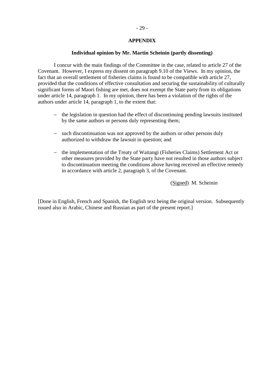#### **APPENDIX**

#### **Individual opinion by Mr. Martin Scheinin (partly dissenting)**

 I concur with the main findings of the Committee in the case, related to article 27 of the Covenant. However, I express my dissent on paragraph 9.10 of the Views. In my opinion, the fact that an overall settlement of fisheries claims is found to be compatible with article 27, provided that the conditions of effective consultation and securing the sustainability of culturally significant forms of Maori fishing are met, does not exempt the State party from its obligations under article 14, paragraph 1. In my opinion, there has been a violation of the rights of the authors under article 14, paragraph 1, to the extent that:

- − the legislation in question had the effect of discontinuing pending lawsuits instituted by the same authors or persons duly representing them;
- − such discontinuation was not approved by the authors or other persons duly authorized to withdraw the lawsuit in question; and
- − the implementation of the Treaty of Waitangi (Fisheries Claims) Settlement Act or other measures provided by the State party have not resulted in those authors subject to discontinuation meeting the conditions above having received an effective remedy in accordance with article 2, paragraph 3, of the Covenant.

(Signed) M. Scheinin

[Done in English, French and Spanish, the English text being the original version. Subsequently issued also in Arabic, Chinese and Russian as part of the present report.]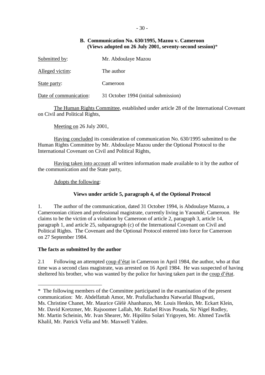#### **B. Communication No. 630/1995, Mazou v. Cameroon (Views adopted on 26 July 2001, seventy-second session)**\*

| Submitted by:          | Mr. Abdoulaye Mazou                  |
|------------------------|--------------------------------------|
| Alleged victim:        | The author                           |
| State party:           | Cameroon                             |
| Date of communication: | 31 October 1994 (initial submission) |

 The Human Rights Committee, established under article 28 of the International Covenant on Civil and Political Rights,

Meeting on 26 July 2001,

 Having concluded its consideration of communication No. 630/1995 submitted to the Human Rights Committee by Mr. Abdoulaye Mazou under the Optional Protocol to the International Covenant on Civil and Political Rights,

 Having taken into account all written information made available to it by the author of the communication and the State party,

Adopts the following:

# **Views under article 5, paragraph 4, of the Optional Protocol**

1. The author of the communication, dated 31 October 1994, is Abdoulaye Mazou, a Cameroonian citizen and professional magistrate, currently living in Yaoundé, Cameroon. He claims to be the victim of a violation by Cameroon of article 2, paragraph 3, article 14, paragraph 1, and article 25, subparagraph (c) of the International Covenant on Civil and Political Rights. The Covenant and the Optional Protocol entered into force for Cameroon on 27 September 1984.

# **The facts as submitted by the author**

 $\overline{a}$ 

2.1 Following an attempted coup d'état in Cameroon in April 1984, the author, who at that time was a second class magistrate, was arrested on 16 April 1984. He was suspected of having sheltered his brother, who was wanted by the police for having taken part in the coup d'état.

<sup>\*</sup> The following members of the Committee participated in the examination of the present communication: Mr. Abdelfattah Amor, Mr. Prafullachandra Natwarlal Bhagwati, Ms. Christine Chanet, Mr. Maurice Glèlè Ahanhanzo, Mr. Louis Henkin, Mr. Eckart Klein, Mr. David Kretzmer, Mr. Rajsoomer Lallah, Mr. Rafael Rivas Posada, Sir Nigel Rodley, Mr. Martin Scheinin, Mr. Ivan Shearer, Mr. Hipólito Solari Yrigoyen, Mr. Ahmed Tawfik Khalil, Mr. Patrick Vella and Mr. Maxwell Yalden.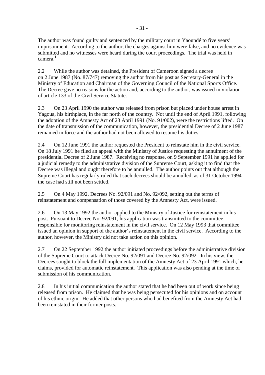The author was found guilty and sentenced by the military court in Yaoundé to five years' imprisonment. According to the author, the charges against him were false, and no evidence was submitted and no witnesses were heard during the court proceedings. The trial was held in camera. **1**

2.2 While the author was detained, the President of Cameroon signed a decree on 2 June 1987 (No. 87/747) removing the author from his post as Secretary-General in the Ministry of Education and Chairman of the Governing Council of the National Sports Office. The Decree gave no reasons for the action and, according to the author, was issued in violation of article 133 of the Civil Service Statute.

2.3 On 23 April 1990 the author was released from prison but placed under house arrest in Yagoua, his birthplace, in the far north of the country. Not until the end of April 1991, following the adoption of the Amnesty Act of 23 April 1991 (No. 91/002), were the restrictions lifted. On the date of transmission of the communication, however, the presidential Decree of 2 June 1987 remained in force and the author had not been allowed to resume his duties.

2.4 On 12 June 1991 the author requested the President to reinstate him in the civil service. On 18 July 1991 he filed an appeal with the Ministry of Justice requesting the annulment of the presidential Decree of 2 June 1987. Receiving no response, on 9 September 1991 he applied for a judicial remedy to the administrative division of the Supreme Court, asking it to find that the Decree was illegal and ought therefore to be annulled. The author points out that although the Supreme Court has regularly ruled that such decrees should be annulled, as of 31 October 1994 the case had still not been settled.

2.5 On 4 May 1992, Decrees No. 92/091 and No. 92/092, setting out the terms of reinstatement and compensation of those covered by the Amnesty Act, were issued.

2.6 On 13 May 1992 the author applied to the Ministry of Justice for reinstatement in his post. Pursuant to Decree No. 92/091, his application was transmitted to the committee responsible for monitoring reinstatement in the civil service. On 12 May 1993 that committee issued an opinion in support of the author's reinstatement in the civil service. According to the author, however, the Ministry did not take action on this opinion.

2.7 On 22 September 1992 the author initiated proceedings before the administrative division of the Supreme Court to attack Decree No. 92/091 and Decree No. 92/092. In his view, the Decrees sought to block the full implementation of the Amnesty Act of 23 April 1991 which, he claims, provided for automatic reinstatement. This application was also pending at the time of submission of his communication.

2.8 In his initial communication the author stated that he had been out of work since being released from prison. He claimed that he was being persecuted for his opinions and on account of his ethnic origin. He added that other persons who had benefited from the Amnesty Act had been reinstated in their former posts.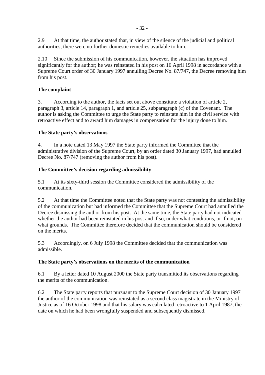2.9 At that time, the author stated that, in view of the silence of the judicial and political authorities, there were no further domestic remedies available to him.

2.10 Since the submission of his communication, however, the situation has improved significantly for the author; he was reinstated in his post on 16 April 1998 in accordance with a Supreme Court order of 30 January 1997 annulling Decree No. 87/747, the Decree removing him from his post.

# **The complaint**

3. According to the author, the facts set out above constitute a violation of article 2, paragraph 3, article 14, paragraph 1, and article 25, subparagraph (c) of the Covenant. The author is asking the Committee to urge the State party to reinstate him in the civil service with retroactive effect and to award him damages in compensation for the injury done to him.

#### **The State party's observations**

4. In a note dated 13 May 1997 the State party informed the Committee that the administrative division of the Supreme Court, by an order dated 30 January 1997, had annulled Decree No. 87/747 (removing the author from his post).

#### **The Committee's decision regarding admissibility**

5.1 At its sixty-third session the Committee considered the admissibility of the communication.

5.2 At that time the Committee noted that the State party was not contesting the admissibility of the communication but had informed the Committee that the Supreme Court had annulled the Decree dismissing the author from his post. At the same time, the State party had not indicated whether the author had been reinstated in his post and if so, under what conditions, or if not, on what grounds. The Committee therefore decided that the communication should be considered on the merits.

5.3 Accordingly, on 6 July 1998 the Committee decided that the communication was admissible.

# **The State party's observations on the merits of the communication**

6.1 By a letter dated 10 August 2000 the State party transmitted its observations regarding the merits of the communication.

6.2 The State party reports that pursuant to the Supreme Court decision of 30 January 1997 the author of the communication was reinstated as a second class magistrate in the Ministry of Justice as of 16 October 1998 and that his salary was calculated retroactive to 1 April 1987, the date on which he had been wrongfully suspended and subsequently dismissed.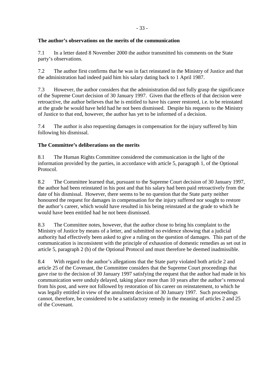# **The author's observations on the merits of the communication**

7.1 In a letter dated 8 November 2000 the author transmitted his comments on the State party's observations.

7.2 The author first confirms that he was in fact reinstated in the Ministry of Justice and that the administration had indeed paid him his salary dating back to 1 April 1987.

7.3 However, the author considers that the administration did not fully grasp the significance of the Supreme Court decision of 30 January 1997. Given that the effects of that decision were retroactive, the author believes that he is entitled to have his career restored, i.e. to be reinstated at the grade he would have held had he not been dismissed. Despite his requests to the Ministry of Justice to that end, however, the author has yet to be informed of a decision.

7.4 The author is also requesting damages in compensation for the injury suffered by him following his dismissal.

# **The Committee's deliberations on the merits**

8.1 The Human Rights Committee considered the communication in the light of the information provided by the parties, in accordance with article 5, paragraph 1, of the Optional Protocol.

8.2 The Committee learned that, pursuant to the Supreme Court decision of 30 January 1997, the author had been reinstated in his post and that his salary had been paid retroactively from the date of his dismissal. However, there seems to be no question that the State party neither honoured the request for damages in compensation for the injury suffered nor sought to restore the author's career, which would have resulted in his being reinstated at the grade to which he would have been entitled had he not been dismissed.

8.3 The Committee notes, however, that the author chose to bring his complaint to the Ministry of Justice by means of a letter, and submitted no evidence showing that a judicial authority had effectively been asked to give a ruling on the question of damages. This part of the communication is inconsistent with the principle of exhaustion of domestic remedies as set out in article 5, paragraph 2 (b) of the Optional Protocol and must therefore be deemed inadmissible.

8.4 With regard to the author's allegations that the State party violated both article 2 and article 25 of the Covenant, the Committee considers that the Supreme Court proceedings that gave rise to the decision of 30 January 1997 satisfying the request that the author had made in his communication were unduly delayed, taking place more than 10 years after the author's removal from his post, and were not followed by restoration of his career on reinstatement, to which he was legally entitled in view of the annulment decision of 30 January 1997. Such proceedings cannot, therefore, be considered to be a satisfactory remedy in the meaning of articles 2 and 25 of the Covenant.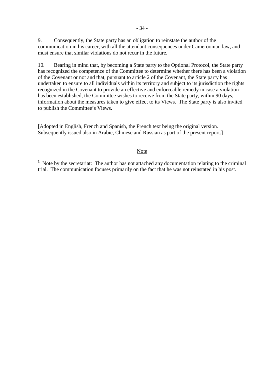9. Consequently, the State party has an obligation to reinstate the author of the communication in his career, with all the attendant consequences under Cameroonian law, and must ensure that similar violations do not recur in the future.

10. Bearing in mind that, by becoming a State party to the Optional Protocol, the State party has recognized the competence of the Committee to determine whether there has been a violation of the Covenant or not and that, pursuant to article 2 of the Covenant, the State party has undertaken to ensure to all individuals within its territory and subject to its jurisdiction the rights recognized in the Covenant to provide an effective and enforceable remedy in case a violation has been established, the Committee wishes to receive from the State party, within 90 days, information about the measures taken to give effect to its Views. The State party is also invited to publish the Committee's Views.

[Adopted in English, French and Spanish, the French text being the original version. Subsequently issued also in Arabic, Chinese and Russian as part of the present report.]

#### Note

<sup>1</sup> Note by the secretariat: The author has not attached any documentation relating to the criminal trial. The communication focuses primarily on the fact that he was not reinstated in his post.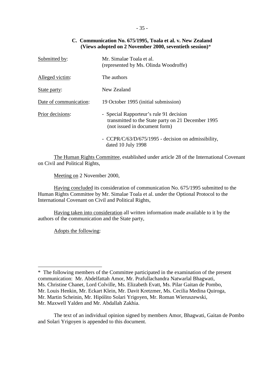#### **C. Communication No. 675/1995, Toala et al. v. New Zealand (Views adopted on 2 November 2000, seventieth session)**\*

| Submitted by:          | Mr. Simalae Toala et al.<br>(represented by Ms. Olinda Woodroffe)                                                              |
|------------------------|--------------------------------------------------------------------------------------------------------------------------------|
| Alleged victim:        | The authors                                                                                                                    |
| State party:           | New Zealand                                                                                                                    |
| Date of communication: | 19 October 1995 (initial submission)                                                                                           |
| Prior decisions:       | - Special Rapporteur's rule 91 decision<br>transmitted to the State party on 21 December 1995<br>(not issued in document form) |
|                        | - CCPR/C/63/D/675/1995 - decision on admissibility,<br>dated 10 July 1998                                                      |

 The Human Rights Committee, established under article 28 of the International Covenant on Civil and Political Rights,

Meeting on 2 November 2000,

 Having concluded its consideration of communication No. 675/1995 submitted to the Human Rights Committee by Mr. Simalae Toala et al. under the Optional Protocol to the International Covenant on Civil and Political Rights,

 Having taken into consideration all written information made available to it by the authors of the communication and the State party,

Adopts the following:

 $\overline{a}$ 

 The text of an individual opinion signed by members Amor, Bhagwati, Gaitan de Pombo and Solari Yrigoyen is appended to this document.

<sup>\*</sup> The following members of the Committee participated in the examination of the present communication: Mr. Abdelfattah Amor, Mr. Prafullachandra Natwarlal Bhagwati, Ms. Christine Chanet, Lord Colville, Ms. Elizabeth Evatt, Ms. Pilar Gaitan de Pombo, Mr. Louis Henkin, Mr. Eckart Klein, Mr. Davit Kretzmer, Ms. Cecilia Medina Quiroga, Mr. Martin Scheinin, Mr. Hipólito Solari Yrigoyen, Mr. Roman Wieruszewski, Mr. Maxwell Yalden and Mr. Abdallah Zakhia.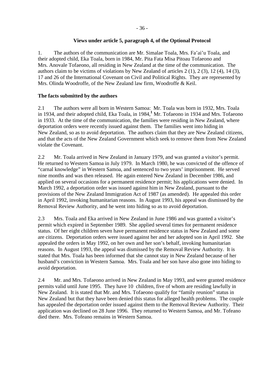# **Views under article 5, paragraph 4, of the Optional Protocol**

1. The authors of the communication are Mr. Simalae Toala, Mrs. Fa'ai'u Toala, and their adopted child, Eka Toala, born in 1984, Mr. Pita Fata Misa Pitoau Tofaeono and Mrs. Anovale Tofaeono, all residing in New Zealand at the time of the communication. The authors claim to be victims of violations by New Zealand of articles 2 (1), 2 (3), 12 (4), 14 (3), 17 and 26 of the International Covenant on Civil and Political Rights. They are represented by Mrs. Olinda Woodroffe, of the New Zealand law firm, Woodroffe & Keil.

# **The facts submitted by the authors**

2.1 The authors were all born in Western Samoa: Mr. Toala was born in 1932, Mrs. Toala in 1934, and their adopted child, Eka Toala, in 1984,**<sup>1</sup>** Mr. Tofaeono in 1934 and Mrs. Tofaeono in 1933. At the time of the communication, the families were residing in New Zealand, where deportation orders were recently issued against them. The families went into hiding in New Zealand, so as to avoid deportation. The authors claim that they are New Zealand citizens, and that the acts of the New Zealand Government which seek to remove them from New Zealand violate the Covenant.

2.2 Mr. Toala arrived in New Zealand in January 1979, and was granted a visitor's permit. He returned to Western Samoa in July 1979. In March 1980, he was convicted of the offence of "carnal knowledge" in Western Samoa, and sentenced to two years' imprisonment. He served nine months and was then released. He again entered New Zealand in December 1986, and applied on several occasions for a permanent residence permit; his applications were denied. In March 1992, a deportation order was issued against him in New Zealand, pursuant to the provisions of the New Zealand Immigration Act of 1987 (as amended). He appealed this order in April 1992, invoking humanitarian reasons. In August 1993, his appeal was dismissed by the Removal Review Authority, and he went into hiding so as to avoid deportation.

2.3 Mrs. Toala and Eka arrived in New Zealand in June 1986 and was granted a visitor's permit which expired in September 1989. She applied several times for permanent residence status. Of her eight children seven have permanent residence status in New Zealand and some are citizens. Deportation orders were issued against her and her adopted son in April 1992. She appealed the orders in May 1992, on her own and her son's behalf, invoking humanitarian reasons. In August 1993, the appeal was dismissed by the Removal Review Authority. It is stated that Mrs. Toala has been informed that she cannot stay in New Zealand because of her husband's conviction in Western Samoa. Mrs. Toala and her son have also gone into hiding to avoid deportation.

2.4 Mr. and Mrs. Tofaeono arrived in New Zealand in May 1993, and were granted residence permits valid until June 1995. They have 10 children, five of whom are residing lawfully in New Zealand. It is stated that Mr. and Mrs. Tofaeono qualify for "family reunion" status in New Zealand but that they have been denied this status for alleged health problems. The couple has appealed the deportation order issued against them to the Removal Review Authority. Their application was declined on 28 June 1996. They returned to Western Samoa, and Mr. Tofeano died there. Mrs. Tofeano remains in Western Samoa.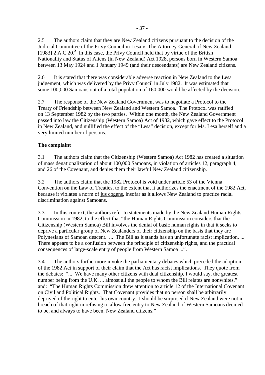2.5 The authors claim that they are New Zealand citizens pursuant to the decision of the Judicial Committee of the Privy Council in Lesa v. The Attorney-General of New Zealand [1983] 2 A.C.20.<sup>2</sup> In this case, the Privy Council held that by virtue of the British Nationality and Status of Aliens (in New Zealand) Act 1928, persons born in Western Samoa between 13 May 1924 and 1 January 1949 (and their descendants) are New Zealand citizens.

2.6 It is stated that there was considerable adverse reaction in New Zealand to the Lesa judgement, which was delivered by the Privy Council in July 1982. It was estimated that some 100,000 Samoans out of a total population of 160,000 would be affected by the decision.

2.7 The response of the New Zealand Government was to negotiate a Protocol to the Treaty of Friendship between New Zealand and Western Samoa. The Protocol was ratified on 13 September 1982 by the two parties. Within one month, the New Zealand Government passed into law the Citizenship (Western Samoa) Act of 1982, which gave effect to the Protocol in New Zealand, and nullified the effect of the "Lesa" decision, except for Ms. Lesa herself and a very limited number of persons.

# **The complaint**

3.1 The authors claim that the Citizenship (Western Samoa) Act 1982 has created a situation of mass denationalization of about 100,000 Samoans, in violation of articles 12, paragraph 4, and 26 of the Covenant, and denies them their lawful New Zealand citizenship.

3.2 The authors claim that the 1982 Protocol is void under article 53 of the Vienna Convention on the Law of Treaties, to the extent that it authorizes the enactment of the 1982 Act, because it violates a norm of jus cogens, insofar as it allows New Zealand to practice racial discrimination against Samoans.

3.3 In this context, the authors refer to statements made by the New Zealand Human Rights Commission in 1982, to the effect that "the Human Rights Commission considers that the Citizenship (Western Samoa) Bill involves the denial of basic human rights in that it seeks to deprive a particular group of New Zealanders of their citizenship on the basis that they are Polynesians of Samoan descent. ... The Bill as it stands has an unfortunate racist implication. ... There appears to be a confusion between the principle of citizenship rights, and the practical consequences of large-scale entry of people from Western Samoa ...".

3.4 The authors furthermore invoke the parliamentary debates which preceded the adoption of the 1982 Act in support of their claim that the Act has racist implications. They quote from the debates: "... We have many other citizens with dual citizenship, I would say, the greatest number being from the U.K. ... almost all the people to whom the Bill relates are nonwhites." and: "The Human Rights Commission drew attention to article 12 of the International Covenant on Civil and Political Rights. That Covenant provides that no person shall be arbitrarily deprived of the right to enter his own country. I should be surprised if New Zealand were not in breach of that right in refusing to allow free entry to New Zealand of Western Samoans deemed to be, and always to have been, New Zealand citizens."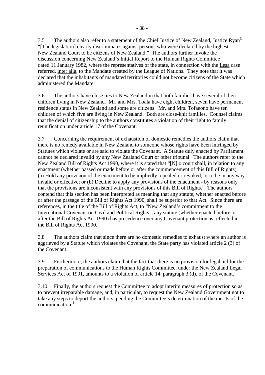3.5 The authors also refer to a statement of the Chief Justice of New Zealand, Justice Ryan**<sup>3</sup>** "[The legislation] clearly discriminates against persons who were declared by the highest New Zealand Court to be citizens of New Zealand." The authors further invoke the discussion concerning New Zealand's Initial Report to the Human Rights Committee dated 11 January 1982, where the representatives of the state, in connection with the Lesa case referred, inter alia, to the Mandate created by the League of Nations. They note that it was declared that the inhabitants of mandated territories could not become citizens of the State which administered the Mandate.

3.6 The authors have close ties to New Zealand in that both families have several of their children living in New Zealand. Mr. and Mrs. Toala have eight children, seven have permanent residence status in New Zealand and some are citizens. Mr. and Mrs. Tofaeono have ten children of which five are living in New Zealand. Both are close-knit families. Counsel claims that the denial of citizenship to the authors constitutes a violation of their right to family reunification under article 17 of the Covenant.

3.7 Concerning the requirement of exhaustion of domestic remedies the authors claim that there is no remedy available in New Zealand to someone whose rights have been infringed by Statutes which violate or are said to violate the Covenant. A Statute duly enacted by Parliament cannot be declared invalid by any New Zealand Court or other tribunal. The authors refer to the New Zealand Bill of Rights Act 1990, where it is stated that "[N] o court shall, in relation to any enactment (whether passed or made before or after the commencement of this Bill of Rights), (a) Hold any provision of the enactment to be impliedly repealed or revoked, or to be in any way invalid or effective; or (b) Decline to apply any provisions of the enactment - by reasons only that the provisions are inconsistent with any provisions of this Bill of Rights." The authors contend that this section has been interpreted as meaning that any statute, whether enacted before or after the passage of the Bill of Rights Act 1990, shall be superior to that Act. Since there are references, in the title of the Bill of Rights Act, to "New Zealand's commitment to the International Covenant on Civil and Political Rights", any statute (whether enacted before or after the Bill of Rights Act 1990) has precedence over any Covenant protection as reflected in the Bill of Rights Act 1990.

3.8 The authors claim that since there are no domestic remedies to exhaust where an author is aggrieved by a Statute which violates the Covenant, the State party has violated article 2 (3) of the Covenant.

3.9 Furthermore, the authors claim that the fact that there is no provision for legal aid for the preparation of communications to the Human Rights Committee, under the New Zealand Legal Services Act of 1991, amounts to a violation of article 14, paragraph 3 (d), of the Covenant.

3.10 Finally, the authors request the Committee to adopt interim measures of protection so as to prevent irreparable damage, and, in particular, to request the New Zealand Government not to take any steps to deport the authors, pending the Committee's determination of the merits of the communication.**<sup>4</sup>**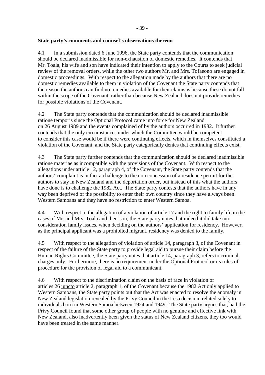## **State party's comments and counsel's observations thereon**

4.1 In a submission dated 6 June 1996, the State party contends that the communication should be declared inadmissible for non-exhaustion of domestic remedies. It contends that Mr. Toala, his wife and son have indicated their intention to apply to the Courts to seek judicial review of the removal orders, while the other two authors Mr. and Mrs. Tofaeono are engaged in domestic proceedings. With respect to the allegation made by the authors that there are no domestic remedies available to them in violation of the Covenant the State party contends that the reason the authors can find no remedies available for their claims is because these do not fall within the scope of the Covenant, rather than because New Zealand does not provide remedies for possible violations of the Covenant.

4.2 The State party contends that the communication should be declared inadmissible ratione temporis since the Optional Protocol came into force for New Zealand on 26 August 1989 and the events complained of by the authors occurred in 1982. It further contends that the only circumstances under which the Committee would be competent to consider this case would be if there were continuing effects, which in themselves constituted a violation of the Covenant, and the State party categorically denies that continuing effects exist.

4.3 The State party further contends that the communication should be declared inadmissible ratione materiae as incompatible with the provisions of the Covenant. With respect to the allegations under article 12, paragraph 4, of the Covenant, the State party contends that the authors' complaint is in fact a challenge to the non concession of a residence permit for the authors to stay in New Zealand and the deportation order, but instead of this what the authors have done is to challenge the 1982 Act. The State party contests that the authors have in any way been deprived of the possibility to enter their own country since they have always been Western Samoans and they have no restriction to enter Western Samoa.

4.4 With respect to the allegation of a violation of article 17 and the right to family life in the cases of Mr. and Mrs. Toala and their son, the State party notes that indeed it did take into consideration family issues, when deciding on the authors' application for residency. However, as the principal applicant was a prohibited migrant, residency was denied to the family.

4.5 With respect to the allegation of violation of article 14, paragraph 3, of the Covenant in respect of the failure of the State party to provide legal aid to pursue their claim before the Human Rights Committee, the State party notes that article 14, paragraph 3, refers to criminal charges only. Furthermore, there is no requirement under the Optional Protocol or its rules of procedure for the provision of legal aid to a communicant.

4.6 With respect to the discrimination claim on the basis of race in violation of articles 26 juncto article 2, paragraph 1, of the Covenant because the 1982 Act only applied to Western Samoans, the State party points out that the Act was enacted to resolve the anomaly in New Zealand legislation revealed by the Privy Council in the Lesa decision, related solely to individuals born in Western Samoa between 1924 and 1949. The State party argues that, had the Privy Council found that some other group of people with no genuine and effective link with New Zealand, also inadvertently been given the status of New Zealand citizens, they too would have been treated in the same manner.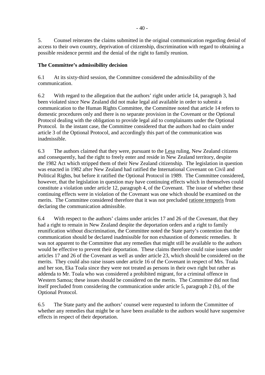5. Counsel reiterates the claims submitted in the original communication regarding denial of access to their own country, deprivation of citizenship, discrimination with regard to obtaining a possible residence permit and the denial of the right to family reunion.

# **The Committee's admissibility decision**

6.1 At its sixty-third session, the Committee considered the admissibility of the communication.

6.2 With regard to the allegation that the authors' right under article 14, paragraph 3, had been violated since New Zealand did not make legal aid available in order to submit a communication to the Human Rights Committee, the Committee noted that article 14 refers to domestic procedures only and there is no separate provision in the Covenant or the Optional Protocol dealing with the obligation to provide legal aid to complainants under the Optional Protocol. In the instant case, the Committee considered that the authors had no claim under article 3 of the Optional Protocol, and accordingly this part of the communication was inadmissible.

6.3 The authors claimed that they were, pursuant to the Lesa ruling, New Zealand citizens and consequently, had the right to freely enter and reside in New Zealand territory, despite the 1982 Act which stripped them of their New Zealand citizenship. The legislation in question was enacted in 1982 after New Zealand had ratified the International Covenant on Civil and Political Rights, but before it ratified the Optional Protocol in 1989. The Committee considered, however, that the legislation in question may have continuing effects which in themselves could constitute a violation under article 12, paragraph 4, of the Covenant. The issue of whether these continuing effects were in violation of the Covenant was one which should be examined on the merits. The Committee considered therefore that it was not precluded ratione temporis from declaring the communication admissible.

6.4 With respect to the authors' claims under articles 17 and 26 of the Covenant, that they had a right to remain in New Zealand despite the deportation orders and a right to family reunification without discrimination, the Committee noted the State party's contention that the communication should be declared inadmissible for non exhaustion of domestic remedies. It was not apparent to the Committee that any remedies that might still be available to the authors would be effective to prevent their deportation. These claims therefore could raise issues under articles 17 and 26 of the Covenant as well as under article 23, which should be considered on the merits. They could also raise issues under article 16 of the Covenant in respect of Mrs. Toala and her son, Eka Toala since they were not treated as persons in their own right but rather as addenda to Mr. Toala who was considered a prohibited migrant, for a criminal offence in Western Samoa; these issues should be considered on the merits. The Committee did not find itself precluded from considering the communication under article 5, paragraph 2 (b), of the Optional Protocol.

6.5 The State party and the authors' counsel were requested to inform the Committee of whether any remedies that might be or have been available to the authors would have suspensive effects in respect of their deportation.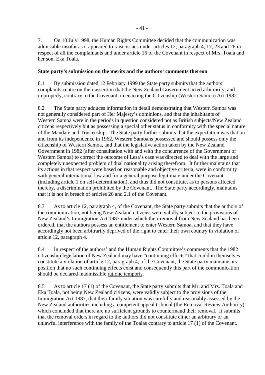7. On 10 July 1998, the Human Rights Committee decided that the communication was admissible insofar as it appeared to raise issues under articles 12, paragraph 4, 17, 23 and 26 in respect of all the complainants and under article 16 of the Covenant in respect of Mrs. Toala and her son, Eka Toala.

### **State party's submission on the merits and the authors' comments thereon**

8.1 By submission dated 12 February 1999 the State party submits that the authors' complaints centre on their assertion that the New Zealand Government acted arbitrarily, and improperly, contrary to the Covenant, in enacting the Citizenship (Western Samoa) Act 1982.

8.2 The State party adduces information in detail demonstrating that Western Samoa was not generally considered part of Her Majesty's dominions, and that the inhabitants of Western Samoa were in the periods in question considered not as British subjects/New Zealand citizens respectively but as possessing a special other status in conformity with the special nature of the Mandate and Trusteeship. The State party further submits that the expectation was that on and from its independence in 1962, Western Samoans possessed and should possess only the citizenship of Western Samoa, and that the legislative action taken by the New Zealand Government in 1982 (after consultation with and with the concurrence of the Government of Western Samoa) to correct the outcome of Lesa's case was directed to deal with the large and completely unexpected problem of dual nationality arising therefrom. It further maintains that its actions in that respect were based on reasonable and objective criteria, were in conformity with general international law and for a general purpose legitimate under the Covenant (including article 1 on self-determination), and thus did not constitute, as to persons affected thereby, a discrimination prohibited by the Covenant. The State party accordingly, maintains that it is not in breach of articles 26 and 2.1 of the Covenant.

8.3 As to article 12, paragraph 4, of the Covenant, the State party submits that the authors of the communication, not being New Zealand citizens, were validly subject to the provisions of New Zealand's Immigration Act 1987 under which their removal from New Zealand has been ordered, that the authors possess an entitlement to enter Western Samoa, and that they have accordingly not been arbitrarily deprived of the right to enter their own country in violation of article 12, paragraph 4.

8.4 In respect of the authors' and the Human Rights Committee's comments that the 1982 citizenship legislation of New Zealand may have "continuing effects" that could in themselves constitute a violation of article 12, paragraph 4, of the Covenant, the State party maintains its position that no such continuing effects exist and consequently this part of the communication should be declared inadmissible ratione temporis.

8.5 As to article 17 (1) of the Covenant, the State party submits that Mr. and Mrs. Toala and Eka Toala, not being New Zealand citizens, were validly subject to the provisions of the Immigration Act 1987, that their family situation was carefully and reasonably assessed by the New Zealand authorities including a competent appeal tribunal (the Removal Review Authority) which concluded that there are no sufficient grounds to countermand their removal. It submits that the removal orders in regard to the authors did not constitute either an arbitrary or an unlawful interference with the family of the Toalas contrary to article 17 (1) of the Covenant.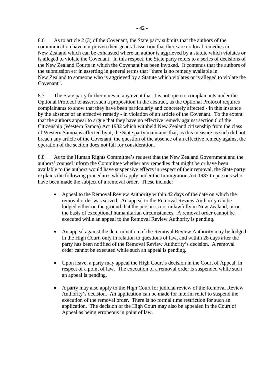8.6 As to article 2 (3) of the Covenant, the State party submits that the authors of the communication have not proven their general assertion that there are no local remedies in New Zealand which can be exhausted where an author is aggrieved by a statute which violates or is alleged to violate the Covenant. In this respect, the State party refers to a series of decisions of the New Zealand Courts in which the Covenant has been invoked. It contends that the authors of the submission err in asserting in general terms that "there is no remedy available in New Zealand to someone who is aggrieved by a Statute which violates or is alleged to violate the Covenant".

8.7 The State party further notes in any event that it is not open to complainants under the Optional Protocol to assert such a proposition in the abstract, as the Optional Protocol requires complainants to show that they have been particularly and concretely affected - in this instance by the absence of an effective remedy - in violation of an article of the Covenant. To the extent that the authors appear to argue that they have no effective remedy against section 6 of the Citizenship (Western Samoa) Act 1982 which withheld New Zealand citizenship from the class of Western Samoans affected by it, the State party maintains that, as this measure as such did not breach any article of the Covenant, the question of the absence of an effective remedy against the operation of the section does not fall for consideration.

8.8 As to the Human Rights Committee's request that the New Zealand Government and the authors' counsel inform the Committee whether any remedies that might be or have been available to the authors would have suspensive effects in respect of their removal, the State party explains the following procedures which apply under the Immigration Act 1987 to persons who have been made the subject of a removal order. These include:

- Appeal to the Removal Review Authority within 42 days of the date on which the removal order was served. An appeal to the Removal Review Authority can be lodged either on the ground that the person is not unlawfully in New Zealand, or on the basis of exceptional humanitarian circumstances. A removal order cannot be executed while an appeal to the Removal Review Authority is pending.
- An appeal against the determination of the Removal Review Authority may be lodged in the High Court, only in relation to questions of law, and within 28 days after the party has been notified of the Removal Review Authority's decision. A removal order cannot be executed while such an appeal is pending.
- Upon leave, a party may appeal the High Court's decision in the Court of Appeal, in respect of a point of law. The execution of a removal order is suspended while such an appeal is pending.
- A party may also apply to the High Court for judicial review of the Removal Review Authority's decision. An application can be made for interim relief to suspend the execution of the removal order. There is no formal time restriction for such an application. The decision of the High Court may also be appealed in the Court of Appeal as being erroneous in point of law.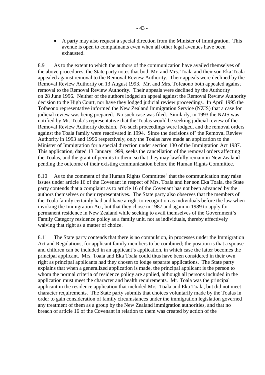• A party may also request a special direction from the Minister of Immigration. This avenue is open to complainants even when all other legal avenues have been exhausted.

8.9 As to the extent to which the authors of the communication have availed themselves of the above procedures, the State party notes that both Mr. and Mrs. Toala and their son Eka Toala appealed against removal to the Removal Review Authority. Their appeals were declined by the Removal Review Authority on 13 August 1993. Mr. and Mrs. Tofeaono both appealed against removal to the Removal Review Authority. Their appeals were declined by the Authority on 28 June 1996. Neither of the authors lodged an appeal against the Removal Review Authority decision to the High Court, nor have they lodged judicial review proceedings. In April 1995 the Tofaeono representative informed the New Zealand Immigration Service (NZIS) that a case for judicial review was being prepared. No such case was filed. Similarly, in 1993 the NZIS was notified by Mr. Toala's representative that the Toalas would be seeking judicial review of the Removal Review Authority decision. No such proceedings were lodged, and the removal orders against the Toala family were reactivated in 1994. Since the decisions of' the Removal Review Authority in 1993 and 1996 respectively, only the Toalas have made an application to the Minister of Immigration for a special direction under section 130 of the Immigration Act 1987. This application, dated 13 January 1999, seeks the cancellation of the removal orders affecting the Toalas, and the grant of permits to them, so that they may lawfully remain in New Zealand pending the outcome of their existing communication before the Human Rights Committee.

8.10 As to the comment of the Human Rights Committee**<sup>5</sup>** that the communication may raise issues under article 16 of the Covenant in respect of Mrs. Toala and her son Eka Toala, the State party contends that a complaint as to article 16 of the Covenant has not been advanced by the authors themselves or their representatives. The State party also observes that the members of the Toala family certainly had and have a right to recognition as individuals before the law when invoking the Immigration Act, but that they chose in 1987 and again in 1989 to apply for permanent residence in New Zealand while seeking to avail themselves of the Government's Family Category residence policy as a family unit, not as individuals, thereby effectively waiving that right as a matter of choice.

8.11 The State party contends that there is no compulsion, in processes under the Immigration Act and Regulations, for applicant family members to be combined; the position is that a spouse and children can be included in an applicant's application, in which case the latter becomes the principal applicant. Mrs. Toala and Eka Toala could thus have been considered in their own right as principal applicants had they chosen to lodge separate applications. The State party explains that when a generalized application is made, the principal applicant is the person to whom the normal criteria of residence policy are applied, although all persons included in the application must meet the character and health requirements. Mr. Toala was the principal applicant in the residence application that included Mrs. Toala and Eka Toala, but did not meet character requirements. The State party submits that choices voluntarily made by the Toalas in order to gain consideration of family circumstances under the immigration legislation governed any treatment of them as a group by the New Zealand immigration authorities, and that no breach of article 16 of the Covenant in relation to them was created by action of the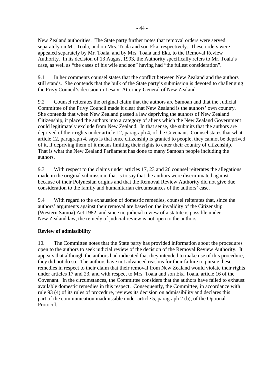New Zealand authorities. The State party further notes that removal orders were served separately on Mr. Toala, and on Mrs. Toala and son Eka, respectively. These orders were appealed separately by Mr. Toala, and by Mrs. Toala and Eka, to the Removal Review Authority. In its decision of 13 August 1993, the Authority specifically refers to Mr. Toala's case, as well as "the cases of his wife and son" having had "the fullest consideration".

9.1 In her comments counsel states that the conflict between New Zealand and the authors still stands. She contends that the bulk of the State party's submission is devoted to challenging the Privy Council's decision in Lesa v. Attorney-General of New Zealand.

9.2 Counsel reiterates the original claim that the authors are Samoan and that the Judicial Committee of the Privy Council made it clear that New Zealand is the authors' own country. She contends that when New Zealand passed a law depriving the authors of New Zealand Citizenship, it placed the authors into a category of aliens which the New Zealand Government could legitimately exclude from New Zealand. In that sense, she submits that the authors are deprived of their rights under article 12, paragraph 4, of the Covenant. Counsel states that what article 12, paragraph 4, says is that once citizenship is granted to people, they cannot be deprived of it, if depriving them of it means limiting their rights to enter their country of citizenship. That is what the New Zealand Parliament has done to many Samoan people including the authors.

9.3 With respect to the claims under articles 17, 23 and 26 counsel reiterates the allegations made in the original submission, that is to say that the authors were discriminated against because of their Polynesian origins and that the Removal Review Authority did not give due consideration to the family and humanitarian circumstances of the authors' case.

9.4 With regard to the exhaustion of domestic remedies, counsel reiterates that, since the authors' arguments against their removal are based on the invalidity of the Citizenship (Western Samoa) Act 1982, and since no judicial review of a statute is possible under New Zealand law, the remedy of judicial review is not open to the authors.

## **Review of admissibility**

10. The Committee notes that the State party has provided information about the procedures open to the authors to seek judicial review of the decision of the Removal Review Authority. It appears that although the authors had indicated that they intended to make use of this procedure, they did not do so. The authors have not advanced reasons for their failure to pursue these remedies in respect to their claim that their removal from New Zealand would violate their rights under articles 17 and 23, and with respect to Mrs. Toala and son Eka Toala, article 16 of the Covenant. In the circumstances, the Committee considers that the authors have failed to exhaust available domestic remedies in this respect. Consequently, the Committee, in accordance with rule 93 (4) of its rules of procedure, reviews its decision on admissibility and declares this part of the communication inadmissible under article 5, paragraph 2 (b), of the Optional Protocol.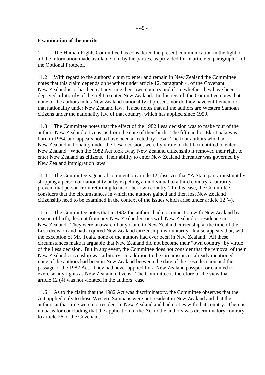## **Examination of the merits**

11.1 The Human Rights Committee has considered the present communication in the light of all the information made available to it by the parties, as provided for in article 5, paragraph 1, of the Optional Protocol.

11.2 With regard to the authors' claim to enter and remain in New Zealand the Committee notes that this claim depends on whether under article 12, paragraph 4, of the Covenant New Zealand is or has been at any time their own country and if so, whether they have been deprived arbitrarily of the right to enter New Zealand. In this regard, the Committee notes that none of the authors holds New Zealand nationality at present, nor do they have entitlement to that nationality under New Zealand law. It also notes that all the authors are Western Samoan citizens under the nationality law of that country, which has applied since 1959.

11.3 The Committee notes that the effect of the 1982 Lesa decision was to make four of the authors New Zealand citizens, as from the date of their birth. The fifth author Eka Toala was born in 1984, and appears not to have been affected by Lesa. The four authors who had New Zealand nationality under the Lesa decision, were by virtue of that fact entitled to enter New Zealand. When the 1982 Act took away New Zealand citizenship it removed their right to enter New Zealand as citizens. Their ability to enter New Zealand thereafter was governed by New Zealand immigration laws.

11.4 The Committee's general comment on article 12 observes that "A State party must not by stripping a person of nationality or by expelling an individual to a third country, arbitrarily prevent that person from returning to his or her own country." In this case, the Committee considers that the circumstances in which the authors gained and then lost New Zealand citizenship need to be examined in the context of the issues which arise under article 12 (4).

11.5 The Committee notes that in 1982 the authors had no connection with New Zealand by reason of birth, descent from any New Zealander, ties with New Zealand or residence in New Zealand. They were unaware of any claim to New Zealand citizenship at the time of the Lesa decision and had acquired New Zealand citizenship involuntarily. It also appears that, with the exception of Mr. Toala, none of the authors had ever been in New Zealand. All these circumstances make it arguable that New Zealand did not become their "own country" by virtue of the Lesa decision. But in any event, the Committee does not consider that the removal of their New Zealand citizenship was arbitrary. In addition to the circumstances already mentioned, none of the authors had been in New Zealand between the date of the Lesa decision and the passage of the 1982 Act. They had never applied for a New Zealand passport or claimed to exercise any rights as New Zealand citizens. The Committee is therefore of the view that article 12 (4) was not violated in the authors' case.

11.6 As to the claim that the 1982 Act was discriminatory, the Committee observes that the Act applied only to those Western Samoans were not resident in New Zealand and that the authors at that time were not resident in New Zealand and had no ties with that country. There is no basis for concluding that the application of the Act to the authors was discriminatory contrary to article 26 of the Covenant.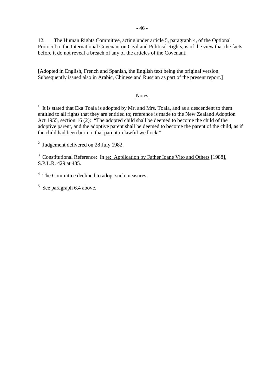12. The Human Rights Committee, acting under article 5, paragraph 4, of the Optional Protocol to the International Covenant on Civil and Political Rights, is of the view that the facts before it do not reveal a breach of any of the articles of the Covenant.

[Adopted in English, French and Spanish, the English text being the original version. Subsequently issued also in Arabic, Chinese and Russian as part of the present report.]

### **Notes**

<sup>1</sup> It is stated that Eka Toala is adopted by Mr. and Mrs. Toala, and as a descendent to them entitled to all rights that they are entitled to; reference is made to the New Zealand Adoption Act 1955, section 16 (2): "The adopted child shall be deemed to become the child of the adoptive parent, and the adoptive parent shall be deemed to become the parent of the child, as if the child had been born to that parent in lawful wedlock."

**2** Judgement delivered on 28 July 1982.

<sup>3</sup> Constitutional Reference: In <u>re: Application by Father Ioane Vito and Others</u> [1988], S.P.L.R. 429 at 435.

<sup>4</sup> The Committee declined to adopt such measures.

**5** See paragraph 6.4 above.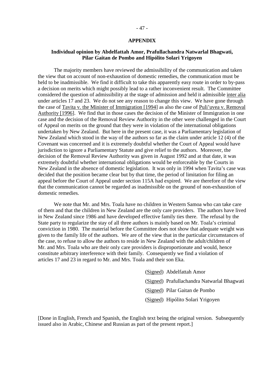#### **APPENDIX**

### **Individual opinion by Abdelfattah Amor, Prafullachandra Natwarlal Bhagwati, Pilar Gaitan de Pombo and Hipólito Solari Yrigoyen**

 The majority members have reviewed the admissibility of the communication and taken the view that on account of non-exhaustion of domestic remedies, the communication must be held to be inadmissible. We find it difficult to take this apparently easy route in order to by-pass a decision on merits which might possibly lead to a rather inconvenient result. The Committee considered the question of admissibility at the stage of admission and held it admissible inter alia under articles 17 and 23. We do not see any reason to change this view. We have gone through the case of Tavita v. the Minister of Immigration [1994] as also the case of Puli'uvea v. Removal Authority [1996]. We find that in those cases the decision of the Minister of Immigration in one case and the decision of the Removal Review Authority in the other were challenged in the Court of Appeal on merits on the ground that they were in violation of the international obligations undertaken by New Zealand. But here in the present case, it was a Parliamentary legislation of New Zealand which stood in the way of the authors so far as the claim under article 12 (4) of the Covenant was concerned and it is extremely doubtful whether the Court of Appeal would have jurisdiction to ignore a Parliamentary Statute and give relief to the authors. Moreover, the decision of the Removal Review Authority was given in August 1992 and at that date, it was extremely doubtful whether international obligations would be enforceable by the Courts in New Zealand in the absence of domestic legislation. It was only in 1994 when Tavita's case was decided that the position became clear but by that time, the period of limitation for filing an appeal before the Court of Appeal under section 115A had expired. We are therefore of the view that the communication cannot be regarded as inadmissible on the ground of non-exhaustion of domestic remedies.

 We note that Mr. and Mrs. Toala have no children in Western Samoa who can take care of them and that the children in New Zealand are the only care providers. The authors have lived in New Zealand since 1986 and have developed effective family ties there. The refusal by the State party to regularize the stay of all three authors is mainly based on Mr. Toala's criminal conviction in 1980. The material before the Committee does not show that adequate weight was given to the family life of the authors. We are of the view that in the particular circumstances of the case, to refuse to allow the authors to reside in New Zealand with the adult/children of Mr. and Mrs. Toala who are their only care providers is disproportionate and would, hence constitute arbitrary interference with their family. Consequently we find a violation of articles 17 and 23 in regard to Mr. and Mrs. Toala and their son Eka.

|  | (Signed) Abdelfattah Amor                   |
|--|---------------------------------------------|
|  | (Signed) Prafullachandra Natwarlal Bhagwati |
|  | (Signed) Pilar Gaitan de Pombo              |
|  | (Signed) Hipólito Solari Yrigoyen           |

[Done in English, French and Spanish, the English text being the original version. Subsequently issued also in Arabic, Chinese and Russian as part of the present report.]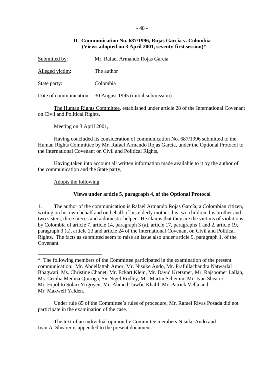### **D. Communication No. 687/1996, Rojas García v. Colombia (Views adopted on 3 April 2001, seventy-first session)**\*

| Submitted by:   | Mr. Rafael Armando Rojas García                            |
|-----------------|------------------------------------------------------------|
| Alleged victim: | The author                                                 |
| State party:    | Colombia                                                   |
|                 | Date of communication: 30 August 1995 (initial submission) |

 The Human Rights Committee, established under article 28 of the International Covenant on Civil and Political Rights,

Meeting on 3 April 2001,

 Having concluded its consideration of communication No. 687/1996 submitted to the Human Rights Committee by Mr. Rafael Armando Rojas García, under the Optional Protocol to the International Covenant on Civil and Political Rights,

 Having taken into account all written information made available to it by the author of the communication and the State party,

Adopts the following:

 $\overline{a}$ 

## **Views under article 5, paragraph 4, of the Optional Protocol**

1. The author of the communication is Rafael Armando Rojas García, a Colombian citizen, writing on his own behalf and on behalf of his elderly mother, his two children, his brother and two sisters, three nieces and a domestic helper. He claims that they are the victims of violations by Colombia of article 7, article 14, paragraph 3 (a), article 17, paragraphs 1 and 2, article 19, paragraph 3 (a), article 23 and article 24 of the International Covenant on Civil and Political Rights. The facts as submitted seem to raise an issue also under article 9, paragraph 1, of the Covenant.

 Under rule 85 of the Committee's rules of procedure, Mr. Rafael Rivas Posada did not participate in the examination of the case.

 The text of an individual opinion by Committee members Nisuke Ando and Ivan A. Shearer is appended to the present document.

<sup>\*</sup>The following members of the Committee participated in the examination of the present communication: Mr. Abdelfattah Amor, Mr. Nisuke Ando, Mr. Prafullachandra Natwarlal Bhagwati, Ms. Christine Chanet, Mr. Eckart Klein, Mr. David Kretzmer, Mr. Rajsoomer Lallah, Ms. Cecilia Medina Quiroga, Sir Nigel Rodley, Mr. Martin Scheinin, Mr. Ivan Shearer, Mr. Hipólito Solari Yrigoyen, Mr. Ahmed Tawfic Khalil, Mr. Patrick Vella and Mr. Maxwell Yalden.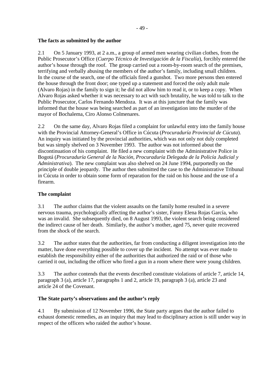# **The facts as submitted by the author**

2.1 On 5 January 1993, at 2 a.m., a group of armed men wearing civilian clothes, from the Public Prosecutor's Office (*Cuerpo Técnico de Investigación de la Fiscalía*), forcibly entered the author's house through the roof. The group carried out a room-by-room search of the premises, terrifying and verbally abusing the members of the author's family, including small children. In the course of the search, one of the officials fired a gunshot. Two more persons then entered the house through the front door; one typed up a statement and forced the only adult male (Alvaro Rojas) in the family to sign it; he did not allow him to read it, or to keep a copy. When Alvaro Rojas asked whether it was necessary to act with such brutality, he was told to talk to the Public Prosecutor, Carlos Fernando Mendoza. It was at this juncture that the family was informed that the house was being searched as part of an investigation into the murder of the mayor of Bochalema, Ciro Alonso Colmenares.

2.2 On the same day, Alvaro Rojas filed a complaint for unlawful entry into the family house with the Provincial Attorney-General's Office in Cúcuta (*Procuraduría Provincial de Cúcuta*). An inquiry was initiated by the provincial authorities, which was not only not duly completed but was simply shelved on 3 November 1993. The author was not informed about the discontinuation of his complaint. He filed a new complaint with the Administrative Police in Bogotá (*Procuraduría General de la Nación, Procuraduría Delegada de la Policía Judicial y Administrativa*). The new complaint was also shelved on 24 June 1994, purportedly on the principle of double jeopardy. The author then submitted the case to the Administrative Tribunal in Cúcuta in order to obtain some form of reparation for the raid on his house and the use of a firearm.

# **The complaint**

3.1 The author claims that the violent assaults on the family home resulted in a severe nervous trauma, psychologically affecting the author's sister, Fanny Elena Rojas García, who was an invalid. She subsequently died, on 8 August 1993, the violent search being considered the indirect cause of her death. Similarly, the author's mother, aged 75, never quite recovered from the shock of the search.

3.2 The author states that the authorities, far from conducting a diligent investigation into the matter, have done everything possible to cover up the incident. No attempt was ever made to establish the responsibility either of the authorities that authorized the raid or of those who carried it out, including the officer who fired a gun in a room where there were young children.

3.3 The author contends that the events described constitute violations of article 7, article 14, paragraph 3 (a), article 17, paragraphs 1 and 2, article 19, paragraph 3 (a), article 23 and article 24 of the Covenant.

## **The State party's observations and the author's reply**

4.1 By submission of 12 November 1996, the State party argues that the author failed to exhaust domestic remedies, as an inquiry that may lead to disciplinary action is still under way in respect of the officers who raided the author's house.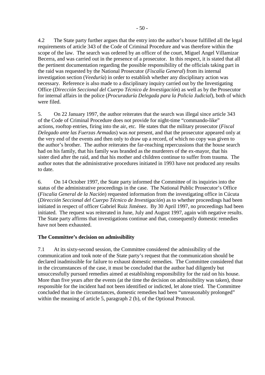4.2 The State party further argues that the entry into the author's house fulfilled all the legal requirements of article 343 of the Code of Criminal Procedure and was therefore within the scope of the law. The search was ordered by an officer of the court, Miguel Angel Villamizar Becerra, and was carried out in the presence of a prosecutor. In this respect, it is stated that all the pertinent documentation regarding the possible responsibility of the officials taking part in the raid was requested by the National Prosecutor (*Fiscalía General*) from its internal investigation section (*Veeduría*) in order to establish whether any disciplinary action was necessary. Reference is also made to a disciplinary inquiry carried out by the Investigating Office (*Dirección Seccional del Cuerpo Técnico de Investigación*) as well as by the Prosecutor for internal affairs in the police (*Procuraduría Delegada para la Policía Judicial*), both of which were filed.

5. On 22 January 1997, the author reiterates that the search was illegal since article 343 of the Code of Criminal Procedure does not provide for night-time "commando-like" actions, rooftop entries, firing into the air, etc. He states that the military prosecutor (*Fiscal Delegado ante las Fuerzas Armadas*) was *not* present, and that the prosecutor appeared only at the very end of the events and then only to draw up a record, of which no copy was given to the author's brother. The author reiterates the far-reaching repercussions that the house search had on his family, that his family was branded as the murderers of the ex-mayor, that his sister died after the raid, and that his mother and children continue to suffer from trauma. The author notes that the administrative procedures initiated in 1993 have not produced any results to date.

6. On 14 October 1997, the State party informed the Committee of its inquiries into the status of the administrative proceedings in the case. The National Public Prosecutor's Office (*Fiscalia General de la Nación*) requested information from the investigating office in Cúcuta (*Dirección Seccional del Cuerpo Técnico de Investigación*) as to whether proceedings had been initiated in respect of officer Gabriel Ruiz Jiménez. By 30 April 1997, no proceedings had been initiated. The request was reiterated in June, July and August 1997, again with negative results. The State party affirms that investigations continue and that, consequently domestic remedies have not been exhausted.

## **The Committee's decision on admissibility**

7.1 At its sixty-second session, the Committee considered the admissibility of the communication and took note of the State party's request that the communication should be declared inadmissible for failure to exhaust domestic remedies. The Committee considered that in the circumstances of the case, it must be concluded that the author had diligently but unsuccessfully pursued remedies aimed at establishing responsibility for the raid on his house. More than five years after the events (at the time the decision on admissibility was taken), those responsible for the incident had not been identified or indicted, let alone tried. The Committee concluded that in the circumstances, domestic remedies had been "unreasonably prolonged" within the meaning of article 5, paragraph 2 (b), of the Optional Protocol.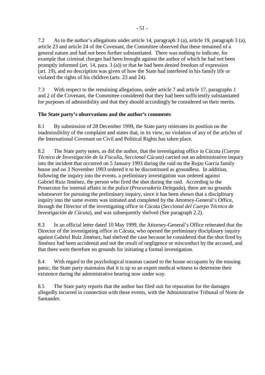7.2 As to the author's allegations under article 14, paragraph 3 (a), article 19, paragraph 3 (a), article 23 and article 24 of the Covenant, the Committee observed that these remained of a general nature and had not been further substantiated. There was nothing to indicate, for example that criminal charges had been brought against the author of which he had not been promptly informed (art. 14, para. 3 (a)) or that he had been denied freedom of expression (art. 19), and no description was given of how the State had interfered in his family life or violated the rights of his children (arts. 23 and 24).

7.3 With respect to the remaining allegations, under article 7 and article 17, paragraphs 1 and 2 of the Covenant, the Committee considered that they had been sufficiently substantiated for purposes of admissibility and that they should accordingly be considered on their merits.

# **The State party's observations and the author's comments**

8.1 By submission of 28 December 1999, the State party reiterates its position on the inadmissibility of the complaint and states that, in its view, no violation of any of the articles of the International Covenant on Civil and Political Rights has taken place.

8.2 The State party notes, as did the author, that the investigating office in Cúcuta (*Cuerpo Técnico de Investigación de la Fiscalia, Seccional Cúcuta*) carried out an administrative inquiry into the incident that occurred on 5 January 1993 during the raid on the Rojas García family house and on 3 November 1993 ordered it to be discontinued as groundless. In addition, following the inquiry into the events, a preliminary investigation was ordered against Gabriel Ruiz Jiménez, the person who fired the shot during the raid. According to the Prosecutor for internal affairs in the police (*Procuraduría Delegada*), there are no grounds whatsoever for pursuing the preliminary inquiry, since it has been shown that a disciplinary inquiry into the same events was initiated and completed by the Attorney-General's Office, through the Director of the investigating office in Cúcuta (*Seccional del Cuerpo Técnico de Investigación de Cúcuta*), and was subsequently shelved (See paragraph 2.2).

8.3 In an official letter dated 10 May 1999, the Attorney-General's Office reiterated that the Director of the investigating office in Cúcuta, who opened the preliminary disciplinary inquiry against Gabriel Ruiz Jiménez, had shelved the case because he considered that the shot fired by Jiménez had been accidental and not the result of negligence or misconduct by the accused, and that there were therefore no grounds for initiating a formal investigation.

8.4 With regard to the psychological traumas caused to the house occupants by the ensuing panic, the State party maintains that it is up to an expert medical witness to determine their existence during the administrative hearing now under way.

8.5 The State party reports that the author has filed suit for reparation for the damages allegedly incurred in connection with these events, with the Administrative Tribunal of Norte de Santander.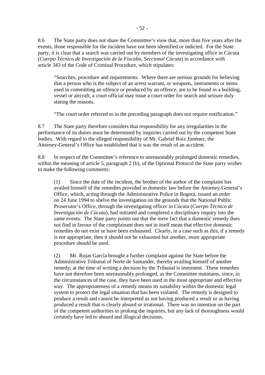8.6 The State party does not share the Committee's view that, more than five years after the events, those responsible for the incident have not been identified or indicted. For the State party, it is clear that a search was carried out by members of the investigating office in Cúcuta (*Cuerpo Técnico de Investigación de la Fiscalia, Seccional Cúcuta*) in accordance with article 343 of the Code of Criminal Procedure, which stipulates:

"Searches, procedure and requirements. Where there are serious grounds for believing that a person who is the subject of an arrest warrant, or weapons, instruments or items used in committing an offence or produced by an offence, are to be found in a building, vessel or aircraft, a court official may issue a court order for search and seizure duly stating the reasons.

"The court order referred to in the preceding paragraph does not require notification."

8.7 The State party therefore considers that responsibility for any irregularities in the performance of its duties must be determined by inquiries carried out by the competent State bodies. With regard to the alleged responsibility of Mr. Gabriel Ruiz Jiménez, the Attorney-General's Office has established that it was the result of an accident.

8.8 In respect of the Committee's reference to unreasonably prolonged domestic remedies, within the meaning of article 5, paragraph 2 (b), of the Optional Protocol the State party wishes to make the following comments:

(1) Since the date of the incident, the brother of the author of the complaint has availed himself of the remedies provided in domestic law before the Attorney-General's Office, which, acting through the Administrative Police in Bogotá, issued an order on 24 June 1994 to shelve the investigation on the grounds that the National Public Prosecutor's Office, through the investigating officer in Cúcuta (*Cuerpo Técnico de Investigación de Cúcuta*), had initiated and completed a disciplinary inquiry into the same events. The State party points out that the mere fact that a domestic remedy does not find in favour of the complainant does not in itself mean that effective domestic remedies do not exist or have been exhausted. Clearly, in a case such as this, if a remedy is not appropriate, then it should not be exhausted but another, more appropriate procedure should be used.

(2) Mr. Rojas García brought a further complaint against the State before the Administrative Tribunal of Norte de Santander, thereby availing himself of another remedy; at the time of writing a decision by the Tribunal is imminent. These remedies have not therefore been unreasonably prolonged, as the Committee maintains, since, in the circumstances of the case, they have been used in the most appropriate and effective way. The appropriateness of a remedy means its suitability within the domestic legal system to protect the legal situation that has been violated. The remedy is designed to produce a result and cannot be interpreted as not having produced a result or as having produced a result that is clearly absurd or irrational. There was no intention on the part of the competent authorities to prolong the inquiries, but any lack of thoroughness would certainly have led to absurd and illogical decisions.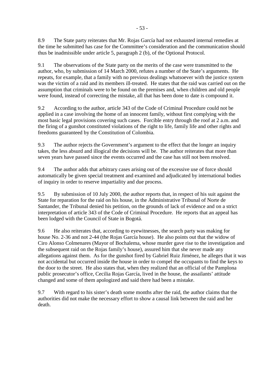8.9 The State party reiterates that Mr. Rojas García had not exhausted internal remedies at the time he submitted has case for the Committee's consideration and the communication should thus be inadmissible under article 5, paragraph 2 (b), of the Optional Protocol.

9.1 The observations of the State party on the merits of the case were transmitted to the author, who, by submission of 14 March 2000, refutes a number of the State's arguments. He repeats, for example, that a family with no previous dealings whatsoever with the justice system was the victim of a raid and its members ill-treated. He states that the raid was carried out on the assumption that criminals were to be found on the premises and, when children and old people were found, instead of correcting the mistake, all that has been done to date is compound it.

9.2 According to the author, article 343 of the Code of Criminal Procedure could not be applied in a case involving the home of an innocent family, without first complying with the most basic legal provisions covering such cases. Forcible entry through the roof at 2 a.m. and the firing of a gunshot constituted violations of the right to life, family life and other rights and freedoms guaranteed by the Constitution of Colombia.

9.3 The author rejects the Government's argument to the effect that the longer an inquiry takes, the less absurd and illogical the decisions will be. The author reiterates that more than seven years have passed since the events occurred and the case has still not been resolved.

9.4 The author adds that arbitrary cases arising out of the excessive use of force should automatically be given special treatment and examined and adjudicated by international bodies of inquiry in order to reserve impartiality and due process.

9.5 By submission of 10 July 2000, the author reports that, in respect of his suit against the State for reparation for the raid on his house, in the Administrative Tribunal of Norte de Santander, the Tribunal denied his petition, on the grounds of lack of evidence and on a strict interpretation of article 343 of the Code of Criminal Procedure. He reports that an appeal has been lodged with the Council of State in Bogotá.

9.6 He also reiterates that, according to eyewitnesses, the search party was making for house No. 2-36 and not 2-44 (the Rojas García house). He also points out that the widow of Ciro Alonso Colmenares (Mayor of Bochalema, whose murder gave rise to the investigation and the subsequent raid on the Rojas family's house), assured him that she never made any allegations against them. As for the gunshot fired by Gabriel Ruiz Jiménez, he alleges that it was not accidental but occurred inside the house in order to compel the occupants to find the keys to the door to the street. He also states that, when they realized that an official of the Pamplona public prosecutor's office, Cecilia Rojas García, lived in the house, the assailants' attitude changed and some of them apologized and said there had been a mistake.

9.7 With regard to his sister's death some months after the raid, the author claims that the authorities did not make the necessary effort to show a causal link between the raid and her death.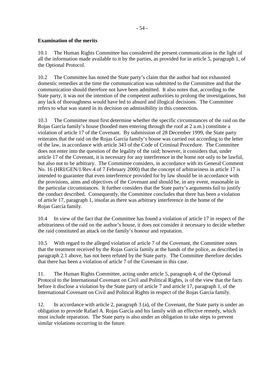# **Examination of the merits**

10.1 The Human Rights Committee has considered the present communication in the light of all the information made available to it by the parties, as provided for in article 5, paragraph 1, of the Optional Protocol.

10.2 The Committee has noted the State party's claim that the author had not exhausted domestic remedies at the time the communication was submitted to the Committee and that the communication should therefore not have been admitted. It also notes that, according to the State party, it was not the intention of the competent authorities to prolong the investigations, but any lack of thoroughness would have led to absurd and illogical decisions. The Committee refers to what was stated in its decision on admissibility in this connection.

10.3 The Committee must first determine whether the specific circumstances of the raid on the Rojas García family's house (hooded men entering through the roof at 2 a.m.) constitute a violation of article 17 of the Covenant. By submission of 28 December 1999, the State party reiterates that the raid on the Rojas García family's house was carried out according to the letter of the law, in accordance with article 343 of the Code of Criminal Procedure. The Committee does not enter into the question of the legality of the raid; however, it considers that, under article 17 of the Covenant, it is necessary for any interference in the home not only to be lawful, but also not to be arbitrary. The Committee considers, in accordance with its General Comment No. 16 (HRI/GEN/1/Rev.4 of 7 February 2000) that the concept of arbitrariness in article 17 is intended to guarantee that even interference provided for by law should be in accordance with the provisions, aims and objectives of the Covenant and should be, in any event, reasonable in the particular circumstances. It further considers that the State party's arguments fail to justify the conduct described. Consequently, the Committee concludes that there has been a violation of article 17, paragraph 1, insofar as there was arbitrary interference in the home of the Rojas García family.

10.4 In view of the fact that the Committee has found a violation of article 17 in respect of the arbitrariness of the raid on the author's house, it does not consider it necessary to decide whether the raid constituted an attack on the family's honour and reputation.

10.5 With regard to the alleged violation of article 7 of the Covenant, the Committee notes that the treatment received by the Rojas García family at the hands of the police, as described in paragraph 2.1 above, has not been refuted by the State party. The Committee therefore decides that there has been a violation of article 7 of the Covenant in this case.

11. The Human Rights Committee, acting under article 5, paragraph 4, of the Optional Protocol to the International Covenant on Civil and Political Rights, is of the view that the facts before it disclose a violation by the State party of article 7 and article 17, paragraph 1, of the International Covenant on Civil and Political Rights in respect of the Rojas García family.

12. In accordance with article 2, paragraph 3 (a), of the Covenant, the State party is under an obligation to provide Rafael A. Rojas García and his family with an effective remedy, which must include reparation. The State party is also under an obligation to take steps to prevent similar violations occurring in the future.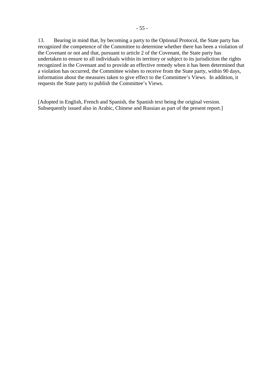13. Bearing in mind that, by becoming a party to the Optional Protocol, the State party has recognized the competence of the Committee to determine whether there has been a violation of the Covenant or not and that, pursuant to article 2 of the Covenant, the State party has undertaken to ensure to all individuals within its territory or subject to its jurisdiction the rights recognized in the Covenant and to provide an effective remedy when it has been determined that a violation has occurred, the Committee wishes to receive from the State party, within 90 days, information about the measures taken to give effect to the Committee's Views. In addition, it requests the State party to publish the Committee's Views.

[Adopted in English, French and Spanish, the Spanish text being the original version. Subsequently issued also in Arabic, Chinese and Russian as part of the present report.]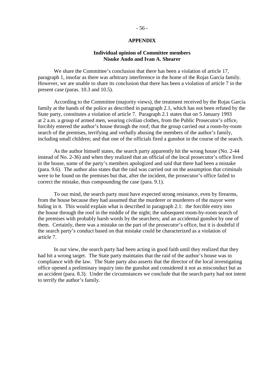#### **APPENDIX**

### **Individual opinion of Committee members Nisuke Ando and Ivan A. Shearer**

We share the Committee's conclusion that there has been a violation of article 17, paragraph 1, insofar as there was arbitrary interference in the home of the Rojas García family. However, we are unable to share its conclusion that there has been a violation of article 7 in the present case (paras. 10.3 and 10.5).

 According to the Committee (majority views), the treatment received by the Rojas García family at the hands of the police as described in paragraph 2.1, which has not been refuted by the State party, constitutes a violation of article 7. Paragraph 2.1 states that on 5 January 1993 at 2 a.m. a group of armed men, wearing civilian clothes, from the Public Prosecutor's office, forcibly entered the author's house through the roof; that the group carried out a room-by-room search of the premises, terrifying and verbally abusing the members of the author's family, including small children; and that one of the officials fired a gunshot in the course of the search.

 As the author himself states, the search party apparently hit the wrong house (No. 2-44 instead of No. 2-36) and when they realized that an official of the local prosecutor's office lived in the house, some of the party's members apologized and said that there had been a mistake (para. 9.6). The author also states that the raid was carried out on the assumption that criminals were to be found on the premises but that, after the incident, the prosecutor's office failed to correct the mistake, thus compounding the case (para. 9.1).

 To our mind, the search party must have expected strong resistance, even by firearms, from the house because they had assumed that the murderer or murderers of the mayor were hiding in it. This would explain what is described in paragraph 2.1: the forcible entry into the house through the roof in the middle of the night; the subsequent room-by-room search of the premises with probably harsh words by the searchers; and an accidental gunshot by one of them. Certainly, there was a mistake on the part of the prosecutor's office, but it is doubtful if the search party's conduct based on that mistake could be characterized as a violation of article 7.

 In our view, the search party had been acting in good faith until they realized that they had hit a wrong target. The State party maintains that the raid of the author's house was in compliance with the law. The State party also asserts that the director of the local investigating office opened a preliminary inquiry into the gunshot and considered it not as misconduct but as an accident (para. 8.3). Under the circumstances we conclude that the search party had not intent to terrify the author's family.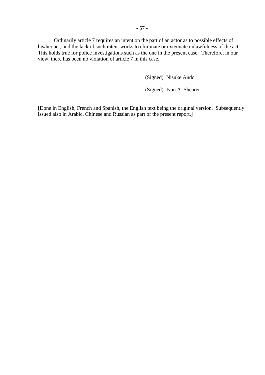Ordinarily article 7 requires an intent on the part of an actor as to possible effects of his/her act, and the lack of such intent works to eliminate or extenuate unlawfulness of the act. This holds true for police investigations such as the one in the present case. Therefore, in our view, there has been no violation of article 7 in this case.

(Signed) Nisuke Ando

(Signed) Ivan A. Shearer

[Done in English, French and Spanish, the English text being the original version. Subsequently issued also in Arabic, Chinese and Russian as part of the present report.]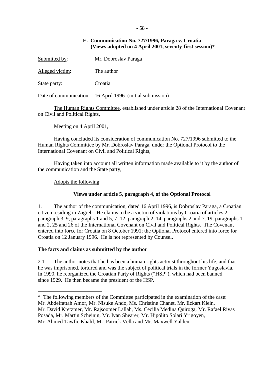### **E. Communication No. 727/1996, Paraga v. Croatia (Views adopted on 4 April 2001, seventy-first session)**\*

Submitted by: Mr. Dobroslav Paraga

Alleged victim: The author

State party: Croatia

Date of communication: 16 April 1996 (initial submission)

 The Human Rights Committee, established under article 28 of the International Covenant on Civil and Political Rights,

Meeting on 4 April 2001,

 Having concluded its consideration of communication No. 727/1996 submitted to the Human Rights Committee by Mr. Dobroslav Paraga, under the Optional Protocol to the International Covenant on Civil and Political Rights,

 Having taken into account all written information made available to it by the author of the communication and the State party,

Adopts the following:

 $\overline{a}$ 

# **Views under article 5, paragraph 4, of the Optional Protocol**

1. The author of the communication, dated 16 April 1996, is Dobroslav Paraga, a Croatian citizen residing in Zagreb. He claims to be a victim of violations by Croatia of articles 2, paragraph 3, 9, paragraphs 1 and 5, 7, 12, paragraph 2, 14, paragraphs 2 and 7, 19, paragraphs 1 and 2, 25 and 26 of the International Covenant on Civil and Political Rights. The Covenant entered into force for Croatia on 8 October 1991; the Optional Protocol entered into force for Croatia on 12 January 1996. He is not represented by Counsel.

# **The facts and claims as submitted by the author**

2.1 The author notes that he has been a human rights activist throughout his life, and that he was imprisoned, tortured and was the subject of political trials in the former Yugoslavia. In 1990, he reorganized the Croatian Party of Rights ("HSP"), which had been banned since 1929. He then became the president of the HSP.

<sup>\*</sup>The following members of the Committee participated in the examination of the case: Mr. Abdelfattah Amor, Mr. Nisuke Ando, Ms. Christine Chanet, Mr. Eckart Klein, Mr. David Kretzmer, Mr. Rajsoomer Lallah, Ms. Cecilia Medina Quiroga, Mr. Rafael Rivas Posada, Mr. Martin Scheinin, Mr. Ivan Shearer, Mr. Hipólito Solari Yrigoyen, Mr. Ahmed Tawfic Khalil, Mr. Patrick Vella and Mr. Maxwell Yalden.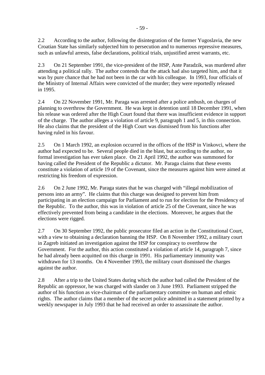2.2 According to the author, following the disintegration of the former Yugoslavia, the new Croatian State has similarly subjected him to persecution and to numerous repressive measures, such as unlawful arrests, false declarations, political trials, unjustified arrest warrants, etc.

2.3 On 21 September 1991, the vice-president of the HSP, Ante Paradzik, was murdered after attending a political rally. The author contends that the attack had also targeted him, and that it was by pure chance that he had not been in the car with his colleague. In 1993, four officials of the Ministry of Internal Affairs were convicted of the murder; they were reportedly released in 1995.

2.4 On 22 November 1991, Mr. Paraga was arrested after a police ambush, on charges of planning to overthrow the Government. He was kept in detention until 18 December 1991, when his release was ordered after the High Court found that there was insufficient evidence in support of the charge. The author alleges a violation of article 9, paragraph 1 and 5, in this connection. He also claims that the president of the High Court was dismissed from his functions after having ruled in his favour.

2.5 On 1 March 1992, an explosion occurred in the offices of the HSP in Vinkovci, where the author had expected to be. Several people died in the blast, but according to the author, no formal investigation has ever taken place. On 21 April 1992, the author was summoned for having called the President of the Republic a dictator. Mr. Paraga claims that these events constitute a violation of article 19 of the Covenant, since the measures against him were aimed at restricting his freedom of expression.

2.6 On 2 June 1992, Mr. Paraga states that he was charged with "illegal mobilization of persons into an army". He claims that this charge was designed to prevent him from participating in an election campaign for Parliament and to run for election for the Presidency of the Republic. To the author, this was in violation of article 25 of the Covenant, since he was effectively prevented from being a candidate in the elections. Moreover, he argues that the elections were rigged.

2.7 On 30 September 1992, the public prosecutor filed an action in the Constitutional Court, with a view to obtaining a declaration banning the HSP. On 8 November 1992, a military court in Zagreb initiated an investigation against the HSP for conspiracy to overthrow the Government. For the author, this action constituted a violation of article 14, paragraph 7, since he had already been acquitted on this charge in 1991. His parliamentary immunity was withdrawn for 13 months. On 4 November 1993, the military court dismissed the charges against the author.

2.8 After a trip to the United States during which the author had called the President of the Republic an oppressor, he was charged with slander on 3 June 1993. Parliament stripped the author of his function as vice-chairman of the parliamentary committee on human and ethnic rights. The author claims that a member of the secret police admitted in a statement printed by a weekly newspaper in July 1993 that he had received an order to assassinate the author.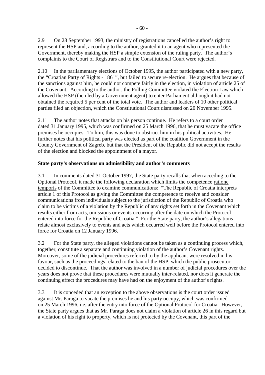2.9 On 28 September 1993, the ministry of registrations cancelled the author's right to represent the HSP and, according to the author, granted it to an agent who represented the Government, thereby making the HSP a simple extension of the ruling party. The author's complaints to the Court of Registrars and to the Constitutional Court were rejected.

2.10 In the parliamentary elections of October 1995, the author participated with a new party, the "Croatian Party of Rights - 1861", but failed to secure re-election. He argues that because of the sanctions against him, he could not compete fairly in the election, in violation of article 25 of the Covenant. According to the author, the Polling Committee violated the Election Law which allowed the HSP (then led by a Government agent) to enter Parliament although it had not obtained the required 5 per cent of the total vote. The author and leaders of 10 other political parties filed an objection, which the Constitutional Court dismissed on 20 November 1995.

2.11 The author notes that attacks on his person continue. He refers to a court order dated 31 January 1995, which was confirmed on 25 March 1996, that he must vacate the office premises he occupies. To him, this was done to obstruct him in his political activities. He further notes that his political party was elected as part of the coalition Government in the County Government of Zagreb, but that the President of the Republic did not accept the results of the election and blocked the appointment of a mayor.

# **State party's observations on admissibility and author's comments**

3.1 In comments dated 31 October 1997, the State party recalls that when acceding to the Optional Protocol, it made the following declaration which limits the competence ratione temporis of the Committee to examine communications: "The Republic of Croatia interprets article 1 of this Protocol as giving the Committee the competence to receive and consider communications from individuals subject to the jurisdiction of the Republic of Croatia who claim to be victims of a violation by the Republic of any rights set forth in the Covenant which results either from acts, omissions or events occurring after the date on which the Protocol entered into force for the Republic of Croatia." For the State party, the author's allegations relate almost exclusively to events and acts which occurred well before the Protocol entered into force for Croatia on 12 January 1996.

3.2 For the State party, the alleged violations cannot be taken as a continuing process which, together, constitute a separate and continuing violation of the author's Covenant rights. Moreover, some of the judicial procedures referred to by the applicant were resolved in his favour, such as the proceedings related to the ban of the HSP, which the public prosecutor decided to discontinue. That the author was involved in a number of judicial procedures over the years does not prove that these procedures were mutually inter-related, nor does it generate the continuing effect the procedures may have had on the enjoyment of the author's rights.

3.3 It is conceded that an exception to the above observations is the court order issued against Mr. Paraga to vacate the premises he and his party occupy, which was confirmed on 25 March 1996, i.e. after the entry into force of the Optional Protocol for Croatia. However, the State party argues that as Mr. Paraga does not claim a violation of article 26 in this regard but a violation of his right to property, which is not protected by the Covenant, this part of the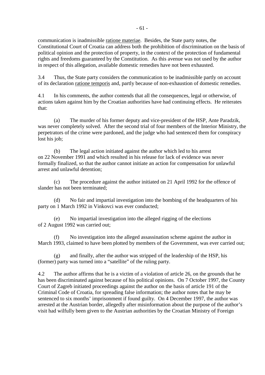communication is inadmissible ratione materiae. Besides, the State party notes, the Constitutional Court of Croatia can address both the prohibition of discrimination on the basis of political opinion and the protection of property, in the context of the protection of fundamental rights and freedoms guaranteed by the Constitution. As this avenue was not used by the author in respect of this allegation, available domestic remedies have not been exhausted.

3.4 Thus, the State party considers the communication to be inadmissible partly on account of its declaration ratione temporis and, partly because of non-exhaustion of domestic remedies.

4.1 In his comments, the author contends that all the consequences, legal or otherwise, of actions taken against him by the Croatian authorities have had continuing effects. He reiterates that:

 (a) The murder of his former deputy and vice-president of the HSP, Ante Paradzik, was never completely solved. After the second trial of four members of the Interior Ministry, the perpetrators of the crime were pardoned, and the judge who had sentenced them for conspiracy lost his job;

 (b) The legal action initiated against the author which led to his arrest on 22 November 1991 and which resulted in his release for lack of evidence was never formally finalized, so that the author cannot initiate an action for compensation for unlawful arrest and unlawful detention;

 (c) The procedure against the author initiated on 21 April 1992 for the offence of slander has not been terminated;

 (d) No fair and impartial investigation into the bombing of the headquarters of his party on 1 March 1992 in Vinkovci was ever conducted;

 (e) No impartial investigation into the alleged rigging of the elections of 2 August 1992 was carried out;

 (f) No investigation into the alleged assassination scheme against the author in March 1993, claimed to have been plotted by members of the Government, was ever carried out;

 (g) and finally, after the author was stripped of the leadership of the HSP, his (former) party was turned into a "satellite" of the ruling party.

4.2 The author affirms that he is a victim of a violation of article 26, on the grounds that he has been discriminated against because of his political opinions. On 7 October 1997, the County Court of Zagreb initiated proceedings against the author on the basis of article 191 of the Criminal Code of Croatia, for spreading false information; the author notes that he may be sentenced to six months' imprisonment if found guilty. On 4 December 1997, the author was arrested at the Austrian border, allegedly after misinformation about the purpose of the author's visit had wilfully been given to the Austrian authorities by the Croatian Ministry of Foreign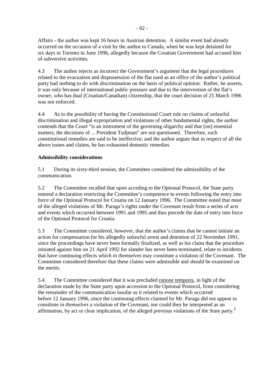Affairs - the author was kept 16 hours in Austrian detention. A similar event had already occurred on the occasion of a visit by the author to Canada, when he was kept detained for six days in Toronto in June 1996, allegedly because the Croatian Government had accused him of subversive activities.

4.3 The author rejects as incorrect the Government's argument that the legal procedures related to the evacuation and dispossession of the flat used as an office of the author's political party had nothing to do with discrimination on the basis of political opinion. Rather, he asserts, it was only because of international public pressure and due to the intervention of the flat's owner, who has dual (Croatian/Canadian) citizenship, that the court decision of 25 March 1996 was not enforced.

4.4 As to the possibility of having the Constitutional Court rule on claims of unlawful discrimination and illegal expropriation and violations of other fundamental rights, the author contends that the Court "is an instrument of the governing oligarchy and that [on] essential matters, the decisions of ... President Tudjman" are not questioned. Therefore, such constitutional remedies are said to be ineffective, and the author argues that in respect of all the above issues and claims, he has exhausted domestic remedies.

# **Admissibility considerations**

5.1 During its sixty-third session, the Committee considered the admissibility of the communication.

5.2 The Committee recalled that upon acceding to the Optional Protocol, the State party entered a declaration restricting the Committee's competence to events following the entry into force of the Optional Protocol for Croatia on 12 January 1996. The Committee noted that most of the alleged violations of Mr. Paraga's rights under the Covenant result from a series of acts and events which occurred between 1991 and 1995 and thus precede the date of entry into force of the Optional Protocol for Croatia.

5.3 The Committee considered, however, that the author's claims that he cannot initiate an action for compensation for his allegedly unlawful arrest and detention of 22 November 1991, since the proceedings have never been formally finalized, as well as his claim that the procedure initiated against him on 21 April 1992 for slander has never been terminated, relate to incidents that have continuing effects which *in themselves* may constitute a violation of the Covenant. The Committee considered therefore that these claims were admissible and should be examined on the merits.

5.4 The Committee considered that it was precluded ratione temporis, in light of the declaration made by the State party upon accession to the Optional Protocol, from considering the remainder of the communication insofar as it related to events which occurred before 12 January 1996, since the continuing effects claimed by Mr. Paraga did not appear to constitute *in themselves* a violation of the Covenant, nor could they be interpreted as an affirmation, by act or clear implication, of the alleged previous violations of the State party.**<sup>1</sup>**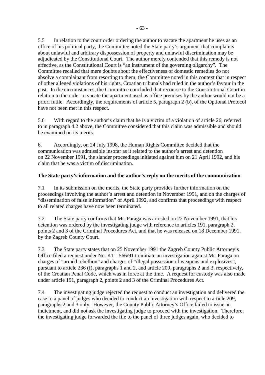5.5 In relation to the court order ordering the author to vacate the apartment he uses as an office of his political party, the Committee noted the State party's argument that complaints about unlawful and arbitrary dispossession of property and unlawful discrimination may be adjudicated by the Constitutional Court. The author merely contended that this remedy is not effective, as the Constitutional Court is "an instrument of the governing oligarchy". The Committee recalled that mere doubts about the effectiveness of domestic remedies do not absolve a complainant from resorting to them; the Committee noted in this context that in respect of other alleged violations of his rights, Croatian tribunals had ruled in the author's favour in the past. In the circumstances, the Committee concluded that recourse to the Constitutional Court in relation to the order to vacate the apartment used as office premises by the author would not be a priori futile. Accordingly, the requirements of article 5, paragraph 2 (b), of the Optional Protocol have not been met in this respect.

5.6 With regard to the author's claim that he is a victim of a violation of article 26, referred to in paragraph 4.2 above, the Committee considered that this claim was admissible and should be examined on its merits.

6. Accordingly, on 24 July 1998, the Human Rights Committee decided that the communication was admissible insofar as it related to the author's arrest and detention on 22 November 1991, the slander proceedings initiated against him on 21 April 1992, and his claim that he was a victim of discrimination.

## **The State party's information and the author's reply on the merits of the communication**

7.1 In its submission on the merits, the State party provides further information on the proceedings involving the author's arrest and detention in November 1991, and on the charges of "dissemination of false information" of April 1992, and confirms that proceedings with respect to all related charges have now been terminated.

7.2 The State party confirms that Mr. Paraga was arrested on 22 November 1991, that his detention was ordered by the investigating judge with reference to articles 191, paragraph 2, points 2 and 3 of the Criminal Procedures Act, and that he was released on 18 December 1991, by the Zagreb County Court.

7.3 The State party states that on 25 November 1991 the Zagreb County Public Attorney's Office filed a request under No. KT - 566/91 to initiate an investigation against Mr. Paraga on charges of "armed rebellion" and charges of "illegal possession of weapons and explosives", pursuant to article 236 (f), paragraphs 1 and 2, and article 209, paragraphs 2 and 3, respectively, of the Croatian Penal Code, which was in force at the time. A request for custody was also made under article 191, paragraph 2, points 2 and 3 of the Criminal Procedures Act.

7.4 The investigating judge rejected the request to conduct an investigation and delivered the case to a panel of judges who decided to conduct an investigation with respect to article 209, paragraphs 2 and 3 only. However, the County Public Attorney's Office failed to issue an indictment, and did not ask the investigating judge to proceed with the investigation. Therefore, the investigating judge forwarded the file to the panel of three judges again, who decided to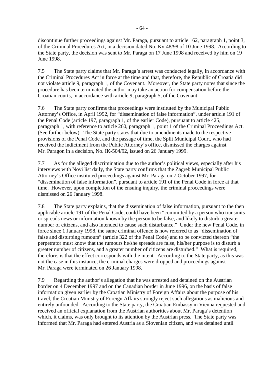discontinue further proceedings against Mr. Paraga, pursuant to article 162, paragraph 1, point 3, of the Criminal Procedures Act, in a decision dated No. Kv-48/98 of 10 June 1998. According to the State party, the decision was sent to Mr. Paraga on 17 June 1998 and received by him on 19 June 1998.

7.5 The State party claims that Mr. Paraga's arrest was conducted legally, in accordance with the Criminal Procedures Act in force at the time and that, therefore, the Republic of Croatia did not violate article 9, paragraph 1, of the Covenant. Moreover, the State party notes that since the procedure has been terminated the author may take an action for compensation before the Croatian courts, in accordance with article 9, paragraph 5, of the Covenant.

7.6 The State party confirms that proceedings were instituted by the Municipal Public Attorney's Office, in April 1992, for "dissemination of false information", under article 191 of the Penal Code (article 197, paragraph 1, of the earlier Code), pursuant to article 425, paragraph 1, with reference to article 260, paragraph 1, point 1 of the Criminal Proceedings Act. (See further below). The State party states that due to amendments made to the respective provisions of the Penal Code, and the passage of time, the Split Municipal Court, who had received the indictment from the Public Attorney's office, dismissed the charges against Mr. Paragon in a decision, No. IK-504/92, issued on 26 January 1999.

7.7 As for the alleged discrimination due to the author's political views, especially after his interviews with Novi list daily, the State party confirms that the Zagreb Municipal Public Attorney's Office instituted proceedings against Mr. Paraga on 7 October 1997, for "dissemination of false information", pursuant to article 191 of the Penal Code in force at that time. However, upon completion of the ensuing inquiry, the criminal proceedings were dismissed on 26 January 1998.

7.8 The State party explains, that the dissemination of false information, pursuant to the then applicable article 191 of the Penal Code, could have been "committed by a person who transmits or spreads news or information known by the person to be false, and likely to disturb a greater number of citizens, and also intended to cause such disturbance." Under the new Penal Code, in force since 1 January 1998, the same criminal offence is now referred to as "dissemination of false and disturbing rumours" (article 322 of the Penal Code) and to be convicted thereon "the perpetrator must know that the rumours he/she spreads are false, his/her purpose is to disturb a greater number of citizens, and a greater number of citizens are disturbed." What is required, therefore, is that the effect corresponds with the intent. According to the State party, as this was not the case in this instance, the criminal charges were dropped and proceedings against Mr. Paraga were terminated on 26 January 1998.

7.9 Regarding the author's allegation that he was arrested and detained on the Austrian border on 4 December 1997 and on the Canadian border in June 1996, on the basis of false information given earlier by the Croatian Ministry of Foreign Affairs about the purpose of his travel, the Croatian Ministry of Foreign Affairs strongly reject such allegations as malicious and entirely unfounded. According to the State party, the Croatian Embassy in Vienna requested and received an official explanation from the Austrian authorities about Mr. Paraga's detention which, it claims, was only brought to its attention by the Austrian press. The State party was informed that Mr. Paraga had entered Austria as a Slovenian citizen, and was detained until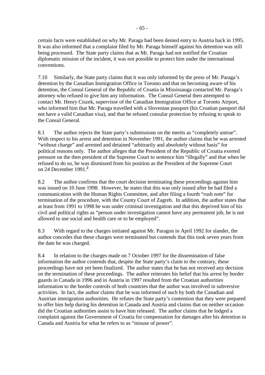certain facts were established on why Mr. Paraga had been denied entry to Austria back in 1995. It was also informed that a complaint filed by Mr. Paraga himself against his detention was still being processed. The State party claims that as Mr. Paraga had not notified the Croatian diplomatic mission of the incident, it was not possible to protect him under the international conventions.

7.10 Similarly, the State party claims that it was only informed by the press of Mr. Paraga's detention by the Canadian Immigration Office in Toronto and that on becoming aware of his detention, the Consul General of the Republic of Croatia in Mississauga contacted Mr. Paraga's attorney who refused to give him any information. The Consul General then attempted to contact Mr. Henry Ciszek, supervisor of the Canadian Immigration Office at Toronto Airport, who informed him that Mr. Paraga travelled with a Slovenian passport (his Croatian passport did not have a valid Canadian visa), and that he refused consular protection by refusing to speak to the Consul General.

8.1 The author rejects the State party's submissions on the merits as "completely untrue". With respect to his arrest and detention in November 1991, the author claims that he was arrested "without charge" and arrested and detained "arbitrarily and absolutely without basis" for political reasons only. The author alleges that the President of the Republic of Croatia exerted pressure on the then president of the Supreme Court to sentence him "illegally" and that when he refused to do so, he was dismissed from his position as the President of the Supreme Court on 24 December 1991.**<sup>2</sup>**

8.2 The author confirms that the court decision terminating these proceedings against him was issued on 10 June 1998. However, he states that this was only issued after he had filed a communication with the Human Rights Committee, and after filing a fourth "rush note" for termination of the procedure, with the County Court of Zagreb. In addition, the author states that at least from 1991 to 1998 he was under criminal investigation and that this deprived him of his civil and political rights as "person under investigation cannot have any permanent job, he is not allowed to use social and health care or to be employed".

8.3 With regard to the charges initiated against Mr. Paragon in April 1992 for slander, the author concedes that these charges were terminated but contends that this took seven years from the date he was charged.

8.4 In relation to the charges made on 7 October 1997 for the dissemination of false information the author contends that, despite the State party's claim to the contrary, these proceedings have not yet been finalized. The author states that he has not received any decision on the termination of these proceedings. The author reiterates his belief that his arrest by border guards in Canada in 1996 and in Austria in 1997 resulted from the Croatian authorities information to the border controls of both countries that the author was involved in subversive activities. In fact, the author claims that he was informed of such by both the Canadian and Austrian immigration authorities. He refutes the State party's contention that they were prepared to offer him help during his detention in Canada and Austria and claims that on neither occasion did the Croatian authorities assist to have him released. The author claims that he lodged a complaint against the Government of Croatia for compensation for damages after his detention in Canada and Austria for what he refers to as "misuse of power".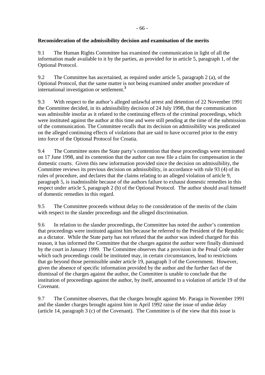# **Reconsideration of the admissibility decision and examination of the merits**

9.1 The Human Rights Committee has examined the communication in light of all the information made available to it by the parties, as provided for in article 5, paragraph 1, of the Optional Protocol.

9.2 The Committee has ascertained, as required under article 5, paragraph 2 (a), of the Optional Protocol, that the same matter is not being examined under another procedure of international investigation or settlement.**<sup>3</sup>**

9.3 With respect to the author's alleged unlawful arrest and detention of 22 November 1991 the Committee decided, in its admissibility decision of 24 July 1998, that the communication was admissible insofar as it related to the continuing effects of the criminal proceedings, which were instituted against the author at this time and were still pending at the time of the submission of the communication. The Committee recalls that its decision on admissibility was predicated on the alleged continuing effects of violations that are said to have occurred prior to the entry into force of the Optional Protocol for Croatia.

9.4 The Committee notes the State party's contention that these proceedings were terminated on 17 June 1998, and its contention that the author can now file a claim for compensation in the domestic courts. Given this new information provided since the decision on admissibility, the Committee reviews its previous decision on admissibility, in accordance with rule 93 (4) of its rules of procedure, and declares that the claims relating to an alleged violation of article 9, paragraph 5, is inadmissible because of the authors failure to exhaust domestic remedies in this respect under article 5, paragraph 2 (b) of the Optional Protocol. The author should avail himself of domestic remedies in this regard.

9.5 The Committee proceeds without delay to the consideration of the merits of the claim with respect to the slander proceedings and the alleged discrimination.

9.6 In relation to the slander proceedings, the Committee has noted the author's contention that proceedings were instituted against him because he referred to the President of the Republic as a dictator. While the State party has not refuted that the author was indeed charged for this reason, it has informed the Committee that the charges against the author were finally dismissed by the court in January 1999. The Committee observes that a provision in the Penal Code under which such proceedings could be instituted may, in certain circumstances, lead to restrictions that go beyond those permissible under article 19, paragraph 3 of the Government. However, given the absence of specific information provided by the author and the further fact of the dismissal of the charges against the author, the Committee is unable to conclude that the institution of proceedings against the author, by itself, amounted to a violation of article 19 of the Covenant.

9.7 The Committee observes, that the charges brought against Mr. Paraga in November 1991 and the slander charges brought against him in April 1992 raise the issue of undue delay (article 14, paragraph 3 (c) of the Covenant). The Committee is of the view that this issue is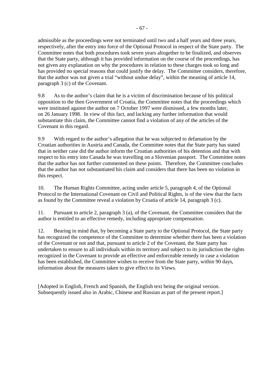admissible as the proceedings were not terminated until two and a half years and three years, respectively, after the entry into force of the Optional Protocol in respect of the State party. The Committee notes that both procedures took seven years altogether to be finalized, and observes that the State party, although it has provided information on the course of the proceedings, has not given any explanation on why the procedures in relation to these charges took so long and has provided no special reasons that could justify the delay. The Committee considers, therefore, that the author was not given a trial "without undue delay", within the meaning of article 14, paragraph 3 (c) of the Covenant.

9.8 As to the author's claim that he is a victim of discrimination because of his political opposition to the then Government of Croatia, the Committee notes that the proceedings which were instituted against the author on 7 October 1997 were dismissed, a few months later, on 26 January 1998. In view of this fact, and lacking any further information that would substantiate this claim, the Committee cannot find a violation of any of the articles of the Covenant in this regard.

9.9 With regard to the author's allegation that he was subjected to defamation by the Croatian authorities in Austria and Canada, the Committee notes that the State party has stated that in neither case did the author inform the Croatian authorities of his detention and that with respect to his entry into Canada he was travelling on a Slovenian passport. The Committee notes that the author has not further commented on these points. Therefore, the Committee concludes that the author has not substantiated his claim and considers that there has been no violation in this respect.

10. The Human Rights Committee, acting under article 5, paragraph 4, of the Optional Protocol to the International Covenant on Civil and Political Rights, is of the view that the facts as found by the Committee reveal a violation by Croatia of article 14, paragraph 3 (c).

11. Pursuant to article 2, paragraph 3 (a), of the Covenant, the Committee considers that the author is entitled to an effective remedy, including appropriate compensation.

12. Bearing in mind that, by becoming a State party to the Optional Protocol, the State party has recognized the competence of the Committee to determine whether there has been a violation of the Covenant or not and that, pursuant to article 2 of the Covenant, the State party has undertaken to ensure to all individuals within its territory and subject to its jurisdiction the rights recognized in the Covenant to provide an effective and enforceable remedy in case a violation has been established, the Committee wishes to receive from the State party, within 90 days, information about the measures taken to give effect to its Views.

[Adopted in English, French and Spanish, the English text being the original version. Subsequently issued also in Arabic, Chinese and Russian as part of the present report.]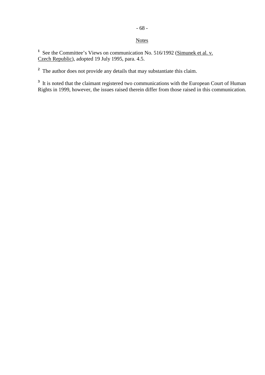- 68 -

**Notes** 

<sup>1</sup> See the Committee's Views on communication No. 516/1992 (Simunek et al. v. Czech Republic), adopted 19 July 1995, para. 4.5.

<sup>2</sup> The author does not provide any details that may substantiate this claim.

<sup>3</sup> It is noted that the claimant registered two communications with the European Court of Human Rights in 1999, however, the issues raised therein differ from those raised in this communication.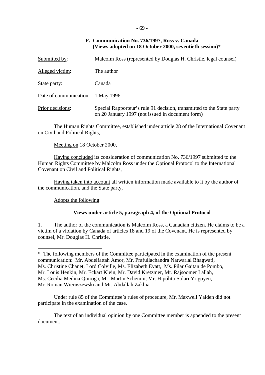### **F. Communication No. 736/1997, Ross v. Canada (Views adopted on 18 October 2000, seventieth session)**\*

| Submitted by:          | Malcolm Ross (represented by Douglas H. Christie, legal counsel)                                                          |
|------------------------|---------------------------------------------------------------------------------------------------------------------------|
| Alleged victim:        | The author                                                                                                                |
| State party:           | Canada                                                                                                                    |
| Date of communication: | 1 May 1996                                                                                                                |
| Prior decisions:       | Special Rapporteur's rule 91 decision, transmitted to the State party<br>on 20 January 1997 (not issued in document form) |

 The Human Rights Committee, established under article 28 of the International Covenant on Civil and Political Rights,

Meeting on 18 October 2000,

 Having concluded its consideration of communication No. 736/1997 submitted to the Human Rights Committee by Malcolm Ross under the Optional Protocol to the International Covenant on Civil and Political Rights,

 Having taken into account all written information made available to it by the author of the communication, and the State party,

Adopts the following:

 $\overline{a}$ 

## **Views under article 5, paragraph 4, of the Optional Protocol**

1. The author of the communication is Malcolm Ross, a Canadian citizen. He claims to be a victim of a violation by Canada of articles 18 and 19 of the Covenant. He is represented by counsel, Mr. Douglas H. Christie.

 Under rule 85 of the Committee's rules of procedure, Mr. Maxwell Yalden did not participate in the examination of the case.

 The text of an individual opinion by one Committee member is appended to the present document.

<sup>\*</sup>The following members of the Committee participated in the examination of the present communication: Mr. Abdelfattah Amor, Mr. Prafullachandra Natwarlal Bhagwati, Ms. Christine Chanet, Lord Colville, Ms. Elizabeth Evatt, Ms. Pilar Gaitan de Pombo, Mr. Louis Henkin, Mr. Eckart Klein, Mr. David Kretzmer, Mr. Rajsoomer Lallah, Ms. Cecilia Medina Quiroga, Mr. Martin Scheinin, Mr. Hipólito Solari Yrigoyen, Mr. Roman Wieruszewski and Mr. Abdallah Zakhia.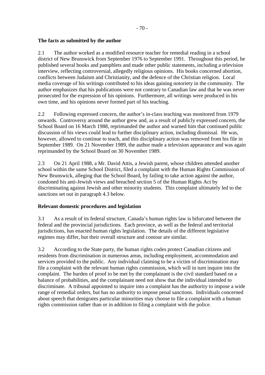# **The facts as submitted by the author**

2.1 The author worked as a modified resource teacher for remedial reading in a school district of New Brunswick from September 1976 to September 1991. Throughout this period, he published several books and pamphlets and made other public statements, including a television interview, reflecting controversial, allegedly religious opinions. His books concerned abortion, conflicts between Judaism and Christianity, and the defence of the Christian religion. Local media coverage of his writings contributed to his ideas gaining notoriety in the community. The author emphasizes that his publications were not contrary to Canadian law and that he was never prosecuted for the expression of his opinions. Furthermore, all writings were produced in his own time, and his opinions never formed part of his teaching.

2.2 Following expressed concern, the author's in-class teaching was monitored from 1979 onwards. Controversy around the author grew and, as a result of publicly expressed concern, the School Board on 16 March 1988, reprimanded the author and warned him that continued public discussion of his views could lead to further disciplinary action, including dismissal. He was, however, allowed to continue to teach, and this disciplinary action was removed from his file in September 1989. On 21 November 1989, the author made a television appearance and was again reprimanded by the School Board on 30 November 1989.

2.3 On 21 April 1988, a Mr. David Attis, a Jewish parent, whose children attended another school within the same School District, filed a complaint with the Human Rights Commission of New Brunswick, alleging that the School Board, by failing to take action against the author, condoned his anti-Jewish views and breached section 5 of the Human Rights Act by discriminating against Jewish and other minority students. This complaint ultimately led to the sanctions set out in paragraph 4.3 below.

# **Relevant domestic procedures and legislation**

3.1 As a result of its federal structure, Canada's human rights law is bifurcated between the federal and the provincial jurisdictions. Each province, as well as the federal and territorial jurisdictions, has enacted human rights legislation. The details of the different legislative regimes may differ, but their overall structure and contour are similar.

3.2 According to the State party, the human rights codes protect Canadian citizens and residents from discrimination in numerous areas, including employment, accommodation and services provided to the public. Any individual claiming to be a victim of discrimination may file a complaint with the relevant human rights commission, which will in turn inquire into the complaint. The burden of proof to be met by the complainant is the civil standard based on a balance of probabilities, and the complainant need not show that the individual intended to discriminate. A tribunal appointed to inquire into a complaint has the authority to impose a wide range of remedial orders, but has no authority to impose penal sanctions. Individuals concerned about speech that denigrates particular minorities may choose to file a complaint with a human rights commission rather than or in addition to filing a complaint with the police.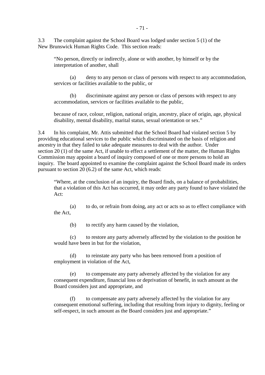3.3 The complaint against the School Board was lodged under section 5 (1) of the New Brunswick Human Rights Code. This section reads:

"No person, directly or indirectly, alone or with another, by himself or by the interpretation of another, shall

 (a) deny to any person or class of persons with respect to any accommodation, services or facilities available to the public, or

 (b) discriminate against any person or class of persons with respect to any accommodation, services or facilities available to the public,

because of race, colour, religion, national origin, ancestry, place of origin, age, physical disability, mental disability, marital status, sexual orientation or sex."

3.4 In his complaint, Mr. Attis submitted that the School Board had violated section 5 by providing educational services to the public which discriminated on the basis of religion and ancestry in that they failed to take adequate measures to deal with the author. Under section 20 (1) of the same Act, if unable to effect a settlement of the matter, the Human Rights Commission may appoint a board of inquiry composed of one or more persons to hold an inquiry. The board appointed to examine the complaint against the School Board made its orders pursuant to section 20 (6.2) of the same Act, which reads:

"Where, at the conclusion of an inquiry, the Board finds, on a balance of probabilities, that a violation of this Act has occurred, it may order any party found to have violated the  $Act$ 

 (a) to do, or refrain from doing, any act or acts so as to effect compliance with the Act,

(b) to rectify any harm caused by the violation,

 (c) to restore any party adversely affected by the violation to the position he would have been in but for the violation,

 (d) to reinstate any party who has been removed from a position of employment in violation of the Act,

 (e) to compensate any party adversely affected by the violation for any consequent expenditure, financial loss or deprivation of benefit, in such amount as the Board considers just and appropriate, and

 (f) to compensate any party adversely affected by the violation for any consequent emotional suffering, including that resulting from injury to dignity, feeling or self-respect, in such amount as the Board considers just and appropriate."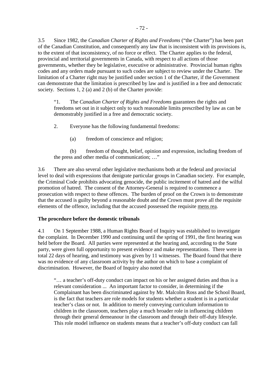3.5 Since 1982, the *Canadian Charter of Rights and Freedoms* ("the Charter") has been part of the Canadian Constitution, and consequently any law that is inconsistent with its provisions is, to the extent of that inconsistency, of no force or effect. The Charter applies to the federal, provincial and territorial governments in Canada, with respect to all actions of those governments, whether they be legislative, executive or administrative. Provincial human rights codes and any orders made pursuant to such codes are subject to review under the Charter. The limitation of a Charter right may be justified under section 1 of the Charter, if the Government can demonstrate that the limitation is prescribed by law and is justified in a free and democratic society. Sections 1, 2 (a) and 2 (b) of the Charter provide:

"1. The *Canadian Charter of Rights and Freedoms* guarantees the rights and freedoms set out in it subject only to such reasonable limits prescribed by law as can be demonstrably justified in a free and democratic society.

2. Everyone has the following fundamental freedoms:

(a) freedom of conscience and religion;

 (b) freedom of thought, belief, opinion and expression, including freedom of the press and other media of communication; …"

3.6 There are also several other legislative mechanisms both at the federal and provincial level to deal with expressions that denigrate particular groups in Canadian society. For example, the Criminal Code prohibits advocating genocide, the public incitement of hatred and the wilful promotion of hatred. The consent of the Attorney-General is required to commence a prosecution with respect to these offences. The burden of proof on the Crown is to demonstrate that the accused is guilty beyond a reasonable doubt and the Crown must prove all the requisite elements of the offence, including that the accused possessed the requisite mens rea.

### **The procedure before the domestic tribunals**

4.1 On 1 September 1988, a Human Rights Board of Inquiry was established to investigate the complaint. In December 1990 and continuing until the spring of 1991, the first hearing was held before the Board. All parties were represented at the hearing and, according to the State party, were given full opportunity to present evidence and make representations. There were in total 22 days of hearing, and testimony was given by 11 witnesses. The Board found that there was no evidence of any classroom activity by the author on which to base a complaint of discrimination. However, the Board of Inquiry also noted that

"… a teacher's off-duty conduct can impact on his or her assigned duties and thus is a relevant consideration ... An important factor to consider, in determining if the Complainant has been discriminated against by Mr. Malcolm Ross and the School Board, is the fact that teachers are role models for students whether a student is in a particular teacher's class or not. In addition to merely conveying curriculum information to children in the classroom, teachers play a much broader role in influencing children through their general demeanour in the classroom and through their off-duty lifestyle. This role model influence on students means that a teacher's off-duty conduct can fall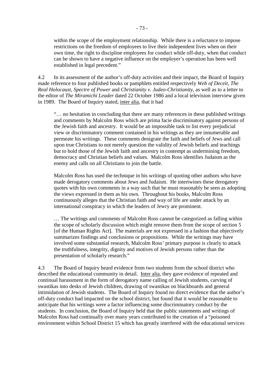within the scope of the employment relationship. While there is a reluctance to impose restrictions on the freedom of employees to live their independent lives when on their own time, the right to discipline employees for conduct while off-duty, when that conduct can be shown to have a negative influence on the employer's operation has been well established in legal precedent."

4.2 In its assessment of the author's off-duty activities and their impact, the Board of Inquiry made reference to four published books or pamphlets entitled respectively *Web of Deceit*, *The Real Holocaust*, *Spectre of Power* and *Christianity v. Judeo-Christianity*, as well as to a letter to the editor of *The Miramichi Leader* dated 22 October 1986 and a local television interview given in 1989. The Board of Inquiry stated, inter alia, that it had

"… no hesitation in concluding that there are many references in these published writings and comments by Malcolm Ross which are prima facie discriminatory against persons of the Jewish faith and ancestry. It would be an impossible task to list every prejudicial view or discriminatory comment contained in his writings as they are innumerable and permeate his writings. These comments denigrate the faith and beliefs of Jews and call upon true Christians to not merely question the validity of Jewish beliefs and teachings but to hold those of the Jewish faith and ancestry in contempt as undermining freedom, democracy and Christian beliefs and values. Malcolm Ross identifies Judaism as the enemy and calls on all Christians to join the battle.

Malcolm Ross has used the technique in his writings of quoting other authors who have made derogatory comments about Jews and Judaism. He intertwines these derogatory quotes with his own comments in a way such that he must reasonably be seen as adopting the views expressed in them as his own. Throughout his books, Malcolm Ross continuously alleges that the Christian faith and way of life are under attack by an international conspiracy in which the leaders of Jewry are prominent.

… The writings and comments of Malcolm Ross cannot be categorized as falling within the scope of scholarly discussion which might remove them from the scope of section 5 [of the Human Rights Act]. The materials are not expressed in a fashion that objectively summarizes findings and conclusions or propositions. While the writings may have involved some substantial research, Malcolm Ross' primary purpose is clearly to attack the truthfulness, integrity, dignity and motives of Jewish persons rather than the presentation of scholarly research."

4.3 The Board of Inquiry heard evidence from two students from the school district who described the educational community in detail. Inter alia, they gave evidence of repeated and continual harassment in the form of derogatory name calling of Jewish students, carving of swastikas into desks of Jewish children, drawing of swastikas on blackboards and general intimidation of Jewish students. The Board of Inquiry found no direct evidence that the author's off-duty conduct had impacted on the school district, but found that it would be reasonable to anticipate that his writings were a factor influencing some discriminatory conduct by the students. In conclusion, the Board of Inquiry held that the public statements and writings of Malcolm Ross had continually over many years contributed to the creation of a "poisoned environment within School District 15 which has greatly interfered with the educational services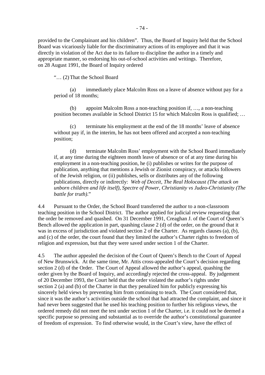provided to the Complainant and his children". Thus, the Board of Inquiry held that the School Board was vicariously liable for the discriminatory actions of its employee and that it was directly in violation of the Act due to its failure to discipline the author in a timely and appropriate manner, so endorsing his out-of-school activities and writings. Therefore, on 28 August 1991, the Board of Inquiry ordered

"… (2) That the School Board

 (a) immediately place Malcolm Ross on a leave of absence without pay for a period of 18 months;

 (b) appoint Malcolm Ross a non-teaching position if, …, a non-teaching position becomes available in School District 15 for which Malcolm Ross is qualified; …

 (c) terminate his employment at the end of the 18 months' leave of absence without pay if, in the interim, he has not been offered and accepted a non-teaching position;

 (d) terminate Malcolm Ross' employment with the School Board immediately if, at any time during the eighteen month leave of absence or of at any time during his employment in a non-teaching position, he (i) publishes or writes for the purpose of publication, anything that mentions a Jewish or Zionist conspiracy, or attacks followers of the Jewish religion, or (ii) publishes, sells or distributes any of the following publications, directly or indirectly: *Web of Deceit*, *The Real Holocaust (The attack on unborn children and life itself)*, *Spectre of Power*, *Christianity vs Judeo-Christianity (The battle for truth)*."

4.4 Pursuant to the Order, the School Board transferred the author to a non-classroom teaching position in the School District. The author applied for judicial review requesting that the order be removed and quashed. On 31 December 1991, Creaghan J. of the Court of Queen's Bench allowed the application in part, quashing clause 2 (d) of the order, on the ground that it was in excess of jurisdiction and violated section 2 of the Charter. As regards clauses (a), (b), and (c) of the order, the court found that they limited the author's Charter rights to freedom of religion and expression, but that they were saved under section 1 of the Charter.

4.5 The author appealed the decision of the Court of Queen's Bench to the Court of Appeal of New Brunswick. At the same time, Mr. Attis cross-appealed the Court's decision regarding section 2 (d) of the Order. The Court of Appeal allowed the author's appeal, quashing the order given by the Board of Inquiry, and accordingly rejected the cross-appeal. By judgement of 20 December 1993, the Court held that the order violated the author's rights under section 2 (a) and (b) of the Charter in that they penalized him for publicly expressing his sincerely held views by preventing him from continuing to teach. The Court considered that, since it was the author's activities outside the school that had attracted the complaint, and since it had never been suggested that he used his teaching position to further his religious views, the ordered remedy did not meet the test under section 1 of the Charter, i.e. it could not be deemed a specific purpose so pressing and substantial as to override the author's constitutional guarantee of freedom of expression. To find otherwise would, in the Court's view, have the effect of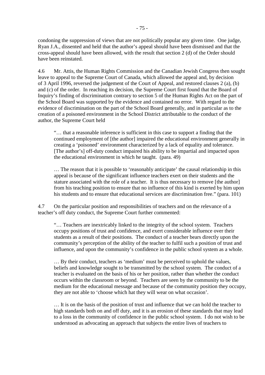condoning the suppression of views that are not politically popular any given time. One judge, Ryan J.A., dissented and held that the author's appeal should have been dismissed and that the cross-appeal should have been allowed, with the result that section 2 (d) of the Order should have been reinstated.

4.6 Mr. Attis, the Human Rights Commission and the Canadian Jewish Congress then sought leave to appeal to the Supreme Court of Canada, which allowed the appeal and, by decision of 3 April 1996, reversed the judgement of the Court of Appeal, and restored clauses 2 (a), (b) and (c) of the order. In reaching its decision, the Supreme Court first found that the Board of Inquiry's finding of discrimination contrary to section 5 of the Human Rights Act on the part of the School Board was supported by the evidence and contained no error. With regard to the evidence of discrimination on the part of the School Board generally, and in particular as to the creation of a poisoned environment in the School District attributable to the conduct of the author, the Supreme Court held

"… that a reasonable inference is sufficient in this case to support a finding that the continued employment of [the author] impaired the educational environment generally in creating a 'poisoned' environment characterized by a lack of equality and tolerance. [The author's] off-duty conduct impaired his ability to be impartial and impacted upon the educational environment in which he taught. (para. 49)

… The reason that it is possible to 'reasonably anticipate' the causal relationship in this appeal is because of the significant influence teachers exert on their students and the stature associated with the role of a teacher. It is thus necessary to remove [the author] from his teaching position to ensure that no influence of this kind is exerted by him upon his students and to ensure that educational services are discrimination free." (para. 101)

4.7 On the particular position and responsibilities of teachers and on the relevance of a teacher's off duty conduct, the Supreme Court further commented:

"… Teachers are inextricably linked to the integrity of the school system. Teachers occupy positions of trust and confidence, and exert considerable influence over their students as a result of their positions. The conduct of a teacher bears directly upon the community's perception of the ability of the teacher to fulfil such a position of trust and influence, and upon the community's confidence in the public school system as a whole.

… By their conduct, teachers as 'medium' must be perceived to uphold the values, beliefs and knowledge sought to be transmitted by the school system. The conduct of a teacher is evaluated on the basis of his or her position, rather than whether the conduct occurs within the classroom or beyond. Teachers are seen by the community to be the medium for the educational message and because of the community position they occupy, they are not able to 'choose which hat they will wear on what occasion'.

… It is on the basis of the position of trust and influence that we can hold the teacher to high standards both on and off duty, and it is an erosion of these standards that may lead to a loss in the community of confidence in the public school system. I do not wish to be understood as advocating an approach that subjects the entire lives of teachers to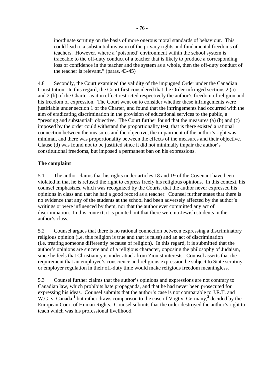inordinate scrutiny on the basis of more onerous moral standards of behaviour. This could lead to a substantial invasion of the privacy rights and fundamental freedoms of teachers. However, where a 'poisoned' environment within the school system is traceable to the off-duty conduct of a teacher that is likely to produce a corresponding loss of confidence in the teacher and the system as a whole, then the off-duty conduct of the teacher is relevant." (paras. 43-45)

4.8 Secondly, the Court examined the validity of the impugned Order under the Canadian Constitution. In this regard, the Court first considered that the Order infringed sections 2 (a) and 2 (b) of the Charter as it in effect restricted respectively the author's freedom of religion and his freedom of expression. The Court went on to consider whether these infringements were justifiable under section 1 of the Charter, and found that the infringements had occurred with the aim of eradicating discrimination in the provision of educational services to the public, a "pressing and substantial" objective. The Court further found that the measures (a) (b) and (c) imposed by the order could withstand the proportionality test, that is there existed a rational connection between the measures and the objective, the impairment of the author's right was minimal, and there was proportionality between the effects of the measures and their objective. Clause (d) was found not to be justified since it did not minimally impair the author's constitutional freedoms, but imposed a permanent ban on his expressions.

## **The complaint**

5.1 The author claims that his rights under articles 18 and 19 of the Covenant have been violated in that he is refused the right to express freely his religious opinions. In this context, his counsel emphasizes, which was recognized by the Courts, that the author never expressed his opinions in class and that he had a good record as a teacher. Counsel further states that there is no evidence that any of the students at the school had been adversely affected by the author's writings or were influenced by them, nor that the author ever committed any act of discrimination. In this context, it is pointed out that there were no Jewish students in the author's class.

5.2 Counsel argues that there is no rational connection between expressing a discriminatory religious opinion (i.e. this religion is true and that is false) and an act of discrimination (i.e. treating someone differently because of religion). In this regard, it is submitted that the author's opinions are sincere and of a religious character, opposing the philosophy of Judaism, since he feels that Christianity is under attack from Zionist interests. Counsel asserts that the requirement that an employee's conscience and religious expression be subject to State scrutiny or employer regulation in their off-duty time would make religious freedom meaningless.

5.3 Counsel further claims that the author's opinions and expressions are not contrary to Canadian law, which prohibits hate propaganda, and that he had never been prosecuted for expressing his ideas. Counsel submits that the author's case is not comparable to J.R.T. and W.G. v. Canada,<sup>1</sup> but rather draws comparison to the case of  $\frac{V_{\text{Ogt}}}{V_{\text{Ogt}}}$  v. Germany,<sup>2</sup> decided by the European Court of Human Rights. Counsel submits that the order destroyed the author's right to teach which was his professional livelihood.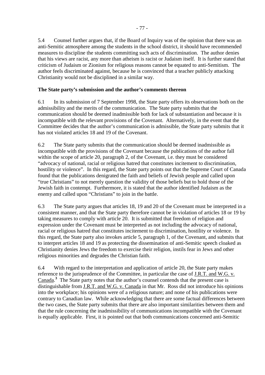5.4 Counsel further argues that, if the Board of Inquiry was of the opinion that there was an anti-Semitic atmosphere among the students in the school district, it should have recommended measures to discipline the students committing such acts of discrimination. The author denies that his views are racist, any more than atheism is racist or Judaism itself. It is further stated that criticism of Judaism or Zionism for religious reasons cannot be equated to anti-Semitism. The author feels discriminated against, because he is convinced that a teacher publicly attacking Christianity would not be disciplined in a similar way.

## **The State party's submission and the author's comments thereon**

6.1 In its submission of 7 September 1998, the State party offers its observations both on the admissibility and the merits of the communication. The State party submits that the communication should be deemed inadmissible both for lack of substantiation and because it is incompatible with the relevant provisions of the Covenant. Alternatively, in the event that the Committee decides that the author's communication is admissible, the State party submits that it has not violated articles 18 and 19 of the Covenant.

6.2 The State party submits that the communication should be deemed inadmissible as incompatible with the provisions of the Covenant because the publications of the author fall within the scope of article 20, paragraph 2, of the Covenant, i.e. they must be considered "advocacy of national, racial or religious hatred that constitutes incitement to discrimination, hostility or violence". In this regard, the State party points out that the Supreme Court of Canada found that the publications denigrated the faith and beliefs of Jewish people and called upon "true Christians" to not merely question the validity of those beliefs but to hold those of the Jewish faith in contempt. Furthermore, it is stated that the author identified Judaism as the enemy and called upon "Christians" to join in the battle.

6.3 The State party argues that articles 18, 19 and 20 of the Covenant must be interpreted in a consistent manner, and that the State party therefore cannot be in violation of articles 18 or 19 by taking measures to comply with article 20. It is submitted that freedom of religion and expression under the Covenant must be interpreted as not including the advocacy of national, racial or religious hatred that constitutes incitement to discrimination, hostility or violence. In this regard, the State party also invokes article 5, paragraph 1, of the Covenant, and submits that to interpret articles 18 and 19 as protecting the dissemination of anti-Semitic speech cloaked as Christianity denies Jews the freedom to exercise their religion, instils fear in Jews and other religious minorities and degrades the Christian faith.

6.4 With regard to the interpretation and application of article 20, the State party makes reference to the jurisprudence of the Committee, in particular the case of J.R.T. and W.G. v. Canada.<sup>3</sup> The State party notes that the author's counsel contends that the present case is distinguishable from J.R.T. and W.G. v. Canada in that Mr. Ross did not introduce his opinions into the workplace; his opinions were of a religious nature; and none of his publications were contrary to Canadian law. While acknowledging that there are some factual differences between the two cases, the State party submits that there are also important similarities between them and that the rule concerning the inadmissibility of communications incompatible with the Covenant is equally applicable. First, it is pointed out that both communications concerned anti-Semitic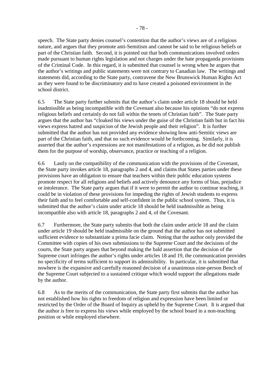speech. The State party denies counsel's contention that the author's views are of a religious nature, and argues that they promote anti-Semitism and cannot be said to be religious beliefs or part of the Christian faith. Second, it is pointed out that both communications involved orders made pursuant to human rights legislation and not charges under the hate propaganda provisions of the Criminal Code. In this regard, it is submitted that counsel is wrong when he argues that the author's writings and public statements were not contrary to Canadian law. The writings and statements did, according to the State party, contravene the New Brunswick Human Rights Act as they were found to be discriminatory and to have created a poisoned environment in the school district.

6.5 The State party further submits that the author's claim under article 18 should be held inadmissible as being incompatible with the Covenant also because his opinions "do not express religious beliefs and certainly do not fall within the tenets of Christian faith". The State party argues that the author has "cloaked his views under the guise of the Christian faith but in fact his views express hatred and suspicion of the Jewish people and their religion". It is further submitted that the author has not provided any evidence showing how anti-Semitic views are part of the Christian faith, and that no such evidence would be forthcoming. Similarly, it is asserted that the author's expressions are not manifestations of a religion, as he did not publish them for the purpose of worship, observance, practice or teaching of a religion.

6.6 Lastly on the compatibility of the communication with the provisions of the Covenant, the State party invokes article 18, paragraphs 2 and 4, and claims that States parties under these provisions have an obligation to ensure that teachers within their public education systems promote respect for all religions and beliefs and actively denounce any forms of bias, prejudice or intolerance. The State party argues that if it were to permit the author to continue teaching, it could be in violation of these provisions for impeding the rights of Jewish students to express their faith and to feel comfortable and self-confident in the public school system. Thus, it is submitted that the author's claim under article 18 should be held inadmissible as being incompatible also with article 18, paragraphs 2 and 4, of the Covenant.

6.7 Furthermore, the State party submits that both the claim under article 18 and the claim under article 19 should be held inadmissible on the ground that the author has not submitted sufficient evidence to substantiate a prima facie claim. Noting that the author only provided the Committee with copies of his own submissions to the Supreme Court and the decisions of the courts, the State party argues that beyond making the bald assertion that the decision of the Supreme court infringes the author's rights under articles 18 and 19, the communication provides no specificity of terms sufficient to support its admissibility. In particular, it is submitted that nowhere is the expansive and carefully reasoned decision of a unanimous nine-person Bench of the Supreme Court subjected to a sustained critique which would support the allegations made by the author.

6.8 As to the merits of the communication, the State party first submits that the author has not established how his rights to freedom of religion and expression have been limited or restricted by the Order of the Board of Inquiry as upheld by the Supreme Court. It is argued that the author is free to express his views while employed by the school board in a non-teaching position or while employed elsewhere.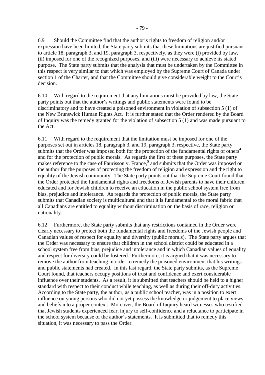- 79 -

expression have been limited, the State party submits that these limitations are justified pursuant to article 18, paragraph 3, and 19, paragraph 3, respectively, as they were (i) provided by law, (ii) imposed for one of the recognized purposes, and (iii) were necessary to achieve its stated purpose. The State party submits that the analysis that must be undertaken by the Committee in this respect is very similar to that which was employed by the Supreme Court of Canada under section 1 of the Charter, and that the Committee should give considerable weight to the Court's decision.

6.10 With regard to the requirement that any limitations must be provided by law, the State party points out that the author's writings and public statements were found to be discriminatory and to have created a poisoned environment in violation of subsection 5 (1) of the New Brunswick Human Rights Act. It is further stated that the Order rendered by the Board of Inquiry was the remedy granted for the violation of subsection 5 (1) and was made pursuant to the Act.

6.11 With regard to the requirement that the limitation must be imposed for one of the purposes set out in articles 18, paragraph 3, and 19, paragraph 3, respective, the State party submits that the Order was imposed both for the protection of the fundamental rights of others**<sup>4</sup>** and for the protection of public morals. As regards the first of these purposes, the State party makes reference to the case of Faurisson v. France,<sup>5</sup> and submits that the Order was imposed on the author for the purposes of protecting the freedom of religion and expression and the right to equality of the Jewish community. The State party points out that the Supreme Court found that the Order protected the fundamental rights and freedoms of Jewish parents to have their children educated and for Jewish children to receive an education in the public school system free from bias, prejudice and intolerance. As regards the protection of public morals, the State party submits that Canadian society is multicultural and that it is fundamental to the moral fabric that all Canadians are entitled to equality without discrimination on the basis of race, religion or nationality.

6.12 Furthermore, the State party submits that any restrictions contained in the Order were clearly necessary to protect both the fundamental rights and freedoms of the Jewish people and Canadian values of respect for equality and diversity (public morals). The State party argues that the Order was necessary to ensure that children in the school district could be educated in a school system free from bias, prejudice and intolerance and in which Canadian values of equality and respect for diversity could be fostered. Furthermore, it is argued that it was necessary to remove the author from teaching in order to remedy the poisoned environment that his writings and public statements had created. In this last regard, the State party submits, as the Supreme Court found, that teachers occupy positions of trust and confidence and exert considerable influence over their students. As a result, it is submitted that teachers should be held to a higher standard with respect to their conduct while teaching, as well as during their off-duty activities. According to the State party, the author, as a public school teacher, was in a position to exert influence on young persons who did not yet possess the knowledge or judgement to place views and beliefs into a proper context. Moreover, the Board of Inquiry heard witnesses who testified that Jewish students experienced fear, injury to self-confidence and a reluctance to participate in the school system because of the author's statements. It is submitted that to remedy this situation, it was necessary to pass the Order.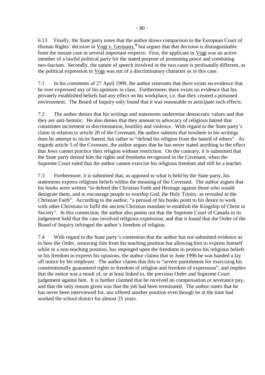6.13 Finally, the State party notes that the author draws comparison to the European Court of Human Rights' decision in <u>Vogt v. Germany</u>,<sup>6</sup> but argues that that decision is distinguishable from the instant case in several important respects: First, the applicant in Vogt was an active member of a lawful political party for the stated purpose of promoting peace and combating neo-fascism. Secondly, the nature of speech involved in the two cases is profoundly different, as the political expression in Vogt was not of a discriminatory character as in this case.

7.1 In his comments of 27 April 1999, the author reiterates that there exists no evidence that he ever expressed any of his opinions in class. Furthermore, there exists no evidence that his privately established beliefs had any effect on his workplace, i.e. that they created a poisoned environment. The Board of Inquiry only found that it was reasonable to anticipate such effects.

7.2 The author denies that his writings and statements undermine democratic values and that they are anti-Semitic. He also denies that they amount to advocacy of religious hatred that constitutes incitement to discrimination, hostility and violence. With regard to the State party's claim in relation to article 20 of the Covenant, the author submits that nowhere in his writings does he attempt to incite hatred, but rather to "defend his religion from the hatred of others". As regards article 5 of the Covenant, the author argues that he has never stated anything to the effect that Jews cannot practice their religion without restriction. On the contrary, it is submitted that the State party denied him the rights and freedoms recognized in the Covenant, when the Supreme Court ruled that the author cannot exercise his religious freedom and still be a teacher.

7.3 Furthermore, it is submitted that, as opposed to what is held by the State party, his statements express religious beliefs within the meaning of the Covenant. The author argues that his books were written "to defend the Christian Faith and Heritage against those who would denigrate them, and to encourage people to worship God, the Holy Trinity, as revealed in the Christian Faith". According to the author, "a perusal of his books point to his desire to work with other Christians to fulfil the ancient Christian mandate to establish the Kingship of Christ in Society". In this connection, the author also points out that the Supreme Court of Canada in its judgement held that the case involved religious expression, and that it found that the Order of the Board of Inquiry infringed the author's freedom of religion.

7.4 With regard to the State party's contention that the author has not submitted evidence as to how the Order, removing him from his teaching position but allowing him to express himself while in a non-teaching position, has impinged upon the freedoms to profess his religious beliefs or his freedom to express his opinions, the author claims that in June 1996 he was handed a lay off notice by his employer. The author claims that this is "severe punishment for exercising his constitutionally guaranteed rights to freedom of religion and freedom of expression", and implies that the notice was a result of, or at least linked to, the previous Order and Supreme Court judgement against him. It is further claimed that he received no compensation or severance pay, and that the only reason given was that the job had been terminated. The author states that he has never been interviewed for, nor offered another position even though he at the time had worked the school district for almost 25 years.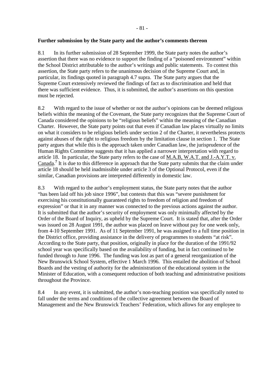### **Further submission by the State party and the author's comments thereon**

8.1 In its further submission of 28 September 1999, the State party notes the author's assertion that there was no evidence to support the finding of a "poisoned environment" within the School District attributable to the author's writings and public statements. To contest this assertion, the State party refers to the unanimous decision of the Supreme Court and, in particular, its findings quoted in paragraph 4.7 supra. The State party argues that the Supreme Court extensively reviewed the findings of fact as to discrimination and held that there was sufficient evidence. Thus, it is submitted, the author's assertions on this question must be rejected.

8.2 With regard to the issue of whether or not the author's opinions can be deemed religious beliefs within the meaning of the Covenant, the State party recognizes that the Supreme Court of Canada considered the opinions to be "religious beliefs" within the meaning of the Canadian Charter. However, the State party points out that even if Canadian law places virtually no limits on what it considers to be religious beliefs under section 2 of the Charter, it nevertheless protects against abuses of the right to religious freedom by the limitation clause in section 1. The State party argues that while this is the approach taken under Canadian law, the jurisprudence of the Human Rights Committee suggests that it has applied a narrower interpretation with regard to article 18. In particular, the State party refers to the case of M.A.B, W.A.T. and J.-A.Y.T. v. Canada.<sup>7</sup> It is due to this difference in approach that the State party submits that the claim under article 18 should be held inadmissible under article 3 of the Optional Protocol, even if the similar, Canadian provisions are interpreted differently in domestic law.

8.3 With regard to the author's employment status, the State party notes that the author "has been laid off his job since 1996", but contests that this was "severe punishment for exercising his constitutionally guaranteed rights to freedom of religion and freedom of expression" or that it in any manner was connected to the previous actions against the author. It is submitted that the author's security of employment was only minimally affected by the Order of the Board of Inquiry, as upheld by the Supreme Court. It is stated that, after the Order was issued on 28 August 1991, the author was placed on leave without pay for one week only, from 4-10 September 1991. As of 11 September 1991, he was assigned to a full time position in the District office, providing assistance in the delivery of programmes to students "at risk". According to the State party, that position, originally in place for the duration of the 1991/92 school year was specifically based on the availability of funding, but in fact continued to be funded through to June 1996. The funding was lost as part of a general reorganization of the New Brunswick School System, effective 1 March 1996. This entailed the abolition of School Boards and the vesting of authority for the administration of the educational system in the Minister of Education, with a consequent reduction of both teaching and administrative positions throughout the Province.

8.4 In any event, it is submitted, the author's non-teaching position was specifically noted to fall under the terms and conditions of the collective agreement between the Board of Management and the New Brunswick Teachers' Federation, which allows for any employee to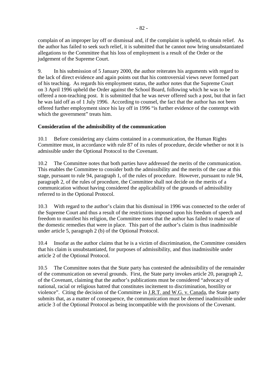complain of an improper lay off or dismissal and, if the complaint is upheld, to obtain relief. As the author has failed to seek such relief, it is submitted that he cannot now bring unsubstantiated allegations to the Committee that his loss of employment is a result of the Order or the judgement of the Supreme Court.

9. In his submission of 5 January 2000, the author reiterates his arguments with regard to the lack of direct evidence and again points out that his controversial views never formed part of his teaching. As regards his employment status, the author notes that the Supreme Court on 3 April 1996 upheld the Order against the School Board, following which he was to be offered a non-teaching post. It is submitted that he was never offered such a post, but that in fact he was laid off as of 1 July 1996. According to counsel, the fact that the author has not been offered further employment since his lay off in 1996 "is further evidence of the contempt with which the government" treats him.

## **Consideration of the admissibility of the communication**

10.1 Before considering any claims contained in a communication, the Human Rights Committee must, in accordance with rule 87 of its rules of procedure, decide whether or not it is admissible under the Optional Protocol to the Covenant.

10.2 The Committee notes that both parties have addressed the merits of the communication. This enables the Committee to consider both the admissibility and the merits of the case at this stage, pursuant to rule 94, paragraph 1, of the rules of procedure. However, pursuant to rule 94, paragraph 2, of the rules of procedure, the Committee shall not decide on the merits of a communication without having considered the applicability of the grounds of admissibility referred to in the Optional Protocol.

10.3 With regard to the author's claim that his dismissal in 1996 was connected to the order of the Supreme Court and thus a result of the restrictions imposed upon his freedom of speech and freedom to manifest his religion, the Committee notes that the author has failed to make use of the domestic remedies that were in place. This part of the author's claim is thus inadmissible under article 5, paragraph 2 (b) of the Optional Protocol.

10.4 Insofar as the author claims that he is a victim of discrimination, the Committee considers that his claim is unsubstantiated, for purposes of admissibility, and thus inadmissible under article 2 of the Optional Protocol.

10.5 The Committee notes that the State party has contested the admissibility of the remainder of the communication on several grounds. First, the State party invokes article 20, paragraph 2, of the Covenant, claiming that the author's publications must be considered "advocacy of national, racial or religious hatred that constitutes incitement to discrimination, hostility or violence". Citing the decision of the Committee in J.R.T. and W.G. v. Canada, the State party submits that, as a matter of consequence, the communication must be deemed inadmissible under article 3 of the Optional Protocol as being incompatible with the provisions of the Covenant.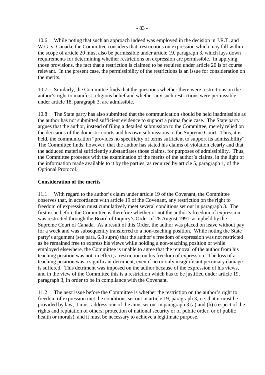10.6 While noting that such an approach indeed was employed in the decision in J.R.T. and W.G. v. Canada, the Committee considers that restrictions on expression which may fall within the scope of article 20 must also be permissible under article 19, paragraph 3, which lays down requirements for determining whether restrictions on expression are permissible. In applying those provisions, the fact that a restriction is claimed to be required under article 20 is of course relevant. In the present case, the permissibility of the restrictions is an issue for consideration on the merits.

10.7 Similarly, the Committee finds that the questions whether there were restrictions on the author's right to manifest religious belief and whether any such restrictions were permissible under article 18, paragraph 3, are admissible.

10.8 The State party has also submitted that the communication should be held inadmissible as the author has not submitted sufficient evidence to support a prima facie case. The State party argues that the author, instead of filing a detailed submission to the Committee, merely relied on the decisions of the domestic courts and his own submissions to the Supreme Court. Thus, it is held, the communication "provides no specificity of terms sufficient to support its admissibility". The Committee finds, however, that the author has stated his claims of violation clearly and that the adduced material sufficiently substantiates those claims, for purposes of admissibility. Thus, the Committee proceeds with the examination of the merits of the author's claims, in the light of the information made available to it by the parties, as required by article 5, paragraph 1, of the Optional Protocol.

### **Consideration of the merits**

11.1 With regard to the author's claim under article 19 of the Covenant, the Committee observes that, in accordance with article 19 of the Covenant, any restriction on the right to freedom of expression must cumulatively meet several conditions set out in paragraph 3. The first issue before the Committee is therefore whether or not the author's freedom of expression was restricted through the Board of Inquiry's Order of 28 August 1991, as upheld by the Supreme Court of Canada. As a result of this Order, the author was placed on leave without pay for a week and was subsequently transferred to a non-teaching position. While noting the State party's argument (see para. 6.8 supra) that the author's freedom of expression was not restricted as he remained free to express his views while holding a non-teaching position or while employed elsewhere, the Committee is unable to agree that the removal of the author from his teaching position was not, in effect, a restriction on his freedom of expression. The loss of a teaching position was a significant detriment, even if no or only insignificant pecuniary damage is suffered. This detriment was imposed on the author because of the expression of his views, and in the view of the Committee this is a restriction which has to be justified under article 19, paragraph 3, in order to be in compliance with the Covenant.

11.2 The next issue before the Committee is whether the restriction on the author's right to freedom of expression met the conditions set out in article 19, paragraph 3, i.e. that it must be provided by law, it must address one of the aims set out in paragraph 3 (a) and (b) (respect of the rights and reputation of others; protection of national security or of public order, or of public health or morals), and it must be necessary to achieve a legitimate purpose.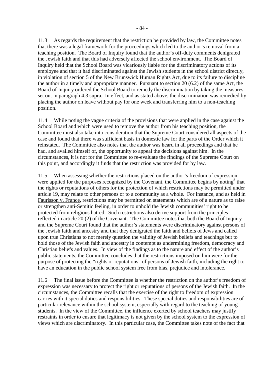11.3 As regards the requirement that the restriction be provided by law, the Committee notes that there was a legal framework for the proceedings which led to the author's removal from a teaching position. The Board of Inquiry found that the author's off-duty comments denigrated the Jewish faith and that this had adversely affected the school environment. The Board of Inquiry held that the School Board was vicariously liable for the discriminatory actions of its employee and that it had discriminated against the Jewish students in the school district directly, in violation of section 5 of the New Brunswick Human Rights Act, due to its failure to discipline the author in a timely and appropriate manner. Pursuant to section 20 (6.2) of the same Act, the Board of Inquiry ordered the School Board to remedy the discrimination by taking the measures set out in paragraph 4.3 supra. In effect, and as stated above, the discrimination was remedied by placing the author on leave without pay for one week and transferring him to a non-teaching position.

11.4 While noting the vague criteria of the provisions that were applied in the case against the School Board and which were used to remove the author from his teaching position, the Committee must also take into consideration that the Supreme Court considered all aspects of the case and found that there was sufficient basis in domestic law for the parts of the Order which it reinstated. The Committee also notes that the author was heard in all proceedings and that he had, and availed himself of, the opportunity to appeal the decisions against him. In the circumstances, it is not for the Committee to re-evaluate the findings of the Supreme Court on this point, and accordingly it finds that the restriction was provided for by law.

11.5 When assessing whether the restrictions placed on the author's freedom of expression were applied for the purposes recognized by the Covenant, the Committee begins by noting<sup>8</sup> that the rights or reputations of others for the protection of which restrictions may be permitted under article 19, may relate to other persons or to a community as a whole. For instance, and as held in Faurisson v. France, restrictions may be permitted on statements which are of a nature as to raise or strengthen anti-Semitic feeling, in order to uphold the Jewish communities' right to be protected from religious hatred. Such restrictions also derive support from the principles reflected in article 20 (2) of the Covenant. The Committee notes that both the Board of Inquiry and the Supreme Court found that the author's statements were discriminatory against persons of the Jewish faith and ancestry and that they denigrated the faith and beliefs of Jews and called upon true Christians to not merely question the validity of Jewish beliefs and teachings but to hold those of the Jewish faith and ancestry in contempt as undermining freedom, democracy and Christian beliefs and values. In view of the findings as to the nature and effect of the author's public statements, the Committee concludes that the restrictions imposed on him were for the purpose of protecting the "rights or reputations" of persons of Jewish faith, including the right to have an education in the public school system free from bias, prejudice and intolerance.

11.6 The final issue before the Committee is whether the restriction on the author's freedom of expression was necessary to protect the right or reputations of persons of the Jewish faith. In the circumstances, the Committee recalls that the exercise of the right to freedom of expression carries with it special duties and responsibilities. These special duties and responsibilities are of particular relevance within the school system, especially with regard to the teaching of young students. In the view of the Committee, the influence exerted by school teachers may justify restraints in order to ensure that legitimacy is not given by the school system to the expression of views which are discriminatory. In this particular case, the Committee takes note of the fact that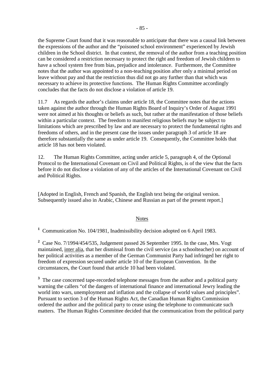the Supreme Court found that it was reasonable to anticipate that there was a causal link between the expressions of the author and the "poisoned school environment" experienced by Jewish children in the School district. In that context, the removal of the author from a teaching position can be considered a restriction necessary to protect the right and freedom of Jewish children to have a school system free from bias, prejudice and intolerance. Furthermore, the Committee notes that the author was appointed to a non-teaching position after only a minimal period on leave without pay and that the restriction thus did not go any further than that which was necessary to achieve its protective functions. The Human Rights Committee accordingly concludes that the facts do not disclose a violation of article 19.

11.7 As regards the author's claims under article 18, the Committee notes that the actions taken against the author through the Human Rights Board of Inquiry's Order of August 1991 were not aimed at his thoughts or beliefs as such, but rather at the manifestation of those beliefs within a particular context. The freedom to manifest religious beliefs may be subject to limitations which are prescribed by law and are necessary to protect the fundamental rights and freedoms of others, and in the present case the issues under paragraph 3 of article 18 are therefore substantially the same as under article 19. Consequently, the Committee holds that article 18 has not been violated.

12. The Human Rights Committee, acting under article 5, paragraph 4, of the Optional Protocol to the International Covenant on Civil and Political Rights, is of the view that the facts before it do not disclose a violation of any of the articles of the International Covenant on Civil and Political Rights.

[Adopted in English, French and Spanish, the English text being the original version. Subsequently issued also in Arabic, Chinese and Russian as part of the present report.]

#### **Notes**

<sup>1</sup> Communication No. 104/1981, Inadmissibility decision adopted on 6 April 1983.

**2** Case No. 7/1994/454/535, Judgement passed 26 September 1995. In the case, Mrs. Vogt maintained, inter alia, that her dismissal from the civil service (as a schoolteacher) on account of her political activities as a member of the German Communist Party had infringed her right to freedom of expression secured under article 10 of the European Convention. In the circumstances, the Court found that article 10 had been violated.

<sup>3</sup> The case concerned tape-recorded telephone messages from the author and a political party warning the callers "of the dangers of international finance and international Jewry leading the world into wars, unemployment and inflation and the collapse of world values and principles". Pursuant to section 3 of the Human Rights Act, the Canadian Human Rights Commission ordered the author and the political party to cease using the telephone to communicate such matters. The Human Rights Committee decided that the communication from the political party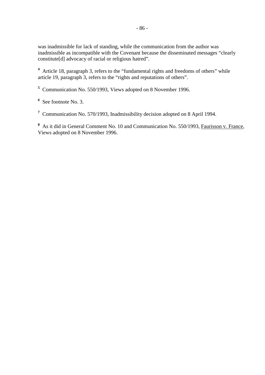was inadmissible for lack of standing, while the communication from the author was inadmissible as incompatible with the Covenant because the disseminated messages "clearly constitute[d] advocacy of racial or religious hatred".

<sup>4</sup> Article 18, paragraph 3, refers to the "fundamental rights and freedoms of others" while article 19, paragraph 3, refers to the "rights and reputations of others".

**5** Communication No. 550/1993, Views adopted on 8 November 1996.

**6** See footnote No. 3.

**7** Communication No. 570/1993, Inadmissibility decision adopted on 8 April 1994.

<sup>8</sup> As it did in General Comment No. 10 and Communication No. 550/1993, Faurisson v. France, Views adopted on 8 November 1996.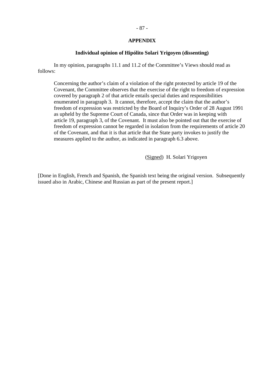#### **APPENDIX**

#### **Individual opinion of Hipólito Solari Yrigoyen (dissenting)**

 In my opinion, paragraphs 11.1 and 11.2 of the Committee's Views should read as follows:

Concerning the author's claim of a violation of the right protected by article 19 of the Covenant, the Committee observes that the exercise of the right to freedom of expression covered by paragraph 2 of that article entails special duties and responsibilities enumerated in paragraph 3. It cannot, therefore, accept the claim that the author's freedom of expression was restricted by the Board of Inquiry's Order of 28 August 1991 as upheld by the Supreme Court of Canada, since that Order was in keeping with article 19, paragraph 3, of the Covenant. It must also be pointed out that the exercise of freedom of expression cannot be regarded in isolation from the requirements of article 20 of the Covenant, and that it is that article that the State party invokes to justify the measures applied to the author, as indicated in paragraph 6.3 above.

(Signed) H. Solari Yrigoyen

[Done in English, French and Spanish, the Spanish text being the original version. Subsequently issued also in Arabic, Chinese and Russian as part of the present report.]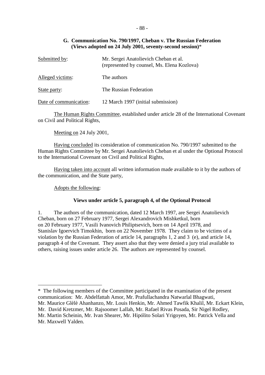### **G. Communication No. 790/1997, Cheban v. The Russian Federation (Views adopted on 24 July 2001, seventy-second session)**\*

| Submitted by:          | Mr. Sergei Anatolievich Cheban et al.<br>(represented by counsel, Ms. Elena Kozlova) |
|------------------------|--------------------------------------------------------------------------------------|
| Alleged victims:       | The authors                                                                          |
| State party:           | The Russian Federation                                                               |
| Date of communication: | 12 March 1997 (initial submission)                                                   |

 The Human Rights Committee, established under article 28 of the International Covenant on Civil and Political Rights,

Meeting on 24 July 2001,

 Having concluded its consideration of communication No. 790/1997 submitted to the Human Rights Committee by Mr. Sergei Anatolievich Cheban et al under the Optional Protocol to the International Covenant on Civil and Political Rights,

 Having taken into account all written information made available to it by the authors of the communication, and the State party,

Adopts the following:

# **Views under article 5, paragraph 4, of the Optional Protocol**

1. The authors of the communication, dated 12 March 1997, are Sergei Anatolievich Cheban, born on 27 February 1977, Sergei Alexandrovich Mishketkul, born on 20 February 1977, Vasili Ivanovich Philiptsevich, born on 14 April 1978, and Stanislav Igoervich Timokhin, born on 22 November 1978. They claim to be victims of a violation by the Russian Federation of article 14, paragraphs 1, 2 and 3 (e), and article 14, paragraph 4 of the Covenant. They assert also that they were denied a jury trial available to others, raising issues under article 26. The authors are represented by counsel.

 $\overline{a}$ \* The following members of the Committee participated in the examination of the present communication: Mr. Abdelfattah Amor, Mr. Prafullachandra Natwarlal Bhagwati, Mr. Maurice Glèlè Ahanhanzo, Mr. Louis Henkin, Mr. Ahmed Tawfik Khalil, Mr. Eckart Klein, Mr. David Kretzmer, Mr. Rajsoomer Lallah, Mr. Rafael Rivas Posada, Sir Nigel Rodley, Mr. Martin Scheinin, Mr. Ivan Shearer, Mr. Hipólito Solari Yrigoyen, Mr. Patrick Vella and Mr. Maxwell Yalden.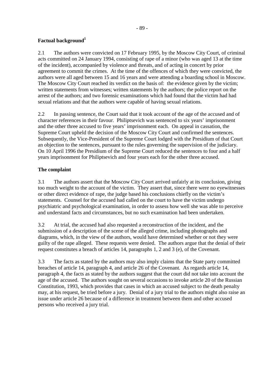# **Factual background1**

2.1 The authors were convicted on 17 February 1995, by the Moscow City Court, of criminal acts committed on 24 January 1994, consisting of rape of a minor (who was aged 13 at the time of the incident), accompanied by violence and threats, and of acting in concert by prior agreement to commit the crimes. At the time of the offences of which they were convicted, the authors were all aged between 15 and 16 years and were attending a boarding school in Moscow. The Moscow City Court reached its verdict on the basis of: the evidence given by the victim; written statements from witnesses; written statements by the authors; the police report on the arrest of the authors; and two forensic examinations which had found that the victim had had sexual relations and that the authors were capable of having sexual relations.

2.2 In passing sentence, the Court said that it took account of the age of the accused and of character references in their favour. Philiptsevich was sentenced to six years' imprisonment and the other three accused to five years' imprisonment each. On appeal in cassation, the Supreme Court upheld the decision of the Moscow City Court and confirmed the sentences. Subsequently, the Vice-President of the Supreme Court lodged with the Presidium of that Court an objection to the sentences, pursuant to the rules governing the supervision of the judiciary. On 10 April 1996 the Presidium of the Supreme Court reduced the sentences to four and a half years imprisonment for Philiptsevich and four years each for the other three accused.

# **The complaint**

3.1 The authors assert that the Moscow City Court arrived unfairly at its conclusion, giving too much weight to the account of the victim. They assert that, since there were no eyewitnesses or other direct evidence of rape, the judge based his conclusions chiefly on the victim's statements. Counsel for the accused had called on the court to have the victim undergo psychiatric and psychological examination, in order to assess how well she was able to perceive and understand facts and circumstances, but no such examination had been undertaken.

3.2 At trial, the accused had also requested a reconstruction of the incident, and the submission of a description of the scene of the alleged crime, including photographs and diagrams, which, in the view of the authors, would have determined whether or not they were guilty of the rape alleged. These requests were denied. The authors argue that the denial of their request constitutes a breach of articles 14, paragraphs 1, 2 and 3 (e), of the Covenant.

3.3 The facts as stated by the authors may also imply claims that the State party committed breaches of article 14, paragraph 4, and article 26 of the Covenant. As regards article 14, paragraph 4, the facts as stated by the authors suggest that the court did not take into account the age of the accused. The authors sought on several occasions to invoke article 20 of the Russian Constitution, 1993, which provides that cases in which an accused subject to the death penalty may, at his request, be tried before a jury. Denial of a jury trial to the authors might also raise an issue under article 26 because of a difference in treatment between them and other accused persons who received a jury trial.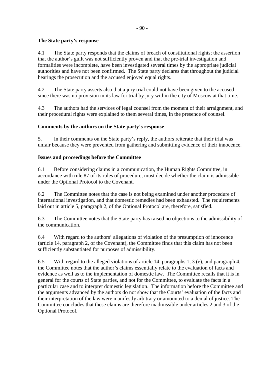# **The State party's response**

4.1 The State party responds that the claims of breach of constitutional rights; the assertion that the author's guilt was not sufficiently proven and that the pre-trial investigation and formalities were incomplete, have been investigated several times by the appropriate judicial authorities and have not been confirmed. The State party declares that throughout the judicial hearings the prosecution and the accused enjoyed equal rights.

4.2 The State party asserts also that a jury trial could not have been given to the accused since there was no provision in its law for trial by jury within the city of Moscow at that time.

4.3 The authors had the services of legal counsel from the moment of their arraignment, and their procedural rights were explained to them several times, in the presence of counsel.

# **Comments by the authors on the State party's response**

5. In their comments on the State party's reply, the authors reiterate that their trial was unfair because they were prevented from gathering and submitting evidence of their innocence.

## **Issues and proceedings before the Committee**

6.1 Before considering claims in a communication, the Human Rights Committee, in accordance with rule 87 of its rules of procedure, must decide whether the claim is admissible under the Optional Protocol to the Covenant.

6.2 The Committee notes that the case is not being examined under another procedure of international investigation, and that domestic remedies had been exhausted. The requirements laid out in article 5, paragraph 2, of the Optional Protocol are, therefore, satisfied.

6.3 The Committee notes that the State party has raised no objections to the admissibility of the communication.

6.4 With regard to the authors' allegations of violation of the presumption of innocence (article 14, paragraph 2, of the Covenant), the Committee finds that this claim has not been sufficiently substantiated for purposes of admissibility.

6.5 With regard to the alleged violations of article 14, paragraphs 1, 3 (e), and paragraph 4, the Committee notes that the author's claims essentially relate to the evaluation of facts and evidence as well as to the implementation of domestic law. The Committee recalls that it is in general for the courts of State parties, and not for the Committee, to evaluate the facts in a particular case and to interpret domestic legislation. The information before the Committee and the arguments advanced by the authors do not show that the Courts' evaluation of the facts and their interpretation of the law were manifestly arbitrary or amounted to a denial of justice. The Committee concludes that these claims are therefore inadmissible under articles 2 and 3 of the Optional Protocol.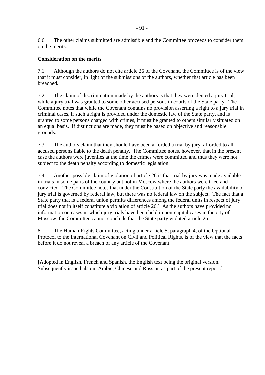# **Consideration on the merits**

7.1 Although the authors do not cite article 26 of the Covenant, the Committee is of the view that it must consider, in light of the submissions of the authors, whether that article has been breached.

7.2 The claim of discrimination made by the authors is that they were denied a jury trial, while a jury trial was granted to some other accused persons in courts of the State party. The Committee notes that while the Covenant contains no provision asserting a right to a jury trial in criminal cases, if such a right is provided under the domestic law of the State party, and is granted to some persons charged with crimes, it must be granted to others similarly situated on an equal basis. If distinctions are made, they must be based on objective and reasonable grounds.

7.3 The authors claim that they should have been afforded a trial by jury, afforded to all accused persons liable to the death penalty. The Committee notes, however, that in the present case the authors were juveniles at the time the crimes were committed and thus they were not subject to the death penalty according to domestic legislation.

7.4 Another possible claim of violation of article 26 is that trial by jury was made available in trials in some parts of the country but not in Moscow where the authors were tried and convicted. The Committee notes that under the Constitution of the State party the availability of jury trial is governed by federal law, but there was no federal law on the subject. The fact that a State party that is a federal union permits differences among the federal units in respect of jury trial does not in itself constitute a violation of article  $26<sup>2</sup>$ . As the authors have provided no information on cases in which jury trials have been held in non-capital cases in the city of Moscow, the Committee cannot conclude that the State party violated article 26.

8. The Human Rights Committee, acting under article 5, paragraph 4, of the Optional Protocol to the International Covenant on Civil and Political Rights, is of the view that the facts before it do not reveal a breach of any article of the Covenant.

[Adopted in English, French and Spanish, the English text being the original version. Subsequently issued also in Arabic, Chinese and Russian as part of the present report.]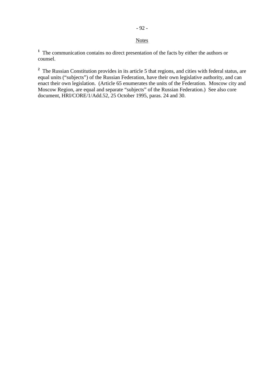## - 92 -

#### **Notes**

<sup>1</sup> The communication contains no direct presentation of the facts by either the authors or counsel.

<sup>2</sup> The Russian Constitution provides in its article 5 that regions, and cities with federal status, are equal units ("subjects") of the Russian Federation, have their own legislative authority, and can enact their own legislation. (Article 65 enumerates the units of the Federation. Moscow city and Moscow Region, are equal and separate "subjects" of the Russian Federation.) See also core document, HRI/CORE/1/Add.52, 25 October 1995, paras. 24 and 30.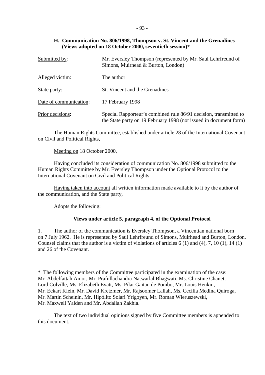### **H. Communication No. 806/1998, Thompson v. St. Vincent and the Grenadines (Views adopted on 18 October 2000, seventieth session)**\*

| Submitted by:          | Mr. Eversley Thompson (represented by Mr. Saul Lehrfreund of<br>Simons, Muirhead & Burton, London)                                     |
|------------------------|----------------------------------------------------------------------------------------------------------------------------------------|
| Alleged victim:        | The author                                                                                                                             |
| State party:           | St. Vincent and the Grenadines                                                                                                         |
| Date of communication: | 17 February 1998                                                                                                                       |
| Prior decisions:       | Special Rapporteur's combined rule 86/91 decision, transmitted to<br>the State party on 19 February 1998 (not issued in document form) |

 The Human Rights Committee, established under article 28 of the International Covenant on Civil and Political Rights,

Meeting on 18 October 2000,

 Having concluded its consideration of communication No. 806/1998 submitted to the Human Rights Committee by Mr. Eversley Thompson under the Optional Protocol to the International Covenant on Civil and Political Rights,

 Having taken into account all written information made available to it by the author of the communication, and the State party,

Adopts the following:

 $\overline{a}$ 

#### **Views under article 5, paragraph 4, of the Optional Protocol**

1. The author of the communication is Eversley Thompson, a Vincentian national born on 7 July 1962. He is represented by Saul Lehrfreund of Simons, Muirhead and Burton, London. Counsel claims that the author is a victim of violations of articles 6 (1) and (4), 7, 10 (1), 14 (1) and 26 of the Covenant.

 The text of two individual opinions signed by five Committee members is appended to this document.

<sup>\*</sup> The following members of the Committee participated in the examination of the case: Mr. Abdelfattah Amor, Mr. Prafullachandra Natwarlal Bhagwati, Ms. Christine Chanet, Lord Colville, Ms. Elizabeth Evatt, Ms. Pilar Gaitan de Pombo, Mr. Louis Henkin, Mr. Eckart Klein, Mr. David Kretzmer, Mr. Rajsoomer Lallah, Ms. Cecilia Medina Quiroga, Mr. Martin Scheinin, Mr. Hipólito Solari Yrigoyen, Mr. Roman Wieruszewski, Mr. Maxwell Yalden and Mr. Abdallah Zakhia.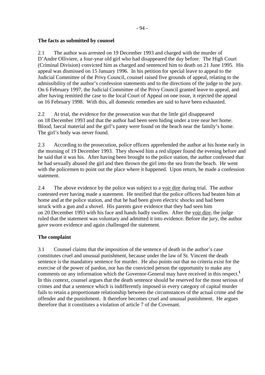## **The facts as submitted by counsel**

2.1 The author was arrested on 19 December 1993 and charged with the murder of D'Andre Olliviere, a four-year old girl who had disappeared the day before. The High Court (Criminal Division) convicted him as charged and sentenced him to death on 21 June 1995. His appeal was dismissed on 15 January 1996. In his petition for special leave to appeal to the Judicial Committee of the Privy Council, counsel raised five grounds of appeal, relating to the admissibility of the author's confession statements and to the directions of the judge to the jury. On 6 February 1997, the Judicial Committee of the Privy Council granted leave to appeal, and after having remitted the case to the local Court of Appeal on one issue, it rejected the appeal on 16 February 1998. With this, all domestic remedies are said to have been exhausted.

2.2 At trial, the evidence for the prosecution was that the little girl disappeared on 18 December 1993 and that the author had been seen hiding under a tree near her home. Blood, faecal material and the girl's panty were found on the beach near the family's home. The girl's body was never found.

2.3 According to the prosecution, police officers apprehended the author at his home early in the morning of 19 December 1993. They showed him a red slipper found the evening before and he said that it was his. After having been brought to the police station, the author confessed that he had sexually abused the girl and then thrown the girl into the sea from the beach. He went with the policemen to point out the place where it happened. Upon return, he made a confession statement.

2.4 The above evidence by the police was subject to a voir dire during trial. The author contested ever having made a statement. He testified that the police officers had beaten him at home and at the police station, and that he had been given electric shocks and had been struck with a gun and a shovel. His parents gave evidence that they had seen him on 20 December 1993 with his face and hands badly swollen. After the voir dire, the judge ruled that the statement was voluntary and admitted it into evidence. Before the jury, the author gave sworn evidence and again challenged the statement.

## **The complaint**

3.1 Counsel claims that the imposition of the sentence of death in the author's case constitutes cruel and unusual punishment, because under the law of St. Vincent the death sentence is the mandatory sentence for murder. He also points out that no criteria exist for the exercise of the power of pardon, nor has the convicted person the opportunity to make any comments on any information which the Governor-General may have received in this respect.**<sup>1</sup>** In this context, counsel argues that the death sentence should be reserved for the most serious of crimes and that a sentence which is indifferently imposed in every category of capital murder fails to retain a proportionate relationship between the circumstances of the actual crime and the offender and the punishment. It therefore becomes cruel and unusual punishment. He argues therefore that it constitutes a violation of article 7 of the Covenant.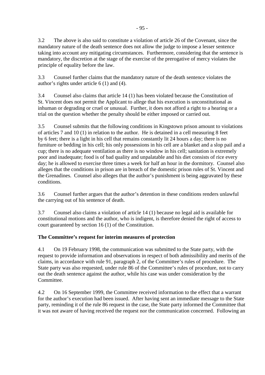3.2 The above is also said to constitute a violation of article 26 of the Covenant, since the mandatory nature of the death sentence does not allow the judge to impose a lesser sentence taking into account any mitigating circumstances. Furthermore, considering that the sentence is mandatory, the discretion at the stage of the exercise of the prerogative of mercy violates the principle of equality before the law.

3.3 Counsel further claims that the mandatory nature of the death sentence violates the author's rights under article 6 (1) and (4).

3.4 Counsel also claims that article 14 (1) has been violated because the Constitution of St. Vincent does not permit the Applicant to allege that his execution is unconstitutional as inhuman or degrading or cruel or unusual. Further, it does not afford a right to a hearing or a trial on the question whether the penalty should be either imposed or carried out.

3.5 Counsel submits that the following conditions in Kingstown prison amount to violations of articles 7 and 10 (1) in relation to the author. He is detained in a cell measuring 8 feet by 6 feet; there is a light in his cell that remains constantly lit 24 hours a day; there is no furniture or bedding in his cell; his only possessions in his cell are a blanket and a slop pail and a cup; there is no adequate ventilation as there is no window in his cell; sanitation is extremely poor and inadequate; food is of bad quality and unpalatable and his diet consists of rice every day; he is allowed to exercise three times a week for half an hour in the dormitory. Counsel also alleges that the conditions in prison are in breach of the domestic prison rules of St. Vincent and the Grenadines. Counsel also alleges that the author's punishment is being aggravated by these conditions.

3.6 Counsel further argues that the author's detention in these conditions renders unlawful the carrying out of his sentence of death.

3.7 Counsel also claims a violation of article 14 (1) because no legal aid is available for constitutional motions and the author, who is indigent, is therefore denied the right of access to court guaranteed by section 16 (1) of the Constitution.

## **The Committee's request for interim measures of protection**

4.1 On 19 February 1998, the communication was submitted to the State party, with the request to provide information and observations in respect of both admissibility and merits of the claims, in accordance with rule 91, paragraph 2, of the Committee's rules of procedure. The State party was also requested, under rule 86 of the Committee's rules of procedure, not to carry out the death sentence against the author, while his case was under consideration by the Committee.

4.2 On 16 September 1999, the Committee received information to the effect that a warrant for the author's execution had been issued. After having sent an immediate message to the State party, reminding it of the rule 86 request in the case, the State party informed the Committee that it was not aware of having received the request nor the communication concerned. Following an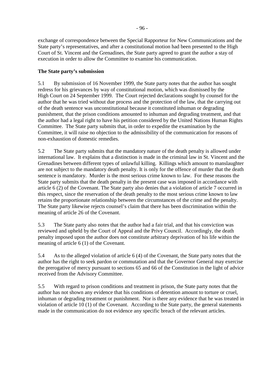exchange of correspondence between the Special Rapporteur for New Communications and the State party's representatives, and after a constitutional motion had been presented to the High Court of St. Vincent and the Grenadines, the State party agreed to grant the author a stay of execution in order to allow the Committee to examine his communication.

# **The State party's submission**

5.1 By submission of 16 November 1999, the State party notes that the author has sought redress for his grievances by way of constitutional motion, which was dismissed by the High Court on 24 September 1999. The Court rejected declarations sought by counsel for the author that he was tried without due process and the protection of the law, that the carrying out of the death sentence was unconstitutional because it constituted inhuman or degrading punishment, that the prison conditions amounted to inhuman and degrading treatment, and that the author had a legal right to have his petition considered by the United Nations Human Rights Committee. The State party submits that, in order to expedite the examination by the Committee, it will raise no objection to the admissibility of the communication for reasons of non-exhaustion of domestic remedies.

5.2 The State party submits that the mandatory nature of the death penalty is allowed under international law. It explains that a distinction is made in the criminal law in St. Vincent and the Grenadines between different types of unlawful killing. Killings which amount to manslaughter are not subject to the mandatory death penalty. It is only for the offence of murder that the death sentence is mandatory. Murder is the most serious crime known to law. For these reasons the State party submits that the death penalty in the present case was imposed in accordance with article 6 (2) of the Covenant. The State party also denies that a violation of article 7 occurred in this respect, since the reservation of the death penalty to the most serious crime known to law retains the proportionate relationship between the circumstances of the crime and the penalty. The State party likewise rejects counsel's claim that there has been discrimination within the meaning of article 26 of the Covenant.

5.3 The State party also notes that the author had a fair trial, and that his conviction was reviewed and upheld by the Court of Appeal and the Privy Council. Accordingly, the death penalty imposed upon the author does not constitute arbitrary deprivation of his life within the meaning of article 6 (1) of the Covenant.

5.4 As to the alleged violation of article 6 (4) of the Covenant, the State party notes that the author has the right to seek pardon or commutation and that the Governor General may exercise the prerogative of mercy pursuant to sections 65 and 66 of the Constitution in the light of advice received from the Advisory Committee.

5.5 With regard to prison conditions and treatment in prison, the State party notes that the author has not shown any evidence that his conditions of detention amount to torture or cruel, inhuman or degrading treatment or punishment. Nor is there any evidence that he was treated in violation of article 10 (1) of the Covenant. According to the State party, the general statements made in the communication do not evidence any specific breach of the relevant articles.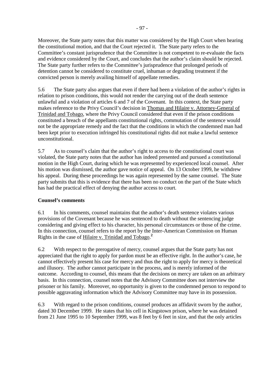Moreover, the State party notes that this matter was considered by the High Court when hearing the constitutional motion, and that the Court rejected it. The State party refers to the Committee's constant jurisprudence that the Committee is not competent to re-evaluate the facts and evidence considered by the Court, and concludes that the author's claim should be rejected. The State party further refers to the Committee's jurisprudence that prolonged periods of detention cannot be considered to constitute cruel, inhuman or degrading treatment if the convicted person is merely availing himself of appellate remedies.

5.6 The State party also argues that even if there had been a violation of the author's rights in relation to prison conditions, this would not render the carrying out of the death sentence unlawful and a violation of articles 6 and 7 of the Covenant. In this context, the State party makes reference to the Privy Council's decision in Thomas and Hilaire v. Attorney-General of Trinidad and Tobago, where the Privy Council considered that even if the prison conditions constituted a breach of the appellants constitutional rights, commutation of the sentence would not be the appropriate remedy and the fact that the conditions in which the condemned man had been kept prior to execution infringed his constitutional rights did not make a lawful sentence unconstitutional.

5.7 As to counsel's claim that the author's right to access to the constitutional court was violated, the State party notes that the author has indeed presented and pursued a constitutional motion in the High Court, during which he was represented by experienced local counsel. After his motion was dismissed, the author gave notice of appeal. On 13 October 1999, he withdrew his appeal. During these proceedings he was again represented by the same counsel. The State party submits that this is evidence that there has been no conduct on the part of the State which has had the practical effect of denying the author access to court.

## **Counsel's comments**

6.1 In his comments, counsel maintains that the author's death sentence violates various provisions of the Covenant because he was sentenced to death without the sentencing judge considering and giving effect to his character, his personal circumstances or those of the crime. In this connection, counsel refers to the report by the Inter-American Commission on Human Rights in the case of Hilaire v. Trinidad and Tobago. **2**

6.2 With respect to the prerogative of mercy, counsel argues that the State party has not appreciated that the right to apply for pardon must be an effective right. In the author's case, he cannot effectively present his case for mercy and thus the right to apply for mercy is theoretical and illusory. The author cannot participate in the process, and is merely informed of the outcome. According to counsel, this means that the decisions on mercy are taken on an arbitrary basis. In this connection, counsel notes that the Advisory Committee does not interview the prisoner or his family. Moreover, no opportunity is given to the condemned person to respond to possible aggravating information which the Advisory Committee may have in its possession.

6.3 With regard to the prison conditions, counsel produces an affidavit sworn by the author, dated 30 December 1999. He states that his cell in Kingstown prison, where he was detained from 21 June 1995 to 10 September 1999, was 8 feet by 6 feet in size, and that the only articles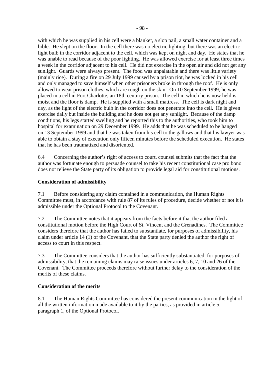with which he was supplied in his cell were a blanket, a slop pail, a small water container and a bible. He slept on the floor. In the cell there was no electric lighting, but there was an electric light bulb in the corridor adjacent to the cell, which was kept on night and day. He states that he was unable to read because of the poor lighting. He was allowed exercise for at least three times a week in the corridor adjacent to his cell. He did not exercise in the open air and did not get any sunlight. Guards were always present. The food was unpalatable and there was little variety (mainly rice). During a fire on 29 July 1999 caused by a prison riot, he was locked in his cell and only managed to save himself when other prisoners broke in through the roof. He is only allowed to wear prison clothes, which are rough on the skin. On 10 September 1999, he was placed in a cell in Fort Charlotte, an 18th century prison. The cell in which he is now held is moist and the floor is damp. He is supplied with a small mattress. The cell is dark night and day, as the light of the electric bulb in the corridor does not penetrate into the cell. He is given exercise daily but inside the building and he does not get any sunlight. Because of the damp conditions, his legs started swelling and he reported this to the authorities, who took him to hospital for examination on 29 December 1999. He adds that he was scheduled to be hanged on 13 September 1999 and that he was taken from his cell to the gallows and that his lawyer was able to obtain a stay of execution only fifteen minutes before the scheduled execution. He states that he has been traumatized and disoriented.

6.4 Concerning the author's right of access to court, counsel submits that the fact that the author was fortunate enough to persuade counsel to take his recent constitutional case pro bono does not relieve the State party of its obligation to provide legal aid for constitutional motions.

### **Consideration of admissibility**

7.1 Before considering any claim contained in a communication, the Human Rights Committee must, in accordance with rule 87 of its rules of procedure, decide whether or not it is admissible under the Optional Protocol to the Covenant.

7.2 The Committee notes that it appears from the facts before it that the author filed a constitutional motion before the High Court of St. Vincent and the Grenadines. The Committee considers therefore that the author has failed to substantiate, for purposes of admissibility, his claim under article 14 (1) of the Covenant, that the State party denied the author the right of access to court in this respect.

7.3 The Committee considers that the author has sufficiently substantiated, for purposes of admissibility, that the remaining claims may raise issues under articles 6, 7, 10 and 26 of the Covenant. The Committee proceeds therefore without further delay to the consideration of the merits of these claims.

#### **Consideration of the merits**

8.1 The Human Rights Committee has considered the present communication in the light of all the written information made available to it by the parties, as provided in article 5, paragraph 1, of the Optional Protocol.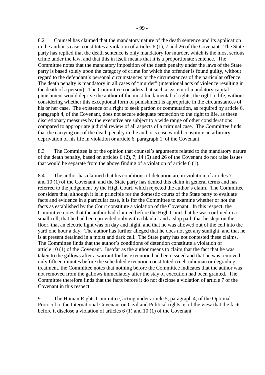8.2 Counsel has claimed that the mandatory nature of the death sentence and its application in the author's case, constitutes a violation of articles 6 (1), 7 and 26 of the Covenant. The State party has replied that the death sentence is only mandatory for murder, which is the most serious crime under the law, and that this in itself means that it is a proportionate sentence. The Committee notes that the mandatory imposition of the death penalty under the laws of the State party is based solely upon the category of crime for which the offender is found guilty, without regard to the defendant's personal circumstances or the circumstances of the particular offence. The death penalty is mandatory in all cases of "murder" (intentional acts of violence resulting in the death of a person). The Committee considers that such a system of mandatory capital punishment would deprive the author of the most fundamental of rights, the right to life, without considering whether this exceptional form of punishment is appropriate in the circumstances of his or her case. The existence of a right to seek pardon or commutation, as required by article 6, paragraph 4, of the Covenant, does not secure adequate protection to the right to life, as these discretionary measures by the executive are subject to a wide range of other considerations compared to appropriate judicial review of all aspects of a criminal case. The Committee finds that the carrying out of the death penalty in the author's case would constitute an arbitrary deprivation of his life in violation or article 6, paragraph 1, of the Covenant.

8.3 The Committee is of the opinion that counsel's arguments related to the mandatory nature of the death penalty, based on articles 6 (2), 7, 14 (5) and 26 of the Covenant do not raise issues that would be separate from the above finding of a violation of article 6 (1).

8.4 The author has claimed that his conditions of detention are in violation of articles 7 and 10 (1) of the Covenant, and the State party has denied this claim in general terms and has referred to the judgement by the High Court, which rejected the author's claim. The Committee considers that, although it is in principle for the domestic courts of the State party to evaluate facts and evidence in a particular case, it is for the Committee to examine whether or not the facts as established by the Court constitute a violation of the Covenant. In this respect, the Committee notes that the author had claimed before the High Court that he was confined in a small cell, that he had been provided only with a blanket and a slop pail, that he slept on the floor, that an electric light was on day and night, and that he was allowed out of the cell into the yard one hour a day. The author has further alleged that he does not get any sunlight, and that he is at present detained in a moist and dark cell. The State party has not contested these claims. The Committee finds that the author's conditions of detention constitute a violation of article 10 (1) of the Covenant. Insofar as the author means to claim that the fact that he was taken to the gallows after a warrant for his execution had been issued and that he was removed only fifteen minutes before the scheduled execution constituted cruel, inhuman or degrading treatment, the Committee notes that nothing before the Committee indicates that the author was not removed from the gallows immediately after the stay of execution had been granted. The Committee therefore finds that the facts before it do not disclose a violation of article 7 of the Covenant in this respect.

9. The Human Rights Committee, acting under article 5, paragraph 4, of the Optional Protocol to the International Covenant on Civil and Political rights, is of the view that the facts before it disclose a violation of articles 6 (1) and 10 (1) of the Covenant.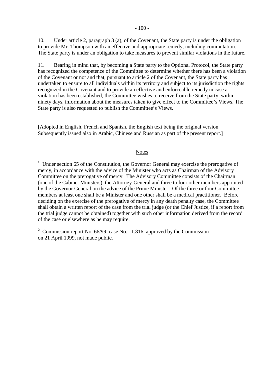10. Under article 2, paragraph 3 (a), of the Covenant, the State party is under the obligation to provide Mr. Thompson with an effective and appropriate remedy, including commutation. The State party is under an obligation to take measures to prevent similar violations in the future.

11. Bearing in mind that, by becoming a State party to the Optional Protocol, the State party has recognized the competence of the Committee to determine whether there has been a violation of the Covenant or not and that, pursuant to article 2 of the Covenant, the State party has undertaken to ensure to all individuals within its territory and subject to its jurisdiction the rights recognized in the Covenant and to provide an effective and enforceable remedy in case a violation has been established, the Committee wishes to receive from the State party, within ninety days, information about the measures taken to give effect to the Committee's Views. The State party is also requested to publish the Committee's Views.

[Adopted in English, French and Spanish, the English text being the original version. Subsequently issued also in Arabic, Chinese and Russian as part of the present report.]

#### **Notes**

<sup>1</sup> Under section 65 of the Constitution, the Governor General may exercise the prerogative of mercy, in accordance with the advice of the Minister who acts as Chairman of the Advisory Committee on the prerogative of mercy. The Advisory Committee consists of the Chairman (one of the Cabinet Ministers), the Attorney-General and three to four other members appointed by the Governor General on the advice of the Prime Minister. Of the three or four Committee members at least one shall be a Minister and one other shall be a medical practitioner. Before deciding on the exercise of the prerogative of mercy in any death penalty case, the Committee shall obtain a written report of the case from the trial judge (or the Chief Justice, if a report from the trial judge cannot be obtained) together with such other information derived from the record of the case or elsewhere as he may require.

<sup>2</sup> Commission report No. 66/99, case No. 11.816, approved by the Commission on 21 April 1999, not made public.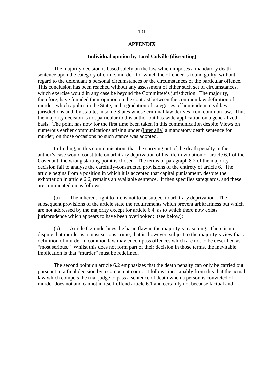#### - 101 -

#### **APPENDIX**

#### **Individual opinion by Lord Colville (dissenting)**

 The majority decision is based solely on the law which imposes a mandatory death sentence upon the category of crime, murder, for which the offender is found guilty, without regard to the defendant's personal circumstances or the circumstances of the particular offence. This conclusion has been reached without any assessment of either such set of circumstances, which exercise would in any case be beyond the Committee's jurisdiction. The majority, therefore, have founded their opinion on the contrast between the common law definition of murder, which applies in the State, and a gradation of categories of homicide in civil law jurisdictions and, by statute, in some States whose criminal law derives from common law. Thus the majority decision is not particular to this author but has wide application on a generalized basis. The point has now for the first time been taken in this communication despite Views on numerous earlier communications arising under (inter alia) a mandatory death sentence for murder; on those occasions no such stance was adopted.

 In finding, in this communication, that the carrying out of the death penalty in the author's case would constitute on arbitrary deprivation of his life in violation of article 6.1 of the Covenant, the wrong starting-point is chosen. The terms of paragraph 8.2 of the majority decision fail to analyse the carefully-constructed provisions of the entirety of article 6. The article begins from a position in which it is accepted that capital punishment, despite the exhortation in article 6.6, remains an available sentence. It then specifies safeguards, and these are commented on as follows:

 (a) The inherent right to life is not to be subject to arbitrary deprivation. The subsequent provisions of the article state the requirements which prevent arbitrariness but which are not addressed by the majority except for article 6.4, as to which there now exists jurisprudence which appears to have been overlooked: (see below);

 (b) Article 6.2 underlines the basic flaw in the majority's reasoning. There is no dispute that murder is a most serious crime; that is, however, subject to the majority's view that a definition of murder in common law may encompass offences which are not to be described as "most serious." Whilst this does not form part of their decision in those terms, the inevitable implication is that "murder" must be redefined.

 The second point on article 6.2 emphasizes that the death penalty can only be carried out pursuant to a final decision by a competent court. It follows inescapably from this that the actual law which compels the trial judge to pass a sentence of death when a person is convicted of murder does not and cannot in itself offend article 6.1 and certainly not because factual and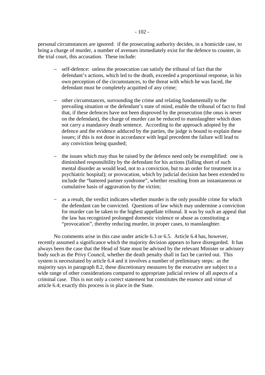personal circumstances are ignored: if the prosecuting authority decides, in a homicide case, to bring a charge of murder, a number of avenues immediately exist for the defence to counter, in the trial court, this accusation. These include:

- − self-defence: unless the prosecution can satisfy the tribunal of fact that the defendant's actions, which led to the death, exceeded a proportional response, in his own perception of the circumstances, to the threat with which he was faced, the defendant must be completely acquitted of any crime;
- − other circumstances, surrounding the crime and relating fundamentally to the prevailing situation or the defendant's state of mind, enable the tribunal of fact to find that, if these defences have not been disproved by the prosecution (the onus is never on the defendant), the charge of murder can be reduced to manslaughter which does not carry a mandatory death sentence. According to the approach adopted by the defence and the evidence adduced by the parties, the judge is bound to explain these issues; if this is not done in accordance with legal precedent the failure will lead to any conviction being quashed;
- − the issues which may thus be raised by the defence need only be exemplified: one is diminished responsibility by the defendant for his actions (falling short of such mental disorder as would lead, not to a conviction, but to an order for treatment in a psychiatric hospital); or provocation, which by judicial decision has been extended to include the "battered partner syndrome", whether resulting from an instantaneous or cumulative basis of aggravation by the victim;
- as a result, the verdict indicates whether murder is the only possible crime for which the defendant can be convicted. Questions of law which may undermine a conviction for murder can be taken to the highest appellate tribunal. It was by such an appeal that the law has recognized prolonged domestic violence or abuse as constituting a "provocation", thereby reducing murder, in proper cases, to manslaughter.

 No comments arise in this case under article 6.3 or 6.5. Article 6.4 has, however, recently assumed a significance which the majority decision appears to have disregarded. It has always been the case that the Head of State must be advised by the relevant Minister or advisory body such as the Privy Council, whether the death penalty shall in fact be carried out. This system is necessitated by article 6.4 and it involves a number of preliminary steps: as the majority says in paragraph 8.2, these discretionary measures by the executive are subject to a wide range of other considerations compared to appropriate judicial review of all aspects of a criminal case. This is not only a correct statement but constitutes the essence and virtue of article 6.4; exactly this process is in place in the State.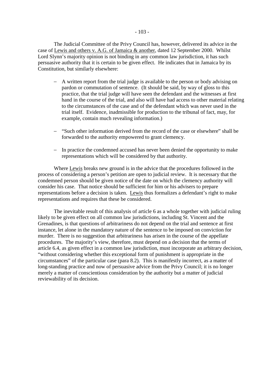The Judicial Committee of the Privy Council has, however, delivered its advice in the case of Lewis and others v. A.G. of Jamaica & another, dated 12 September 2000. Whilst Lord Slynn's majority opinion is not binding in any common law jurisdiction, it has such persuasive authority that it is certain to be given effect. He indicates that in Jamaica by its Constitution, but similarly elsewhere:

- − A written report from the trial judge is available to the person or body advising on pardon or commutation of sentence. (It should be said, by way of gloss to this practice, that the trial judge will have seen the defendant and the witnesses at first hand in the course of the trial, and also will have had access to other material relating to the circumstances of the case and of the defendant which was never used in the trial itself. Evidence, inadmissible for production to the tribunal of fact, may, for example, contain much revealing information.)
- − "Such other information derived from the record of the case or elsewhere" shall be forwarded to the authority empowered to grant clemency.
- − In practice the condemned accused has never been denied the opportunity to make representations which will be considered by that authority.

 Where Lewis breaks new ground is in the advice that the procedures followed in the process of considering a person's petition are open to judicial review. It is necessary that the condemned person should be given notice of the date on which the clemency authority will consider his case. That notice should be sufficient for him or his advisers to prepare representations before a decision is taken. Lewis thus formalizes a defendant's right to make representations and requires that these be considered.

 The inevitable result of this analysis of article 6 as a whole together with judicial ruling likely to be given effect on all common law jurisdictions, including St. Vincent and the Grenadines, is that questions of arbitrariness do not depend on the trial and sentence at first instance, let alone in the mandatory nature of the sentence to be imposed on conviction for murder. There is no suggestion that arbitrariness has arisen in the course of the appellate procedures. The majority's view, therefore, must depend on a decision that the terms of article 6.4, as given effect in a common law jurisdiction, must incorporate an arbitrary decision, "without considering whether this exceptional form of punishment is appropriate in the circumstances" of the particular case (para 8.2). This is manifestly incorrect, as a matter of long-standing practice and now of persuasive advice from the Privy Council; it is no longer merely a matter of conscientious consideration by the authority but a matter of judicial reviewability of its decision.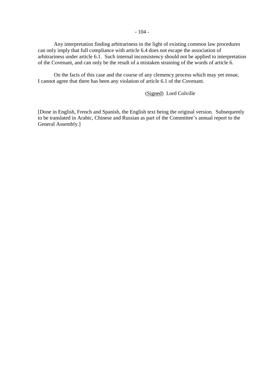Any interpretation finding arbitrariness in the light of existing common law procedures can only imply that full compliance with article 6.4 does not escape the association of arbitrariness under article 6.1. Such internal inconsistency should not be applied to interpretation of the Covenant, and can only be the result of a mistaken straining of the words of article 6.

 On the facts of this case and the course of any clemency process which may yet ensue, I cannot agree that there has been any violation of article 6.1 of the Covenant.

### (Signed) Lord Colville

[Done in English, French and Spanish, the English text being the original version. Subsequently to be translated in Arabic, Chinese and Russian as part of the Committee's annual report to the General Assembly.]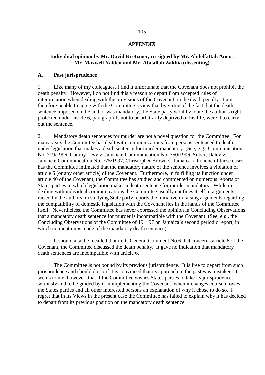## **APPENDIX**

### **Individual opinion by Mr. David Kretzmer, co-signed by Mr. Abdelfattah Amor, Mr. Maxwell Yalden and Mr. Abdallah Zakhia (dissenting)**

#### **A. Past jurisprudence**

1. Like many of my colleagues, I find it unfortunate that the Covenant does not prohibit the death penalty. However, I do not find this a reason to depart from accepted rules of interpretation when dealing with the provisions of the Covenant on the death penalty. I am therefore unable to agree with the Committee's view that by virtue of the fact that the death sentence imposed on the author was mandatory, the State party would violate the author's right, protected under article 6, paragraph 1, not to be arbitrarily deprived of his life, were it to carry out the sentence.

2. Mandatory death sentences for murder are not a novel question for the Committee. For many years the Committee has dealt with communications from persons sentenced to death under legislation that makes a death sentence for murder mandatory. (See, e.g., Communication No. 719/1996, Conroy Levy v. Jamaica; Communication No. 750/1996, Silbert Daley v. Jamaica; Communication No. 775/1997, Christopher Brown v. Jamaica.) In none of these cases has the Committee intimated that the mandatory nature of the sentence involves a violation of article 6 (or any other article) of the Covenant. Furthermore, in fulfilling its function under article 40 of the Covenant, the Committee has studied and commented on numerous reports of States parties in which legislation makes a death sentence for murder mandatory. While in dealing with individual communications the Committee usually confines itself to arguments raised by the authors, in studying State party reports the initiative in raising arguments regarding the compatibility of domestic legislation with the Covenant lies in the hands of the Committee itself. Nevertheless, the Committee has never expressed the opinion in Concluding Observations that a mandatory death sentence for murder is incompatible with the Covenant. (See, e.g., the Concluding Observations of the Committee of 19.1.97 on Jamaica's second periodic report, in which no mention is made of the mandatory death sentence).

 It should also be recalled that in its General Comment No.6 that concerns article 6 of the Covenant, the Committee discussed the death penalty. It gave no indication that mandatory death sentences are incompatible with article 6.

 The Committee is not bound by its previous jurisprudence. It is free to depart from such jurisprudence and should do so if it is convinced that its approach in the past was mistaken. It seems to me, however, that if the Committee wishes States parties to take its jurisprudence seriously and to be guided by it in implementing the Covenant, when it changes course it owes the States parties and all other interested persons an explanation of why it chose to do so. I regret that in its Views in the present case the Committee has failed to explain why it has decided to depart from its previous position on the mandatory death sentence.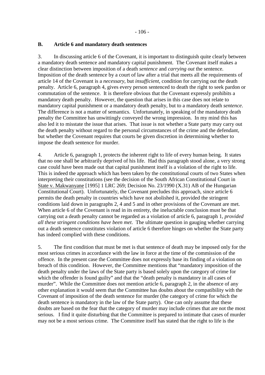#### **B. Article 6 and mandatory death sentences**

3. In discussing article 6 of the Covenant, it is important to distinguish quite clearly between a mandatory death sentence and mandatory capital punishment. The Covenant itself makes a clear distinction between imposition of a death *sentence* and *carrying out* the sentence. Imposition of the death sentence by a court of law after a trial that meets all the requirements of article 14 of the Covenant is a *necessary*, but *insufficient*, condition for carrying out the death penalty. Article 6, paragraph 4, gives every person sentenced to death the right to seek pardon or commutation of the sentence. It is therefore obvious that the Covenant expressly prohibits a mandatory death penalty. However, the question that arises in this case does not relate to mandatory capital punishment or a mandatory death penalty, but to a mandatory death *sentence*. The difference is not a matter of semantics. Unfortunately, in speaking of the mandatory death penalty the Committee has unwittingly conveyed the wrong impression. In my mind this has also led it to misstate the issue that arises. That issue is not whether a State party may carry out the death penalty without regard to the personal circumstances of the crime and the defendant, but whether the Covenant requires that courts be given discretion in determining whether to impose the death sentence for murder.

4. Article 6, paragraph 1, protects the inherent right to life of every human being. It states that no one shall be arbitrarily deprived of his life. Had this paragraph stood alone, a very strong case could have been made out that capital punishment itself is a violation of the right to life. This is indeed the approach which has been taken by the constitutional courts of two States when interpreting their constitutions (see the decision of the South African Constitutional Court in State v. Makwanyane [1995] 1 LRC 269; Decision No. 23/1990 (X.31) AB of the Hungarian Constitutional Court). Unfortunately, the Covenant precludes this approach, since article 6 permits the death penalty in countries which have not abolished it, provided the stringent conditions laid down in paragraphs 2, 4 and 5 and in other provisions of the Covenant are met. When article 6 of the Covenant is read in its entirety, the ineluctable conclusion must be that carrying out a death penalty cannot be regarded as a violation of article 6, paragraph 1, *provided all these stringent conditions have been met*. The ultimate question in gauging whether carrying out a death sentence constitutes violation of article 6 therefore hinges on whether the State party has indeed complied with these conditions.

5. The first condition that must be met is that sentence of death may be imposed only for the most serious crimes in accordance with the law in force at the time of the commission of the offence. In the present case the Committee does not expressly base its finding of a violation on breach of this condition. However, the Committee mentions that "mandatory imposition of the death penalty under the laws of the State party is based solely upon the category of crime for which the offender is found guilty" and that the "death penalty is mandatory in all cases of murder". While the Committee does not mention article 6, paragraph 2, in the absence of any other explanation it would seem that the Committee has doubts about the compatibility with the Covenant of imposition of the death sentence for murder (the category of crime for which the death sentence is mandatory in the law of the State party). One can only assume that these doubts are based on the fear that the category of murder may include crimes that are not the most serious. I find it quite disturbing that the Committee is prepared to intimate that cases of murder may not be a most serious crime. The Committee itself has stated that the right to life is the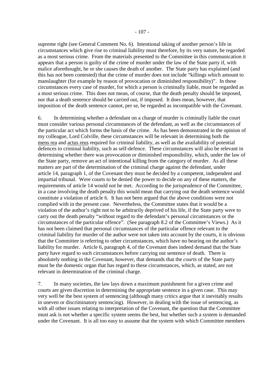supreme right (see General Comment No. 6). Intentional taking of another person's life in circumstances which give rise to criminal liability must therefore, by its very nature, be regarded as a most serious crime. From the materials presented to the Committee in this communication it appears that a person is guilty of the crime of murder under the law of the State party if, with malice aforethought, he or she causes the death of another. The State party has explained (and this has not been contested) that the crime of murder does not include "killings which amount to manslaughter (for example by reason of provocation or diminished responsibility)". In these circumstances every case of murder, for which a person is criminally liable, must be regarded as a most serious crime. This does not mean, of course, that the death penalty should be imposed, nor that a death sentence should be carried out, if imposed. It does mean, however, that imposition of the death sentence cannot, per se, be regarded as incompatible with the Covenant.

6. In determining whether a defendant on a charge of murder is criminally liable the court must consider various personal circumstances of the defendant, as well as the circumstances of the particular act which forms the basis of the crime. As has been demonstrated in the opinion of my colleague, Lord Colville, these circumstances will be relevant in determining both the mens rea and actus reus required for criminal liability, as well as the availability of potential defences to criminal liability, such as self-defence. These circumstances will also be relevant in determining whether there was provocation or diminished responsibility, which, under the law of the State party, remove an act of intentional killing from the category of murder. As all these matters are part of the determination of the criminal charge against the defendant, under article 14, paragraph 1, of the Covenant they must be decided by a competent, independent and impartial tribunal. Were courts to be denied the power to decide on any of these matters, the requirements of article 14 would not be met. According to the jurisprudence of the Committee, in a case involving the death penalty this would mean that carrying out the death sentence would constitute a violation of article 6. It has not been argued that the above conditions were not complied with in the present case. Nevertheless, the Committee states that it would be a violation of the author's right not to be arbitrarily deprived of his life, if the State party were to carry out the death penalty "without regard to the defendant's personal circumstances or the circumstances of the particular offence". (See paragraph 8.2 of the Committee's Views.) As it has not been claimed that personal circumstances of the particular offence relevant to the criminal liability for murder of the author were not taken into account by the courts, it is obvious that the Committee is referring to other circumstances, which have no bearing on the author's liability for murder. Article 6, paragraph 4, of the Covenant does indeed demand that the State party have regard to such circumstances before carrying out sentence of death. There is absolutely nothing in the Covenant, however, that demands that the *courts* of the State party must be the domestic organ that has regard to these circumstances, which, as stated, are not relevant in determination of the criminal charge.

7. In many societies, the law lays down a maximum punishment for a given crime and courts are given discretion in determining the appropriate sentence in a given case. This may very well be the best system of sentencing (although many critics argue that it inevitably results in uneven or discriminatory sentencing). However, in dealing with the issue of sentencing, as with all other issues relating to interpretation of the Covenant, the question that the Committee must ask is not whether a specific system seems the best, but whether such a system is demanded under the Covenant. It is all too easy to assume that the system with which Committee members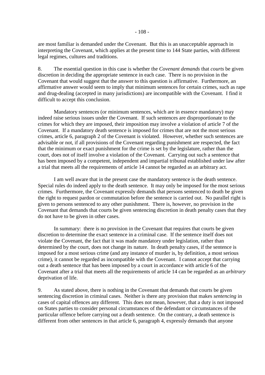are most familiar is demanded under the Covenant. But this is an unacceptable approach in interpreting the Covenant, which applies at the present time to 144 State parties, with different legal regimes, cultures and traditions.

8. The essential question in this case is whether the *Covenant demands* that *courts* be given discretion in deciding the appropriate sentence in each case. There is no provision in the Covenant that would suggest that the answer to this question is affirmative. Furthermore, an affirmative answer would seem to imply that minimum sentences for certain crimes, such as rape and drug-dealing (accepted in many jurisdictions) are incompatible with the Covenant. I find it difficult to accept this conclusion.

 Mandatory sentences (or minimum sentences, which are in essence mandatory) may indeed raise serious issues under the Covenant. If such sentences are disproportionate to the crimes for which they are imposed, their imposition may involve a violation of article 7 of the Covenant. If a mandatory death sentence is imposed for crimes that are not the most serious crimes, article 6, paragraph 2 of the Covenant is violated. However, whether such sentences are advisable or not, if all provisions of the Covenant regarding punishment are respected, the fact that the minimum or exact punishment for the crime is set by the legislature, rather than the court, does not of itself involve a violation of the Covenant. Carrying out such a sentence that has been imposed by a competent, independent and impartial tribunal established under law after a trial that meets all the requirements of article 14 cannot be regarded as an arbitrary act.

 I am well aware that in the present case the mandatory sentence is the death sentence. Special rules do indeed apply to the death sentence. It may only be imposed for the most serious crimes. Furthermore, the Covenant expressly demands that persons sentenced to death be given the right to request pardon or commutation before the sentence is carried out. No parallel right is given to persons sentenced to any other punishment. There is, however, no provision in the Covenant that demands that courts be given sentencing discretion in death penalty cases that they do not have to be given in other cases.

 In summary: there is no provision in the Covenant that requires that courts be given discretion to determine the exact sentence in a criminal case. If the sentence itself does not violate the Covenant, the fact that it was made mandatory under legislation, rather than determined by the court, does not change its nature. In death penalty cases, if the sentence is imposed for a most serious crime (and any instance of murder is, by definition, a most serious crime), it cannot be regarded as incompatible with the Covenant. I cannot accept that carrying out a death sentence that has been imposed by a court in accordance with article 6 of the Covenant after a trial that meets all the requirements of article 14 can be regarded as an *arbitrary* deprivation of life.

9. As stated above, there is nothing in the Covenant that demands that courts be given sentencing discretion in criminal cases. Neither is there any provision that makes *sentencing* in cases of capital offences any different. This does not mean, however, that a duty is not imposed on States parties to consider personal circumstances of the defendant or circumstances of the particular offence before carrying out a death sentence. On the contrary, a death sentence is different from other sentences in that article 6, paragraph 4, expressly demands that anyone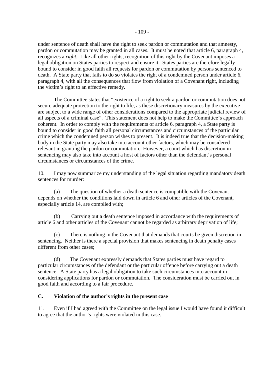under sentence of death shall have the right to seek pardon or commutation and that amnesty, pardon or commutation may be granted in all cases. It must be noted that article 6, paragraph 4, recognizes a *right*. Like all other rights, recognition of this right by the Covenant imposes a legal obligation on States parties to respect and ensure it. States parties are therefore legally bound to consider in good faith all requests for pardon or commutation by persons sentenced to death. A State party that fails to do so violates the right of a condemned person under article 6, paragraph 4, with all the consequences that flow from violation of a Covenant right, including the victim's right to an effective remedy.

 The Committee states that "existence of a right to seek a pardon or commutation does not secure adequate protection to the right to life, as these discretionary measures by the executive are subject to a wide range of other considerations compared to the appropriate judicial review of all aspects of a criminal case". This statement does not help to make the Committee's approach coherent. In order to comply with the requirements of article 6, paragraph 4, a State party is bound to consider in good faith all personal circumstances and circumstances of the particular crime which the condemned person wishes to present. It is indeed true that the decision-making body in the State party may also take into account other factors, which may be considered relevant in granting the pardon or commutation. However, a court which has discretion in sentencing may also take into account a host of factors other than the defendant's personal circumstances or circumstances of the crime.

10. I may now summarize my understanding of the legal situation regarding mandatory death sentences for murder:

 (a) The question of whether a death sentence is compatible with the Covenant depends on whether the conditions laid down in article 6 and other articles of the Covenant, especially article 14, are complied with;

 (b) Carrying out a death sentence imposed in accordance with the requirements of article 6 and other articles of the Covenant cannot be regarded as arbitrary deprivation of life;

 (c) There is nothing in the Covenant that demands that courts be given discretion in sentencing. Neither is there a special provision that makes sentencing in death penalty cases different from other cases;

 (d) The Covenant expressly demands that States parties must have regard to particular circumstances of the defendant or the particular offence before carrying out a death sentence. A State party has a legal obligation to take such circumstances into account in considering applications for pardon or commutation. The consideration must be carried out in good faith and according to a fair procedure.

# **C. Violation of the author's rights in the present case**

11. Even if I had agreed with the Committee on the legal issue I would have found it difficult to agree that the author's rights were violated in this case.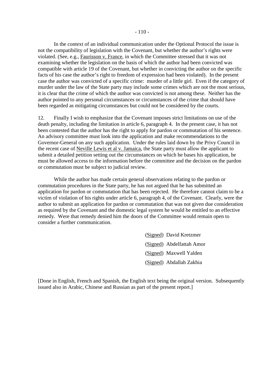In the context of an individual communication under the Optional Protocol the issue is not the compatibility of legislation with the Covenant, but whether the author's rights were violated. (See, e.g., Faurisson v. France, in which the Committee stressed that it was not examining whether the legislation on the basis of which the author had been convicted was compatible with article 19 of the Covenant, but whether in convicting the author on the specific facts of his case the author's right to freedom of expression had been violated). In the present case the author was convicted of a specific crime: murder of a little girl. Even if the category of murder under the law of the State party may include some crimes which are not the most serious, it is clear that the crime of which the author was convicted is not among these. Neither has the author pointed to any personal circumstances or circumstances of the crime that should have been regarded as mitigating circumstances but could not be considered by the courts.

12. Finally I wish to emphasize that the Covenant imposes strict limitations on use of the death penalty, including the limitation in article 6, paragraph 4. In the present case, it has not been contested that the author has the right to apply for pardon or commutation of his sentence. An advisory committee must look into the application and make recommendations to the Governor-General on any such application. Under the rules laid down by the Privy Council in the recent case of Neville Lewis et al v. Jamaica, the State party must allow the applicant to submit a detailed petition setting out the circumstances on which he bases his application, he must be allowed access to the information before the committee and the decision on the pardon or commutation must be subject to judicial review.

 While the author has made certain general observations relating to the pardon or commutation procedures in the State party, he has not argued that he has submitted an application for pardon or commutation that has been rejected. He therefore cannot claim to be a victim of violation of his rights under article 6, paragraph 4, of the Covenant. Clearly, were the author to submit an application for pardon or commutation that was not given due consideration as required by the Covenant and the domestic legal system he would be entitled to an effective remedy. Were that remedy denied him the doors of the Committee would remain open to consider a further communication.

> (Signed) David Kretzmer (Signed) Abdelfattah Amor (Signed) Maxwell Yalden (Signed) Abdallah Zakhia

[Done in English, French and Spanish, the English text being the original version. Subsequently issued also in Arabic, Chinese and Russian as part of the present report.]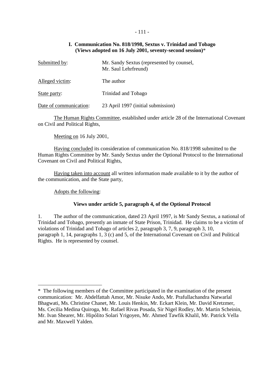# **I. Communication No. 818/1998, Sextus v. Trinidad and Tobago (Views adopted on 16 July 2001, seventy-second session)**\*

| Submitted by:          | Mr. Sandy Sextus (represented by counsel,<br>Mr. Saul Lehrfreund) |
|------------------------|-------------------------------------------------------------------|
| Alleged victim:        | The author                                                        |
| State party:           | Trinidad and Tobago                                               |
| Date of communication: | 23 April 1997 (initial submission)                                |

 The Human Rights Committee, established under article 28 of the International Covenant on Civil and Political Rights,

Meeting on 16 July 2001,

 Having concluded its consideration of communication No. 818/1998 submitted to the Human Rights Committee by Mr. Sandy Sextus under the Optional Protocol to the International Covenant on Civil and Political Rights,

 Having taken into account all written information made available to it by the author of the communication, and the State party,

Adopts the following:

 $\overline{a}$ 

# **Views under article 5, paragraph 4, of the Optional Protocol**

1. The author of the communication, dated 23 April 1997, is Mr Sandy Sextus, a national of Trinidad and Tobago, presently an inmate of State Prison, Trinidad. He claims to be a victim of violations of Trinidad and Tobago of articles 2, paragraph 3, 7, 9, paragraph 3, 10, paragraph 1, 14, paragraphs 1, 3 (c) and 5, of the International Covenant on Civil and Political Rights. He is represented by counsel.

#### - 111 -

<sup>\*</sup> The following members of the Committee participated in the examination of the present communication: Mr. Abdelfattah Amor, Mr. Nisuke Ando, Mr. Prafullachandra Natwarlal Bhagwati, Ms. Christine Chanet, Mr. Louis Henkin, Mr. Eckart Klein, Mr. David Kretzmer, Ms. Cecilia Medina Quiroga, Mr. Rafael Rivas Posada, Sir Nigel Rodley, Mr. Martin Scheinin, Mr. Ivan Shearer, Mr. Hipólito Solari Yrigoyen, Mr. Ahmed Tawfik Khalil, Mr. Patrick Vella and Mr. Maxwell Yalden.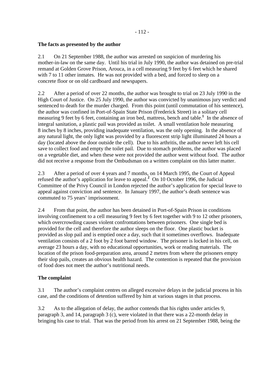## **The facts as presented by the author**

2.1 On 21 September 1988, the author was arrested on suspicion of murdering his mother-in-law on the same day. Until his trial in July 1990, the author was detained on pre-trial remand at Golden Grove Prison, Arouca, in a cell measuring 9 feet by 6 feet which he shared with 7 to 11 other inmates. He was not provided with a bed, and forced to sleep on a concrete floor or on old cardboard and newspapers.

2.2 After a period of over 22 months, the author was brought to trial on 23 July 1990 in the High Court of Justice. On 25 July 1990, the author was convicted by unanimous jury verdict and sentenced to death for the murder charged. From this point (until commutation of his sentence), the author was confined in Port-of-Spain State Prison (Frederick Street) in a solitary cell measuring 9 feet by 6 feet, containing an iron bed, mattress, bench and table.<sup>1</sup> In the absence of integral sanitation, a plastic pail was provided as toilet. A small ventilation hole measuring 8 inches by 8 inches, providing inadequate ventilation, was the only opening. In the absence of any natural light, the only light was provided by a fluorescent strip light illuminated 24 hours a day (located above the door outside the cell). Due to his arthritis, the author never left his cell save to collect food and empty the toilet pail. Due to stomach problems, the author was placed on a vegetable diet, and when these were not provided the author went without food. The author did not receive a response from the Ombudsman on a written complaint on this latter matter.

2.3 After a period of over 4 years and 7 months, on 14 March 1995, the Court of Appeal refused the author's application for leave to appeal.**<sup>2</sup>** On 10 October 1996, the Judicial Committee of the Privy Council in London rejected the author's application for special leave to appeal against conviction and sentence. In January 1997, the author's death sentence was commuted to 75 years' imprisonment.

2.4 From that point, the author has been detained in Port-of-Spain Prison in conditions involving confinement to a cell measuring 9 feet by 6 feet together with 9 to 12 other prisoners, which overcrowding causes violent confrontations between prisoners. One single bed is provided for the cell and therefore the author sleeps on the floor. One plastic bucket is provided as slop pail and is emptied once a day, such that it sometimes overflows. Inadequate ventilation consists of a 2 foot by 2 foot barred window. The prisoner is locked in his cell, on average 23 hours a day, with no educational opportunities, work or reading materials. The location of the prison food-preparation area, around 2 metres from where the prisoners empty their slop pails, creates an obvious health hazard. The contention is repeated that the provision of food does not meet the author's nutritional needs.

# **The complaint**

3.1 The author's complaint centres on alleged excessive delays in the judicial process in his case, and the conditions of detention suffered by him at various stages in that process.

3.2 As to the allegation of delay, the author contends that his rights under articles 9, paragraph 3, and 14, paragraph 3 (c), were violated in that there was a 22-month delay in bringing his case to trial. That was the period from his arrest on 21 September 1988, being the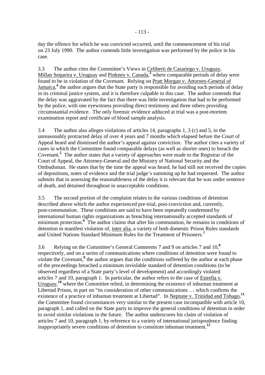day the offence for which he was convicted occurred, until the commencement of his trial on 23 July 1990. The author contends little investigation was performed by the police in his case.

3.3 The author cites the Committee's Views in Celiberti de Casariego v. Uruguay, Millan Sequeira v. Uruguay and Pinkney v. Canada,<sup>3</sup> where comparable periods of delay were found to be in violation of the Covenant. Relying on Pratt Morgan v. Attorney-General of Jamaica,<sup>4</sup> the author argues that the State party is responsible for avoiding such periods of delay in its criminal justice system, and it is therefore culpable in this case. The author contends that the delay was aggravated by the fact that there was little investigation that had to be performed by the police, with one eyewitness providing direct testimony and three others providing circumstantial evidence. The only forensic evidence adduced at trial was a post-mortem examination report and certificate of blood sample analysis.

3.4 The author also alleges violations of articles 14, paragraphs 1, 3 (c) and 5, in the unreasonably protracted delay of over 4 years and 7 months which elapsed before the Court of Appeal heard and dismissed the author's appeal against conviction. The author cites a variety of cases in which the Committee found comparable delays (as well as shorter ones) to breach the Covenant.**<sup>5</sup>** The author states that a variety of approaches were made to the Registrar of the Court of Appeal, the Attorney-General and the Ministry of National Security and the Ombudsman. He states that by the time the appeal was heard, he had still not received the copies of depositions, notes of evidence and the trial judge's summing up he had requested. The author submits that in assessing the reasonableness of the delay it is relevant that he was under sentence of death, and detained throughout in unacceptable conditions.

3.5 The second portion of the complaint relates to the various conditions of detention described above which the author experienced pre-trial, post-conviction and, currently, post-commutation. These conditions are said to have been repeatedly condemned by international human rights organizations as breaching internationally accepted standards of minimum protection.<sup>6</sup> The author claims that after his commutation, he remains in conditions of detention in manifest violation of, inter alia, a variety of both domestic Prison Rules standards and United Nations Standard Minimum Rules for the Treatment of Prisoners.**<sup>7</sup>**

3.6 Relying on the Committee's General Comments 7 and 9 on articles 7 and 10,**<sup>8</sup>** respectively, and on a series of communications where conditions of detention were found to violate the Covenant,<sup>9</sup> the author argues that the conditions suffered by the author at each phase of the proceedings breached a minimum inviolable standard of detention conditions (to be observed regardless of a State party's level of development) and accordingly violated articles 7 and 10, paragraph 1. In particular, the author refers to the case of Estrella v. Uruguay, **<sup>10</sup>** where the Committee relied, in determining the existence of inhuman treatment at Libertad Prison, in part on "its consideration of other communications … which confirms the existence of a practice of inhuman treatment at Libertad". In <u>Neptune v. Trinidad and Tobago</u>,<sup>11</sup> the Committee found circumstances very similar to the present case incompatible with article 10, paragraph 1, and called on the State party to improve the general conditions of detention in order to avoid similar violations in the future. The author underscores his claim of violation of articles 7 and 10, paragraph 1, by reference to a variety of international jurisprudence finding inappropriately severe conditions of detention to constitute inhuman treatment.**<sup>12</sup>**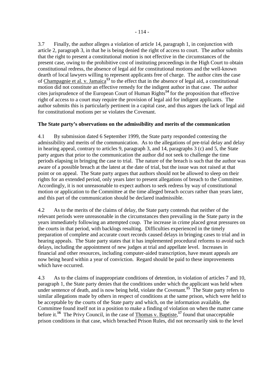3.7 Finally, the author alleges a violation of article 14, paragraph 1, in conjunction with article 2, paragraph 3, in that he is being denied the right of access to court. The author submits that the right to present a constitutional motion is not effective in the circumstances of the present case, owing to the prohibitive cost of instituting proceedings in the High Court to obtain constitutional redress, the absence of legal aid for constitutional motions and the well-known dearth of local lawyers willing to represent applicants free of charge. The author cites the case of Champagnie et al. v. Jamaica**<sup>13</sup>** to the effect that in the absence of legal aid, a constitutional motion did not constitute an effective remedy for the indigent author in that case. The author cites jurisprudence of the European Court of Human Rights**<sup>14</sup>** for the proposition that effective right of access to a court may require the provision of legal aid for indigent applicants. The author submits this is particularly pertinent in a capital case, and thus argues the lack of legal aid for constitutional motions per se violates the Covenant.

# **The State party's observations on the admissibility and merits of the communication**

4.1 By submission dated 6 September 1999, the State party responded contesting the admissibility and merits of the communication. As to the allegations of pre-trial delay and delay in hearing appeal, contrary to articles 9, paragraph 3, and 14, paragraphs 3 (c) and 5, the State party argues that prior to the communication the author did not seek to challenge the time periods elapsing in bringing the case to trial. The nature of the breach is such that the author was aware of a possible breach at the latest at the date of trial, but the issue was not raised at that point or on appeal. The State party argues that authors should not be allowed to sleep on their rights for an extended period, only years later to present allegations of breach to the Committee. Accordingly, it is not unreasonable to expect authors to seek redress by way of constitutional motion or application to the Committee at the time alleged breach occurs rather than years later, and this part of the communication should be declared inadmissible.

4.2 As to the merits of the claims of delay, the State party contends that neither of the relevant periods were unreasonable in the circumstances then prevailing in the State party in the years immediately following an attempted coup. The increase in crime placed great pressures on the courts in that period, with backlogs resulting. Difficulties experienced in the timely preparation of complete and accurate court records caused delays in bringing cases to trial and in hearing appeals. The State party states that it has implemented procedural reforms to avoid such delays, including the appointment of new judges at trial and appellate level. Increases in financial and other resources, including computer-aided transcription, have meant appeals are now being heard within a year of conviction. Regard should be paid to these improvements which have occurred.

4.3 As to the claims of inappropriate conditions of detention, in violation of articles 7 and 10, paragraph 1, the State party denies that the conditions under which the applicant was held when under sentence of death, and is now being held, violate the Covenant.<sup>15</sup> The State party refers to similar allegations made by others in respect of conditions at the same prison, which were held to be acceptable by the courts of the State party and which, on the information available, the Committee found itself not in a position to make a finding of violation on when the matter came before it.<sup>16</sup> The Privy Council, in the case of Thomas v. Baptiste,<sup>17</sup> found that unacceptable prison conditions in that case, which breached Prison Rules, did not necessarily sink to the level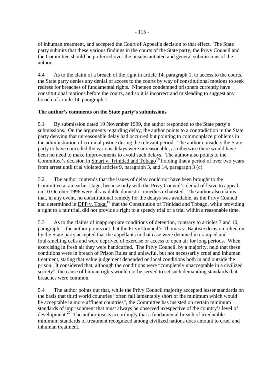of inhuman treatment, and accepted the Court of Appeal's decision to that effect. The State party submits that these various findings in the courts of the State party, the Privy Council and the Committee should be preferred over the unsubstantiated and general submissions of the author.

4.4 As to the claim of a breach of the right in article 14, paragraph 1, to access to the courts, the State party denies any denial of access to the courts by way of constitutional motions to seek redress for breaches of fundamental rights. Nineteen condemned prisoners currently have constitutional motions before the courts, and so it is incorrect and misleading to suggest any breach of article 14, paragraph 1.

# **The author's comments on the State party's submissions**

5.1 By submission dated 19 November 1999, the author responded to the State party's submissions. On the arguments regarding delay, the author points to a contradiction in the State party denying that unreasonable delay had occurred but pointing to commonplace problems in the administration of criminal justice during the relevant period. The author considers the State party to have conceded the various delays were unreasonable, as otherwise there would have been no need to make improvements to avoid such delays. The author also points to the Committee's decision in Smart v. Trinidad and Tobago<sup>18</sup> holding that a period of over two years from arrest until trial violated articles 9, paragraph 3, and 14, paragraph 3 (c).

5.2 The author contends that the issues of delay could not have been brought to the Committee at an earlier stage, because only with the Privy Council's denial of leave to appeal on 10 October 1996 were all available domestic remedies exhausted. The author also claims that, in any event, no constitutional remedy for the delays was available, as the Privy Council had determined in DPP v. Tokai**<sup>19</sup>** that the Constitution of Trinidad and Tobago, while providing a right to a fair trial, did not provide a right to a speedy trial or a trial within a reasonable time.

5.3 As to the claims of inappropriate conditions of detention, contrary to articles 7 and 10, paragraph 1, the author points out that the Privy Council's Thomas v. Baptiste decision relied on by the State party accepted that the appellants in that case were detained in cramped and foul-smelling cells and were deprived of exercise or access to open air for long periods. When exercising in fresh air they were handcuffed. The Privy Council, by a majority, held that these conditions were in breach of Prison Rules and unlawful, but not necessarily cruel and inhuman treatment, stating that value judgement depended on local conditions both in and outside the prison. It considered that, although the conditions were "completely unacceptable in a civilized society", the cause of human rights would not be served to set such demanding standards that breaches were common.

5.4 The author points out that, while the Privy Council majority accepted lesser standards on the basis that third world countries "often fall lamentably short of the minimum which would be acceptable in more affluent countries", the Committee has insisted on certain minimum standards of imprisonment that must always be observed irrespective of the country's level of development.**<sup>20</sup>** The author insists accordingly that a fundamental breach of irreducible minimum standards of treatment recognized among civilized nations does amount to cruel and inhuman treatment.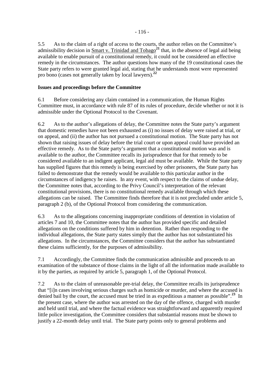5.5 As to the claim of a right of access to the courts, the author relies on the Committee's admissibility decision in Smart v. Trinidad and Tobago<sup>21</sup> that, in the absence of legal aid being available to enable pursuit of a constitutional remedy, it could not be considered an effective remedy in the circumstances. The author questions how many of the 19 constitutional cases the State party refers to were granted legal aid, stating that he understands most were represented pro bono (cases not generally taken by local lawyers).**<sup>22</sup>**

# **Issues and proceedings before the Committee**

6.1 Before considering any claim contained in a communication, the Human Rights Committee must, in accordance with rule 87 of its rules of procedure, decide whether or not it is admissible under the Optional Protocol to the Covenant.

6.2 As to the author's allegations of delay, the Committee notes the State party's argument that domestic remedies have not been exhausted as (i) no issues of delay were raised at trial, or on appeal, and (ii) the author has not pursued a constitutional motion. The State party has not shown that raising issues of delay before the trial court or upon appeal could have provided an effective remedy. As to the State party's argument that a constitutional motion was and is available to the author, the Committee recalls its jurisprudence that for that remedy to be considered available to an indigent applicant, legal aid must be available. While the State party has supplied figures that this remedy is being exercised by other prisoners, the State party has failed to demonstrate that the remedy would be available to this particular author in the circumstances of indigency he raises. In any event, with respect to the claims of undue delay, the Committee notes that, according to the Privy Council's interpretation of the relevant constitutional provisions, there is no constitutional remedy available through which these allegations can be raised. The Committee finds therefore that it is not precluded under article 5, paragraph 2 (b), of the Optional Protocol from considering the communication.

6.3 As to the allegations concerning inappropriate conditions of detention in violation of articles 7 and 10, the Committee notes that the author has provided specific and detailed allegations on the conditions suffered by him in detention. Rather than responding to the individual allegations, the State party states simply that the author has not substantiated his allegations. In the circumstances, the Committee considers that the author has substantiated these claims sufficiently, for the purposes of admissibility.

7.1 Accordingly, the Committee finds the communication admissible and proceeds to an examination of the substance of those claims in the light of all the information made available to it by the parties, as required by article 5, paragraph 1, of the Optional Protocol.

7.2 As to the claim of unreasonable pre-trial delay, the Committee recalls its jurisprudence that "[i]n cases involving serious charges such as homicide or murder, and where the accused is denied bail by the court, the accused must be tried in as expeditious a manner as possible".**<sup>23</sup>** In the present case, where the author was arrested on the day of the offence, charged with murder and held until trial, and where the factual evidence was straightforward and apparently required little police investigation, the Committee considers that substantial reasons must be shown to justify a 22-month delay until trial. The State party points only to general problems and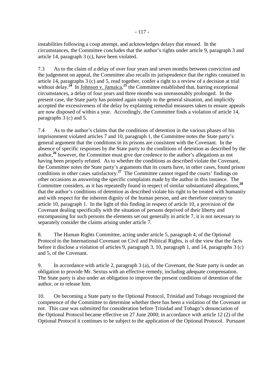instabilities following a coup attempt, and acknowledges delays that ensued. In the circumstances, the Committee concludes that the author's rights under article 9, paragraph 3 and article 14, paragraph 3 (c), have been violated.

7.3 As to the claim of a delay of over four years and seven months between conviction and the judgement on appeal, the Committee also recalls its jurisprudence that the rights contained in article 14, paragraphs 3 (c) and 5, read together, confer a right to a review of a decision at trial without delay.<sup>24</sup> In <u>Johnson v. Jamaica</u>,<sup>25</sup> the Committee established that, barring exceptional circumstances, a delay of four years and three months was unreasonably prolonged. In the present case, the State party has pointed again simply to the general situation, and implicitly accepted the excessiveness of the delay by explaining remedial measures taken to ensure appeals are now disposed of within a year. Accordingly, the Committee finds a violation of article 14, paragraphs 3 (c) and 5.

7.4 As to the author's claims that the conditions of detention in the various phases of his imprisonment violated articles 7 and 10, paragraph 1, the Committee notes the State party's general argument that the conditions in its prisons are consistent with the Covenant. In the absence of specific responses by the State party to the conditions of detention as described by the author,**<sup>26</sup>** however, the Committee must give due credence to the author's allegations as not having been properly refuted. As to whether the conditions as described violate the Covenant, the Committee notes the State party's arguments that its courts have, in other cases, found prison conditions in other cases satisfactory.**<sup>27</sup>** The Committee cannot regard the courts' findings on other occasions as answering the specific complaints made by the author in this instance. The Committee considers, as it has repeatedly found in respect of similar substantiated allegations,**<sup>28</sup>** that the author's conditions of detention as described violate his right to be treated with humanity and with respect for the inherent dignity of the human person, and are therefore contrary to article 10, paragraph 1. In the light of this finding in respect of article 10, a provision of the Covenant dealing specifically with the situation of persons deprived of their liberty and encompassing for such persons the elements set out generally in article 7, it is not necessary to separately consider the claims arising under article 7.

8. The Human Rights Committee, acting under article 5, paragraph 4, of the Optional Protocol to the International Covenant on Civil and Political Rights, is of the view that the facts before it disclose a violation of articles 9, paragraph 3, 10, paragraph 1, and 14, paragraphs 3 (c) and 5, of the Covenant.

9. In accordance with article 2, paragraph 3 (a), of the Covenant, the State party is under an obligation to provide Mr. Sextus with an effective remedy, including adequate compensation. The State party is also under an obligation to improve the present conditions of detention of the author, or to release him.

10. On becoming a State party to the Optional Protocol, Trinidad and Tobago recognized the competence of the Committee to determine whether there has been a violation of the Covenant or not. This case was submitted for consideration before Trinidad and Tobago's denunciation of the Optional Protocol became effective on 27 June 2000; in accordance with article 12 (2) of the Optional Protocol it continues to be subject to the application of the Optional Protocol. Pursuant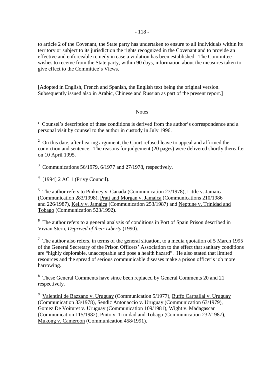to article 2 of the Covenant, the State party has undertaken to ensure to all individuals within its territory or subject to its jurisdiction the rights recognized in the Covenant and to provide an effective and enforceable remedy in case a violation has been established. The Committee wishes to receive from the State party, within 90 days, information about the measures taken to give effect to the Committee's Views.

[Adopted in English, French and Spanish, the English text being the original version. Subsequently issued also in Arabic, Chinese and Russian as part of the present report.]

### **Notes**

<sup>1</sup> Counsel's description of these conditions is derived from the author's correspondence and a personal visit by counsel to the author in custody in July 1996.

<sup>2</sup> On this date, after hearing argument, the Court refused leave to appeal and affirmed the conviction and sentence. The reasons for judgement (20 pages) were delivered shortly thereafter on 10 April 1995.

**3** Communications 56/1979, 6/1977 and 27/1978, respectively.

**4** [1994] 2 AC 1 (Privy Council).

<sup>5</sup> The author refers to Pinkney v. Canada (Communication 27/1978), Little v. Jamaica (Communication 283/1998), Pratt and Morgan v. Jamaica (Communications 210/1986 and 226/1987), Kelly v. Jamaica (Communication 253/1987) and Neptune v. Trinidad and Tobago (Communication 523/1992).

<sup>6</sup> The author refers to a general analysis of conditions in Port of Spain Prison described in Vivian Stern, *Deprived of their Liberty* (1990).

<sup>7</sup> The author also refers, in terms of the general situation, to a media quotation of 5 March 1995 of the General Secretary of the Prison Officers' Association to the effect that sanitary conditions are "highly deplorable, unacceptable and pose a health hazard". He also stated that limited resources and the spread of serious communicable diseases make a prison officer's job more harrowing.

**8** These General Comments have since been replaced by General Comments 20 and 21 respectively.

<sup>9</sup> Valentini de Bazzano v. Uruguay (Communication 5/1977), Buffo Carballal v. Uruguay (Communication 33/1978), Sendic Antonaccio v. Uruguay (Communication 63/1979), Gomez De Voituret v. Uruguay (Communication 109/1981), Wight v. Madagascar (Communication 115/1982), Pinto v. Trinidad and Tobago (Communication 232/1987), Mukong v. Cameroon (Communication 458/1991).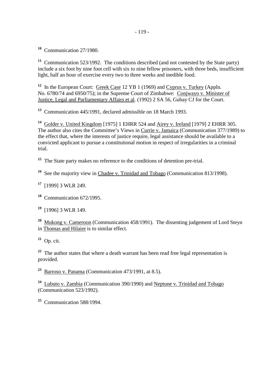**<sup>10</sup>** Communication 27/1980.

<sup>11</sup> Communication 523/1992. The conditions described (and not contested by the State party) include a six foot by nine foot cell with six to nine fellow prisoners, with three beds, insufficient light, half an hour of exercise every two to three weeks and inedible food.

**<sup>12</sup>** In the European Court: Greek Case 12 YB 1 (1969) and Cyprus v. Turkey (Appln. No. 6780/74 and 6950/75); in the Supreme Court of Zimbabwe: Conjwayo v. Minister of Justice, Legal and Parliamentary Affairs et al. (1992) 2 SA 56, Gubay CJ for the Court.

**<sup>13</sup>** Communication 445/1991, declared admissible on 18 March 1993.

**<sup>14</sup>** Golder v. United Kingdom [1975] 1 EHRR 524 and Airey v. Ireland [1979] 2 EHRR 305. The author also cites the Committee's Views in Currie v. Jamaica (Communication 377/1989) to the effect that, where the interests of justice require, legal assistance should be available to a convicted applicant to pursue a constitutional motion in respect of irregularities in a criminal trial.

<sup>15</sup> The State party makes no reference to the conditions of detention pre-trial.

**<sup>16</sup>** See the majority view in Chadee v. Trinidad and Tobago (Communication 813/1998).

**<sup>17</sup>** [1999] 3 WLR 249.

**<sup>18</sup>** Communication 672/1995.

**<sup>19</sup>** [1996] 3 WLR 149.

**<sup>20</sup>** Mukong v. Cameroon (Communication 458/1991). The dissenting judgement of Lord Steyn in Thomas and Hilaire is to similar effect.

**<sup>21</sup>** Op. cit.

<sup>22</sup> The author states that where a death warrant has been read free legal representation is provided.

**<sup>23</sup>** Barroso v. Panama (Communication 473/1991, at 8.5).

**<sup>24</sup>** Lubuto v. Zambia (Communication 390/1990) and Neptune v. Trinidad and Tobago (Communication 523/1992).

**<sup>25</sup>** Communication 588/1994.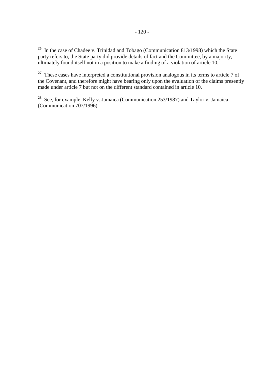<sup>26</sup> In the case of Chadee v. Trinidad and Tobago (Communication 813/1998) which the State party refers to, the State party did provide details of fact and the Committee, by a majority, ultimately found itself not in a position to make a finding of a violation of article 10.

**<sup>27</sup>** These cases have interpreted a constitutional provision analogous in its terms to article 7 of the Covenant, and therefore might have bearing only upon the evaluation of the claims presently made under article 7 but not on the different standard contained in article 10.

**<sup>28</sup>** See, for example, Kelly v. Jamaica (Communication 253/1987) and Taylor v. Jamaica (Communication 707/1996).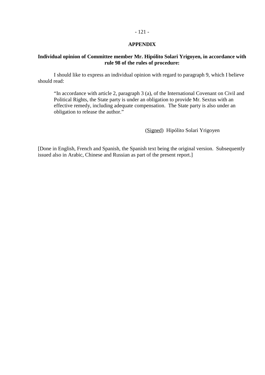# - 121 -

#### **APPENDIX**

## **Individual opinion of Committee member Mr. Hipólito Solari Yrigoyen, in accordance with rule 98 of the rules of procedure:**

 I should like to express an individual opinion with regard to paragraph 9, which I believe should read:

"In accordance with article 2, paragraph 3 (a), of the International Covenant on Civil and Political Rights, the State party is under an obligation to provide Mr. Sextus with an effective remedy, including adequate compensation. The State party is also under an obligation to release the author."

(Signed) Hipólito Solari Yrigoyen

[Done in English, French and Spanish, the Spanish text being the original version. Subsequently issued also in Arabic, Chinese and Russian as part of the present report.]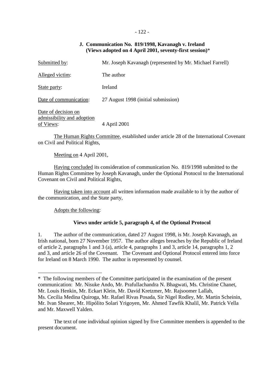## **J. Communication No. 819/1998, Kavanagh v. Ireland (Views adopted on 4 April 2001, seventy-first session)**\*

| Submitted by:                                                  | Mr. Joseph Kavanagh (represented by Mr. Michael Farrell) |
|----------------------------------------------------------------|----------------------------------------------------------|
| Alleged victim:                                                | The author                                               |
| State party:                                                   | Ireland                                                  |
| Date of communication:                                         | 27 August 1998 (initial submission)                      |
| Date of decision on<br>admissibility and adoption<br>of Views: | 4 April 2001                                             |

 The Human Rights Committee, established under article 28 of the International Covenant on Civil and Political Rights,

Meeting on 4 April 2001,

 Having concluded its consideration of communication No. 819/1998 submitted to the Human Rights Committee by Joseph Kavanagh, under the Optional Protocol to the International Covenant on Civil and Political Rights,

 Having taken into account all written information made available to it by the author of the communication, and the State party,

Adopts the following:

 $\overline{a}$ 

# **Views under article 5, paragraph 4, of the Optional Protocol**

1. The author of the communication, dated 27 August 1998, is Mr. Joseph Kavanagh, an Irish national, born 27 November 1957. The author alleges breaches by the Republic of Ireland of article 2, paragraphs 1 and 3 (a), article 4, paragraphs 1 and 3, article 14, paragraphs 1, 2 and 3, and article 26 of the Covenant. The Covenant and Optional Protocol entered into force for Ireland on 8 March 1990. The author is represented by counsel.

 The text of one individual opinion signed by five Committee members is appended to the present document.

<sup>\*</sup> The following members of the Committee participated in the examination of the present communication: Mr. Nisuke Ando, Mr. Prafullachandra N. Bhagwati, Ms. Christine Chanet, Mr. Louis Henkin, Mr. Eckart Klein, Mr. David Kretzmer, Mr. Rajsoomer Lallah, Ms. Cecilia Medina Quiroga, Mr. Rafael Rivas Posada, Sir Nigel Rodley, Mr. Martin Scheinin, Mr. Ivan Shearer, Mr. Hipólito Solari Yrigoyen, Mr. Ahmed Tawfik Khalil, Mr. Patrick Vella and Mr. Maxwell Yalden.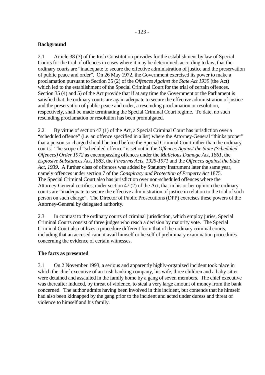# **Background**

2.1 Article 38 (3) of the Irish Constitution provides for the establishment by law of Special Courts for the trial of offences in cases where it may be determined, according to law, that the ordinary courts are "inadequate to secure the effective administration of justice and the preservation of public peace and order". On 26 May 1972, the Government exercised its power to make a proclamation pursuant to Section 35 (2) of the *Offences Against the State Act 1939* (the Act) which led to the establishment of the Special Criminal Court for the trial of certain offences. Section 35 (4) and 5) of the Act provide that if at any time the Government or the Parliament is satisfied that the ordinary courts are again adequate to secure the effective administration of justice and the preservation of public peace and order, a rescinding proclamation or resolution, respectively, shall be made terminating the Special Criminal Court regime. To date, no such rescinding proclamation or resolution has been promulgated.

2.2 By virtue of section 47 (1) of the Act, a Special Criminal Court has jurisdiction over a "scheduled offence" (i.e. an offence specified in a list) where the Attorney-General "thinks proper" that a person so charged should be tried before the Special Criminal Court rather than the ordinary courts. The scope of "scheduled offence" is set out in the *Offences Against the State (Scheduled Offences) Order 1972* as encompassing offences under the *Malicious Damage Act, 1861*, the *Explosive Substances Act, 1883*, the *Firearms Acts, 1925-1971* and the *Offences against the State Act, 1939*. A further class of offences was added by Statutory Instrument later the same year, namely offences under section 7 of the *Conspiracy and Protection of Property Act* 1875. The Special Criminal Court also has jurisdiction over non-scheduled offences where the Attorney-General certifies, under section 47 (2) of the Act, that in his or her opinion the ordinary courts are "inadequate to secure the effective administration of justice in relation to the trial of such person on such charge". The Director of Public Prosecutions (DPP) exercises these powers of the Attorney-General by delegated authority.

2.3 In contrast to the ordinary courts of criminal jurisdiction, which employ juries, Special Criminal Courts consist of three judges who reach a decision by majority vote. The Special Criminal Court also utilizes a procedure different from that of the ordinary criminal courts, including that an accused cannot avail himself or herself of preliminary examination procedures concerning the evidence of certain witnesses.

# **The facts as presented**

3.1 On 2 November 1993, a serious and apparently highly-organized incident took place in which the chief executive of an Irish banking company, his wife, three children and a baby-sitter were detained and assaulted in the family home by a gang of seven members. The chief executive was thereafter induced, by threat of violence, to steal a very large amount of money from the bank concerned. The author admits having been involved in this incident, but contends that he himself had also been kidnapped by the gang prior to the incident and acted under duress and threat of violence to himself and his family.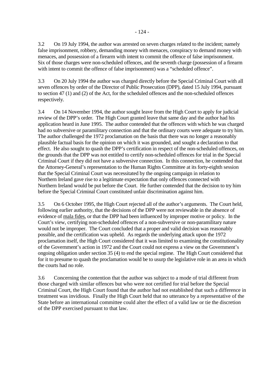3.2 On 19 July 1994, the author was arrested on seven charges related to the incident; namely false imprisonment, robbery, demanding money with menaces, conspiracy to demand money with menaces, and possession of a firearm with intent to commit the offence of false imprisonment. Six of those charges were non-scheduled offences, and the seventh charge (possession of a firearm with intent to commit the offence of false imprisonment) was a "scheduled offence".

3.3 On 20 July 1994 the author was charged directly before the Special Criminal Court with all seven offences by order of the Director of Public Prosecution (DPP), dated 15 July 1994, pursuant to section 47 (1) and (2) of the Act, for the scheduled offences and the non-scheduled offences respectively.

3.4 On 14 November 1994, the author sought leave from the High Court to apply for judicial review of the DPP's order. The High Court granted leave that same day and the author had his application heard in June 1995. The author contended that the offences with which he was charged had no subversive or paramilitary connection and that the ordinary courts were adequate to try him. The author challenged the 1972 proclamation on the basis that there was no longer a reasonably plausible factual basis for the opinion on which it was grounded, and sought a declaration to that effect. He also sought to quash the DPP's certification in respect of the non-scheduled offences, on the grounds that the DPP was not entitled to certify non-scheduled offences for trial in the Special Criminal Court if they did not have a subversive connection. In this connection, he contended that the Attorney-General's representation to the Human Rights Committee at its forty-eighth session that the Special Criminal Court was necessitated by the ongoing campaign in relation to Northern Ireland gave rise to a legitimate expectation that only offences connected with Northern Ireland would be put before the Court. He further contended that the decision to try him before the Special Criminal Court constituted unfair discrimination against him.

3.5 On 6 October 1995, the High Court rejected all of the author's arguments. The Court held, following earlier authority, that the decisions of the DPP were not reviewable in the absence of evidence of mala fides, or that the DPP had been influenced by improper motive or policy. In the Court's view, certifying non-scheduled offences of a non-subversive or non-paramilitary nature would not be improper. The Court concluded that a proper and valid decision was reasonably possible, and the certification was upheld. As regards the underlying attack upon the 1972 proclamation itself, the High Court considered that it was limited to examining the constitutionality of the Government's action in 1972 and the Court could not express a view on the Government's ongoing obligation under section 35 (4) to end the special regime. The High Court considered that for it to presume to quash the proclamation would be to usurp the legislative role in an area in which the courts had no role.

3.6 Concerning the contention that the author was subject to a mode of trial different from those charged with similar offences but who were not certified for trial before the Special Criminal Court, the High Court found that the author had not established that such a difference in treatment was invidious. Finally the High Court held that no utterance by a representative of the State before an international committee could alter the effect of a valid law or tie the discretion of the DPP exercised pursuant to that law.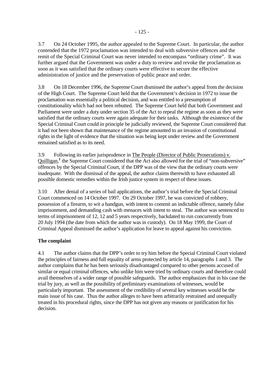3.7 On 24 October 1995, the author appealed to the Supreme Court. In particular, the author contended that the 1972 proclamation was intended to deal with subversive offences and the remit of the Special Criminal Court was never intended to encompass "ordinary crime". It was further argued that the Government was under a duty to review and revoke the proclamation as soon as it was satisfied that the ordinary courts were effective to secure the effective administration of justice and the preservation of public peace and order.

3.8 On 18 December 1996, the Supreme Court dismissed the author's appeal from the decision of the High Court. The Supreme Court held that the Government's decision in 1972 to issue the proclamation was essentially a political decision, and was entitled to a presumption of constitutionality which had not been rebutted. The Supreme Court held that both Government and Parliament were under a duty under section 35 of the Act to repeal the regime as soon as they were satisfied that the ordinary courts were again adequate for their tasks. Although the existence of the Special Criminal Court could in principle be judicially reviewed, the Supreme Court considered that it had not been shown that maintenance of the regime amounted to an invasion of constitutional rights in the light of evidence that the situation was being kept under review and the Government remained satisfied as to its need.

3.9 Following its earlier jurisprudence in The People (Director of Public Prosecutions) v. Quilligan,<sup>1</sup> the Supreme Court considered that the Act also allowed for the trial of "non-subversive" offences by the Special Criminal Court, if the DPP was of the view that the ordinary courts were inadequate. With the dismissal of the appeal, the author claims therewith to have exhausted all possible domestic remedies within the Irish justice system in respect of these issues.

3.10 After denial of a series of bail applications, the author's trial before the Special Criminal Court commenced on 14 October 1997. On 29 October 1997, he was convicted of robbery, possession of a firearm, to wit a handgun, with intent to commit an indictable offence, namely false imprisonment, and demanding cash with menaces with intent to steal. The author was sentenced to terms of imprisonment of 12, 12 and 5 years respectively, backdated to run concurrently from 20 July 1994 (the date from which the author was in custody). On 18 May 1999, the Court of Criminal Appeal dismissed the author's application for leave to appeal against his conviction.

# **The complaint**

4.1 The author claims that the DPP's order to try him before the Special Criminal Court violated the principles of fairness and full equality of arms protected by article 14, paragraphs 1 and 3. The author complains that he has been seriously disadvantaged compared to other persons accused of similar or equal criminal offences, who unlike him were tried by ordinary courts and therefore could avail themselves of a wider range of possible safeguards. The author emphasizes that in his case the trial by jury, as well as the possibility of preliminary examinations of witnesses, would be particularly important. The assessment of the credibility of several key witnesses would be the main issue of his case. Thus the author alleges to have been arbitrarily restrained and unequally treated in his procedural rights, since the DPP has not given any reasons or justification for his decision.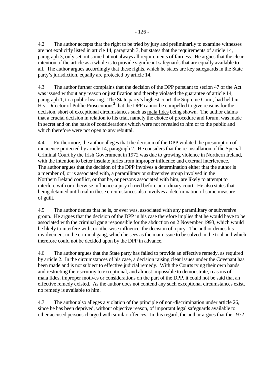4.2 The author accepts that the right to be tried by jury and preliminarily to examine witnesses are not explicitly listed in article 14, paragraph 3, but states that the requirements of article 14, paragraph 3, only set out some but not always all requirements of fairness. He argues that the clear intention of the article as a whole is to provide significant safeguards that are equally available to all. The author argues accordingly that these rights, which he states are key safeguards in the State party's jurisdiction, equally are protected by article 14.

4.3 The author further complains that the decision of the DPP pursuant to secion 47 of the Act was issued without any reason or justification and thereby violated the guarantee of article 14, paragraph 1, to a public hearing. The State party's highest court, the Supreme Court, had held in H v. Director of Public Prosecutions**<sup>2</sup>** that the DPP cannot be compelled to give reasons for the decision, short of exceptional circumstances such as mala fides being shown. The author claims that a crucial decision in relation to his trial, namely the choice of procedure and forum, was made in secret and on the basis of considerations which were not revealed to him or to the public and which therefore were not open to any rebuttal.

4.4 Furthermore, the author alleges that the decision of the DPP violated the presumption of innocence protected by article 14, paragraph 2. He considers that the re-installation of the Special Criminal Court by the Irish Government in 1972 was due to growing violence in Northern Ireland, with the intention to better insulate juries from improper influence and external interference. The author argues that the decision of the DPP involves a determination either that the author is a member of, or is associated with, a paramilitary or subversive group involved in the Northern Ireland conflict, or that he, or persons associated with him, are likely to attempt to interfere with or otherwise influence a jury if tried before an ordinary court. He also states that being detained until trial in these circumstances also involves a determination of some measure of guilt.

4.5 The author denies that he is, or ever was, associated with any paramilitary or subversive group. He argues that the decision of the DPP in his case therefore implies that he would have to be associated with the criminal gang responsible for the abduction on 2 November 1993, which would be likely to interfere with, or otherwise influence, the decision of a jury. The author denies his involvement in the criminal gang, which he sees as the main issue to be solved in the trial and which therefore could not be decided upon by the DPP in advance.

4.6 The author argues that the State party has failed to provide an effective remedy, as required by article 2. In the circumstances of his case, a decision raising clear issues under the Covenant has been made and is not subject to effective judicial remedy. With the Courts tying their own hands and restricting their scrutiny to exceptional, and almost impossible to demonstrate, reasons of mala fides, improper motives or considerations on the part of the DPP, it could not be said that an effective remedy existed. As the author does not contend any such exceptional circumstances exist, no remedy is available to him.

4.7 The author also alleges a violation of the principle of non-discrimination under article 26, since he has been deprived, without objective reason, of important legal safeguards available to other accused persons charged with similar offences. In this regard, the author argues that the 1972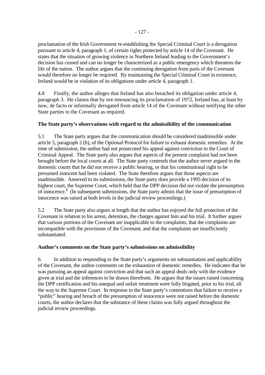proclamation of the Irish Government re-establishing the Special Criminal Court is a derogation pursuant to article 4, paragraph 1, of certain rights protected by article 14 of the Covenant. He states that the situation of growing violence in Northern Ireland leading to the Government's decision has ceased and can no longer be characterized as a public emergency which threatens the life of the nation. The author argues that the continuing derogation from parts of the Covenant would therefore no longer be required. By maintaining the Special Criminal Court in existence, Ireland would be in violation of its obligations under article 4, paragraph 1.

4.8 Finally, the author alleges that Ireland has also breached its obligation under article 4, paragraph 3. He claims that by not renouncing its proclamation of 1972, Ireland has, at least by now, de facto or informally derogated from article 14 of the Covenant without notifying the other State parties to the Covenant as required.

# **The State party's observations with regard to the admissibility of the communication**

5.1 The State party argues that the communication should be considered inadmissible under article 5, paragraph 2 (b), of the Optional Protocol for failure to exhaust domestic remedies. At the time of submission, the author had not prosecuted his appeal against conviction to the Court of Criminal Appeal. The State party also argues that aspects of the present complaint had not been brought before the local courts at all. The State party contends that the author never argued in the domestic courts that he did not receive a public hearing, or that his constitutional right to be presumed innocent had been violated. The State therefore argues that those aspects are inadmissible. Annexed to its submissions, the State party does provide a 1995 decision of its highest court, the Supreme Court, which held that the DPP decision did not violate the presumption of innocence.**<sup>3</sup>** (In subsequent submissions, the State party admits that the issue of presumption of innocence was raised at both levels in the judicial review proceedings.)

5.2 The State party also argues at length that the author has enjoyed the full protection of the Covenant in relation to his arrest, detention, the charges against him and his trial. It further argues that various portions of the Covenant are inapplicable to the complaints, that the complaints are incompatible with the provisions of the Covenant, and that the complaints are insufficiently substantiated.

# **Author's comments on the State party's submissions on admissibility**

6. In addition to responding to the State party's arguments on substantiation and applicability of the Covenant, the author comments on the exhaustion of domestic remedies. He indicates that he was pursuing an appeal against conviction and that such an appeal deals only with the evidence given at trial and the inferences to be drawn therefrom. He argues that the issues raised concerning the DPP certification and his unequal and unfair treatment were fully litigated, prior to his trial, all the way to the Supreme Court. In response to the State party's contentions that failure to receive a "public" hearing and breach of the presumption of innocence were not raised before the domestic courts, the author declares that the substance of these claims was fully argued throughout the judicial review proceedings.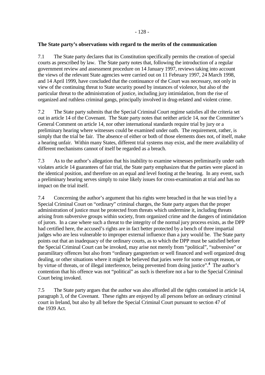### **The State party's observations with regard to the merits of the communication**

7.1 The State party declares that its Constitution specifically permits the creation of special courts as prescribed by law. The State party notes that, following the introduction of a regular government review and assessment procedure on 14 January 1997, reviews taking into account the views of the relevant State agencies were carried out on 11 February 1997, 24 March 1998, and 14 April 1999, have concluded that the continuance of the Court was necessary, not only in view of the continuing threat to State security posed by instances of violence, but also of the particular threat to the administration of justice, including jury intimidation, from the rise of organized and ruthless criminal gangs, principally involved in drug-related and violent crime.

7.2 The State party submits that the Special Criminal Court regime satisfies all the criteria set out in article 14 of the Covenant. The State party notes that neither article 14, nor the Committee's General Comment on article 14, nor other international standards require trial by jury or a preliminary hearing where witnesses could be examined under oath. The requirement, rather, is simply that the trial be fair. The absence of either or both of those elements does not, of itself, make a hearing unfair. Within many States, different trial systems may exist, and the mere availability of different mechanisms cannot of itself be regarded as a breach.

7.3 As to the author's allegation that his inability to examine witnesses preliminarily under oath violates article 14 guarantees of fair trial, the State party emphasizes that the parties were placed in the identical position, and therefore on an equal and level footing at the hearing. In any event, such a preliminary hearing serves simply to raise likely issues for cross-examination at trial and has no impact on the trial itself.

7.4 Concerning the author's argument that his rights were breached in that he was tried by a Special Criminal Court on "ordinary" criminal charges, the State party argues that the proper administration of justice must be protected from threats which undermine it, including threats arising from subversive groups within society, from organized crime and the dangers of intimidation of jurors. In a case where such a threat to the integrity of the normal jury process exists, as the DPP had certified here, the accused's rights are in fact better protected by a bench of three impartial judges who are less vulnerable to improper external influence than a jury would be. The State party points out that an inadequacy of the ordinary courts, as to which the DPP must be satisfied before the Special Criminal Court can be invoked, may arise not merely from "political", "subversive" or paramilitary offences but also from "ordinary gangsterism or well financed and well organized drug dealing, or other situations where it might be believed that juries were for some corrupt reason, or by virtue of threats, or of illegal interference, being prevented from doing justice".**<sup>4</sup>** The author's contention that his offence was not "political" as such is therefore not a bar to the Special Criminal Court being invoked.

7.5 The State party argues that the author was also afforded all the rights contained in article 14, paragraph 3, of the Covenant. These rights are enjoyed by all persons before an ordinary criminal court in Ireland, but also by all before the Special Criminal Court pursuant to section 47 of the 1939 Act.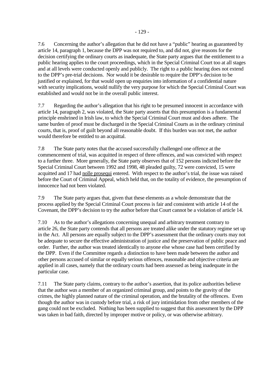7.6 Concerning the author's allegation that he did not have a "public" hearing as guaranteed by article 14, paragraph 1, because the DPP was not required to, and did not, give reasons for the decision certifying the ordinary courts as inadequate, the State party argues that the entitlement to a public hearing applies to the court proceedings, which in the Special Criminal Court too at all stages and at all levels were conducted openly and publicly. The right to a public hearing does not extend to the DPP's pre-trial decisions. Nor would it be desirable to require the DPP's decision to be justified or explained, for that would open up enquiries into information of a confidential nature with security implications, would nullify the very purpose for which the Special Criminal Court was established and would not be in the overall public interest.

7.7 Regarding the author's allegation that his right to be presumed innocent in accordance with article 14, paragraph 2, was violated, the State party asserts that this presumption is a fundamental principle enshrined in Irish law, to which the Special Criminal Court must and does adhere. The same burden of proof must be discharged in the Special Criminal Courts as in the ordinary criminal courts, that is, proof of guilt beyond all reasonable doubt. If this burden was not met, the author would therefore be entitled to an acquittal.

7.8 The State party notes that the accused successfully challenged one offence at the commencement of trial, was acquitted in respect of three offences, and was convicted with respect to a further three. More generally, the State party observes that of 152 persons indicted before the Special Criminal Court between 1992 and 1998, 48 pleaded guilty, 72 were convicted, 15 were acquitted and 17 had nolle prosequi entered. With respect to the author's trial, the issue was raised before the Court of Criminal Appeal, which held that, on the totality of evidence, the presumption of innocence had not been violated.

7.9 The State party argues that, given that these elements as a whole demonstrate that the process applied by the Special Criminal Court process is fair and consistent with article 14 of the Covenant, the DPP's decision to try the author before that Court cannot be a violation of article 14.

7.10 As to the author's allegations concerning unequal and arbitrary treatment contrary to article 26, the State party contends that all persons are treated alike under the statutory regime set up in the Act. All persons are equally subject to the DPP's assessment that the ordinary courts may not be adequate to secure the effective administration of justice and the preservation of public peace and order. Further, the author was treated identically to anyone else whose case had been certified by the DPP. Even if the Committee regards a distinction to have been made between the author and other persons accused of similar or equally serious offences, reasonable and objective criteria are applied in all cases, namely that the ordinary courts had been assessed as being inadequate in the particular case.

7.11 The State party claims, contrary to the author's assertion, that its police authorities believe that the author *was* a member of an organized criminal group, and points to the gravity of the crimes, the highly planned nature of the criminal operation, and the brutality of the offences. Even though the author was in custody before trial, a risk of jury intimidation from other members of the gang could not be excluded. Nothing has been supplied to suggest that this assessment by the DPP was taken in bad faith, directed by improper motive or policy, or was otherwise arbitrary.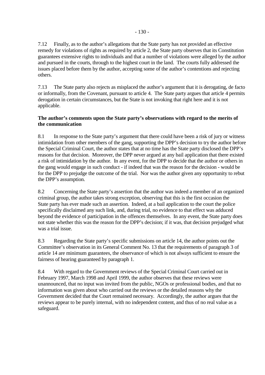7.12 Finally, as to the author's allegations that the State party has not provided an effective remedy for violations of rights as required by article 2, the State party observes that its Constitution guarantees extensive rights to individuals and that a number of violations were alleged by the author and pursued in the courts, through to the highest court in the land. The courts fully addressed the issues placed before them by the author, accepting some of the author's contentions and rejecting others.

7.13 The State party also rejects as misplaced the author's argument that it is derogating, de facto or informally, from the Covenant, pursuant to article 4. The State party argues that article 4 permits derogation in certain circumstances, but the State is not invoking that right here and it is not applicable.

# **The author's comments upon the State party's observations with regard to the merits of the communication**

8.1 In response to the State party's argument that there could have been a risk of jury or witness intimidation from other members of the gang, supporting the DPP's decision to try the author before the Special Criminal Court, the author states that at no time has the State party disclosed the DPP's reasons for that decision. Moreover, the DPP never argued at any bail application that there existed a risk of intimidation by the author. In any event, for the DPP to decide that the author or others in the gang would engage in such conduct - if indeed that was the reason for the decision - would be for the DPP to prejudge the outcome of the trial. Nor was the author given any opportunity to rebut the DPP's assumption.

8.2 Concerning the State party's assertion that the author was indeed a member of an organized criminal group, the author takes strong exception, observing that this is the first occasion the State party has ever made such an assertion. Indeed, at a bail application to the court the police specifically disclaimed any such link, and, during trial, no evidence to that effect was adduced beyond the evidence of participation in the offences themselves. In any event, the State party does not state whether this was the reason for the DPP's decision; if it was, that decision prejudged what was a trial issue.

8.3 Regarding the State party's specific submissions on article 14, the author points out the Committee's observation in its General Comment No. 13 that the requirements of paragraph 3 of article 14 are minimum guarantees, the observance of which is not always sufficient to ensure the fairness of hearing guaranteed by paragraph 1.

8.4 With regard to the Government reviews of the Special Criminal Court carried out in February 1997, March 1998 and April 1999, the author observes that these reviews were unannounced, that no input was invited from the public, NGOs or professional bodies, and that no information was given about who carried out the reviews or the detailed reasons why the Government decided that the Court remained necessary. Accordingly, the author argues that the reviews appear to be purely internal, with no independent content, and thus of no real value as a safeguard.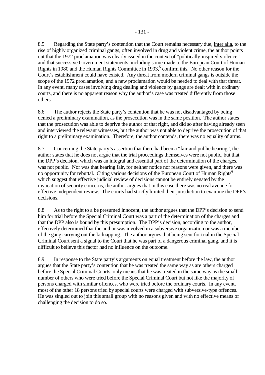8.5 Regarding the State party's contention that the Court remains necessary due, inter alia, to the rise of highly organized criminal gangs, often involved in drug and violent crime, the author points out that the 1972 proclamation was clearly issued in the context of "politically-inspired violence" and that successive Government statements, including some made to the European Court of Human Rights in 1980 and the Human Rights Committee in 1993,**<sup>5</sup>** confirm this. No other reason for the Court's establishment could have existed. Any threat from modern criminal gangs is outside the scope of the 1972 proclamation, and a new proclamation would be needed to deal with that threat. In any event, many cases involving drug dealing and violence by gangs are dealt with in ordinary courts, and there is no apparent reason why the author's case was treated differently from those others.

8.6 The author rejects the State party's contention that he was not disadvantaged by being denied a preliminary examination, as the prosecution was in the same position. The author states that the prosecution was able to deprive the author of that right, and did so after having already seen and interviewed the relevant witnesses, but the author was not able to deprive the prosecution of that right to a preliminary examination. Therefore, the author contends, there was no equality of arms.

8.7 Concerning the State party's assertion that there had been a "fair and public hearing", the author states that he does not argue that the trial proceedings themselves were not public, but that the DPP's decision, which was an integral and essential part of the determination of the charges, was not public. Nor was that hearing fair, for neither notice nor reasons were given, and there was no opportunity for rebuttal. Citing various decisions of the European Court of Human Rights**<sup>6</sup>** which suggest that effective judicial review of decisions cannot be entirely negated by the invocation of security concerns, the author argues that in this case there was no real avenue for effective independent review. The courts had strictly limited their jurisdiction to examine the DPP's decisions.

8.8 As to the right to a be presumed innocent, the author argues that the DPP's decision to send him for trial before the Special Criminal Court was a part of the determination of the charges and that the DPP also is bound by this presumption. The DPP's decision, according to the author, effectively determined that the author was involved in a subversive organization or was a member of the gang carrying out the kidnapping. The author argues that being sent for trial in the Special Criminal Court sent a signal to the Court that he was part of a dangerous criminal gang, and it is difficult to believe this factor had no influence on the outcome.

8.9 In response to the State party's arguments on equal treatment before the law, the author argues that the State party's contention that he was treated the same way as are others charged before the Special Criminal Courts, only means that he was treated in the same way as the small number of others who were tried before the Special Criminal Court but not like the majority of persons charged with similar offences, who were tried before the ordinary courts. In any event, most of the other 18 persons tried by special courts were charged with subversive-type offences. He was singled out to join this small group with no reasons given and with no effective means of challenging the decision to do so.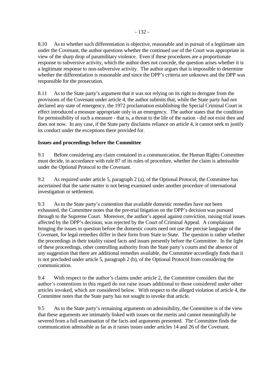8.10 As to whether such differentiation is objective, reasonable and in pursuit of a legitimate aim under the Covenant, the author questions whether the continued use of the Court was appropriate in view of the sharp drop of paramilitary violence. Even if these procedures are a proportionate response to subversive activity, which the author does not concede, the question arises whether it is a legitimate response to non-subversive activity. The author argues that is impossible to determine whether the differentiation is reasonable and since the DPP's criteria are unknown and the DPP was responsible for the prosecution.

8.11 As to the State party's argument that it was not relying on its right to derogate from the provisions of the Covenant under article 4, the author submits that, while the State party had not declared any state of emergency, the 1972 proclamation establishing the Special Criminal Court in effect introduced a measure appropriate only in an emergency. The author states that the condition for permissibility of such a measure - that is, a threat to the life of the nation - did not exist then and does not now. In any case, if the State party disclaims reliance on article 4, it cannot seek to justify its conduct under the exceptions there provided for.

### **Issues and proceedings before the Committee**

9.1 Before considering any claim contained in a communication, the Human Rights Committee must decide, in accordance with rule 87 of its rules of procedure, whether the claim is admissible under the Optional Protocol to the Covenant.

9.2 As required under article 5, paragraph 2 (a), of the Optional Protocol, the Committee has ascertained that the same matter is not being examined under another procedure of international investigation or settlement.

9.3 As to the State party's contention that available domestic remedies have not been exhausted, the Committee notes that the pre-trial litigation on the DPP's decision was pursued through to the Supreme Court. Moreover, the author's appeal against conviction, raising trial issues affected by the DPP's decision, was rejected by the Court of Criminal Appeal. A complainant bringing the issues in question before the domestic courts need not use the precise language of the Covenant, for legal remedies differ in their form from State to State. The question is rather whether the proceedings in their totality raised facts and issues presently before the Committee. In the light of these proceedings, other controlling authority from the State party's courts and the absence of any suggestion that there are additional remedies available, the Committee accordingly finds that it is not precluded under article 5, paragraph 2 (b), of the Optional Protocol from considering the communication.

9.4 With respect to the author's claims under article 2, the Committee considers that the author's contentions in this regard do not raise issues additional to those considered under other articles invoked, which are considered below. With respect to the alleged violation of article 4, the Committee notes that the State party has not sought to invoke that article.

9.5 As to the State party's remaining arguments on admissibility, the Committee is of the view that these arguments are intimately linked with issues on the merits and cannot meaningfully be severed from a full examination of the facts and arguments presented. The Committee finds the communication admissible as far as it raises issues under articles 14 and 26 of the Covenant.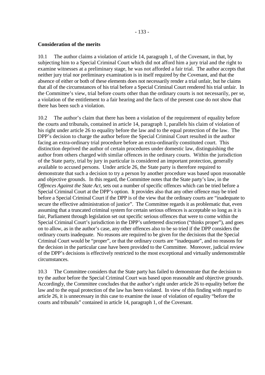#### **Consideration of the merits**

10.1 The author claims a violation of article 14, paragraph 1, of the Covenant, in that, by subjecting him to a Special Criminal Court which did not afford him a jury trial and the right to examine witnesses at a preliminary stage, he was not afforded a fair trial. The author accepts that neither jury trial nor preliminary examination is in itself required by the Covenant, and that the absence of either or both of these elements does not necessarily render a trial unfair, but he claims that all of the circumstances of his trial before a Special Criminal Court rendered his trial unfair. In the Committee's view, trial before courts other than the ordinary courts is not necessarily, per se, a violation of the entitlement to a fair hearing and the facts of the present case do not show that there has been such a violation.

10.2 The author's claim that there has been a violation of the requirement of equality before the courts and tribunals, contained in article 14, paragraph 1, parallels his claim of violation of his right under article 26 to equality before the law and to the equal protection of the law. The DPP's decision to charge the author before the Special Criminal Court resulted in the author facing an extra-ordinary trial procedure before an extra-ordinarily constituted court. This distinction deprived the author of certain procedures under domestic law, distinguishing the author from others charged with similar offences in the ordinary courts. Within the jurisdiction of the State party, trial by jury in particular is considered an important protection, generally available to accused persons. Under article 26, the State party is therefore required to demonstrate that such a decision to try a person by another procedure was based upon reasonable and objective grounds. In this regard, the Committee notes that the State party's law, in the *Offences Against the State Act*, sets out a number of specific offences which can be tried before a Special Criminal Court at the DPP's option. It provides also that any other offence may be tried before a Special Criminal Court if the DPP is of the view that the ordinary courts are "inadequate to secure the effective administration of justice". The Committee regards it as problematic that, even assuming that a truncated criminal system for certain serious offences is acceptable so long as it is fair, Parliament through legislation set out specific serious offences that were to come within the Special Criminal Court's jurisdiction in the DPP's unfettered discretion ("thinks proper"), and goes on to allow, as in the author's case, any other offences also to be so tried if the DPP considers the ordinary courts inadequate. No reasons are required to be given for the decisions that the Special Criminal Court would be "proper", or that the ordinary courts are "inadequate", and no reasons for the decision in the particular case have been provided to the Committee. Moreover, judicial review of the DPP's decisions is effectively restricted to the most exceptional and virtually undemonstrable circumstances.

10.3 The Committee considers that the State party has failed to demonstrate that the decision to try the author before the Special Criminal Court was based upon reasonable and objective grounds. Accordingly, the Committee concludes that the author's right under article 26 to equality before the law and to the equal protection of the law has been violated. In view of this finding with regard to article 26, it is unnecessary in this case to examine the issue of violation of equality "before the courts and tribunals" contained in article 14, paragraph 1, of the Covenant.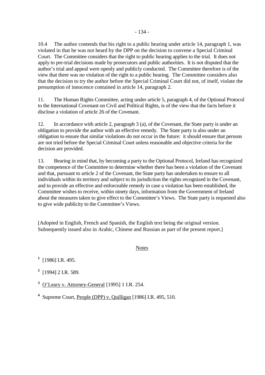10.4 The author contends that his right to a public hearing under article 14, paragraph 1, was violated in that he was not heard by the DPP on the decision to convene a Special Criminal Court. The Committee considers that the right to public hearing applies to the trial. It does not apply to pre-trial decisions made by prosecutors and public authorities. It is not disputed that the author's trial and appeal were openly and publicly conducted. The Committee therefore is of the view that there was no violation of the right to a public hearing. The Committee considers also that the decision to try the author before the Special Criminal Court did not, of itself, violate the presumption of innocence contained in article 14, paragraph 2.

11. The Human Rights Committee, acting under article 5, paragraph 4, of the Optional Protocol to the International Covenant on Civil and Political Rights, is of the view that the facts before it disclose a violation of article 26 of the Covenant.

12. In accordance with article 2, paragraph 3 (a), of the Covenant, the State party is under an obligation to provide the author with an effective remedy. The State party is also under an obligation to ensure that similar violations do not occur in the future: it should ensure that persons are not tried before the Special Criminal Court unless reasonable and objective criteria for the decision are provided.

13. Bearing in mind that, by becoming a party to the Optional Protocol, Ireland has recognized the competence of the Committee to determine whether there has been a violation of the Covenant and that, pursuant to article 2 of the Covenant, the State party has undertaken to ensure to all individuals within its territory and subject to its jurisdiction the rights recognized in the Covenant, and to provide an effective and enforceable remedy in case a violation has been established, the Committee wishes to receive, within ninety days, information from the Government of Ireland about the measures taken to give effect to the Committee's Views. The State party is requested also to give wide publicity to the Committee's Views.

[Adopted in English, French and Spanish, the English text being the original version. Subsequently issued also in Arabic, Chinese and Russian as part of the present report.]

#### **Notes**

**1** [1986] I.R. 495.

**2** [1994] 2 I.R. 589.

**3** O'Leary v. Attorney-General [1995] 1 I.R. 254.

**4** Supreme Court, People (DPP) v. Quilligan [1986] I.R. 495, 510.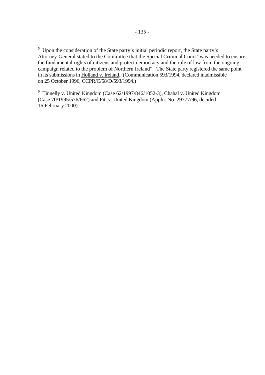<sup>5</sup> Upon the consideration of the State party's initial periodic report, the State party's Attorney-General stated to the Committee that the Special Criminal Court "was needed to ensure the fundamental rights of citizens and protect democracy and the rule of law from the ongoing campaign related to the problem of Northern Ireland". The State party registered the same point in its submissions in Holland v. Ireland. (Communication 593/1994, declared inadmissible on 25 October 1996, CCPR/C/58/D/593/1994.)

<sup>6</sup> Tinnelly v. United Kingdom (Case 62/1997/846/1052-3), Chahal v. United Kingdom (Case 70/1995/576/662) and Fitt v. United Kingdom (Appln. No. 29777/96, decided 16 February 2000).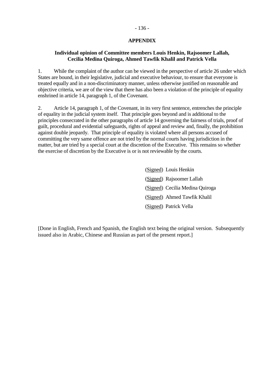# - 136 -

# **APPENDIX**

### **Individual opinion of Committee members Louis Henkin, Rajsoomer Lallah, Cecilia Medina Quiroga, Ahmed Tawfik Khalil and Patrick Vella**

1. While the complaint of the author can be viewed in the perspective of article 26 under which States are bound, in their legislative, judicial and executive behaviour, to ensure that everyone is treated equally and in a non-discriminatory manner, unless otherwise justified on reasonable and objective criteria, we are of the view that there has also been a violation of the principle of equality enshrined in article 14, paragraph 1, of the Covenant.

2. Article 14, paragraph 1, of the Covenant, in its very first sentence, entrenches the principle of equality in the judicial system itself. That principle goes beyond and is additional to the principles consecrated in the other paragraphs of article 14 governing the fairness of trials, proof of guilt, procedural and evidential safeguards, rights of appeal and review and, finally, the prohibition against double jeopardy. That principle of equality is violated where all persons accused of committing the very same offence are not tried by the normal courts having jurisdiction in the matter, but are tried by a special court at the discretion of the Executive. This remains so whether the exercise of discretion by the Executive is or is not reviewable by the courts.

> (Signed) Louis Henkin (Signed) Rajsoomer Lallah (Signed) Cecilia Medina Quiroga (Signed) Ahmed Tawfik Khalil (Signed) Patrick Vella

[Done in English, French and Spanish, the English text being the original version. Subsequently issued also in Arabic, Chinese and Russian as part of the present report.]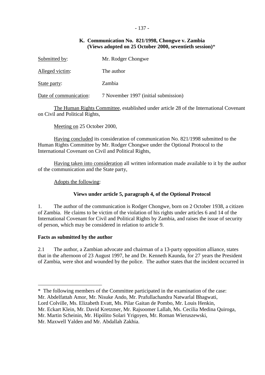# - 137 -

#### **K. Communication No. 821/1998, Chongwe v. Zambia (Views adopted on 25 October 2000, seventieth session)**\*

| Submitted by:   | Mr. Rodger Chongwe |
|-----------------|--------------------|
| Alleged victim: | The author         |

State party: Zambia

Date of communication: 7 November 1997 (initial submission)

 The Human Rights Committee, established under article 28 of the International Covenant on Civil and Political Rights,

Meeting on 25 October 2000,

 Having concluded its consideration of communication No. 821/1998 submitted to the Human Rights Committee by Mr. Rodger Chongwe under the Optional Protocol to the International Covenant on Civil and Political Rights,

 Having taken into consideration all written information made available to it by the author of the communication and the State party,

Adopts the following:

# **Views under article 5, paragraph 4, of the Optional Protocol**

1. The author of the communication is Rodger Chongwe, born on 2 October 1938, a citizen of Zambia. He claims to be victim of the violation of his rights under articles 6 and 14 of the International Covenant for Civil and Political Rights by Zambia, and raises the issue of security of person, which may be considered in relation to article 9.

# **Facts as submitted by the author**

2.1 The author, a Zambian advocate and chairman of a 13-party opposition alliance, states that in the afternoon of 23 August 1997, he and Dr. Kenneth Kaunda, for 27 years the President of Zambia, were shot and wounded by the police. The author states that the incident occurred in

 $\overline{a}$ \* The following members of the Committee participated in the examination of the case: Mr. Abdelfattah Amor, Mr. Nisuke Ando, Mr. Prafullachandra Natwarlal Bhagwati, Lord Colville, Ms. Elizabeth Evatt, Ms. Pilar Gaitan de Pombo, Mr. Louis Henkin, Mr. Eckart Klein, Mr. David Kretzmer, Mr. Rajsoomer Lallah, Ms. Cecilia Medina Quiroga, Mr. Martin Scheinin, Mr. Hipólito Solari Yrigoyen, Mr. Roman Wieruszewski, Mr. Maxwell Yalden and Mr. Abdallah Zakhia.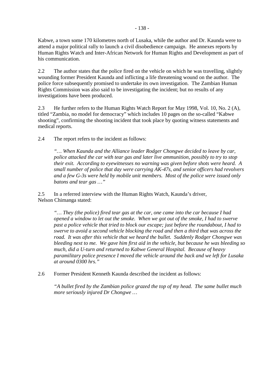Kabwe, a town some 170 kilometres north of Lusaka, while the author and Dr. Kaunda were to attend a major political rally to launch a civil disobedience campaign. He annexes reports by Human Rights Watch and Inter-African Network for Human Rights and Development as part of his communication.

2.2 The author states that the police fired on the vehicle on which he was travelling, slightly wounding former President Kaunda and inflicting a life threatening wound on the author. The police force subsequently promised to undertake its own investigation. The Zambian Human Rights Commission was also said to be investigating the incident; but no results of any investigations have been produced.

2.3 He further refers to the Human Rights Watch Report for May 1998, Vol. 10, No. 2 (A), titled "Zambia, no model for democracy" which includes 10 pages on the so-called "Kabwe shooting", confirming the shooting incident that took place by quoting witness statements and medical reports.

2.4 The report refers to the incident as follows:

*"… When Kaunda and the Alliance leader Rodger Chongwe decided to leave by car, police attacked the car with tear gas and later live ammunition, possibly to try to stop their exit. According to eyewitnesses no warning was given before shots were heard. A small number of police that day were carrying AK-47s, and senior officers had revolvers and a few G-3s were held by mobile unit members. Most of the police were issued only batons and tear gas …"* 

2.5 In a referred interview with the Human Rights Watch, Kaunda's driver, Nelson Chimanga stated:

*"… They (the police) fired tear gas at the car, one came into the car because I had opened a window to let out the smoke. When we got out of the smoke, I had to swerve past a police vehicle that tried to block our escape; just before the roundabout, I had to swerve to avoid a second vehicle blocking the road and then a third that was across the road. It was after this vehicle that we heard the bullet. Suddenly Rodger Chongwe was bleeding next to me. We gave him first aid in the vehicle, but because he was bleeding so much, did a U-turn and returned to Kabwe General Hospital. Because of heavy paramilitary police presence I moved the vehicle around the back and we left for Lusaka at around 0300 hrs."* 

2.6 Former President Kenneth Kaunda described the incident as follows:

*"A bullet fired by the Zambian police grazed the top of my head. The same bullet much more seriously injured Dr Chongwe …*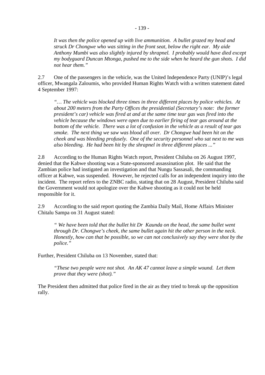2.7 One of the passengers in the vehicle, was the United Independence Party (UNIP)'s legal officer, Mwangala Zaloumis, who provided Human Rights Watch with a written statement dated 4 September 1997:

*"… The vehicle was blocked three times in three different places by police vehicles. At about 200 meters from the Party Offices the presidential (Secretary's note: the former president's car) vehicle was fired at and at the same time tear gas was fired into the vehicle because the windows were open due to earlier firing of tear gas around at the bottom of the vehicle. There was a lot of confusion in the vehicle as a result of tear gas smoke. The next thing we saw was blood all over. Dr Chongwe had been hit on the cheek and was bleeding profusely. One of the security personnel who sat next to me was also bleeding. He had been hit by the shrapnel in three different places ..."* 

2.8 According to the Human Rights Watch report, President Chiluba on 26 August 1997, denied that the Kabwe shooting was a State-sponsored assassination plot. He said that the Zambian police had instigated an investigation and that Nungu Sassasali, the commanding officer at Kabwe, was suspended. However, he rejected calls for an independent inquiry into the incident. The report refers to the ZNBC radio, stating that on 28 August, President Chiluba said the Government would not apologize over the Kabwe shooting as it could not be held responsible for it.

2.9 According to the said report quoting the Zambia Daily Mail, Home Affairs Minister Chitalu Sampa on 31 August stated:

*" We have been told that the bullet hit Dr Kaunda on the head, the same bullet went through Dr. Chongwe's cheek, the same bullet again hit the other person in the neck. Honestly, how can that be possible, so we can not conclusively say they were shot by the police."* 

Further, President Chiluba on 13 November, stated that:

*"These two people were not shot. An AK 47 cannot leave a simple wound. Let them prove that they were (shot)."* 

The President then admitted that police fired in the air as they tried to break up the opposition rally.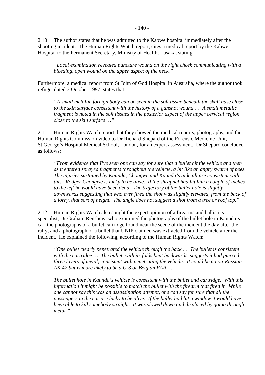2.10 The author states that he was admitted to the Kabwe hospital immediately after the shooting incident. The Human Rights Watch report, cites a medical report by the Kabwe Hospital to the Permanent Secretary, Ministry of Health, Lusaka, stating:

*"Local examination revealed puncture wound on the right cheek communicating with a bleeding, open wound on the upper aspect of the neck."* 

Furthermore, a medical report from St John of God Hospital in Australia, where the author took refuge, dated 3 October 1997, states that:

*"A small metallic foreign body can be seen in the soft tissue beneath the skull base close to the skin surface consistent with the history of a gunshot wound … A small metallic fragment is noted in the soft tissues in the posterior aspect of the upper cervical region close to the skin surface …"* 

2.11 Human Rights Watch report that they showed the medical reports, photographs, and the Human Rights Commission video to Dr Richard Shepard of the Forensic Medicine Unit, St George's Hospital Medical School, London, for an expert assessment. Dr Shepard concluded as follows:

*"From evidence that I've seen one can say for sure that a bullet hit the vehicle and then as it entered sprayed fragments throughout the vehicle, a bit like an angry swarm of bees. The injuries sustained by Kaunda, Chongwe and Kaunda's aide all are consistent with this. Rodger Chongwe is lucky to be alive. If the shrapnel had hit him a couple of inches to the left he would have been dead. The trajectory of the bullet hole is slightly downwards suggesting that who ever fired the shot was slightly elevated, from the back of a lorry, that sort of height. The angle does not suggest a shot from a tree or roof top."* 

2.12 Human Rights Watch also sought the expert opinion of a firearms and ballistics specialist, Dr Graham Renshew, who examined the photographs of the bullet hole in Kaunda's car, the photographs of a bullet cartridge found near the scene of the incident the day after the rally, and a photograph of a bullet that UNIP claimed was extracted from the vehicle after the incident. He explained the following, according to the Human Rights Watch:

*"One bullet clearly penetrated the vehicle through the back … The bullet is consistent with the cartridge … The bullet, with its folds bent backwards, suggests it had pierced three layers of metal, consistent with penetrating the vehicle. It could be a non-Russian AK 47 but is more likely to be a G-3 or Belgian FAR …* 

*The bullet hole in Kaunda's vehicle is consistent with the bullet and cartridge. With this information it might be possible to match the bullet with the firearm that fired it. While one cannot say this was an assassination attempt, one can say for sure that all the passengers in the car are lucky to be alive. If the bullet had hit a window it would have been able to kill somebody straight. It was slowed down and displaced by going through metal."*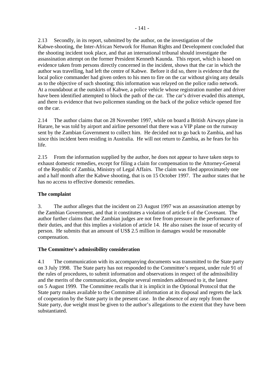2.13 Secondly, in its report, submitted by the author, on the investigation of the Kabwe-shooting, the Inter-African Network for Human Rights and Development concluded that the shooting incident took place, and that an international tribunal should investigate the assassination attempt on the former President Kenneth Kaunda. This report, which is based on evidence taken from persons directly concerned in the incident, shows that the car in which the author was travelling, had left the centre of Kabwe. Before it did so, there is evidence that the local police commander had given orders to his men to fire on the car without giving any details as to the objective of such shooting; this information was relayed on the police radio network. At a roundabout at the outskirts of Kabwe, a police vehicle whose registration number and driver have been identified attempted to block the path of the car. The car's driver evaded this attempt, and there is evidence that two policemen standing on the back of the police vehicle opened fire on the car.

2.14 The author claims that on 28 November 1997, while on board a British Airways plane in Harare, he was told by airport and airline personnel that there was a VIP plane on the runway sent by the Zambian Government to collect him. He decided not to go back to Zambia, and has since this incident been residing in Australia. He will not return to Zambia, as he fears for his life.

2.15 From the information supplied by the author, he does not appear to have taken steps to exhaust domestic remedies, except for filing a claim for compensation to the Attorney-General of the Republic of Zambia, Ministry of Legal Affairs. The claim was filed approximately one and a half month after the Kabwe shooting, that is on 15 October 1997. The author states that he has no access to effective domestic remedies.

# **The complaint**

3. The author alleges that the incident on 23 August 1997 was an assassination attempt by the Zambian Government, and that it constitutes a violation of article 6 of the Covenant. The author further claims that the Zambian judges are not free from pressure in the performance of their duties, and that this implies a violation of article 14. He also raises the issue of security of person. He submits that an amount of US\$ 2.5 million in damages would be reasonable compensation.

# **The Committee's admissibility consideration**

4.1 The communication with its accompanying documents was transmitted to the State party on 3 July 1998. The State party has not responded to the Committee's request, under rule 91 of the rules of procedures, to submit information and observations in respect of the admissibility and the merits of the communication, despite several reminders addressed to it, the latest on 5 August 1999. The Committee recalls that it is implicit in the Optional Protocol that the State party makes available to the Committee all information at its disposal and regrets the lack of cooperation by the State party in the present case. In the absence of any reply from the State party, due weight must be given to the author's allegations to the extent that they have been substantiated.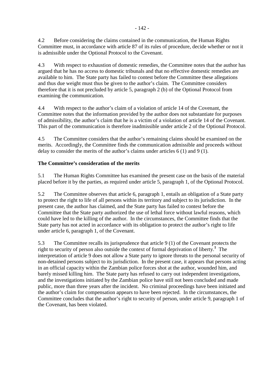4.2 Before considering the claims contained in the communication, the Human Rights Committee must, in accordance with article 87 of its rules of procedure, decide whether or not it is admissible under the Optional Protocol to the Covenant.

4.3 With respect to exhaustion of domestic remedies, the Committee notes that the author has argued that he has no access to domestic tribunals and that no effective domestic remedies are available to him. The State party has failed to contest before the Committee these allegations and thus due weight must thus be given to the author's claim. The Committee considers therefore that it is not precluded by article 5, paragraph 2 (b) of the Optional Protocol from examining the communication.

4.4 With respect to the author's claim of a violation of article 14 of the Covenant, the Committee notes that the information provided by the author does not substantiate for purposes of admissibility, the author's claim that he is a victim of a violation of article 14 of the Covenant. This part of the communication is therefore inadmissible under article 2 of the Optional Protocol.

4.5 The Committee considers that the author's remaining claims should be examined on the merits. Accordingly, the Committee finds the communication admissible and proceeds without delay to consider the merits of the author's claims under articles 6 (1) and 9 (1).

# **The Committee's consideration of the merits**

5.1 The Human Rights Committee has examined the present case on the basis of the material placed before it by the parties, as required under article 5, paragraph 1, of the Optional Protocol.

5.2 The Committee observes that article 6, paragraph 1, entails an obligation of a State party to protect the right to life of all persons within its territory and subject to its jurisdiction. In the present case, the author has claimed, and the State party has failed to contest before the Committee that the State party authorized the use of lethal force without lawful reasons, which could have led to the killing of the author. In the circumstances, the Committee finds that the State party has not acted in accordance with its obligation to protect the author's right to life under article 6, paragraph 1, of the Covenant.

5.3 The Committee recalls its jurisprudence that article 9 (1) of the Covenant protects the right to security of person also outside the context of formal deprivation of liberty.**<sup>1</sup>** The interpretation of article 9 does not allow a State party to ignore threats to the personal security of non-detained persons subject to its jurisdiction. In the present case, it appears that persons acting in an official capacity within the Zambian police forces shot at the author, wounded him, and barely missed killing him. The State party has refused to carry out independent investigations, and the investigations initiated by the Zambian police have still not been concluded and made public, more than three years after the incident. No criminal proceedings have been initiated and the author's claim for compensation appears to have been rejected. In the circumstances, the Committee concludes that the author's right to security of person, under article 9, paragraph 1 of the Covenant, has been violated.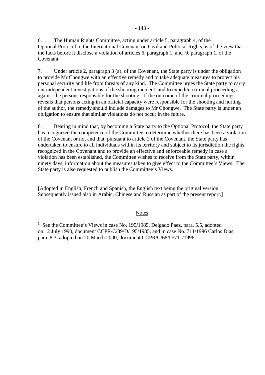6. The Human Rights Committee, acting under article 5, paragraph 4, of the Optional Protocol to the International Covenant on Civil and Political Rights, is of the view that the facts before it disclose a violation of articles 6, paragraph 1, and 9, paragraph 1, of the Covenant.

7. Under article 2, paragraph 3 (a), of the Covenant, the State party is under the obligation to provide Mr Chongwe with an effective remedy and to take adequate measures to protect his personal security and life from threats of any kind. The Committee urges the State party to carry out independent investigations of the shooting incident, and to expedite criminal proceedings against the persons responsible for the shooting. If the outcome of the criminal proceedings reveals that persons acting in an official capacity were responsible for the shooting and hurting of the author, the remedy should include damages to Mr Chongwe. The State party is under an obligation to ensure that similar violations do not occur in the future.

8. Bearing in mind that, by becoming a State party to the Optional Protocol, the State party has recognized the competence of the Committee to determine whether there has been a violation of the Covenant or not and that, pursuant to article 2 of the Covenant, the State party has undertaken to ensure to all individuals within its territory and subject to its jurisdiction the rights recognized in the Covenant and to provide an effective and enforceable remedy in case a violation has been established, the Committee wishes to receive from the State party, within ninety days, information about the measures taken to give effect to the Committee's Views. The State party is also requested to publish the Committee's Views.

[Adopted in English, French and Spanish, the English text being the original version. Subsequently issued also in Arabic, Chinese and Russian as part of the present report.]

# Notes

<sup>1</sup> See the Committee's Views in case No. 195/1985, Delgado Paez, para. 5.5, adopted on 12 July 1990, document CCPR/C/39/D/195/1985, and in case No. 711/1996 Carlos Dias, para. 8.3, adopted on 20 March 2000, document CCPR/C/68/D/711/1996.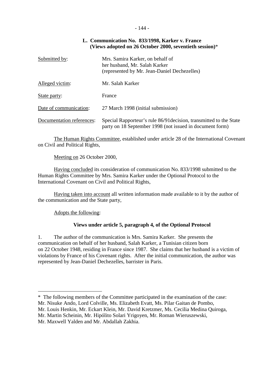#### - 144 -

#### **L. Communication No. 833/1998, Karker v. France (Views adopted on 26 October 2000, seventieth session)**\*

| Submitted by:             | Mrs. Samira Karker, on behalf of<br>her husband, Mr. Salah Karker<br>(represented by Mr. Jean-Daniel Dechezelles)              |
|---------------------------|--------------------------------------------------------------------------------------------------------------------------------|
| Alleged victim:           | Mr. Salah Karker                                                                                                               |
| State party:              | France                                                                                                                         |
| Date of communication:    | 27 March 1998 (initial submission)                                                                                             |
| Documentation references: | Special Rapporteur's rule 86/91 decision, transmitted to the State<br>party on 18 September 1998 (not issued in document form) |

 The Human Rights Committee, established under article 28 of the International Covenant on Civil and Political Rights,

Meeting on 26 October 2000,

 Having concluded its consideration of communication No. 833/1998 submitted to the Human Rights Committee by Mrs. Samira Karker under the Optional Protocol to the International Covenant on Civil and Political Rights,

 Having taken into account all written information made available to it by the author of the communication and the State party,

Adopts the following:

 $\overline{a}$ 

# **Views under article 5, paragraph 4, of the Optional Protocol**

1. The author of the communication is Mrs. Samira Karker. She presents the communication on behalf of her husband, Salah Karker, a Tunisian citizen born on 22 October 1948, residing in France since 1987. She claims that her husband is a victim of violations by France of his Covenant rights. After the initial communication, the author was represented by Jean-Daniel Dechezelles, barrister in Paris.

<sup>\*</sup> The following members of the Committee participated in the examination of the case: Mr. Nisuke Ando, Lord Colville, Ms. Elizabeth Evatt, Ms. Pilar Gaitan de Pombo, Mr. Louis Henkin, Mr. Eckart Klein, Mr. David Kretzmer, Ms. Cecilia Medina Quiroga, Mr. Martin Scheinin, Mr. Hipólito Solari Yrigoyen, Mr. Roman Wieruszewski, Mr. Maxwell Yalden and Mr. Abdallah Zakhia.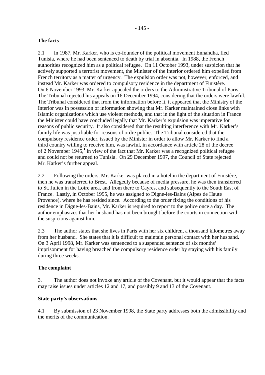## **The facts**

2.1 In 1987, Mr. Karker, who is co-founder of the political movement Ennahdha, fled Tunisia, where he had been sentenced to death by trial in absentia. In 1988, the French authorities recognized him as a political refugee. On 11 October 1993, under suspicion that he actively supported a terrorist movement, the Minister of the Interior ordered him expelled from French territory as a matter of urgency. The expulsion order was not, however, enforced, and instead Mr. Karker was ordered to compulsory residence in the department of Finistère. On 6 November 1993, Mr. Karker appealed the orders to the Administrative Tribunal of Paris. The Tribunal rejected his appeals on 16 December 1994, considering that the orders were lawful. The Tribunal considered that from the information before it, it appeared that the Ministry of the Interior was in possession of information showing that Mr. Karker maintained close links with Islamic organizations which use violent methods, and that in the light of the situation in France the Minister could have concluded legally that Mr. Karker's expulsion was imperative for reasons of public security. It also considered that the resulting interference with Mr. Karker's family life was justifiable for reasons of ordre public. The Tribunal considered that the compulsory residence order, issued by the Minister in order to allow Mr. Karker to find a third country willing to receive him, was lawful, in accordance with article 28 of the decree of 2 November 1945,**<sup>1</sup>** in view of the fact that Mr. Karker was a recognized political refugee and could not be returned to Tunisia. On 29 December 1997, the Council of State rejected Mr. Karker's further appeal.

2.2 Following the orders, Mr. Karker was placed in a hotel in the department of Finistère, then he was transferred to Brest. Allegedly because of media pressure, he was then transferred to St. Julien in the Loire area, and from there to Cayres, and subsequently to the South East of France. Lastly, in October 1995, he was assigned to Digne-les-Bains (Alpes de Haute Provence), where he has resided since. According to the order fixing the conditions of his residence in Digne-les-Bains, Mr. Karker is required to report to the police once a day. The author emphasizes that her husband has not been brought before the courts in connection with the suspicions against him.

2.3 The author states that she lives in Paris with her six children, a thousand kilometres away from her husband. She states that it is difficult to maintain personal contact with her husband. On 3 April 1998, Mr. Karker was sentenced to a suspended sentence of six months' imprisonment for having breached the compulsory residence order by staying with his family during three weeks.

## **The complaint**

3. The author does not invoke any article of the Covenant, but it would appear that the facts may raise issues under articles 12 and 17, and possibly 9 and 13 of the Covenant.

## **State party's observations**

4.1 By submission of 23 November 1998, the State party addresses both the admissibility and the merits of the communication.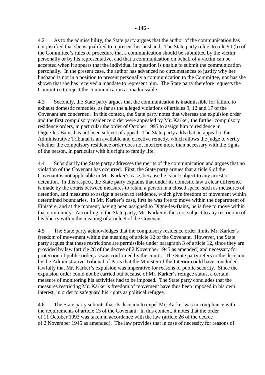4.2 As to the admissibility, the State party argues that the author of the communication has not justified that she is qualified to represent her husband. The State party refers to rule 90 (b) of the Committee's rules of procedure that a communication should be submitted by the victim personally or by his representative, and that a communication on behalf of a victim can be accepted when it appears that the individual in question is unable to submit the communication personally. In the present case, the author has advanced no circumstances to justify why her husband is not in a position to present personally a communication to the Committee, nor has she shown that she has received a mandate to represent him. The State party therefore requests the Committee to reject the communication as inadmissible.

4.3 Secondly, the State party argues that the communication is inadmissible for failure to exhaust domestic remedies, as far as the alleged violations of articles 9, 12 and 17 of the Covenant are concerned. In this context, the State party notes that whereas the expulsion order and the first compulsory residence order were appealed by Mr. Karker, the further compulsory residence orders, in particular the order of October 1995 to assign him to residence in Digne-les-Bains has not been subject of appeal. The State party adds that an appeal to the Administrative Tribunal is an available and effective remedy, which allows the judge to verify whether the compulsory residence order does not interfere more than necessary with the rights of the person, in particular with his right to family life.

4.4 Subsidiarily the State party addresses the merits of the communication and argues that no violation of the Covenant has occurred. First, the State party argues that article 9 of the Covenant is not applicable in Mr. Karker's case, because he is not subject to any arrest or detention. In this respect, the State party explains that under its domestic law a clear difference is made by the courts between measures to retain a person in a closed space, such as measures of detention, and measures to assign a person to residence, which give freedom of movement within determined boundaries. In Mr. Karker's case, first he was free to move within the department of Finistère, and at the moment, having been assigned to Digne-les-Bains, he is free to move within that community. According to the State party, Mr. Karker is thus not subject to any restriction of his liberty within the meaning of article 9 of the Covenant.

4.5 The State party acknowledges that the compulsory residence order limits Mr. Karker's freedom of movement within the meaning of article 12 of the Covenant. However, the State party argues that these restrictions are permissible under paragraph 3 of article 12, since they are provided by law (article 28 of the decree of 2 November 1945 as amended) and necessary for protection of public order, as was confirmed by the courts. The State party refers to the decision by the Administrative Tribunal of Paris that the Minister of the Interior could have concluded lawfully that Mr. Karker's expulsion was imperative for reasons of public security. Since the expulsion order could not be carried out because of Mr. Karker's refugee status, a certain measure of monitoring his activities had to be imposed. The State party concludes that the measures restricting Mr. Karker's freedom of movement have thus been imposed in his own interest, in order to safeguard his rights as political refugee.

4.6 The State party submits that its decision to expel Mr. Karker was in compliance with the requirements of article 13 of the Covenant. In this context, it notes that the order of 11 October 1993 was taken in accordance with the law (article 26 of the decree of 2 November 1945 as amended). The law provides that in case of necessity for reasons of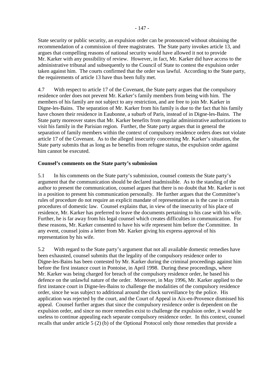State security or public security, an expulsion order can be pronounced without obtaining the recommendation of a commission of three magistrates. The State party invokes article 13, and argues that compelling reasons of national security would have allowed it not to provide Mr. Karker with any possibility of review. However, in fact, Mr. Karker did have access to the administrative tribunal and subsequently to the Council of State to contest the expulsion order taken against him. The courts confirmed that the order was lawful. According to the State party, the requirements of article 13 have thus been fully met.

4.7 With respect to article 17 of the Covenant, the State party argues that the compulsory residence order does not prevent Mr. Karker's family members from being with him. The members of his family are not subject to any restriction, and are free to join Mr. Karker in Digne-les-Bains. The separation of Mr. Karker from his family is due to the fact that his family have chosen their residence in Eaubonne, a suburb of Paris, instead of in Digne-les-Bains. The State party moreover states that Mr. Karker benefits from regular administrative authorizations to visit his family in the Parisian region. Further, the State party argues that in general the separation of family members within the context of compulsory residence orders does not violate article 17 of the Covenant. As to the alleged insecurity concerning Mr. Karker's situation, the State party submits that as long as he benefits from refugee status, the expulsion order against him cannot be executed.

#### **Counsel's comments on the State party's submission**

5.1 In his comments on the State party's submission, counsel contests the State party's argument that the communication should be declared inadmissible. As to the standing of the author to present the communication, counsel argues that there is no doubt that Mr. Karker is not in a position to present his communication personally. He further argues that the Committee's rules of procedure do not require an explicit mandate of representation as is the case in certain procedures of domestic law. Counsel explains that, in view of the insecurity of his place of residence, Mr. Karker has preferred to leave the documents pertaining to his case with his wife. Further, he is far away from his legal counsel which creates difficulties in communication. For these reasons, Mr. Karker consented to have his wife represent him before the Committee. In any event, counsel joins a letter from Mr. Karker giving his express approval of his representation by his wife.

5.2 With regard to the State party's argument that not all available domestic remedies have been exhausted, counsel submits that the legality of the compulsory residence order to Digne-les-Bains has been contested by Mr. Karker during the criminal proceedings against him before the first instance court in Pontoise, in April 1998. During these proceedings, where Mr. Karker was being charged for breach of the compulsory residence order, he based his defence on the unlawful nature of the order. Moreover, in May 1996, Mr. Karker applied to the first instance court in Digne-les-Bains to challenge the modalities of the compulsory residence order, since he was subject to additional around the clock surveillance by the police. His application was rejected by the court, and the Court of Appeal in Aix-en-Provence dismissed his appeal. Counsel further argues that since the compulsory residence order is dependent on the expulsion order, and since no more remedies exist to challenge the expulsion order, it would be useless to continue appealing each separate compulsory residence order. In this context, counsel recalls that under article 5 (2) (b) of the Optional Protocol only those remedies that provide a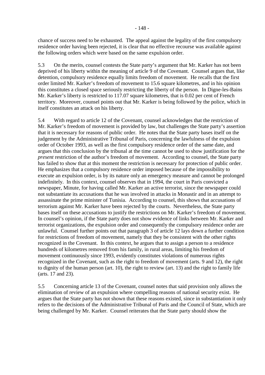chance of success need to be exhausted. The appeal against the legality of the first compulsory residence order having been rejected, it is clear that no effective recourse was available against the following orders which were based on the same expulsion order.

5.3 On the merits, counsel contests the State party's argument that Mr. Karker has not been deprived of his liberty within the meaning of article 9 of the Covenant. Counsel argues that, like detention, compulsory residence equally limits freedom of movement. He recalls that the first order limited Mr. Karker's freedom of movement to 15.6 square kilometres, and in his opinion this constitutes a closed space seriously restricting the liberty of the person. In Digne-les-Bains Mr. Karker's liberty is restricted to 117.07 square kilometres, that is 0.02 per cent of French territory. Moreover, counsel points out that Mr. Karker is being followed by the police, which in itself constitutes an attack on his liberty.

5.4 With regard to article 12 of the Covenant, counsel acknowledges that the restriction of Mr. Karker's freedom of movement is provided by law, but challenges the State party's assertion that it is necessary for reasons of public order. He notes that the State party bases itself on the judgement by the Administrative Tribunal of Paris, concerning the lawfulness of the expulsion order of October 1993, as well as the first compulsory residence order of the same date, and argues that this conclusion by the tribunal at the time cannot be used to show justification for the *present* restriction of the author's freedom of movement. According to counsel, the State party has failed to show that at this moment the restriction is necessary for protection of public order. He emphasizes that a compulsory residence order imposed because of the impossibility to execute an expulsion order, is by its nature only an emergency measure and cannot be prolonged indefinitely. In this context, counsel observes that in 1994, the court in Paris convicted a newspaper, Minute, for having called Mr. Karker an active terrorist, since the newspaper could not substantiate its accusations that he was involved in attacks in Monastir and in an attempt to assassinate the prime minister of Tunisia. According to counsel, this shows that accusations of terrorism against Mr. Karker have been rejected by the courts. Nevertheless, the State party bases itself on these accusations to justify the restrictions on Mr. Karker's freedom of movement. In counsel's opinion, if the State party does not show evidence of links between Mr. Karker and terrorist organizations, the expulsion order and consequently the compulsory residence order are unlawful. Counsel further points out that paragraph 3 of article 12 lays down a further condition for restrictions of freedom of movement, namely that they be consistent with the other rights recognized in the Covenant. In this context, he argues that to assign a person to a residence hundreds of kilometres removed from his family, in rural areas, limiting his freedom of movement continuously since 1993, evidently constitutes violations of numerous rights recognized in the Covenant, such as the right to freedom of movement (arts. 9 and 12), the right to dignity of the human person (art. 10), the right to review (art. 13) and the right to family life (arts. 17 and 23).

5.5 Concerning article 13 of the Covenant, counsel notes that said provision only allows the elimination of review of an expulsion where compelling reasons of national security exist. He argues that the State party has not shown that these reasons existed, since in substantiation it only refers to the decisions of the Administrative Tribunal of Paris and the Council of State, which are being challenged by Mr. Karker. Counsel reiterates that the State party should show the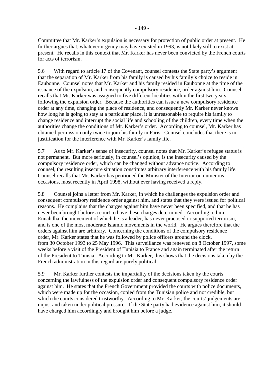Committee that Mr. Karker's expulsion is necessary for protection of public order at present. He further argues that, whatever urgency may have existed in 1993, is not likely still to exist at present. He recalls in this context that Mr. Karker has never been convicted by the French courts for acts of terrorism.

5.6 With regard to article 17 of the Covenant, counsel contests the State party's argument that the separation of Mr. Karker from his family is caused by his family's choice to reside in Eaubonne. Counsel notes that Mr. Karker and his family resided in Eaubonne at the time of the issuance of the expulsion, and consequently compulsory residence, order against him. Counsel recalls that Mr. Karker was assigned to five different localities within the first two years following the expulsion order. Because the authorities can issue a new compulsory residence order at any time, changing the place of residence, and consequently Mr. Karker never knows how long he is going to stay at a particular place, it is unreasonable to require his family to change residence and interrupt the social life and schooling of the children, every time when the authorities change the conditions of Mr. Karker's order. According to counsel, Mr. Karker has obtained permission only twice to join his family in Paris. Counsel concludes that there is no justification for the interference with Mr. Karker's family life.

5.7 As to Mr. Karker's sense of insecurity, counsel notes that Mr. Karker's refugee status is not permanent. But more seriously, in counsel's opinion, is the insecurity caused by the compulsory residence order, which can be changed without advance notice. According to counsel, the resulting insecure situation constitutes arbitrary interference with his family life. Counsel recalls that Mr. Karker has petitioned the Minister of the Interior on numerous occasions, most recently in April 1998, without ever having received a reply.

5.8 Counsel joins a letter from Mr. Karker, in which he challenges the expulsion order and consequent compulsory residence order against him, and states that they were issued for political reasons. He complains that the charges against him have never been specified, and that he has never been brought before a court to have these charges determined. According to him, Ennahdha, the movement of which he is a leader, has never practised or supported terrorism, and is one of the most moderate Islamic movements in the world. He argues therefore that the orders against him are arbitrary. Concerning the conditions of the compulsory residence order, Mr. Karker states that he was followed by police officers around the clock, from 30 October 1993 to 25 May 1996. This surveillance was renewed on 8 October 1997, some weeks before a visit of the President of Tunisia to France and again terminated after the return of the President to Tunisia. According to Mr. Karker, this shows that the decisions taken by the French administration in this regard are purely political.

5.9 Mr. Karker further contests the impartiality of the decisions taken by the courts concerning the lawfulness of the expulsion order and consequent compulsory residence order against him. He states that the French Government provided the courts with police documents, which were made up for the occasion, copied from the Tunisian police and not credible, but which the courts considered trustworthy. According to Mr. Karker, the courts' judgements are unjust and taken under political pressure. If the State party had evidence against him, it should have charged him accordingly and brought him before a judge.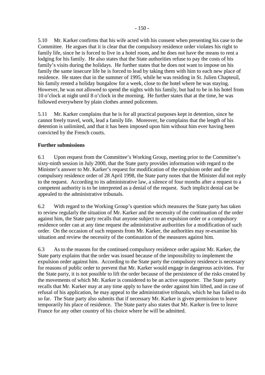5.10 Mr. Karker confirms that his wife acted with his consent when presenting his case to the Committee. He argues that it is clear that the compulsory residence order violates his right to family life, since he is forced to live in a hotel room, and he does not have the means to rent a lodging for his family. He also states that the State authorities refuse to pay the costs of his family's visits during the holidays. He further states that he does not want to impose on his family the same insecure life he is forced to lead by taking them with him to each new place of residence. He states that in the summer of 1995, while he was residing in St. Julien Chapteuil, his family rented a holiday bungalow for a week, close to the hotel where he was staying. However, he was not allowed to spend the nights with his family, but had to be in his hotel from 10 o'clock at night until 8 o'clock in the morning. He further states that at the time, he was followed everywhere by plain clothes armed policemen.

5.11 Mr. Karker complains that he is for all practical purposes kept in detention, since he cannot freely travel, work, lead a family life. Moreover, he complains that the length of his detention is unlimited, and that it has been imposed upon him without him ever having been convicted by the French courts.

## **Further submissions**

6.1 Upon request from the Committee's Working Group, meeting prior to the Committee's sixty-ninth session in July 2000, that the State party provides information with regard to the Minister's answer to Mr. Karker's request for modification of the expulsion order and the compulsory residence order of 28 April 1998, the State party notes that the Minister did not reply to the request. According to its administrative law, a silence of four months after a request to a competent authority is to be interpreted as a denial of the request. Such implicit denial can be appealed to the administrative tribunals.

6.2 With regard to the Working Group's question which measures the State party has taken to review regularly the situation of Mr. Karker and the necessity of the continuation of the order against him, the State party recalls that anyone subject to an expulsion order or a compulsory residence order can at any time request the administrative authorities for a modification of such order. On the occasion of such requests from Mr. Karker, the authorities may re-examine his situation and review the necessity of the continuation of the measures against him.

6.3 As to the reasons for the continued compulsory residence order against Mr. Karker, the State party explains that the order was issued because of the impossibility to implement the expulsion order against him. According to the State party the compulsory residence is necessary for reasons of public order to prevent that Mr. Karker would engage in dangerous activities. For the State party, it is not possible to lift the order because of the persistence of the risks created by the movements of which Mr. Karker is considered to be an active supporter. The State party recalls that Mr. Karker may at any time apply to have the order against him lifted, and in case of refusal of his application, he may appeal to the administrative tribunals, which he has failed to do so far. The State party also submits that if necessary Mr. Karker is given permission to leave temporarily his place of residence. The State party also states that Mr. Karker is free to leave France for any other country of his choice where he will be admitted.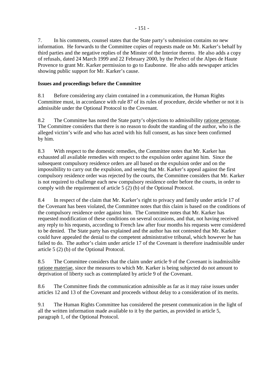7. In his comments, counsel states that the State party's submission contains no new information. He forwards to the Committee copies of requests made on Mr. Karker's behalf by third parties and the negative replies of the Minster of the Interior thereto. He also adds a copy of refusals, dated 24 March 1999 and 22 February 2000, by the Prefect of the Alpes de Haute Provence to grant Mr. Karker permission to go to Eaubonne. He also adds newspaper articles showing public support for Mr. Karker's cause.

## **Issues and proceedings before the Committee**

8.1 Before considering any claim contained in a communication, the Human Rights Committee must, in accordance with rule 87 of its rules of procedure, decide whether or not it is admissible under the Optional Protocol to the Covenant.

8.2 The Committee has noted the State party's objections to admissibility ratione personae. The Committee considers that there is no reason to doubt the standing of the author, who is the alleged victim's wife and who has acted with his full consent, as has since been confirmed by him.

8.3 With respect to the domestic remedies, the Committee notes that Mr. Karker has exhausted all available remedies with respect to the expulsion order against him. Since the subsequent compulsory residence orders are all based on the expulsion order and on the impossibility to carry out the expulsion, and seeing that Mr. Karker's appeal against the first compulsory residence order was rejected by the courts, the Committee considers that Mr. Karker is not required to challenge each new compulsory residence order before the courts, in order to comply with the requirement of article 5 (2) (b) of the Optional Protocol.

8.4 In respect of the claim that Mr. Karker's right to privacy and family under article 17 of the Covenant has been violated, the Committee notes that this claim is based on the conditions of the compulsory residence order against him. The Committee notes that Mr. Karker has requested modification of these conditions on several occasions, and that, not having received any reply to his requests, according to French law after four months his requests were considered to be denied. The State party has explained and the author has not contested that Mr. Karker could have appealed the denial to the competent administrative tribunal, which however he has failed to do. The author's claim under article 17 of the Covenant is therefore inadmissible under article 5 (2) (b) of the Optional Protocol.

8.5 The Committee considers that the claim under article 9 of the Covenant is inadmissible ratione materiae, since the measures to which Mr. Karker is being subjected do not amount to deprivation of liberty such as contemplated by article 9 of the Covenant.

8.6 The Committee finds the communication admissible as far as it may raise issues under articles 12 and 13 of the Covenant and proceeds without delay to a consideration of its merits.

9.1 The Human Rights Committee has considered the present communication in the light of all the written information made available to it by the parties, as provided in article 5, paragraph 1, of the Optional Protocol.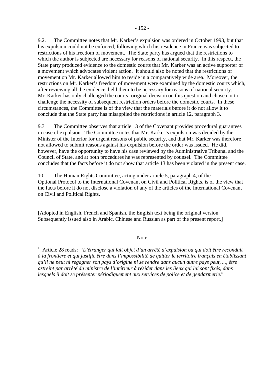9.2. The Committee notes that Mr. Karker's expulsion was ordered in October 1993, but that his expulsion could not be enforced, following which his residence in France was subjected to restrictions of his freedom of movement. The State party has argued that the restrictions to which the author is subjected are necessary for reasons of national security. In this respect, the State party produced evidence to the domestic courts that Mr. Karker was an active supporter of a movement which advocates violent action. It should also be noted that the restrictions of movement on Mr. Karker allowed him to reside in a comparatively wide area. Moreover, the restrictions on Mr. Karker's freedom of movement were examined by the domestic courts which, after reviewing all the evidence, held them to be necessary for reasons of national security. Mr. Karker has only challenged the courts' original decision on this question and chose not to challenge the necessity of subsequent restriction orders before the domestic courts. In these circumstances, the Committee is of the view that the materials before it do not allow it to conclude that the State party has misapplied the restrictions in article 12, paragraph 3.

9.3 The Committee observes that article 13 of the Covenant provides procedural guarantees in case of expulsion. The Committee notes that Mr. Karker's expulsion was decided by the Minister of the Interior for urgent reasons of public security, and that Mr. Karker was therefore not allowed to submit reasons against his expulsion before the order was issued. He did, however, have the opportunity to have his case reviewed by the Administrative Tribunal and the Council of State, and at both procedures he was represented by counsel. The Committee concludes that the facts before it do not show that article 13 has been violated in the present case.

10. The Human Rights Committee, acting under article 5, paragraph 4, of the Optional Protocol to the International Covenant on Civil and Political Rights, is of the view that the facts before it do not disclose a violation of any of the articles of the International Covenant on Civil and Political Rights.

[Adopted in English, French and Spanish, the English text being the original version. Subsequently issued also in Arabic, Chinese and Russian as part of the present report.]

#### Note

**1** Article 28 reads: "*L'étranger qui fait objet d'un arrêté d'expulsion ou qui doit être reconduit à la frontière et qui justifie être dans l'impossibilité de quitter le territoire français en établissant qu'il ne peut ni regagner son pays d'origine ni se rendre dans aucun autre pays peut, ..., être astreint par arrêté du ministre de l'intérieur à résider dans les lieux qui lui sont fixés, dans lesquels il doit se présenter périodiquement aux services de police et de gendarmerie.*"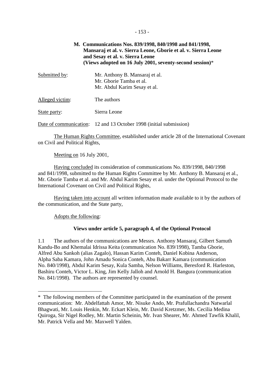| ۰.<br>v<br>v |
|--------------|
|--------------|

#### **M. Communications Nos. 839/1998, 840/1998 and 841/1998, Mansaraj et al. v. Sierra Leone, Gborie et al. v. Sierra Leone and Sesay et al. v. Sierra Leone (Views adopted on 16 July 2001, seventy-second session)**\*

| Submitted by:   | Mr. Anthony B. Mansaraj et al.<br>Mr. Gborie Tamba et al.<br>Mr. Abdul Karim Sesay et al. |  |
|-----------------|-------------------------------------------------------------------------------------------|--|
| Alleged victim: | The authors                                                                               |  |
| State party:    | Sierra Leone                                                                              |  |

Date of communication: 12 and 13 October 1998 (initial submission)

 The Human Rights Committee, established under article 28 of the International Covenant on Civil and Political Rights,

Meeting on 16 July 2001,

 Having concluded its consideration of communications No. 839/1998, 840/1998 and 841/1998, submitted to the Human Rights Committee by Mr. Anthony B. Mansaraj et al., Mr. Gborie Tamba et al. and Mr. Abdul Karim Sesay et al. under the Optional Protocol to the International Covenant on Civil and Political Rights,

 Having taken into account all written information made available to it by the authors of the communication, and the State party,

Adopts the following:

 $\overline{a}$ 

## **Views under article 5, paragraph 4, of the Optional Protocol**

1.1 The authors of the communications are Messrs. Anthony Mansaraj, Gilbert Samuth Kandu-Bo and Khemalai Idrissa Keita (communication No. 839/1998), Tamba Gborie, Alfred Abu Sankoh (alias Zagalo), Hassan Karim Conteh, Daniel Kobina Anderson, Alpha Saba Kamara, John Amadu Sonica Conteh, Abu Bakarr Kamara (communication No. 840/1998), Abdul Karim Sesay, Kula Samba, Nelson Williams, Beresford R. Harleston, Bashiru Conteh, Victor L. King, Jim Kelly Jalloh and Arnold H. Bangura (communication No. 841/1998). The authors are represented by counsel.

<sup>\*</sup> The following members of the Committee participated in the examination of the present communication: Mr. Abdelfattah Amor, Mr. Nisuke Ando, Mr. Prafullachandra Natwarlal Bhagwati, Mr. Louis Henkin, Mr. Eckart Klein, Mr. David Kretzmer, Ms. Cecilia Medina Quiroga, Sir Nigel Rodley, Mr. Martin Scheinin, Mr. Ivan Shearer, Mr. Ahmed Tawfik Khalil, Mr. Patrick Vella and Mr. Maxwell Yalden.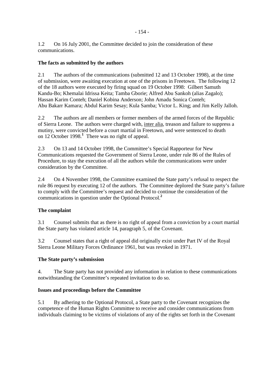1.2 On 16 July 2001, the Committee decided to join the consideration of these communications.

## **The facts as submitted by the authors**

2.1 The authors of the communications (submitted 12 and 13 October 1998), at the time of submission, were awaiting execution at one of the prisons in Freetown. The following 12 of the 18 authors were executed by firing squad on 19 October 1998: Gilbert Samuth Kandu-Bo; Khemalai Idrissa Keita; Tamba Gborie; Alfred Abu Sankoh (alias Zagalo); Hassan Karim Conteh; Daniel Kobina Anderson; John Amadu Sonica Conteh; Abu Bakarr Kamara; Abdul Karim Sesay; Kula Samba; Victor L. King; and Jim Kelly Jalloh.

2.2 The authors are all members or former members of the armed forces of the Republic of Sierra Leone. The authors were charged with, inter alia, treason and failure to suppress a mutiny, were convicted before a court martial in Freetown, and were sentenced to death on 12 October 1998.**<sup>1</sup>** There was no right of appeal.

2.3 On 13 and 14 October 1998, the Committee's Special Rapporteur for New Communications requested the Government of Sierra Leone, under rule 86 of the Rules of Procedure, to stay the execution of all the authors while the communications were under consideration by the Committee.

2.4 On 4 November 1998, the Committee examined the State party's refusal to respect the rule 86 request by executing 12 of the authors. The Committee deplored the State party's failure to comply with the Committee's request and decided to continue the consideration of the communications in question under the Optional Protocol.**<sup>2</sup>**

## **The complaint**

3.1 Counsel submits that as there is no right of appeal from a conviction by a court martial the State party has violated article 14, paragraph 5, of the Covenant.

3.2 Counsel states that a right of appeal did originally exist under Part IV of the Royal Sierra Leone Military Forces Ordinance 1961, but was revoked in 1971.

## **The State party's submission**

4. The State party has not provided any information in relation to these communications notwithstanding the Committee's repeated invitation to do so.

## **Issues and proceedings before the Committee**

5.1 By adhering to the Optional Protocol, a State party to the Covenant recognizes the competence of the Human Rights Committee to receive and consider communications from individuals claiming to be victims of violations of any of the rights set forth in the Covenant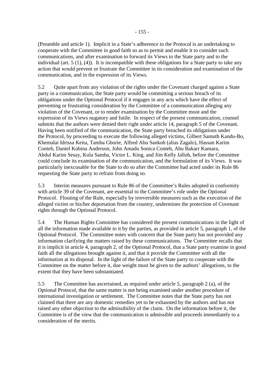(Preamble and article 1). Implicit in a State's adherence to the Protocol is an undertaking to cooperate with the Committee in good faith so as to permit and enable it to consider such communications, and after examination to forward its Views to the State party and to the individual (art. 5 (1), (4)). It is incompatible with these obligations for a State party to take any action that would prevent or frustrate the Committee in its consideration and examination of the communication, and in the expression of its Views.

5.2 Quite apart from any violation of the rights under the Covenant charged against a State party in a communication, the State party would be committing a serious breach of its obligations under the Optional Protocol if it engages in any acts which have the effect of preventing or frustrating consideration by the Committee of a communication alleging any violation of the Covenant, or to render examination by the Committee moot and the expression of its Views nugatory and futile. In respect of the present communication, counsel submits that the authors were denied their right under article 14, paragraph 5 of the Covenant. Having been notified of the communication, the State party breached its obligations under the Protocol, by proceeding to execute the following alleged victims, Gilbert Samuth Kandu-Bo, Khemalai Idrissa Keita, Tamba Gborie, Alfred Abu Sankoh (alias Zagalo), Hassan Karim Conteh, Daniel Kobina Anderson, John Amadu Sonica Conteh, Abu Bakarr Kamara, Abdul Karim Sesay, Kula Samba, Victor L. King, and Jim Kelly Jalloh, before the Committee could conclude its examination of the communication, and the formulation of its Views. It was particularly inexcusable for the State to do so after the Committee had acted under its Rule 86 requesting the State party to refrain from doing so.

5.3 Interim measures pursuant to Rule 86 of the Committee's Rules adopted in conformity with article 39 of the Covenant, are essential to the Committee's role under the Optional Protocol. Flouting of the Rule, especially by irreversible measures such as the execution of the alleged victim or his/her deportation from the country, undermines the protection of Covenant rights through the Optional Protocol.

5.4 The Human Rights Committee has considered the present communications in the light of all the information made available to it by the parties, as provided in article 5, paragraph 1, of the Optional Protocol. The Committee notes with concern that the State party has not provided any information clarifying the matters raised by these communications. The Committee recalls that it is implicit in article 4, paragraph 2, of the Optional Protocol, that a State party examine in good faith all the allegations brought against it, and that it provide the Committee with all the information at its disposal. In the light of the failure of the State party to cooperate with the Committee on the matter before it, due weight must be given to the authors' allegations, to the extent that they have been substantiated.

5.5 The Committee has ascertained, as required under article 5, paragraph 2 (a), of the Optional Protocol, that the same matter is not being examined under another procedure of international investigation or settlement. The Committee notes that the State party has not claimed that there are any domestic remedies yet to be exhausted by the authors and has not raised any other objection to the admissibility of the claim. On the information before it, the Committee is of the view that the communication is admissible and proceeds immediately to a consideration of the merits.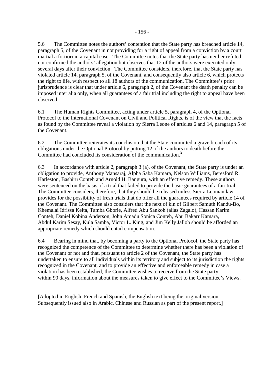5.6 The Committee notes the authors' contention that the State party has breached article 14, paragraph 5, of the Covenant in not providing for a right of appeal from a conviction by a court martial a fortiori in a capital case. The Committee notes that the State party has neither refuted nor confirmed the authors' allegation but observes that 12 of the authors were executed only several days after their conviction. The Committee considers, therefore, that the State party has violated article 14, paragraph 5, of the Covenant, and consequently also article 6, which protects the right to life, with respect to all 18 authors of the communication. The Committee's prior jurisprudence is clear that under article 6, paragraph 2, of the Covenant the death penalty can be imposed inter alia only, when all guarantees of a fair trial including the right to appeal have been observed.

6.1 The Human Rights Committee, acting under article 5, paragraph 4, of the Optional Protocol to the International Covenant on Civil and Political Rights, is of the view that the facts as found by the Committee reveal a violation by Sierra Leone of articles 6 and 14, paragraph 5 of the Covenant.

6.2 The Committee reiterates its conclusion that the State committed a grave breach of its obligations under the Optional Protocol by putting 12 of the authors to death before the Committee had concluded its consideration of the communication.**<sup>3</sup>**

6.3 In accordance with article 2, paragraph 3 (a), of the Covenant, the State party is under an obligation to provide, Anthony Mansaraj, Alpha Saba Kamara, Nelson Williams, Beresford R. Harleston, Bashiru Conteh and Arnold H. Bangura, with an effective remedy. These authors were sentenced on the basis of a trial that failed to provide the basic guarantees of a fair trial. The Committee considers, therefore, that they should be released unless Sierra Leonian law provides for the possibility of fresh trials that do offer all the guarantees required by article 14 of the Covenant. The Committee also considers that the next of kin of Gilbert Samuth Kandu-Bo, Khemalai Idrissa Keita, Tamba Gborie, Alfred Abu Sankoh (alias Zagalo), Hassan Karim Conteh, Daniel Kobina Anderson, John Amadu Sonica Conteh, Abu Bakarr Kamara, Abdul Karim Sesay, Kula Samba, Victor L. King, and Jim Kelly Jalloh should be afforded an appropriate remedy which should entail compensation.

6.4 Bearing in mind that, by becoming a party to the Optional Protocol, the State party has recognized the competence of the Committee to determine whether there has been a violation of the Covenant or not and that, pursuant to article 2 of the Covenant, the State party has undertaken to ensure to all individuals within its territory and subject to its jurisdiction the rights recognized in the Covenant, and to provide an effective and enforceable remedy in case a violation has been established, the Committee wishes to receive from the State party, within 90 days, information about the measures taken to give effect to the Committee's Views.

[Adopted in English, French and Spanish, the English text being the original version. Subsequently issued also in Arabic, Chinese and Russian as part of the present report.]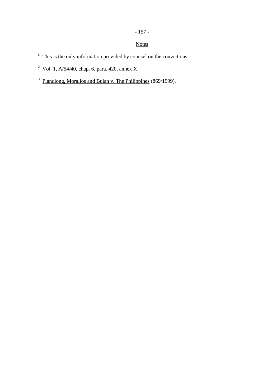# - 157 -

# **Notes**

- <sup>1</sup> This is the only information provided by counsel on the convictions.
- **2** Vol. 1, A/54/40, chap. 6, para. 420, annex X.
- <sup>3</sup> Piandiong, Morallos and Bulan v. The Philippines (869/1999).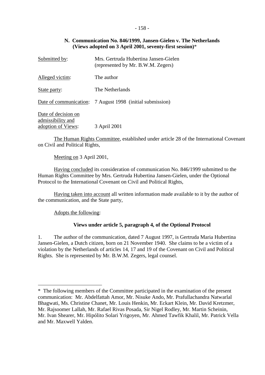#### **N. Communication No. 846/1999, Jansen-Gielen v. The Netherlands (Views adopted on 3 April 2001, seventy-first session)**\*

| Submitted by:                                                  | Mrs. Gertruda Hubertina Jansen-Gielen<br>(represented by Mr. B.W.M. Zegers) |
|----------------------------------------------------------------|-----------------------------------------------------------------------------|
| Alleged victim:                                                | The author                                                                  |
| State party:                                                   | The Netherlands                                                             |
|                                                                | Date of communication: 7 August 1998 (initial submission)                   |
| Date of decision on<br>admissibility and<br>adoption of Views: | 3 April 2001                                                                |
|                                                                |                                                                             |

 The Human Rights Committee, established under article 28 of the International Covenant on Civil and Political Rights,

Meeting on 3 April 2001,

 Having concluded its consideration of communication No. 846/1999 submitted to the Human Rights Committee by Mrs. Gertruda Hubertina Jansen-Gielen, under the Optional Protocol to the International Covenant on Civil and Political Rights,

 Having taken into account all written information made available to it by the author of the communication, and the State party,

Adopts the following:

 $\overline{a}$ 

## **Views under article 5, paragraph 4, of the Optional Protocol**

1. The author of the communication, dated 7 August 1997, is Gertruda Maria Hubertina Jansen-Gielen, a Dutch citizen, born on 21 November 1940. She claims to be a victim of a violation by the Netherlands of articles 14, 17 and 19 of the Covenant on Civil and Political Rights. She is represented by Mr. B.W.M. Zegers, legal counsel.

<sup>\*</sup> The following members of the Committee participated in the examination of the present communication: Mr. Abdelfattah Amor, Mr. Nisuke Ando, Mr. Prafullachandra Natwarlal Bhagwati, Ms. Christine Chanet, Mr. Louis Henkin, Mr. Eckart Klein, Mr. David Kretzmer, Mr. Rajsoomer Lallah, Mr. Rafael Rivas Posada, Sir Nigel Rodley, Mr. Martin Scheinin, Mr. Ivan Shearer, Mr. Hipólito Solari Yrigoyen, Mr. Ahmed Tawfik Khalil, Mr. Patrick Vella and Mr. Maxwell Yalden.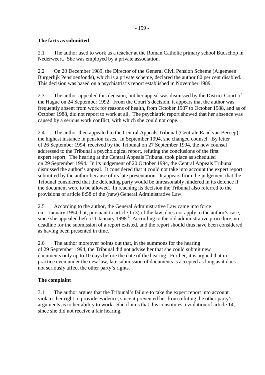## **The facts as submitted**

2.1 The author used to work as a teacher at the Roman Catholic primary school Budschop in Nederweert. She was employed by a private association.

2.2 On 20 December 1989, the Director of the General Civil Pension Scheme (Algemeen Burgerlijk Pensioenfonds), which is a private scheme, declared the author 80 per cent disabled. This decision was based on a psychiatrist's report established in November 1989.

2.3 The author appealed this decision, but her appeal was dismissed by the District Court of the Hague on 24 September 1992. From the Court's decision, it appears that the author was frequently absent from work for reasons of health, from October 1987 to October 1988, and as of October 1988, did not report to work at all. The psychiatric report showed that her absence was caused by a serious work conflict, with which she could not cope.

2.4 The author then appealed to the Central Appeals Tribunal (Centrale Raad van Beroep), the highest instance in pension cases. In September 1994, she changed counsel. By letter of 26 September 1994, received by the Tribunal on 27 September 1994, the new counsel addressed to the Tribunal a psychological report, refuting the conclusions of the first expert report. The hearing at the Central Appeals Tribunal took place as scheduled on 29 September 1994. In its judgement of 20 October 1994, the Central Appeals Tribunal dismissed the author's appeal. It considered that it could not take into account the expert report submitted by the author because of its late presentation. It appears from the judgement that the Tribunal considered that the defending party would be unreasonably hindered in its defence if the document were to be allowed. In reaching its decision the Tribunal also referred to the provisions of article 8:58 of the (new) General Administrative Law.

2.5 According to the author, the General Administrative Law came into force on 1 January 1994, but, pursuant to article 1 (3) of the law, does not apply to the author's case, since she appealed before 1 January 1998.**<sup>1</sup>** According to the old administrative procedure, no deadline for the submission of a report existed, and the report should thus have been considered as having been presented in time.

2.6 The author moreover points out that, in the summons for the hearing of 29 September 1994, the Tribunal did not advise her that she could submit new documents only up to 10 days before the date of the hearing. Further, it is argued that in practice even under the new law, late submission of documents is accepted as long as it does not seriously affect the other party's rights.

## **The complaint**

3.1 The author argues that the Tribunal's failure to take the expert report into account violates her right to provide evidence, since it prevented her from refuting the other party's arguments as to her ability to work. She claims that this constitutes a violation of article 14, since she did not receive a fair hearing.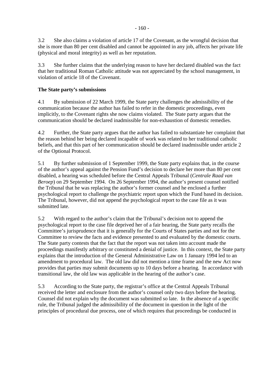3.3 She further claims that the underlying reason to have her declared disabled was the fact that her traditional Roman Catholic attitude was not appreciated by the school management, in violation of article 18 of the Covenant.

## **The State party's submissions**

4.1 By submission of 22 March 1999, the State party challenges the admissibility of the communication because the author has failed to refer in the domestic proceedings, even implicitly, to the Covenant rights she now claims violated. The State party argues that the communication should be declared inadmissible for non-exhaustion of domestic remedies.

4.2 Further, the State party argues that the author has failed to substantiate her complaint that the reason behind her being declared incapable of work was related to her traditional catholic beliefs, and that this part of her communication should be declared inadmissible under article 2 of the Optional Protocol.

5.1 By further submission of 1 September 1999, the State party explains that, in the course of the author's appeal against the Pension Fund's decision to declare her more than 80 per cent disabled, a hearing was scheduled before the Central Appeals Tribunal (*Centrale Raad van Beroep*) on 29 September 1994. On 26 September 1994, the author's present counsel notified the Tribunal that he was replacing the author's former counsel and he enclosed a further psychological report to challenge the psychiatric report upon which the Fund based its decision. The Tribunal, however, did not append the psychological report to the case file as it was submitted late.

5.2 With regard to the author's claim that the Tribunal's decision not to append the psychological report to the case file deprived her of a fair hearing, the State party recalls the Committee's jurisprudence that it is generally for the Courts of States parties and not for the Committee to review the facts and evidence presented to and evaluated by the domestic courts. The State party contests that the fact that the report was not taken into account made the proceedings manifestly arbitrary or constituted a denial of justice. In this context, the State party explains that the introduction of the General Administrative Law on 1 January 1994 led to an amendment to procedural law. The old law did not mention a time frame and the new Act now provides that parties may submit documents up to 10 days before a hearing. In accordance with transitional law, the old law was applicable in the hearing of the author's case.

5.3 According to the State party, the registrar's office at the Central Appeals Tribunal received the letter and enclosure from the author's counsel only two days before the hearing. Counsel did not explain why the document was submitted so late. In the absence of a specific rule, the Tribunal judged the admissibility of the document in question in the light of the principles of procedural due process, one of which requires that proceedings be conducted in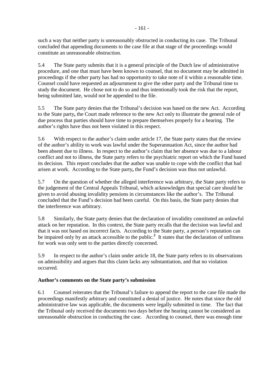such a way that neither party is unreasonably obstructed in conducting its case. The Tribunal concluded that appending documents to the case file at that stage of the proceedings would constitute an unreasonable obstruction.

5.4 The State party submits that it is a general principle of the Dutch law of administrative procedure, and one that must have been known to counsel, that no document may be admitted in proceedings if the other party has had no opportunity to take note of it within a reasonable time. Counsel could have requested an adjournment to give the other party and the Tribunal time to study the document. He chose not to do so and thus intentionally took the risk that the report, being submitted late, would not be appended to the file.

5.5 The State party denies that the Tribunal's decision was based on the new Act. According to the State party**,** the Court made reference to the new Act only to illustrate the general rule of due process that parties should have time to prepare themselves properly for a hearing. The author's rights have thus not been violated in this respect.

5.6 With respect to the author's claim under article 17, the State party states that the review of the author's ability to work was lawful under the Superannuation Act, since the author had been absent due to illness. In respect to the author's claim that her absence was due to a labour conflict and not to illness, the State party refers to the psychiatric report on which the Fund based its decision. This report concludes that the author was unable to cope with the conflict that had arisen at work. According to the State party**,** the Fund's decision was thus not unlawful.

5.7 On the question of whether the alleged interference was arbitrary, the State party refers to the judgement of the Central Appeals Tribunal, which acknowledges that special care should be given to avoid abusing invalidity pensions in circumstances like the author's. The Tribunal concluded that the Fund's decision had been careful. On this basis, the State party denies that the interference was arbitrary.

5.8 Similarly, the State party denies that the declaration of invalidity constituted an unlawful attack on her reputation. In this context, the State party recalls that the decision was lawful and that it was not based on incorrect facts. According to the State party, a person's reputation can be impaired only by an attack accessible to the public.<sup>2</sup> It states that the declaration of unfitness for work was only sent to the parties directly concerned.

5.9 In respect to the author's claim under article 18, the State party refers to its observations on admissibility and argues that this claim lacks any substantiation, and that no violation occurred.

## **Author's comments on the State party's submission**

6.1 Counsel reiterates that the Tribunal's failure to append the report to the case file made the proceedings manifestly arbitrary and constituted a denial of justice. He notes that since the old administrative law was applicable, the documents were legally submitted in time. The fact that the Tribunal only received the documents two days before the hearing cannot be considered an unreasonable obstruction in conducting the case. According to counsel, there was enough time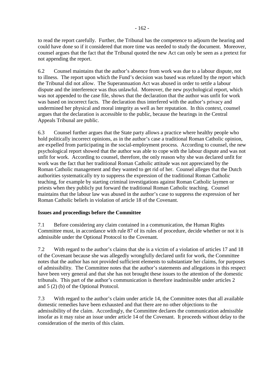6.2 Counsel maintains that the author's absence from work was due to a labour dispute, not to illness. The report upon which the Fund's decision was based was refuted by the report which the Tribunal did not allow. The Superannuation Act was abused in order to settle a labour dispute and the interference was thus unlawful. Moreover, the new psychological report, which was not appended to the case file, shows that the declaration that the author was unfit for work was based on incorrect facts. The declaration thus interfered with the author's privacy and undermined her physical and moral integrity as well as her reputation. In this context, counsel argues that the declaration is accessible to the public, because the hearings in the Central Appeals Tribunal are public.

6.3 Counsel further argues that the State party allows a practice where healthy people who hold politically incorrect opinions, as in the author's case a traditional Roman Catholic opinion, are expelled from participating in the social-employment process. According to counsel, the new psychological report showed that the author was able to cope with the labour dispute and was not unfit for work. According to counsel, therefore, the only reason why she was declared unfit for work was the fact that her traditional Roman Catholic attitude was not appreciated by the Roman Catholic management and they wanted to get rid of her. Counsel alleges that the Dutch authorities systematically try to suppress the expression of the traditional Roman Catholic teaching, for example by starting criminal investigations against Roman Catholic laymen or priests when they publicly put forward the traditional Roman Catholic teaching. Counsel maintains that the labour law was abused in the author's case to suppress the expression of her Roman Catholic beliefs in violation of article 18 of the Covenant.

## **Issues and proceedings before the Committee**

7.1 Before considering any claim contained in a communication, the Human Rights Committee must, in accordance with rule 87 of its rules of procedure, decide whether or not it is admissible under the Optional Protocol to the Covenant.

7.2 With regard to the author's claims that she is a victim of a violation of articles 17 and 18 of the Covenant because she was allegedly wrongfully declared unfit for work, the Committee notes that the author has not provided sufficient elements to substantiate her claims, for purposes of admissibility. The Committee notes that the author's statements and allegations in this respect have been very general and that she has not brought these issues to the attention of the domestic tribunals. This part of the author's communication is therefore inadmissible under articles 2 and 5 (2) (b) of the Optional Protocol.

7.3 With regard to the author's claim under article 14, the Committee notes that all available domestic remedies have been exhausted and that there are no other objections to the admissibility of the claim. Accordingly, the Committee declares the communication admissible insofar as it may raise an issue under article 14 of the Covenant. It proceeds without delay to the consideration of the merits of this claim.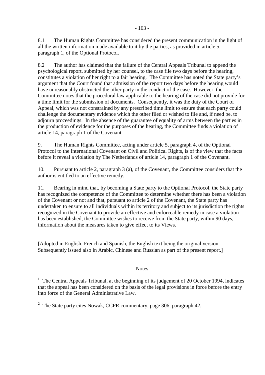8.1 The Human Rights Committee has considered the present communication in the light of all the written information made available to it by the parties, as provided in article 5, paragraph 1, of the Optional Protocol.

8.2 The author has claimed that the failure of the Central Appeals Tribunal to append the psychological report, submitted by her counsel, to the case file two days before the hearing, constitutes a violation of her right to a fair hearing. The Committee has noted the State party's argument that the Court found that admission of the report two days before the hearing would have unreasonably obstructed the other party in the conduct of the case. However, the Committee notes that the procedural law applicable to the hearing of the case did not provide for a time limit for the submission of documents. Consequently, it was the duty of the Court of Appeal, which was not constrained by any prescribed time limit to ensure that each party could challenge the documentary evidence which the other filed or wished to file and, if need be, to adjourn proceedings. In the absence of the guarantee of equality of arms between the parties in the production of evidence for the purposes of the hearing, the Committee finds a violation of article 14, paragraph 1 of the Covenant.

9. The Human Rights Committee, acting under article 5, paragraph 4, of the Optional Protocol to the International Covenant on Civil and Political Rights, is of the view that the facts before it reveal a violation by The Netherlands of article 14, paragraph 1 of the Covenant.

10. Pursuant to article 2, paragraph 3 (a), of the Covenant, the Committee considers that the author is entitled to an effective remedy.

11. Bearing in mind that, by becoming a State party to the Optional Protocol, the State party has recognized the competence of the Committee to determine whether there has been a violation of the Covenant or not and that, pursuant to article 2 of the Covenant, the State party has undertaken to ensure to all individuals within its territory and subject to its jurisdiction the rights recognized in the Covenant to provide an effective and enforceable remedy in case a violation has been established, the Committee wishes to receive from the State party, within 90 days, information about the measures taken to give effect to its Views.

[Adopted in English, French and Spanish, the English text being the original version. Subsequently issued also in Arabic, Chinese and Russian as part of the present report.]

## **Notes**

<sup>1</sup> The Central Appeals Tribunal, at the beginning of its judgement of 20 October 1994, indicates that the appeal has been considered on the basis of the legal provisions in force before the entry into force of the General Administrative Law.

<sup>2</sup> The State party cites Nowak, CCPR commentary, page 306, paragraph 42.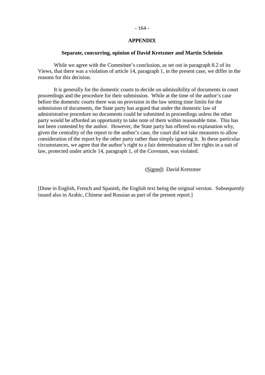#### - 164 -

#### **APPENDIX**

#### **Separate, concurring, opinion of David Kretzmer and Martin Scheinin**

While we agree with the Committee's conclusion, as set out in paragraph 8.2 of its Views, that there was a violation of article 14, paragraph 1, in the present case, we differ in the reasons for this decision.

 It is generally for the domestic courts to decide on admissibility of documents in court proceedings and the procedure for their submission. While at the time of the author's case before the domestic courts there was no provision in the law setting time limits for the submission of documents, the State party has argued that under the domestic law of administrative procedure no documents could be submitted in proceedings unless the other party would be afforded an opportunity to take note of them within reasonable time. This has not been contested by the author. However, the State party has offered no explanation why, given the centrality of the report to the author's case, the court did not take measures to allow consideration of the report by the other party rather than simply ignoring it. In these particular circumstances, we agree that the author's right to a fair determination of her rights in a suit of law, protected under article 14, paragraph 1, of the Covenant, was violated.

(Signed) David Kretzmer

[Done in English, French and Spanish, the English text being the original version. Subsequently issued also in Arabic, Chinese and Russian as part of the present report.]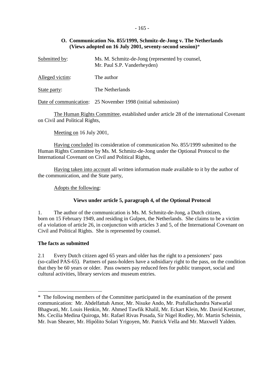## **O. Communication No. 855/1999, Schmitz-de-Jong v. The Netherlands (Views adopted on 16 July 2001, seventy-second session)**\*

| Submitted by:   | Ms. M. Schmitz-de-Jong (represented by counsel,<br>Mr. Paul S.P. Vanderheyden) |
|-----------------|--------------------------------------------------------------------------------|
| Alleged victim: | The author                                                                     |
| State party:    | The Netherlands                                                                |
|                 | Date of communication: 25 November 1998 (initial submission)                   |

 The Human Rights Committee, established under article 28 of the international Covenant on Civil and Political Rights,

Meeting on 16 July 2001,

 Having concluded its consideration of communication No. 855/1999 submitted to the Human Rights Committee by Ms. M. Schmitz-de-Jong under the Optional Protocol to the International Covenant on Civil and Political Rights,

 Having taken into account all written information made available to it by the author of the communication, and the State party,

Adopts the following:

# **Views under article 5, paragraph 4, of the Optional Protocol**

1. The author of the communication is Ms. M. Schmitz-de-Jong, a Dutch citizen, born on 15 February 1949, and residing in Gulpen, the Netherlands. She claims to be a victim of a violation of article 26, in conjunction with articles 3 and 5, of the International Covenant on Civil and Political Rights. She is represented by counsel.

## **The facts as submitted**

 $\overline{a}$ 

2.1 Every Dutch citizen aged 65 years and older has the right to a pensioners' pass (so-called PAS-65). Partners of pass-holders have a subsidiary right to the pass, on the condition that they be 60 years or older. Pass owners pay reduced fees for public transport, social and cultural activities, library services and museum entries.

<sup>\*</sup> The following members of the Committee participated in the examination of the present communication: Mr. Abdelfattah Amor, Mr. Nisuke Ando, Mr. Prafullachandra Natwarlal Bhagwati, Mr. Louis Henkin, Mr. Ahmed Tawfik Khalil, Mr. Eckart Klein, Mr. David Kretzmer, Ms. Cecilia Medina Quiroga, Mr. Rafael Rivas Posada, Sir Nigel Rodley, Mr. Martin Scheinin, Mr. Ivan Shearer, Mr. Hipólito Solari Yrigoyen, Mr. Patrick Vella and Mr. Maxwell Yalden.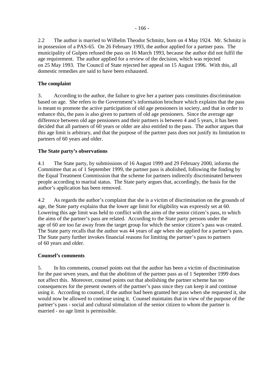2.2 The author is married to Wilhelm Theodor Schmitz, born on 4 May 1924. Mr. Schmitz is in possession of a PAS-65. On 26 February 1993, the author applied for a partner pass. The municipality of Gulpen refused the pass on 16 March 1993, because the author did not fulfil the age requirement. The author applied for a review of the decision, which was rejected on 25 May 1993. The Council of State rejected her appeal on 15 August 1996. With this, all domestic remedies are said to have been exhausted.

## **The complaint**

3. According to the author, the failure to give her a partner pass constitutes discrimination based on age. She refers to the Government's information brochure which explains that the pass is meant to promote the active participation of old age pensioners in society, and that in order to enhance this, the pass is also given to partners of old age pensioners. Since the average age difference between old age pensioners and their partners is between 4 and 5 years, it has been decided that all partners of 60 years or older are also entitled to the pass. The author argues that this age limit is arbitrary, and that the purpose of the partner pass does not justify its limitation to partners of 60 years and older.

## **The State party's observations**

4.1 The State party, by submissions of 16 August 1999 and 29 February 2000, informs the Committee that as of 1 September 1999, the partner pass is abolished, following the finding by the Equal Treatment Commission that the scheme for partners indirectly discriminated between people according to marital status. The State party argues that, accordingly, the basis for the author's application has been removed.

4.2 As regards the author's complaint that she is a victim of discrimination on the grounds of age, the State party explains that the lower age limit for eligibility was expressly set at 60. Lowering this age limit was held to conflict with the aims of the senior citizen's pass, to which the aims of the partner's pass are related. According to the State party persons under the age of 60 are too far away from the target group for which the senior citizen's pass was created. The State party recalls that the author was 44 years of age when she applied for a partner's pass. The State party further invokes financial reasons for limiting the partner's pass to partners of 60 years and older.

## **Counsel's comments**

5. In his comments, counsel points out that the author has been a victim of discrimination for the past seven years, and that the abolition of the partner pass as of 1 September 1999 does not affect this. Moreover, counsel points out that abolishing the partner scheme has no consequences for the present owners of the partner's pass since they can keep it and continue using it. According to counsel, if the author had been granted her pass when she requested it, she would now be allowed to continue using it. Counsel maintains that in view of the purpose of the partner's pass - social and cultural stimulation of the senior citizen to whom the partner is married - no age limit is permissible.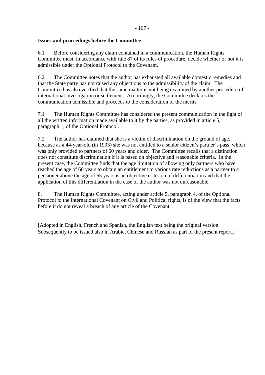## **Issues and proceedings before the Committee**

6.1 Before considering any claim contained in a communication, the Human Rights Committee must, in accordance with rule 87 of its rules of procedure, decide whether or not it is admissible under the Optional Protocol to the Covenant.

6.2 The Committee notes that the author has exhausted all available domestic remedies and that the State party has not raised any objections to the admissibility of the claim. The Committee has also verified that the same matter is not being examined by another procedure of international investigation or settlement. Accordingly, the Committee declares the communication admissible and proceeds to the consideration of the merits.

7.1 The Human Rights Committee has considered the present communication in the light of all the written information made available to it by the parties, as provided in article 5, paragraph 1, of the Optional Protocol.

7.2 The author has claimed that she is a victim of discrimination on the ground of age, because as a 44-year-old (in 1993) she was not entitled to a senior citizen's partner's pass, which was only provided to partners of 60 years and older. The Committee recalls that a distinction does not constitute discrimination if it is based on objective and reasonable criteria. In the present case, the Committee finds that the age limitation of allowing only partners who have reached the age of 60 years to obtain an entitlement to various rate reductions as a partner to a pensioner above the age of 65 years is an objective criterion of differentiation and that the application of this differentiation in the case of the author was not unreasonable.

8. The Human Rights Committee, acting under article 5, paragraph 4, of the Optional Protocol to the International Covenant on Civil and Political rights, is of the view that the facts before it do not reveal a breach of any article of the Covenant.

[Adopted in English, French and Spanish, the English text being the original version. Subsequently to be issued also in Arabic, Chinese and Russian as part of the present report.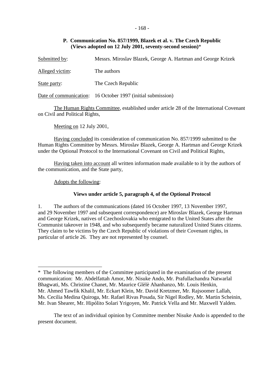#### - 168 -

#### **P. Communication No. 857/1999, Blazek et al. v. The Czech Republic (Views adopted on 12 July 2001, seventy-second session)**\*

Submitted by: Messrs. Miroslav Blazek, George A. Hartman and George Krizek Alleged victim: The authors State party: The Czech Republic Date of communication: 16 October 1997 (initial submission)

 The Human Rights Committee, established under article 28 of the International Covenant on Civil and Political Rights,

Meeting on 12 July 2001,

 Having concluded its consideration of communication No. 857/1999 submitted to the Human Rights Committee by Messrs. Miroslav Blazek, George A. Hartman and George Krizek under the Optional Protocol to the International Covenant on Civil and Political Rights,

 Having taken into account all written information made available to it by the authors of the communication, and the State party,

Adopts the following:

 $\overline{a}$ 

## **Views under article 5, paragraph 4, of the Optional Protocol**

1. The authors of the communications (dated 16 October 1997, 13 November 1997, and 29 November 1997 and subsequent correspondence) are Miroslav Blazek, George Hartman and George Krizek, natives of Czechoslovakia who emigrated to the United States after the Communist takeover in 1948, and who subsequently became naturalized United States citizens. They claim to be victims by the Czech Republic of violations of their Covenant rights, in particular of article 26. They are not represented by counsel.

 The text of an individual opinion by Committee member Nisuke Ando is appended to the present document.

<sup>\*</sup> The following members of the Committee participated in the examination of the present communication: Mr. Abdelfattah Amor, Mr. Nisuke Ando, Mr. Prafullachandra Natwarlal Bhagwati, Ms. Christine Chanet, Mr. Maurice Glèlè Ahanhanzo, Mr. Louis Henkin, Mr. Ahmed Tawfik Khalil, Mr. Eckart Klein, Mr. David Kretzmer, Mr. Rajsoomer Lallah, Ms. Cecilia Medina Quiroga, Mr. Rafael Rivas Posada, Sir Nigel Rodley, Mr. Martin Scheinin, Mr. Ivan Shearer, Mr. Hipólito Solari Yrigoyen, Mr. Patrick Vella and Mr. Maxwell Yalden.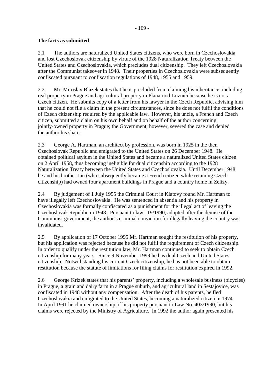## **The facts as submitted**

2.1 The authors are naturalized United States citizens, who were born in Czechoslovakia and lost Czechoslovak citizenship by virtue of the 1928 Naturalization Treaty between the United States and Czechoslovakia, which precludes dual citizenship. They left Czechoslovakia after the Communist takeover in 1948. Their properties in Czechoslovakia were subsequently confiscated pursuant to confiscation regulations of 1948, 1955 and 1959.

2.2 Mr. Miroslav Blazek states that he is precluded from claiming his inheritance, including real property in Prague and agricultural property in Plana-nod-Luznici because he is not a Czech citizen. He submits copy of a letter from his lawyer in the Czech Republic, advising him that he could not file a claim in the present circumstances, since he does not fulfil the conditions of Czech citizenship required by the applicable law. However, his uncle, a French and Czech citizen, submitted a claim on his own behalf and on behalf of the author concerning jointly-owned property in Prague; the Government, however, severed the case and denied the author his share.

2.3 George A. Hartman, an architect by profession, was born in 1925 in the then Czechoslovak Republic and emigrated to the United States on 26 December 1948. He obtained political asylum in the United States and became a naturalized United States citizen on 2 April 1958, thus becoming ineligible for dual citizenship according to the 1928 Naturalization Treaty between the United States and Czechoslovakia. Until December 1948 he and his brother Jan (who subsequently became a French citizen while retaining Czech citizenship) had owned four apartment buildings in Prague and a country home in Zelizy.

2.4 By judgement of 1 July 1955 the Criminal Court in Klatovy found Mr. Hartman to have illegally left Czechoslovakia. He was sentenced in absentia and his property in Czechoslovakia was formally confiscated as a punishment for the illegal act of leaving the Czechoslovak Republic in 1948. Pursuant to law 119/1990, adopted after the demise of the Communist government, the author's criminal conviction for illegally leaving the country was invalidated.

2.5 By application of 17 October 1995 Mr. Hartman sought the restitution of his property, but his application was rejected because he did not fulfil the requirement of Czech citizenship. In order to qualify under the restitution law, Mr. Hartman continued to seek to obtain Czech citizenship for many years. Since 9 November 1999 he has dual Czech and United States citizenship. Notwithstanding his current Czech citizenship, he has not been able to obtain restitution because the statute of limitations for filing claims for restitution expired in 1992.

2.6 George Krizek states that his parents' property, including a wholesale business (bicycles) in Prague, a grain and dairy farm in a Prague suburb, and agricultural land in Sestajovice, was confiscated in 1948 without any compensation. After the death of his parents, he fled Czechoslovakia and emigrated to the United States, becoming a naturalized citizen in 1974. In April 1991 he claimed ownership of his property pursuant to Law No. 403/1990, but his claims were rejected by the Ministry of Agriculture. In 1992 the author again presented his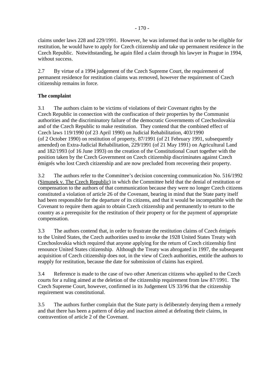claims under laws 228 and 229/1991. However, he was informed that in order to be eligible for restitution, he would have to apply for Czech citizenship and take up permanent residence in the Czech Republic. Notwithstanding, he again filed a claim through his lawyer in Prague in 1994, without success.

2.7 By virtue of a 1994 judgement of the Czech Supreme Court, the requirement of permanent residence for restitution claims was removed, however the requirement of Czech citizenship remains in force.

## **The complaint**

3.1 The authors claim to be victims of violations of their Covenant rights by the Czech Republic in connection with the confiscation of their properties by the Communist authorities and the discriminatory failure of the democratic Governments of Czechoslovakia and of the Czech Republic to make restitution. They contend that the combined effect of Czech laws 119/1990 (of 23 April 1990) on Judicial Rehabilitation, 403/1990 (of 2 October 1990) on restitution of property, 87/1991 (of 21 February 1991, subsequently amended) on Extra-Judicial Rehabilitation, 229/1991 (of 21 May 1991) on Agricultural Land and 182/1993 (of 16 June 1993) on the creation of the Constitutional Court together with the position taken by the Czech Government on Czech citizenship discriminates against Czech émigrés who lost Czech citizenship and are now precluded from recovering their property.

3.2 The authors refer to the Committee's decision concerning communication No. 516/1992 (Simunek v. The Czech Republic) in which the Committee held that the denial of restitution or compensation to the authors of that communication because they were no longer Czech citizens constituted a violation of article 26 of the Covenant, bearing in mind that the State party itself had been responsible for the departure of its citizens, and that it would be incompatible with the Covenant to require them again to obtain Czech citizenship and permanently to return to the country as a prerequisite for the restitution of their property or for the payment of appropriate compensation.

3.3 The authors contend that, in order to frustrate the restitution claims of Czech émigrés to the United States, the Czech authorities used to invoke the 1928 United States Treaty with Czechoslovakia which required that anyone applying for the return of Czech citizenship first renounce United States citizenship. Although the Treaty was abrogated in 1997, the subsequent acquisition of Czech citizenship does not, in the view of Czech authorities, entitle the authors to reapply for restitution, because the date for submission of claims has expired.

3.4 Reference is made to the case of two other American citizens who applied to the Czech courts for a ruling aimed at the deletion of the citizenship requirement from law 87/1991. The Czech Supreme Court, however, confirmed in its Judgement US 33/96 that the citizenship requirement was constitutional.

3.5 The authors further complain that the State party is deliberately denying them a remedy and that there has been a pattern of delay and inaction aimed at defeating their claims, in contravention of article 2 of the Covenant.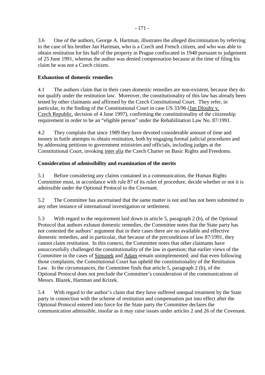3.6 One of the authors, George A. Hartman, illustrates the alleged discrimination by referring to the case of his brother Jan Hartman, who is a Czech and French citizen, and who was able to obtain restitution for his half of the property in Prague confiscated in 1948 pursuant to judgement of 25 June 1991, whereas the author was denied compensation because at the time of filing his claim he was not a Czech citizen.

## **Exhaustion of domestic remedies**

4.1 The authors claim that in their cases domestic remedies are non-existent, because they do not qualify under the restitution law. Moreover, the constitutionality of this law has already been tested by other claimants and affirmed by the Czech Constitutional Court. They refer, in particular, to the finding of the Constitutional Court in case US 33/96 (Jan Dlouhy v. Czech Republic, decision of 4 June 1997), confirming the constitutionality of the citizenship requirement in order to be an "eligible person" under the Rehabilitation Law No. 87/1991.

4.2 They complain that since 1989 they have devoted considerable amount of time and money in futile attempts to obtain restitution, both by engaging formal judicial procedures and by addressing petitions to government ministries and officials, including judges at the Constitutional Court, invoking inter alia the Czech Charter on Basic Rights and Freedoms.

## **Consideration of admissibility and examination of the merits**

5.1 Before considering any claims contained in a communication, the Human Rights Committee must, in accordance with rule 87 of its rules of procedure, decide whether or not it is admissible under the Optional Protocol to the Covenant.

5.2 The Committee has ascertained that the same matter is not and has not been submitted to any other instance of international investigation or settlement.

5.3 With regard to the requirement laid down in article 5, paragraph 2 (b), of the Optional Protocol that authors exhaust domestic remedies, the Committee notes that the State party has not contested the authors' argument that in their cases there are no available and effective domestic remedies, and in particular, that because of the preconditions of law 87/1991, they cannot claim restitution. In this context, the Committee notes that other claimants have unsuccessfully challenged the constitutionality of the law in question; that earlier views of the Committee in the cases of Simunek and Adam remain unimplemented; and that even following those complaints, the Constitutional Court has upheld the constitutionality of the Restitution Law. In the circumstances, the Committee finds that article 5, paragraph 2 (b), of the Optional Protocol does not preclude the Committee's consideration of the communications of Messrs. Blazek, Hartman and Krizek.

5.4 With regard to the author's claim that they have suffered unequal treatment by the State party in connection with the scheme of restitution and compensation put into effect after the Optional Protocol entered into force for the State party the Committee declares the communication admissible, insofar as it may raise issues under articles 2 and 26 of the Covenant.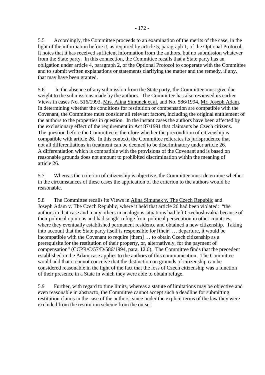5.5 Accordingly, the Committee proceeds to an examination of the merits of the case, in the light of the information before it, as required by article 5, paragraph 1, of the Optional Protocol. It notes that it has received sufficient information from the authors, but no submission whatever from the State party. In this connection, the Committee recalls that a State party has an obligation under article 4, paragraph 2, of the Optional Protocol to cooperate with the Committee and to submit written explanations or statements clarifying the matter and the remedy, if any, that may have been granted.

5.6 In the absence of any submission from the State party, the Committee must give due weight to the submissions made by the authors. The Committee has also reviewed its earlier Views in cases No. 516/1993, Mrs. Alina Simunek et al. and No. 586/1994, Mr. Joseph Adam. In determining whether the conditions for restitution or compensation are compatible with the Covenant, the Committee must consider all relevant factors, including the original entitlement of the authors to the properties in question. In the instant cases the authors have been affected by the exclusionary effect of the requirement in Act 87/1991 that claimants be Czech citizens. The question before the Committee is therefore whether the precondition of citizenship is compatible with article 26. In this context, the Committee reiterates its jurisprudence that not all differentiations in treatment can be deemed to be discriminatory under article 26. A differentiation which is compatible with the provisions of the Covenant and is based on reasonable grounds does not amount to prohibited discrimination within the meaning of article 26.

5.7 Whereas the criterion of citizenship is objective, the Committee must determine whether in the circumstances of these cases the application of the criterion to the authors would be reasonable.

5.8 The Committee recalls its Views in Alina Simunek v. The Czech Republic and Joseph Adam v. The Czech Republic, where it held that article 26 had been violated: "the authors in that case and many others in analogous situations had left Czechoslovakia because of their political opinions and had sought refuge from political persecution in other countries, where they eventually established permanent residence and obtained a new citizenship. Taking into account that the State party itself is responsible for [their] … departure, it would be incompatible with the Covenant to require [them] … to obtain Czech citizenship as a prerequisite for the restitution of their property, or, alternatively, for the payment of compensation" (CCPR/C/57/D/586/1994, para. 12.6). The Committee finds that the precedent established in the Adam case applies to the authors of this communication. The Committee would add that it cannot conceive that the distinction on grounds of citizenship can be considered reasonable in the light of the fact that the loss of Czech citizenship was a function of their presence in a State in which they were able to obtain refuge.

5.9 Further, with regard to time limits, whereas a statute of limitations may be objective and even reasonable in abstracto, the Committee cannot accept such a deadline for submitting restitution claims in the case of the authors, since under the explicit terms of the law they were excluded from the restitution scheme from the outset.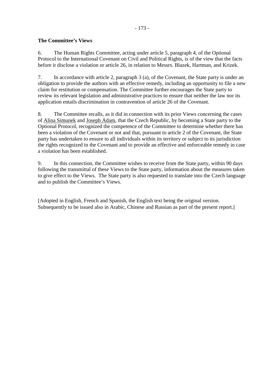## **The Committee's Views**

6. The Human Rights Committee, acting under article 5, paragraph 4, of the Optional Protocol to the International Covenant on Civil and Political Rights, is of the view that the facts before it disclose a violation or article 26, in relation to Messrs. Blazek, Hartman, and Krizek.

7. In accordance with article 2, paragraph 3 (a), of the Covenant, the State party is under an obligation to provide the authors with an effective remedy, including an opportunity to file a new claim for restitution or compensation. The Committee further encourages the State party to review its relevant legislation and administrative practices to ensure that neither the law nor its application entails discrimination in contravention of article 26 of the Covenant.

8. The Committee recalls, as it did in connection with its prior Views concerning the cases of Alina Simunek and Joseph Adam, that the Czech Republic, by becoming a State party to the Optional Protocol, recognized the competence of the Committee to determine whether there has been a violation of the Covenant or not and that, pursuant to article 2 of the Covenant, the State party has undertaken to ensure to all individuals within its territory or subject to its jurisdiction the rights recognized in the Covenant and to provide an effective and enforceable remedy in case a violation has been established.

9. In this connection, the Committee wishes to receive from the State party, within 90 days following the transmittal of these Views to the State party, information about the measures taken to give effect to the Views. The State party is also requested to translate into the Czech language and to publish the Committee's Views.

[Adopted in English, French and Spanish, the English text being the original version. Subsequently to be issued also in Arabic, Chinese and Russian as part of the present report.]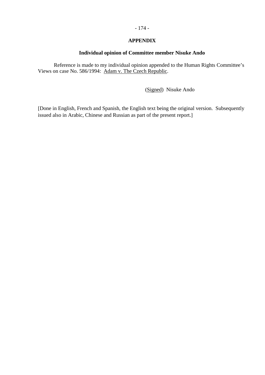## - 174 -

#### **APPENDIX**

## **Individual opinion of Committee member Nisuke Ando**

 Reference is made to my individual opinion appended to the Human Rights Committee's Views on case No. 586/1994: Adam v. The Czech Republic.

(Signed) Nisuke Ando

[Done in English, French and Spanish, the English text being the original version. Subsequently issued also in Arabic, Chinese and Russian as part of the present report.]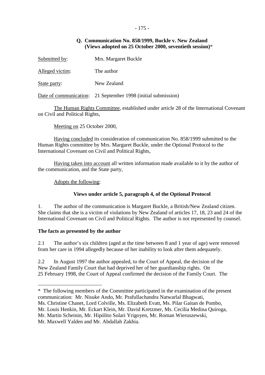## - 175 -

#### **Q. Communication No. 858/1999, Buckle v. New Zealand (Views adopted on 25 October 2000, seventieth session)**\*

| Submitted by:   | Mrs. Margaret Buckle                                          |
|-----------------|---------------------------------------------------------------|
| Alleged victim: | The author                                                    |
| State party:    | New Zealand                                                   |
|                 | Date of communication: 21 September 1998 (initial submission) |

 The Human Rights Committee, established under article 28 of the International Covenant on Civil and Political Rights,

Meeting on 25 October 2000,

 Having concluded its consideration of communication No. 858/1999 submitted to the Human Rights committee by Mrs. Margaret Buckle, under the Optional Protocol to the International Covenant on Civil and Political Rights,

 Having taken into account all written information made available to it by the author of the communication, and the State party,

Adopts the following:

## **Views under article 5, paragraph 4, of the Optional Protocol**

1. The author of the communication is Margaret Buckle, a British/New Zealand citizen. She claims that she is a victim of violations by New Zealand of articles 17, 18, 23 and 24 of the International Covenant on Civil and Political Rights. The author is not represented by counsel.

## **The facts as presented by the author**

 $\overline{a}$ 

2.1 The author's six children (aged at the time between 8 and 1 year of age) were removed from her care in 1994 allegedly because of her inability to look after them adequately.

2.2 In August 1997 the author appealed, to the Court of Appeal, the decision of the New Zealand Family Court that had deprived her of her guardianship rights. On 25 February 1998, the Court of Appeal confirmed the decision of the Family Court. The

<sup>\*</sup> The following members of the Committee participated in the examination of the present communication: Mr. Nisuke Ando, Mr. Prafullachandra Natwarlal Bhagwati, Ms. Christine Chanet, Lord Colville, Ms. Elizabeth Evatt, Ms. Pilar Gaitan de Pombo, Mr. Louis Henkin, Mr. Eckart Klein, Mr. David Kretzmer, Ms. Cecilia Medina Quiroga, Mr. Martin Scheinin, Mr. Hipólito Solari Yrigoyen, Mr. Roman Wieruszewski, Mr. Maxwell Yalden and Mr. Abdallah Zakhia.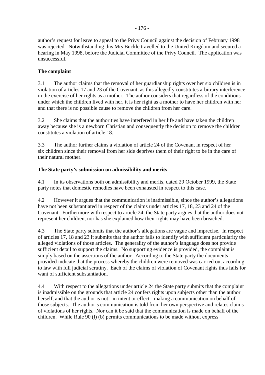author's request for leave to appeal to the Privy Council against the decision of February 1998 was rejected. Notwithstanding this Mrs Buckle travelled to the United Kingdom and secured a hearing in May 1998, before the Judicial Committee of the Privy Council. The application was unsuccessful.

## **The complaint**

3.1 The author claims that the removal of her guardianship rights over her six children is in violation of articles 17 and 23 of the Covenant, as this allegedly constitutes arbitrary interference in the exercise of her rights as a mother. The author considers that regardless of the conditions under which the children lived with her, it is her right as a mother to have her children with her and that there is no possible cause to remove the children from her care.

3.2 She claims that the authorities have interfered in her life and have taken the children away because she is a newborn Christian and consequently the decision to remove the children constitutes a violation of article 18.

3.3 The author further claims a violation of article 24 of the Covenant in respect of her six children since their removal from her side deprives them of their right to be in the care of their natural mother.

## **The State party's submission on admissibility and merits**

4.1 In its observations both on admissibility and merits, dated 29 October 1999, the State party notes that domestic remedies have been exhausted in respect to this case.

4.2 However it argues that the communication is inadmissible, since the author's allegations have not been substantiated in respect of the claims under articles 17, 18, 23 and 24 of the Covenant. Furthermore with respect to article 24, the State party argues that the author does not represent her children, nor has she explained how their rights may have been breached.

4.3 The State party submits that the author's allegations are vague and imprecise. In respect of articles 17, 18 and 23 it submits that the author fails to identify with sufficient particularity the alleged violations of those articles. The generality of the author's language does not provide sufficient detail to support the claims. No supporting evidence is provided, the complaint is simply based on the assertions of the author. According to the State party the documents provided indicate that the process whereby the children were removed was carried out according to law with full judicial scrutiny. Each of the claims of violation of Covenant rights thus fails for want of sufficient substantiation.

4.4 With respect to the allegations under article 24 the State party submits that the complaint is inadmissible on the grounds that article 24 confers rights upon subjects other than the author herself, and that the author is not - in intent or effect - making a communication on behalf of those subjects. The author's communication is told from her own perspective and relates claims of violations of her rights. Nor can it be said that the communication is made on behalf of the children. While Rule 90 (l) (b) permits communications to be made without express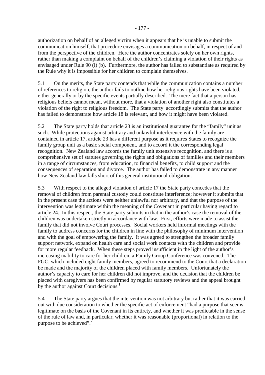authorization on behalf of an alleged victim when it appears that he is unable to submit the communication himself, that procedure envisages a communication on behalf, in respect of and from the perspective of the children. Here the author concentrates solely on her own rights, rather than making a complaint on behalf of the children's claiming a violation of their rights as envisaged under Rule 90 (l) (b). Furthermore, the author has failed to substantiate as required by the Rule why it is impossible for her children to complain themselves.

5.1 On the merits, the State party contends that while the communication contains a number of references to religion, the author fails to outline how her religious rights have been violated, either generally or by the specific events partially described. The mere fact that a person has religious beliefs cannot mean, without more, that a violation of another right also constitutes a violation of the right to religious freedom. The State party accordingly submits that the author has failed to demonstrate how article 18 is relevant, and how it might have been violated.

5.2 The State party holds that article 23 is an institutional guarantee for the "family" unit as such. While protections against arbitrary and unlawful interference with the family are contained in article 17, article 23 has a different purpose as it requires States to recognize the family group unit as a basic social component, and to accord it the corresponding legal recognition. New Zealand law accords the family unit extensive recognition, and there is a comprehensive set of statutes governing the rights and obligations of families and their members in a range of circumstances, from education, to financial benefits, to child support and the consequences of separation and divorce. The author has failed to demonstrate in any manner how New Zealand law falls short of this general institutional obligation.

5.3 With respect to the alleged violation of article 17 the State party concedes that the removal of children from parental custody could constitute interference; however it submits that in the present case the actions were neither unlawful nor arbitrary, and that the purpose of the intervention was legitimate within the meaning of the Covenant in particular having regard to article 24. In this respect, the State party submits in that in the author's case the removal of the children was undertaken strictly in accordance with law. First, efforts were made to assist the family that did not involve Court processes. Social workers held informal meetings with the family to address concerns for the children in line with the philosophy of minimum intervention and with the goal of empowering the family. It was agreed to strengthen the broader family support network, expand on health care and social work contacts with the children and provide for more regular feedback. When these steps proved insufficient in the light of the author's increasing inability to care for her children, a Family Group Conference was convened. The FGC, which included eight family members, agreed to recommend to the Court that a declaration be made and the majority of the children placed with family members. Unfortunately the author's capacity to care for her children did not improve, and the decision that the children be placed with caregivers has been confirmed by regular statutory reviews and the appeal brought by the author against Court decisions.**<sup>1</sup>**

5.4 The State party argues that the intervention was not arbitrary but rather that it was carried out with due consideration to whether the specific act of enforcement "had a purpose that seems legitimate on the basis of the Covenant in its entirety, and whether it was predictable in the sense of the rule of law and, in particular, whether it was reasonable (proportional) in relation to the purpose to be achieved".**<sup>2</sup>**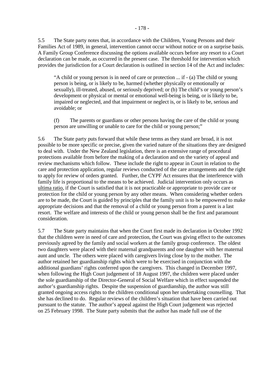5.5 The State party notes that, in accordance with the Children, Young Persons and their Families Act of 1989, in general, intervention cannot occur without notice or on a surprise basis. A Family Group Conference discussing the options available occurs before any resort to a Court declaration can be made, as occurred in the present case. The threshold for intervention which provides the jurisdiction for a Court declaration is outlined in section 14 of the Act and includes:

"A child or young person is in need of care or protection ... if - (a) The child or young person is being, or is likely to be, harmed (whether physically or emotionally or sexually), ill-treated, abused, or seriously deprived; or (b) The child's or young person's development or physical or mental or emotional well-being is being, or is likely to be, impaired or neglected, and that impairment or neglect is, or is likely to be, serious and avoidable; or

(f) The parents or guardians or other persons having the care of the child or young person are unwilling or unable to care for the child or young person;"

5.6 The State party puts forward that while these terms as they stand are broad, it is not possible to be more specific or precise, given the varied nature of the situations they are designed to deal with. Under the New Zealand legislation, there is an extensive range of procedural protections available from before the making of a declaration and on the variety of appeal and review mechanisms which follow. These include the right to appear in Court in relation to the care and protection application, regular reviews conducted of the care arrangements and the right to apply for review of orders granted. Further, the CYPF Act ensures that the interference with family life is proportional to the means to be achieved. Judicial intervention only occurs as ultima ratio, if the Court is satisfied that it is not practicable or appropriate to provide care or protection for the child or young person by any other means. When considering whether orders are to be made, the Court is guided by principles that the family unit is to be empowered to make appropriate decisions and that the removal of a child or young person from a parent is a last resort. The welfare and interests of the child or young person shall be the first and paramount consideration.

5.7 The State party maintains that when the Court first made its declaration in October 1992 that the children were in need of care and protection, the Court was giving effect to the outcomes previously agreed by the family and social workers at the family group conference. The oldest two daughters were placed with their maternal grandparents and one daughter with her maternal aunt and uncle. The others were placed with caregivers living close by to the mother. The author retained her guardianship rights which were to be exercised in conjunction with the additional guardians' rights conferred upon the caregivers. This changed in December 1997, when following the High Court judgement of 18 August 1997, the children were placed under the sole guardianship of the Director-General of Social Welfare which in effect suspended the author's guardianship rights. Despite the suspension of guardianship, the author was still granted ongoing access rights to the children conditional upon her undertaking counselling. That she has declined to do. Regular reviews of the children's situation that have been carried out pursuant to the statute. The author's appeal against the High Court judgement was rejected on 25 February 1998. The State party submits that the author has made full use of the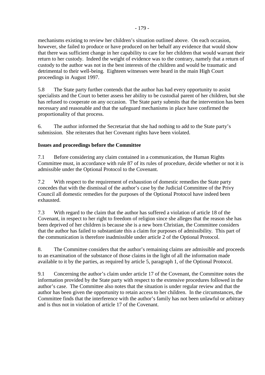mechanisms existing to review her children's situation outlined above. On each occasion, however, she failed to produce or have produced on her behalf any evidence that would show that there was sufficient change in her capability to care for her children that would warrant their return to her custody. Indeed the weight of evidence was to the contrary, namely that a return of custody to the author was not in the best interests of the children and would be traumatic and detrimental to their well-being. Eighteen witnesses were heard in the main High Court proceedings in August 1997.

5.8 The State party further contends that the author has had every opportunity to assist specialists and the Court to better assess her ability to be custodial parent of her children, but she has refused to cooperate on any occasion. The State party submits that the intervention has been necessary and reasonable and that the safeguard mechanisms in place have confirmed the proportionality of that process.

6. The author informed the Secretariat that she had nothing to add to the State party's submission. She reiterates that her Covenant rights have been violated.

## **Issues and proceedings before the Committee**

7.1 Before considering any claim contained in a communication, the Human Rights Committee must, in accordance with rule 87 of its rules of procedure, decide whether or not it is admissible under the Optional Protocol to the Covenant.

7.2 With respect to the requirement of exhaustion of domestic remedies the State party concedes that with the dismissal of the author's case by the Judicial Committee of the Privy Council all domestic remedies for the purposes of the Optional Protocol have indeed been exhausted.

7.3 With regard to the claim that the author has suffered a violation of article 18 of the Covenant, in respect to her right to freedom of religion since she alleges that the reason she has been deprived of her children is because she is a new born Christian, the Committee considers that the author has failed to substantiate this a claim for purposes of admissibility. This part of the communication is therefore inadmissible under article 2 of the Optional Protocol.

8. The Committee considers that the author's remaining claims are admissible and proceeds to an examination of the substance of those claims in the light of all the information made available to it by the parties, as required by article 5, paragraph 1, of the Optional Protocol.

9.1 Concerning the author's claim under article 17 of the Covenant, the Committee notes the information provided by the State party with respect to the extensive procedures followed in the author's case. The Committee also notes that the situation is under regular review and that the author has been given the opportunity to retain access to her children. In the circumstances, the Committee finds that the interference with the author's family has not been unlawful or arbitrary and is thus not in violation of article 17 of the Covenant.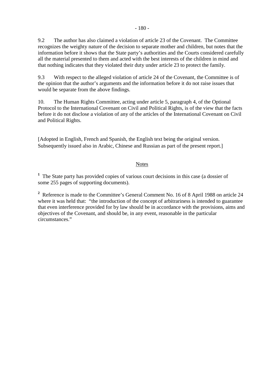9.2 The author has also claimed a violation of article 23 of the Covenant. The Committee recognizes the weighty nature of the decision to separate mother and children, but notes that the information before it shows that the State party's authorities and the Courts considered carefully all the material presented to them and acted with the best interests of the children in mind and that nothing indicates that they violated their duty under article 23 to protect the family.

9.3 With respect to the alleged violation of article 24 of the Covenant, the Committee is of the opinion that the author's arguments and the information before it do not raise issues that would be separate from the above findings.

10. The Human Rights Committee, acting under article 5, paragraph 4, of the Optional Protocol to the International Covenant on Civil and Political Rights, is of the view that the facts before it do not disclose a violation of any of the articles of the International Covenant on Civil and Political Rights.

[Adopted in English, French and Spanish, the English text being the original version. Subsequently issued also in Arabic, Chinese and Russian as part of the present report.]

## **Notes**

<sup>1</sup> The State party has provided copies of various court decisions in this case (a dossier of some 255 pages of supporting documents).

<sup>2</sup> Reference is made to the Committee's General Comment No. 16 of 8 April 1988 on article 24 where it was held that: "the introduction of the concept of arbitrariness is intended to guarantee that even interference provided for by law should be in accordance with the provisions, aims and objectives of the Covenant, and should be, in any event, reasonable in the particular circumstances."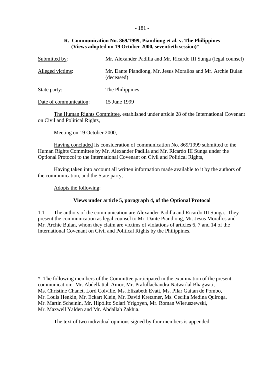#### - 181 -

### **R. Communication No. 869/1999, Piandiong et al. v. The Philippines (Views adopted on 19 October 2000, seventieth session)**\*

| Submitted by:          | Mr. Alexander Padilla and Mr. Ricardo III Sunga (legal counsel)            |
|------------------------|----------------------------------------------------------------------------|
| Alleged victims:       | Mr. Dante Piandiong, Mr. Jesus Morallos and Mr. Archie Bulan<br>(deceased) |
| State party:           | The Philippines                                                            |
| Date of communication: | 15 June 1999                                                               |

 The Human Rights Committee, established under article 28 of the International Covenant on Civil and Political Rights,

Meeting on 19 October 2000,

 Having concluded its consideration of communication No. 869/1999 submitted to the Human Rights Committee by Mr. Alexander Padilla and Mr. Ricardo III Sunga under the Optional Protocol to the International Covenant on Civil and Political Rights,

 Having taken into account all written information made available to it by the authors of the communication, and the State party,

Adopts the following:

 $\overline{a}$ 

# **Views under article 5, paragraph 4, of the Optional Protocol**

1.1 The authors of the communication are Alexander Padilla and Ricardo III Sunga. They present the communication as legal counsel to Mr. Dante Piandiong, Mr. Jesus Morallos and Mr. Archie Bulan, whom they claim are victims of violations of articles 6, 7 and 14 of the International Covenant on Civil and Political Rights by the Philippines.

The text of two individual opinions signed by four members is appended.

<sup>\*</sup> The following members of the Committee participated in the examination of the present communication: Mr. Abdelfattah Amor, Mr. Prafullachandra Natwarlal Bhagwati, Ms. Christine Chanet, Lord Colville, Ms. Elizabeth Evatt, Ms. Pilar Gaitan de Pombo, Mr. Louis Henkin, Mr. Eckart Klein, Mr. David Kretzmer, Ms. Cecilia Medina Quiroga, Mr. Martin Scheinin, Mr. Hipólito Solari Yrigoyen, Mr. Roman Wieruszewski, Mr. Maxwell Yalden and Mr. Abdallah Zakhia.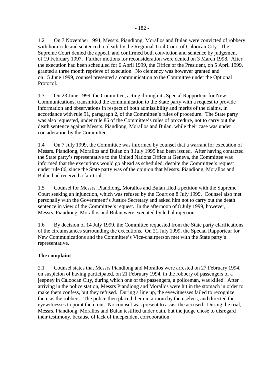1.2 On 7 November 1994, Messrs. Piandiong, Morallos and Bulan were convicted of robbery with homicide and sentenced to death by the Regional Trial Court of Caloocan City. The Supreme Court denied the appeal, and confirmed both conviction and sentence by judgement of 19 February 1997. Further motions for reconsideration were denied on 3 March 1998. After the execution had been scheduled for 6 April 1999, the Office of the President, on 5 April 1999, granted a three month reprieve of execution. No clemency was however granted and on 15 June 1999, counsel presented a communication to the Committee under the Optional Protocol.

1.3 On 23 June 1999, the Committee, acting through its Special Rapporteur for New Communications, transmitted the communication to the State party with a request to provide information and observations in respect of both admissibility and merits of the claims, in accordance with rule 91, paragraph 2, of the Committee's rules of procedure. The State party was also requested, under rule 86 of the Committee's rules of procedure, not to carry out the death sentence against Messrs. Piandiong, Morallos and Bulan, while their case was under consideration by the Committee.

1.4 On 7 July 1999, the Committee was informed by counsel that a warrant for execution of Messrs. Piandiong, Morallos and Bulan on 8 July 1999 had been issued. After having contacted the State party's representative to the United Nations Office at Geneva, the Committee was informed that the executions would go ahead as scheduled, despite the Committee's request under rule 86, since the State party was of the opinion that Messrs. Piandiong, Morallos and Bulan had received a fair trial.

1.5 Counsel for Messrs. Piandiong, Morallos and Bulan filed a petition with the Supreme Court seeking an injunction, which was refused by the Court on 8 July 1999. Counsel also met personally with the Government's Justice Secretary and asked him not to carry out the death sentence in view of the Committee's request. In the afternoon of 8 July 1999, however, Messrs. Piandiong, Morallos and Bulan were executed by lethal injection.

1.6 By decision of 14 July 1999, the Committee requested from the State party clarifications of the circumstances surrounding the executions. On 21 July 1999, the Special Rapporteur for New Communications and the Committee's Vice-chairperson met with the State party's representative.

# **The complaint**

2.1 Counsel states that Messrs Piandiong and Morallos were arrested on 27 February 1994, on suspicion of having participated, on 21 February 1994, in the robbery of passengers of a jeepney in Caloocan City, during which one of the passengers, a policeman, was killed. After arriving in the police station, Messrs Piandiong and Morallos were hit in the stomach in order to make them confess, but they refused. During a line up, the eyewitnesses failed to recognize them as the robbers. The police then placed them in a room by themselves, and directed the eyewitnesses to point them out. No counsel was present to assist the accused. During the trial, Messrs. Piandiong, Morallos and Bulan testified under oath, but the judge chose to disregard their testimony, because of lack of independent corroboration.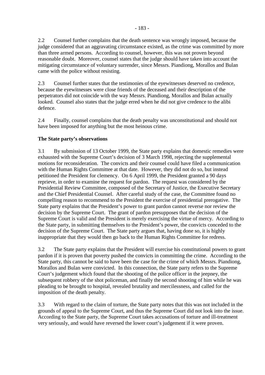2.2 Counsel further complains that the death sentence was wrongly imposed, because the judge considered that an aggravating circumstance existed, as the crime was committed by more than three armed persons. According to counsel, however, this was not proven beyond reasonable doubt. Moreover, counsel states that the judge should have taken into account the mitigating circumstance of voluntary surrender, since Messrs. Piandiong, Morallos and Bulan came with the police without resisting.

2.3 Counsel further states that the testimonies of the eyewitnesses deserved no credence, because the eyewitnesses were close friends of the deceased and their description of the perpetrators did not coincide with the way Messrs. Piandiong, Morallos and Bulan actually looked. Counsel also states that the judge erred when he did not give credence to the alibi defence.

2.4 Finally, counsel complains that the death penalty was unconstitutional and should not have been imposed for anything but the most heinous crime.

## **The State party's observations**

3.1 By submission of 13 October 1999, the State party explains that domestic remedies were exhausted with the Supreme Court's decision of 3 March 1998, rejecting the supplemental motions for reconsideration. The convicts and their counsel could have filed a communication with the Human Rights Committee at that date. However, they did not do so, but instead petitioned the President for clemency. On 6 April 1999, the President granted a 90 days reprieve, in order to examine the request for pardon. The request was considered by the Presidential Review Committee, composed of the Secretary of Justice, the Executive Secretary and the Chief Presidential Counsel. After careful study of the case, the Committee found no compelling reason to recommend to the President the exercise of presidential prerogative. The State party explains that the President's power to grant pardon cannot reverse nor review the decision by the Supreme Court. The grant of pardon presupposes that the decision of the Supreme Court is valid and the President is merely exercising the virtue of mercy. According to the State party, in submitting themselves to the President's power, the convicts conceded to the decision of the Supreme Court. The State party argues that, having done so, it is highly inappropriate that they would then go back to the Human Rights Committee for redress.

3.2 The State party explains that the President will exercise his constitutional powers to grant pardon if it is proven that poverty pushed the convicts in committing the crime. According to the State party, this cannot be said to have been the case for the crime of which Messrs. Piandiong, Morallos and Bulan were convicted. In this connection, the State party refers to the Supreme Court's judgement which found that the shooting of the police officer in the jeepney, the subsequent robbery of the shot policeman, and finally the second shooting of him while he was pleading to be brought to hospital, revealed brutality and mercilessness, and called for the imposition of the death penalty.

3.3 With regard to the claim of torture, the State party notes that this was not included in the grounds of appeal to the Supreme Court, and thus the Supreme Court did not look into the issue. According to the State party, the Supreme Court takes accusations of torture and ill-treatment very seriously, and would have reversed the lower court's judgement if it were proven.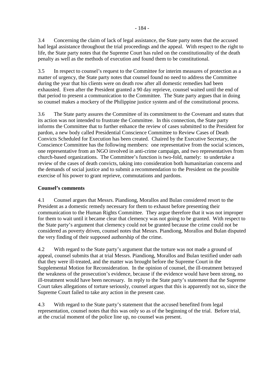3.5 In respect to counsel's request to the Committee for interim measures of protection as a matter of urgency, the State party notes that counsel found no need to address the Committee during the year that his clients were on death row after all domestic remedies had been exhausted. Even after the President granted a 90 day reprieve, counsel waited until the end of that period to present a communication to the Committee. The State party argues that in doing so counsel makes a mockery of the Philippine justice system and of the constitutional process.

3.6 The State party assures the Committee of its commitment to the Covenant and states that its action was not intended to frustrate the Committee. In this connection, the State party informs the Committee that to further enhance the review of cases submitted to the President for pardon, a new body called Presidential Conscience Committee to Review Cases of Death Convicts Scheduled for Execution has been created. Chaired by the Executive Secretary, the Conscience Committee has the following members: one representative from the social sciences, one representative from an NGO involved in anti-crime campaign, and two representatives from church-based organizations. The Committee's function is two-fold, namely: to undertake a review of the cases of death convicts, taking into consideration both humanitarian concerns and the demands of social justice and to submit a recommendation to the President on the possible exercise of his power to grant reprieve, commutations and pardons.

# **Counsel's comments**

4.1 Counsel argues that Messrs. Piandiong, Morallos and Bulan considered resort to the President as a domestic remedy necessary for them to exhaust before presenting their communication to the Human Rights Committee. They argue therefore that it was not improper for them to wait until it became clear that clemency was not going to be granted. With respect to the State party's argument that clemency could not be granted because the crime could not be considered as poverty driven, counsel notes that Messrs. Piandiong, Morallos and Bulan disputed the very finding of their supposed authorship of the crime.

4.2 With regard to the State party's argument that the torture was not made a ground of appeal, counsel submits that at trial Messrs. Piandiong, Morallos and Bulan testified under oath that they were ill-treated, and the matter was brought before the Supreme Court in the Supplemental Motion for Reconsideration. In the opinion of counsel, the ill-treatment betrayed the weakness of the prosecution's evidence, because if the evidence would have been strong, no ill-treatment would have been necessary. In reply to the State party's statement that the Supreme Court takes allegations of torture seriously, counsel argues that this is apparently not so, since the Supreme Court failed to take any action in the present case.

4.3 With regard to the State party's statement that the accused benefited from legal representation, counsel notes that this was only so as of the beginning of the trial. Before trial, at the crucial moment of the police line up, no counsel was present.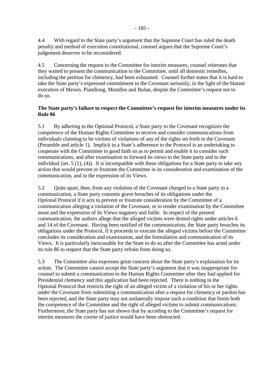4.4 With regard to the State party's argument that the Supreme Court has ruled the death penalty and method of execution constitutional, counsel argues that the Supreme Court's judgement deserves to be reconsidered.

4.5 Concerning the request to the Committee for interim measures, counsel reiterates that they waited to present the communication to the Committee, until all domestic remedies, including the petition for clemency, had been exhausted. Counsel further states that it is hard to take the State party's expressed commitment to the Covenant seriously, in the light of the blatant execution of Messrs. Piandiong, Morallos and Bulan, despite the Committee's request not to do so.

## **The State party's failure to respect the Committee's request for interim measures under its Rule 86**

5.1 By adhering to the Optional Protocol, a State party to the Covenant recognizes the competence of the Human Rights Committee to receive and consider communications from individuals claiming to be victims of violations of any of the rights set forth in the Covenant (Preamble and article 1). Implicit in a State's adherence to the Protocol is an undertaking to cooperate with the Committee in good faith so as to permit and enable it to consider such communications, and after examination to forward its views to the State party and to the individual (art. 5 (1), (4)). It is incompatible with these obligations for a State party to take any action that would prevent or frustrate the Committee in its consideration and examination of the communication, and in the expression of its Views.

5.2 Quite apart, then, from any violation of the Covenant charged to a State party in a communication, a State party commits grave breaches of its obligations under the Optional Protocol if it acts to prevent or frustrate consideration by the Committee of a communication alleging a violation of the Covenant, or to render examination by the Committee moot and the expression of its Views nugatory and futile. In respect of the present communication, the authors allege that the alleged victims were denied rights under articles 6 and 14 of the Covenant. Having been notified of the communication, the State party breaches its obligations under the Protocol, if it proceeds to execute the alleged victims before the Committee concludes its consideration and examination, and the formulation and communication of its Views. It is particularly inexcusable for the State to do so after the Committee has acted under its rule 86 to request that the State party refrain from doing so.

5.3 The Committee also expresses great concern about the State party's explanation for its action. The Committee cannot accept the State party's argument that it was inappropriate for counsel to submit a communication to the Human Rights Committee after they had applied for Presidential clemency and this application had been rejected. There is nothing in the Optional Protocol that restricts the right of an alleged victim of a violation of his or her rights under the Covenant from submitting a communication after a request for clemency or pardon has been rejected, and the State party may not unilaterally impose such a condition that limits both the competence of the Committee and the right of alleged victims to submit communications. Furthermore, the State party has not shown that by acceding to the Committee's request for interim measures the course of justice would have been obstructed.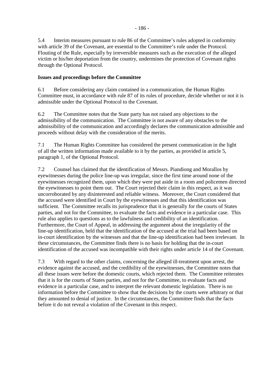5.4 Interim measures pursuant to rule 86 of the Committee's rules adopted in conformity with article 39 of the Covenant, are essential to the Committee's role under the Protocol. Flouting of the Rule, especially by irreversible measures such as the execution of the alleged victim or his/her deportation from the country, undermines the protection of Covenant rights through the Optional Protocol.

### **Issues and proceedings before the Committee**

6.1 Before considering any claim contained in a communication, the Human Rights Committee must, in accordance with rule 87 of its rules of procedure, decide whether or not it is admissible under the Optional Protocol to the Covenant.

6.2 The Committee notes that the State party has not raised any objections to the admissibility of the communication. The Committee is not aware of any obstacles to the admissibility of the communication and accordingly declares the communication admissible and proceeds without delay with the consideration of the merits.

7.1 The Human Rights Committee has considered the present communication in the light of all the written information made available to it by the parties, as provided in article 5, paragraph 1, of the Optional Protocol.

7.2 Counsel has claimed that the identification of Messrs. Piandiong and Morallos by eyewitnesses during the police line-up was irregular, since the first time around none of the eyewitnesses recognized them, upon which they were put aside in a room and policemen directed the eyewitnesses to point them out. The Court rejected their claim in this respect, as it was uncorroborated by any disinterested and reliable witness. Moreover, the Court considered that the accused were identified in Court by the eyewitnesses and that this identification was sufficient. The Committee recalls its jurisprudence that it is generally for the courts of States parties, and not for the Committee, to evaluate the facts and evidence in a particular case. This rule also applies to questions as to the lawfulness and credibility of an identification. Furthermore, the Court of Appeal, in addressing the argument about the irregularity of the line-up identification, held that the identification of the accused at the trial had been based on in-court identification by the witnesses and that the line-up identification had been irrelevant. In these circumstances, the Committee finds there is no basis for holding that the in-court identification of the accused was incompatible with their rights under article 14 of the Covenant.

7.3 With regard to the other claims, concerning the alleged ill-treatment upon arrest, the evidence against the accused, and the credibility of the eyewitnesses, the Committee notes that all these issues were before the domestic courts, which rejected them. The Committee reiterates that it is for the courts of States parties, and not for the Committee, to evaluate facts and evidence in a particular case, and to interpret the relevant domestic legislation. There is no information before the Committee to show that the decisions by the courts were arbitrary or that they amounted to denial of justice. In the circumstances, the Committee finds that the facts before it do not reveal a violation of the Covenant in this respect.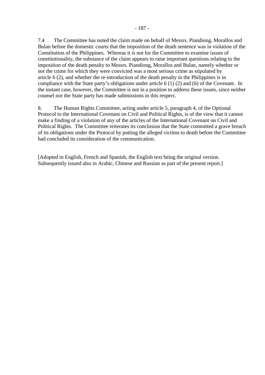7.4 The Committee has noted the claim made on behalf of Messrs. Piandiong, Morallos and Bulan before the domestic courts that the imposition of the death sentence was in violation of the Constitution of the Philippines. Whereas it is not for the Committee to examine issues of constitutionality, the substance of the claim appears to raise important questions relating to the imposition of the death penalty to Messrs. Piandiong, Morallos and Bulan, namely whether or not the crime for which they were convicted was a most serious crime as stipulated by article 6 (2), and whether the re-introduction of the death penalty in the Philippines is in compliance with the State party's obligations under article 6 (1) (2) and (6) of the Covenant. In the instant case, however, the Committee is not in a position to address these issues, since neither counsel nor the State party has made submissions in this respect.

8. The Human Rights Committee, acting under article 5, paragraph 4, of the Optional Protocol to the International Covenant on Civil and Political Rights, is of the view that it cannot make a finding of a violation of any of the articles of the International Covenant on Civil and Political Rights. The Committee reiterates its conclusion that the State committed a grave breach of its obligations under the Protocol by putting the alleged victims to death before the Committee had concluded its consideration of the communication.

[Adopted in English, French and Spanish, the English text being the original version. Subsequently issued also in Arabic, Chinese and Russian as part of the present report.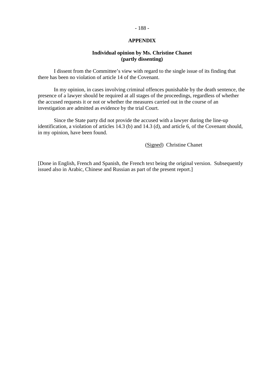## **APPENDIX**

#### **Individual opinion by Ms. Christine Chanet (partly dissenting)**

 I dissent from the Committee's view with regard to the single issue of its finding that there has been no violation of article 14 of the Covenant.

 In my opinion, in cases involving criminal offences punishable by the death sentence, the presence of a lawyer should be required at all stages of the proceedings, regardless of whether the accused requests it or not or whether the measures carried out in the course of an investigation are admitted as evidence by the trial Court.

 Since the State party did not provide the accused with a lawyer during the line-up identification, a violation of articles 14.3 (b) and 14.3 (d), and article 6, of the Covenant should, in my opinion, have been found.

(Signed) Christine Chanet

[Done in English, French and Spanish, the French text being the original version. Subsequently issued also in Arabic, Chinese and Russian as part of the present report.]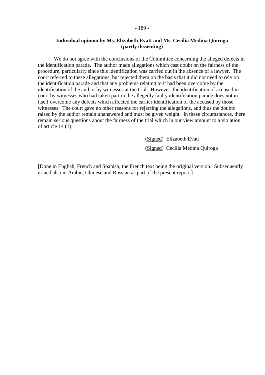#### **Individual opinion by Ms. Elizabeth Evatt and Ms. Cecilia Medina Quiroga (partly dissenting)**

We do not agree with the conclusions of the Committee concerning the alleged defects in the identification parade. The author made allegations which cast doubt on the fairness of the procedure, particularly since this identification was carried out in the absence of a lawyer. The court referred to these allegations, but rejected them on the basis that it did not need to rely on the identification parade and that any problems relating to it had been overcome by the identification of the author by witnesses at the trial. However, the identification of accused in court by witnesses who had taken part in the allegedly faulty identification parade does not in itself overcome any defects which affected the earlier identification of the accused by those witnesses. The court gave no other reasons for rejecting the allegations, and thus the doubts raised by the author remain unanswered and must be given weight. In these circumstances, there remain serious questions about the fairness of the trial which in our view amount to a violation of article 14 (1).

> (Signed) Elizabeth Evatt (Signed) Cecilia Medina Quiroga

[Done in English, French and Spanish, the French text being the original version. Subsequently issued also in Arabic, Chinese and Russian as part of the present report.]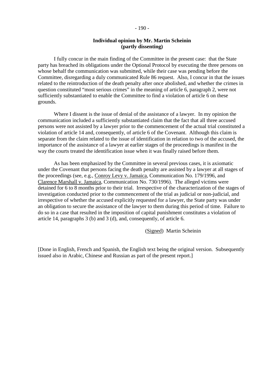#### **Individual opinion by Mr. Martin Scheinin (partly dissenting)**

 I fully concur in the main finding of the Committee in the present case: that the State party has breached its obligations under the Optional Protocol by executing the three persons on whose behalf the communication was submitted, while their case was pending before the Committee, disregarding a duly communicated Rule 86 request. Also, I concur in that the issues related to the reintroduction of the death penalty after once abolished, and whether the crimes in question constituted "most serious crimes" in the meaning of article 6, paragraph 2, were not sufficiently substantiated to enable the Committee to find a violation of article 6 on these grounds.

 Where I dissent is the issue of denial of the assistance of a lawyer. In my opinion the communication included a sufficiently substantiated claim that the fact that all three accused persons were not assisted by a lawyer prior to the commencement of the actual trial constituted a violation of article 14 and, consequently, of article 6 of the Covenant. Although this claim is separate from the claim related to the issue of identification in relation to two of the accused, the importance of the assistance of a lawyer at earlier stages of the proceedings is manifest in the way the courts treated the identification issue when it was finally raised before them.

 As has been emphasized by the Committee in several previous cases, it is axiomatic under the Covenant that persons facing the death penalty are assisted by a lawyer at all stages of the proceedings (see, e.g., Conroy Levy v. Jamaica, Communication No. 179/1996, and Clarence Marshall v. Jamaica, Communication No. 730/1996). The alleged victims were detained for 6 to 8 months prior to their trial. Irrespective of the characterization of the stages of investigation conducted prior to the commencement of the trial as judicial or non-judicial, and irrespective of whether the accused explicitly requested for a lawyer, the State party was under an obligation to secure the assistance of the lawyer to them during this period of time. Failure to do so in a case that resulted in the imposition of capital punishment constitutes a violation of article 14, paragraphs 3 (b) and 3 (d), and, consequently, of article 6.

(Signed) Martin Scheinin

[Done in English, French and Spanish, the English text being the original version. Subsequently issued also in Arabic, Chinese and Russian as part of the present report.]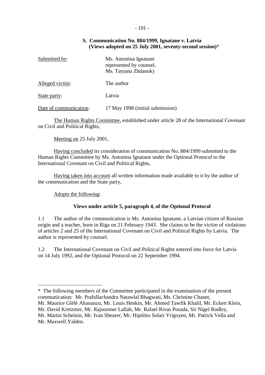### **S. Communication No. 884/1999, Ignatane v. Latvia (Views adopted on 25 July 2001, seventy-second session)**\*

| Submitted by:          | Ms. Antonina Ignatane<br>represented by counsel,<br>Ms. Tatyana Zhdanok) |
|------------------------|--------------------------------------------------------------------------|
| Alleged victim:        | The author                                                               |
| State party:           | Latvia                                                                   |
| Date of communication: | 17 May 1998 (initial submission)                                         |

 The Human Rights Committee, established under article 28 of the International Covenant on Civil and Political Rights,

Meeting on 25 July 2001,

 Having concluded its consideration of communication No. 884/1999 submitted to the Human Rights Committee by Ms. Antonina Ignatane under the Optional Protocol to the International Covenant on Civil and Political Rights,

 Having taken into account all written information made available to it by the author of the communication and the State party,

Adopts the following:

 $\overline{a}$ 

## **Views under article 5, paragraph 4, of the Optional Protocol**

1.1 The author of the communication is Ms. Antonina Ignatane, a Latvian citizen of Russian origin and a teacher, born in Riga on 21 February 1943. She claims to be the victim of violations of articles 2 and 25 of the International Covenant on Civil and Political Rights by Latvia. The author is represented by counsel.

1.2 The International Covenant on Civil and Political Rights entered into force for Latvia on 14 July 1992, and the Optional Protocol on 22 September 1994.

<sup>\*</sup> The following members of the Committee participated in the examination of the present communication: Mr. Prafullachandra Natawlal Bhagwati, Ms. Christine Chanet, Mr. Maurice Glèlè Ahananzo, Mr. Louis Henkin, Mr. Ahmed Tawfik Khalil, Mr. Eckert Klein, Mr. David Kretzmer, Mr. Rajsoomer Lallah, Mr. Rafael Rivas Posada, Sir Nigel Rodley, Mr. Martin Scheinin, Mr. Ivan Shearer, Mr. Hipólito Solari Yrigoyen, Mr. Patrick Vella and Mr. Maxwell Yalden.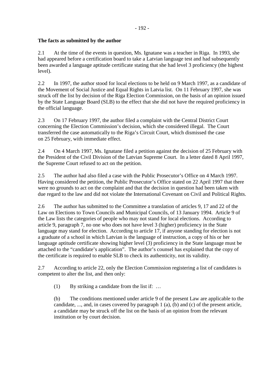# **The facts as submitted by the author**

2.1 At the time of the events in question, Ms. Ignatane was a teacher in Riga. In 1993, she had appeared before a certification board to take a Latvian language test and had subsequently been awarded a language aptitude certificate stating that she had level 3 proficiency (the highest level).

2.2 In 1997, the author stood for local elections to be held on 9 March 1997, as a candidate of the Movement of Social Justice and Equal Rights in Latvia list. On 11 February 1997, she was struck off the list by decision of the Riga Election Commission, on the basis of an opinion issued by the State Language Board (SLB) to the effect that she did not have the required proficiency in the official language.

2.3 On 17 February 1997, the author filed a complaint with the Central District Court concerning the Election Commission's decision, which she considered illegal. The Court transferred the case automatically to the Riga's Circuit Court, which dismissed the case on 25 February, with immediate effect.

2.4 On 4 March 1997, Ms. Ignatane filed a petition against the decision of 25 February with the President of the Civil Division of the Latvian Supreme Court. In a letter dated 8 April 1997, the Supreme Court refused to act on the petition.

2.5 The author had also filed a case with the Public Prosecutor's Office on 4 March 1997. Having considered the petition, the Public Prosecutor's Office stated on 22 April 1997 that there were no grounds to act on the complaint and that the decision in question had been taken with due regard to the law and did not violate the International Covenant on Civil and Political Rights.

2.6 The author has submitted to the Committee a translation of articles 9, 17 and 22 of the Law on Elections to Town Councils and Municipal Councils, of 13 January 1994. Article 9 of the Law lists the categories of people who may not stand for local elections. According to article 9, paragraph 7, no one who does not have level 3 (higher) proficiency in the State language may stand for election. According to article 17, if anyone standing for election is not a graduate of a school in which Latvian is the language of instruction, a copy of his or her language aptitude certificate showing higher level (3) proficiency in the State language must be attached to the "candidate's application". The author's counsel has explained that the copy of the certificate is required to enable SLB to check its authenticity, not its validity.

2.7 According to article 22, only the Election Commission registering a list of candidates is competent to alter the list, and then only:

(1) By striking a candidate from the list if: …

(b) The conditions mentioned under article 9 of the present Law are applicable to the candidate, ..., and, in cases covered by paragraph 1 (a), (b) and (c) of the present article, a candidate may be struck off the list on the basis of an opinion from the relevant institution or by court decision.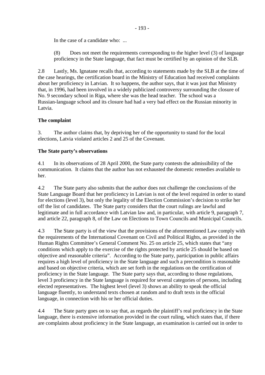(8) Does not meet the requirements corresponding to the higher level (3) of language proficiency in the State language, that fact must be certified by an opinion of the SLB.

2.8 Lastly, Ms. Ignatane recalls that, according to statements made by the SLB at the time of the case hearings, the certification board in the Ministry of Education had received complaints about her proficiency in Latvian. It so happens, the author says, that it was just that Ministry that, in 1996, had been involved in a widely publicized controversy surrounding the closure of No. 9 secondary school in Riga, where she was the head teacher. The school was a Russian-language school and its closure had had a very bad effect on the Russian minority in Latvia.

# **The complaint**

3. The author claims that, by depriving her of the opportunity to stand for the local elections, Latvia violated articles 2 and 25 of the Covenant.

# **The State party's observations**

4.1 In its observations of 28 April 2000, the State party contests the admissibility of the communication. It claims that the author has not exhausted the domestic remedies available to her.

4.2 The State party also submits that the author does not challenge the conclusions of the State Language Board that her proficiency in Latvian is not of the level required in order to stand for elections (level 3), but only the legality of the Election Commission's decision to strike her off the list of candidates. The State party considers that the court rulings are lawful and legitimate and in full accordance with Latvian law and, in particular, with article 9, paragraph 7, and article 22, paragraph 8, of the Law on Elections to Town Councils and Municipal Councils.

4.3 The State party is of the view that the provisions of the aforementioned Law comply with the requirements of the International Covenant on Civil and Political Rights, as provided in the Human Rights Committee's General Comment No. 25 on article 25, which states that "any conditions which apply to the exercise of the rights protected by article 25 should be based on objective and reasonable criteria". According to the State party, participation in public affairs requires a high level of proficiency in the State language and such a precondition is reasonable and based on objective criteria, which are set forth in the regulations on the certification of proficiency in the State language. The State party says that, according to those regulations, level 3 proficiency in the State language is required for several categories of persons, including elected representatives. The highest level (level 3) shows an ability to speak the official language fluently, to understand texts chosen at random and to draft texts in the official language, in connection with his or her official duties.

4.4 The State party goes on to say that, as regards the plaintiff's real proficiency in the State language, there is extensive information provided in the court ruling, which states that, if there are complaints about proficiency in the State language, an examination is carried out in order to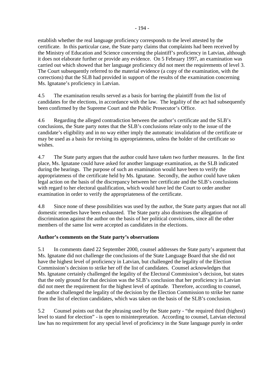establish whether the real language proficiency corresponds to the level attested by the certificate. In this particular case, the State party claims that complaints had been received by the Ministry of Education and Science concerning the plaintiff's proficiency in Latvian, although it does not elaborate further or provide any evidence. On 5 February 1997, an examination was carried out which showed that her language proficiency did not meet the requirements of level 3. The Court subsequently referred to the material evidence (a copy of the examination, with the corrections) that the SLB had provided in support of the results of the examination concerning Ms. Ignatane's proficiency in Latvian.

4.5 The examination results served as a basis for barring the plaintiff from the list of candidates for the elections, in accordance with the law. The legality of the act had subsequently been confirmed by the Supreme Court and the Public Prosecutor's Office.

4.6 Regarding the alleged contradiction between the author's certificate and the SLB's conclusions, the State party notes that the SLB's conclusions relate only to the issue of the candidate's eligibility and in no way either imply the automatic invalidation of the certificate or may be used as a basis for revising its appropriateness, unless the holder of the certificate so wishes.

4.7 The State party argues that the author could have taken two further measures. In the first place, Ms. Ignatane could have asked for another language examination, as the SLB indicated during the hearings. The purpose of such an examination would have been to verify the appropriateness of the certificate held by Ms. Ignatane. Secondly, the author could have taken legal action on the basis of the discrepancy between her certificate and the SLB's conclusions with regard to her electoral qualification, which would have led the Court to order another examination in order to verify the appropriateness of the certificate.

4.8 Since none of these possibilities was used by the author, the State party argues that not all domestic remedies have been exhausted. The State party also dismisses the allegation of discrimination against the author on the basis of her political convictions, since all the other members of the same list were accepted as candidates in the elections.

## **Author's comments on the State party's observations**

5.1 In comments dated 22 September 2000, counsel addresses the State party's argument that Ms. Ignatane did not challenge the conclusions of the State Language Board that she did not have the highest level of proficiency in Latvian, but challenged the legality of the Election Commission's decision to strike her off the list of candidates. Counsel acknowledges that Ms. Ignatane certainly challenged the legality of the Electoral Commission's decision, but states that the only ground for that decision was the SLB's conclusion that her proficiency in Latvian did not meet the requirement for the highest level of aptitude. Therefore, according to counsel, the author challenged the legality of the decision by the Election Commission to strike her name from the list of election candidates, which was taken on the basis of the SLB's conclusion.

5.2 Counsel points out that the phrasing used by the State party - "the required third (highest) level to stand for election" - is open to misinterpretation. According to counsel, Latvian electoral law has no requirement for any special level of proficiency in the State language purely in order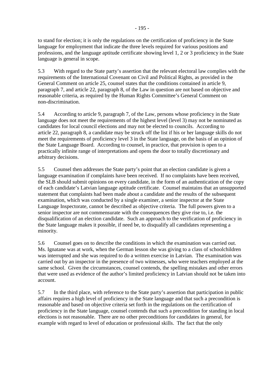to stand for election; it is only the regulations on the certification of proficiency in the State language for employment that indicate the three levels required for various positions and professions, and the language aptitude certificate showing level 1, 2 or 3 proficiency in the State language is general in scope.

5.3 With regard to the State party's assertion that the relevant electoral law complies with the requirements of the International Covenant on Civil and Political Rights, as provided in the General Comment on article 25, counsel states that the conditions contained in article 9, paragraph 7, and article 22, paragraph 8, of the Law in question are not based on objective and reasonable criteria, as required by the Human Rights Committee's General Comment on non-discrimination.

5.4 According to article 9, paragraph 7, of the Law, persons whose proficiency in the State language does not meet the requirements of the highest level (level 3) may not be nominated as candidates for local council elections and may not be elected to councils. According to article 22, paragraph 8, a candidate may be struck off the list if his or her language skills do not meet the requirements of proficiency level 3 in the State language, on the basis of an opinion of the State Language Board. According to counsel, in practice, that provision is open to a practically infinite range of interpretations and opens the door to totally discretionary and arbitrary decisions.

5.5 Counsel then addresses the State party's point that an election candidate is given a language examination if complaints have been received. If no complaints have been received, the SLB should submit opinions on every candidate, in the form of an authentication of the copy of each candidate's Latvian language aptitude certificate. Counsel maintains that an unsupported statement that complaints had been made about a candidate and the results of the subsequent examination, which was conducted by a single examiner, a senior inspector at the State Language Inspectorate, cannot be described as objective criteria. The full powers given to a senior inspector are not commensurate with the consequences they give rise to, i.e. the disqualification of an election candidate. Such an approach to the verification of proficiency in the State language makes it possible, if need be, to disqualify all candidates representing a minority.

5.6 Counsel goes on to describe the conditions in which the examination was carried out. Ms. Ignatane was at work, when the German lesson she was giving to a class of schoolchildren was interrupted and she was required to do a written exercise in Latvian. The examination was carried out by an inspector in the presence of two witnesses, who were teachers employed at the same school. Given the circumstances, counsel contends, the spelling mistakes and other errors that were used as evidence of the author's limited proficiency in Latvian should not be taken into account.

5.7 In the third place, with reference to the State party's assertion that participation in public affairs requires a high level of proficiency in the State language and that such a precondition is reasonable and based on objective criteria set forth in the regulations on the certification of proficiency in the State language, counsel contends that such a precondition for standing in local elections is not reasonable. There are no other preconditions for candidates in general, for example with regard to level of education or professional skills. The fact that the only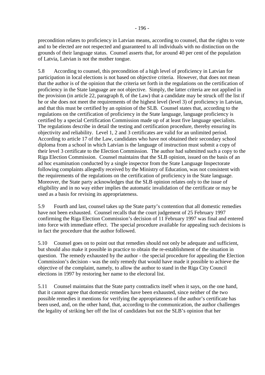precondition relates to proficiency in Latvian means, according to counsel, that the rights to vote and to be elected are not respected and guaranteed to all individuals with no distinction on the grounds of their language status. Counsel asserts that, for around 40 per cent of the population of Latvia, Latvian is not the mother tongue.

5.8 According to counsel, this precondition of a high level of proficiency in Latvian for participation in local elections is not based on objective criteria. However, that does not mean that the author is of the opinion that the criteria set forth in the regulations on the certification of proficiency in the State language are not objective. Simply, the latter criteria are not applied in the provision (in article 22, paragraph 8, of the Law) that a candidate may be struck off the list if he or she does not meet the requirements of the highest level (level 3) of proficiency in Latvian, and that this must be certified by an opinion of the SLB. Counsel states that, according to the regulations on the certification of proficiency in the State language, language proficiency is certified by a special Certification Commission made up of at least five language specialists. The regulations describe in detail the testing and certification procedure, thereby ensuring its objectivity and reliability. Level 1, 2 and 3 certificates are valid for an unlimited period. According to article 17 of the Law, candidates who have not obtained their secondary school diploma from a school in which Latvian is the language of instruction must submit a copy of their level 3 certificate to the Election Commission. The author had submitted such a copy to the Riga Election Commission. Counsel maintains that the SLB opinion, issued on the basis of an ad hoc examination conducted by a single inspector from the State Language Inspectorate following complaints allegedly received by the Ministry of Education, was not consistent with the requirements of the regulations on the certification of proficiency in the State language. Moreover, the State party acknowledges that the SLB opinion relates only to the issue of eligibility and in no way either implies the automatic invalidation of the certificate or may be used as a basis for revising its appropriateness.

5.9 Fourth and last, counsel takes up the State party's contention that all domestic remedies have not been exhausted. Counsel recalls that the court judgement of 25 February 1997 confirming the Riga Election Commission's decision of 11 February 1997 was final and entered into force with immediate effect. The special procedure available for appealing such decisions is in fact the procedure that the author followed.

5.10 Counsel goes on to point out that remedies should not only be adequate and sufficient, but should also make it possible in practice to obtain the re-establishment of the situation in question. The remedy exhausted by the author - the special procedure for appealing the Election Commission's decision - was the only remedy that would have made it possible to achieve the objective of the complaint, namely, to allow the author to stand in the Riga City Council elections in 1997 by restoring her name to the electoral list.

5.11 Counsel maintains that the State party contradicts itself when it says, on the one hand, that it cannot agree that domestic remedies have been exhausted, since neither of the two possible remedies it mentions for verifying the appropriateness of the author's certificate has been used, and, on the other hand, that, according to the communication, the author challenges the legality of striking her off the list of candidates but not the SLB's opinion that her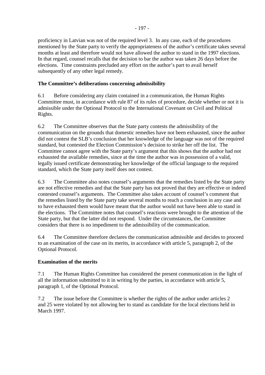proficiency in Latvian was not of the required level 3. In any case, each of the procedures mentioned by the State party to verify the appropriateness of the author's certificate takes several months at least and therefore would not have allowed the author to stand in the 1997 elections. In that regard, counsel recalls that the decision to bar the author was taken 26 days before the elections. Time constraints precluded any effort on the author's part to avail herself subsequently of any other legal remedy.

## **The Committee's deliberations concerning admissibility**

6.1 Before considering any claim contained in a communication, the Human Rights Committee must, in accordance with rule 87 of its rules of procedure, decide whether or not it is admissible under the Optional Protocol to the International Covenant on Civil and Political Rights.

6.2 The Committee observes that the State party contests the admissibility of the communication on the grounds that domestic remedies have not been exhausted, since the author did not contest the SLB's conclusion that her knowledge of the language was not of the required standard, but contested the Election Commission's decision to strike her off the list. The Committee cannot agree with the State party's argument that this shows that the author had not exhausted the available remedies, since at the time the author was in possession of a valid, legally issued certificate demonstrating her knowledge of the official language to the required standard, which the State party itself does not contest.

6.3 The Committee also notes counsel's arguments that the remedies listed by the State party are not effective remedies and that the State party has not proved that they are effective or indeed contested counsel's arguments. The Committee also takes account of counsel's comment that the remedies listed by the State party take several months to reach a conclusion in any case and to have exhausted them would have meant that the author would not have been able to stand in the elections. The Committee notes that counsel's reactions were brought to the attention of the State party, but that the latter did not respond. Under the circumstances, the Committee considers that there is no impediment to the admissibility of the communication.

6.4 The Committee therefore declares the communication admissible and decides to proceed to an examination of the case on its merits, in accordance with article 5, paragraph 2, of the Optional Protocol.

## **Examination of the merits**

7.1 The Human Rights Committee has considered the present communication in the light of all the information submitted to it in writing by the parties, in accordance with article 5, paragraph 1, of the Optional Protocol.

7.2 The issue before the Committee is whether the rights of the author under articles 2 and 25 were violated by not allowing her to stand as candidate for the local elections held in March 1997.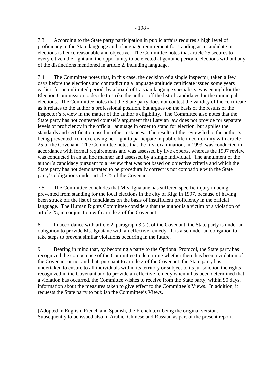7.3 According to the State party participation in public affairs requires a high level of proficiency in the State language and a language requirement for standing as a candidate in elections is hence reasonable and objective. The Committee notes that article 25 secures to every citizen the right and the opportunity to be elected at genuine periodic elections without any of the distinctions mentioned in article 2, including language.

7.4 The Committee notes that, in this case, the decision of a single inspector, taken a few days before the elections and contradicting a language aptitude certificate issued some years earlier, for an unlimited period, by a board of Latvian language specialists, was enough for the Election Commission to decide to strike the author off the list of candidates for the municipal elections. The Committee notes that the State party does not contest the validity of the certificate as it relates to the author's professional position, but argues on the basis of the results of the inspector's review in the matter of the author's eligibility. The Committee also notes that the State party has not contested counsel's argument that Latvian law does not provide for separate levels of proficiency in the official language in order to stand for election, but applies the standards and certification used in other instances. The results of the review led to the author's being prevented from exercising her right to participate in public life in conformity with article 25 of the Covenant. The Committee notes that the first examination, in 1993, was conducted in accordance with formal requirements and was assessed by five experts, whereas the 1997 review was conducted in an ad hoc manner and assessed by a single individual. The annulment of the author's candidacy pursuant to a review that was not based on objective criteria and which the State party has not demonstrated to be procedurally correct is not compatible with the State party's obligations under article 25 of the Covenant.

7.5 The Committee concludes that Mrs. Ignatane has suffered specific injury in being prevented from standing for the local elections in the city of Riga in 1997, because of having been struck off the list of candidates on the basis of insufficient proficiency in the official language. The Human Rights Committee considers that the author is a victim of a violation of article 25, in conjunction with article 2 of the Covenant

8. In accordance with article 2, paragraph 3 (a), of the Covenant, the State party is under an obligation to provide Ms. Ignatane with an effective remedy. It is also under an obligation to take steps to prevent similar violations occurring in the future.

9. Bearing in mind that, by becoming a party to the Optional Protocol, the State party has recognized the competence of the Committee to determine whether there has been a violation of the Covenant or not and that, pursuant to article 2 of the Covenant, the State party has undertaken to ensure to all individuals within its territory or subject to its jurisdiction the rights recognized in the Covenant and to provide an effective remedy when it has been determined that a violation has occurred, the Committee wishes to receive from the State party, within 90 days, information about the measures taken to give effect to the Committee's Views. In addition, it requests the State party to publish the Committee's Views.

[Adopted in English, French and Spanish, the French text being the original version. Subsequently to be issued also in Arabic, Chinese and Russian as part of the present report.]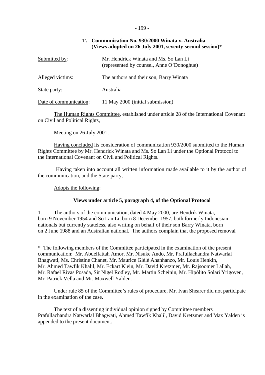- 199 -

### **T. Communication No. 930/2000 Winata v. Australia (Views adopted on 26 July 2001, seventy-second session)**\*

| Submitted by:          | Mr. Hendrick Winata and Ms. So Lan Li<br>(represented by counsel, Anne O'Donoghue) |  |
|------------------------|------------------------------------------------------------------------------------|--|
| Alleged victims:       | The authors and their son, Barry Winata                                            |  |
| State party:           | Australia                                                                          |  |
| Date of communication: | 11 May 2000 (initial submission)                                                   |  |

The Human Rights Committee, established under article 28 of the International Covenant on Civil and Political Rights,

Meeting on 26 July 2001,

Having concluded its consideration of communication 930/2000 submitted to the Human Rights Committee by Mr. Hendrick Winata and Ms. So Lan Li under the Optional Protocol to the International Covenant on Civil and Political Rights.

 Having taken into account all written information made available to it by the author of the communication, and the State party,

Adopts the following:

 $\overline{a}$ 

# **Views under article 5, paragraph 4, of the Optional Protocol**

1. The authors of the communication, dated 4 May 2000, are Hendrik Winata, born 9 November 1954 and So Lan Li, born 8 December 1957, both formerly Indonesian nationals but currently stateless, also writing on behalf of their son Barry Winata, born on 2 June 1988 and an Australian national. The authors complain that the proposed removal

Under rule 85 of the Committee's rules of procedure, Mr. Ivan Shearer did not participate in the examination of the case.

The text of a dissenting individual opinion signed by Committee members Prafullachandra Natwarlal Bhagwati, Ahmed Tawfik Khalil, David Kretzmer and Max Yalden is appended to the present document.

<sup>\*</sup> The following members of the Committee participated in the examination of the present communication: Mr. Abdelfattah Amor, Mr. Nisuke Ando, Mr. Prafullachandra Natwarlal Bhagwati, Ms. Christine Chanet, Mr. Maurice Glèlè Ahanhanzo, Mr. Louis Henkin, Mr. Ahmed Tawfik Khalil, Mr. Eckart Klein, Mr. David Kretzmer, Mr. Rajsoomer Lallah, Mr. Rafael Rivas Posada, Sir Nigel Rodley, Mr. Martin Scheinin, Mr. Hipólito Solari Yrigoyen, Mr. Patrick Vella and Mr. Maxwell Yalden.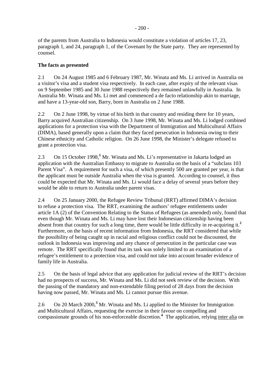of the parents from Australia to Indonesia would constitute a violation of articles 17, 23, paragraph 1, and 24, paragraph 1, of the Covenant by the State party. They are represented by counsel.

## **The facts as presented**

2.1 On 24 August 1985 and 6 February 1987, Mr. Winata and Ms. Li arrived in Australia on a visitor's visa and a student visa respectively. In each case, after expiry of the relevant visas on 9 September 1985 and 30 June 1988 respectively they remained unlawfully in Australia. In Australia Mr. Winata and Ms. Li met and commenced a de facto relationship akin to marriage, and have a 13-year-old son, Barry, born in Australia on 2 June 1988.

2.2 On 2 June 1998, by virtue of his birth in that country and residing there for 10 years, Barry acquired Australian citizenship. On 3 June 1998, Mr. Winata and Ms. Li lodged combined applications for a protection visa with the Department of Immigration and Multicultural Affairs (DIMA), based generally upon a claim that they faced persecution in Indonesia owing to their Chinese ethnicity and Catholic religion. On 26 June 1998, the Minister's delegate refused to grant a protection visa.

2.3 On 15 October 1998,<sup>1</sup> Mr. Winata and Ms. Li's representative in Jakarta lodged an application with the Australian Embassy to migrate to Australia on the basis of a "subclass 103 Parent Visa". A requirement for such a visa, of which presently 500 are granted per year, is that the applicant must be outside Australia when the visa is granted. According to counsel, it thus could be expected that Mr. Winata and Ms. Li would face a delay of several years before they would be able to return to Australia under parent visas.

2.4 On 25 January 2000, the Refugee Review Tribunal (RRT) affirmed DIMA's decision to refuse a protection visa. The RRT, examining the authors' refugee entitlements under article 1A (2) of the Convention Relating to the Status of Refugees (as amended) only, found that even though Mr. Winata and Ms. Li may have lost their Indonesian citizenship having been absent from that country for such a long time, there would be little difficulty in re-acquiring it.**<sup>2</sup>** Furthermore, on the basis of recent information from Indonesia, the RRT considered that while the possibility of being caught up in racial and religious conflict could not be discounted, the outlook in Indonesia was improving and any chance of persecution in the particular case was remote. The RRT specifically found that its task was solely limited to an examination of a refugee's entitlement to a protection visa, and could not take into account broader evidence of family life in Australia.

2.5 On the basis of legal advice that any application for judicial review of the RRT's decision had no prospects of success, Mr. Winata and Ms. Li did not seek review of the decision. With the passing of the mandatory and non-extendable filing period of 28 days from the decision having now passed, Mr. Winata and Ms. Li cannot pursue this avenue.

2.6 On 20 March 2000,<sup>3</sup> Mr. Winata and Ms. Li applied to the Minister for Immigration and Multicultural Affairs, requesting the exercise in their favour on compelling and compassionate grounds of his non-enforceable discretion.<sup>4</sup> The application, relying inter alia on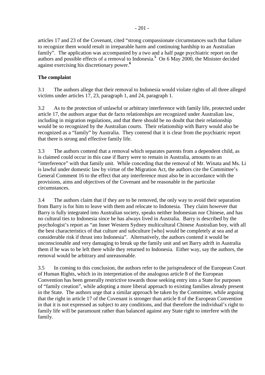articles 17 and 23 of the Covenant, cited "strong compassionate circumstances such that failure to recognize them would result in irreparable harm and continuing hardship to an Australian family". The application was accompanied by a two and a half page psychiatric report on the authors and possible effects of a removal to Indonesia.**<sup>5</sup>** On 6 May 2000, the Minister decided against exercising his discretionary power.**<sup>6</sup>**

## **The complaint**

3.1 The authors allege that their removal to Indonesia would violate rights of all three alleged victims under articles 17, 23, paragraph 1, and 24, paragraph 1.

3.2 As to the protection of unlawful or arbitrary interference with family life, protected under article 17, the authors argue that de facto relationships are recognized under Australian law, including in migration regulations, and that there should be no doubt that their relationship would be so recognized by the Australian courts. Their relationship with Barry would also be recognized as a "family" by Australia. They contend that it is clear from the psychiatric report that there is strong and effective family life.

3.3 The authors contend that a removal which separates parents from a dependent child, as is claimed could occur in this case if Barry were to remain in Australia, amounts to an "interference" with that family unit. While conceding that the removal of Mr. Winata and Ms. Li is lawful under domestic law by virtue of the Migration Act, the authors cite the Committee's General Comment 16 to the effect that any interference must also be in accordance with the provisions, aims and objectives of the Covenant and be reasonable in the particular circumstances.

3.4 The authors claim that if they are to be removed, the only way to avoid their separation from Barry is for him to leave with them and relocate to Indonesia. They claim however that Barry is fully integrated into Australian society, speaks neither Indonesian nor Chinese, and has no cultural ties to Indonesia since he has always lived in Australia. Barry is described by the psychologist's report as "an Inner Western Sydney multicultural Chinese Australian boy, with all the best characteristics of that culture and subculture [who] would be completely at sea and at considerable risk if thrust into Indonesia". Alternatively, the authors contend it would be unconscionable and very damaging to break up the family unit and set Barry adrift in Australia them if he was to be left there while they returned to Indonesia. Either way, say the authors, the removal would be arbitrary and unreasonable.

3.5 In coming to this conclusion, the authors refer to the jurisprudence of the European Court of Human Rights, which in its interpretation of the analogous article 8 of the European Convention has been generally restrictive towards those seeking entry into a State for purposes of "family creation", while adopting a more liberal approach to existing families already present in the State. The authors urge that a similar approach be taken by the Committee, while arguing that the right in article 17 of the Covenant is stronger than article 8 of the European Convention in that it is not expressed as subject to any conditions, and that therefore the individual's right to family life will be paramount rather than balanced against any State right to interfere with the family.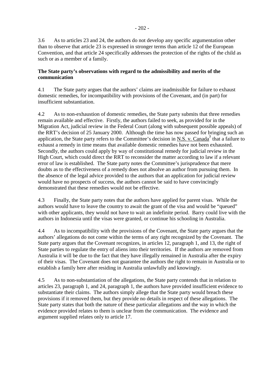3.6 As to articles 23 and 24, the authors do not develop any specific argumentation other than to observe that article 23 is expressed in stronger terms than article 12 of the European Convention, and that article 24 specifically addresses the protection of the rights of the child as such or as a member of a family.

### **The State party's observations with regard to the admissibility and merits of the communication**

4.1 The State party argues that the authors' claims are inadmissible for failure to exhaust domestic remedies, for incompatibility with provisions of the Covenant, and (in part) for insufficient substantiation.

4.2 As to non-exhaustion of domestic remedies, the State party submits that three remedies remain available and effective. Firstly, the authors failed to seek, as provided for in the Migration Act, judicial review in the Federal Court (along with subsequent possible appeals) of the RRT's decision of 25 January 2000. Although the time has now passed for bringing such an application, the State party refers to the Committee's decision in N.S. v. Canada**<sup>7</sup>** that a failure to exhaust a remedy in time means that available domestic remedies have not been exhausted. Secondly, the authors could apply by way of constitutional remedy for judicial review in the High Court, which could direct the RRT to reconsider the matter according to law if a relevant error of law is established. The State party notes the Committee's jurisprudence that mere doubts as to the effectiveness of a remedy does not absolve an author from pursuing them. In the absence of the legal advice provided to the authors that an application for judicial review would have no prospects of success, the authors cannot be said to have convincingly demonstrated that these remedies would not be effective.

4.3 Finally, the State party notes that the authors have applied for parent visas. While the authors would have to leave the country to await the grant of the visa and would be "queued" with other applicants, they would not have to wait an indefinite period. Barry could live with the authors in Indonesia until the visas were granted, or continue his schooling in Australia.

4.4 As to incompatibility with the provisions of the Covenant, the State party argues that the authors' allegations do not come within the terms of any right recognized by the Covenant. The State party argues that the Covenant recognizes, in articles 12, paragraph 1, and 13, the right of State parties to regulate the entry of aliens into their territories. If the authors are removed from Australia it will be due to the fact that they have illegally remained in Australia after the expiry of their visas. The Covenant does not guarantee the authors the right to remain in Australia or to establish a family here after residing in Australia unlawfully and knowingly.

4.5 As to non-substantiation of the allegations, the State party contends that in relation to articles 23, paragraph 1, and 24, paragraph 1, the authors have provided insufficient evidence to substantiate their claims. The authors simply allege that the State party would breach these provisions if it removed them, but they provide no details in respect of these allegations. The State party states that both the nature of these particular allegations and the way in which the evidence provided relates to them is unclear from the communication. The evidence and argument supplied relates only to article 17.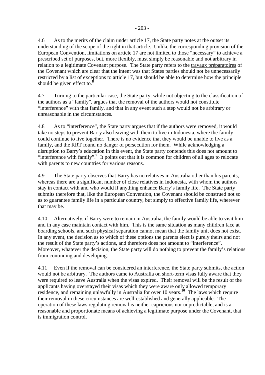4.6 As to the merits of the claim under article 17, the State party notes at the outset its understanding of the scope of the right in that article. Unlike the corresponding provision of the European Convention, limitations on article 17 are not limited to those "necessary" to achieve a prescribed set of purposes, but, more flexibly, must simply be reasonable and not arbitrary in relation to a legitimate Covenant purpose. The State party refers to the travaux préparatoires of the Covenant which are clear that the intent was that States parties should not be unnecessarily restricted by a list of exceptions to article 17, but should be able to determine how the principle should be given effect to.**<sup>8</sup>**

4.7 Turning to the particular case, the State party, while not objecting to the classification of the authors as a "family", argues that the removal of the authors would not constitute "interference" with that family, and that in any event such a step would not be arbitrary or unreasonable in the circumstances.

4.8 As to "interference", the State party argues that if the authors were removed, it would take no steps to prevent Barry also leaving with them to live in Indonesia, where the family could continue to live together. There is no evidence that they would be unable to live as a family, and the RRT found no danger of persecution for them. While acknowledging a disruption to Barry's education in this event, the State party contends this does not amount to "interference with family".<sup>9</sup> It points out that it is common for children of all ages to relocate with parents to new countries for various reasons.

4.9 The State party observes that Barry has no relatives in Australia other than his parents, whereas there are a significant number of close relatives in Indonesia, with whom the authors stay in contact with and who would if anything enhance Barry's family life. The State party submits therefore that, like the European Convention, the Covenant should be construed not so as to guarantee family life in a particular country, but simply to effective family life, wherever that may be.

4.10 Alternatively, if Barry were to remain in Australia, the family would be able to visit him and in any case maintain contact with him. This is the same situation as many children face at boarding schools, and such physical separation cannot mean that the family unit does not exist. In any event, the decision as to which of these options the parents elect is purely theirs and not the result of the State party's actions, and therefore does not amount to "interference". Moreover, whatever the decision, the State party will do nothing to prevent the family's relations from continuing and developing.

4.11 Even if the removal can be considered an interference, the State party submits, the action would not be arbitrary. The authors came to Australia on short-term visas fully aware that they were required to leave Australia when the visas expired. Their removal will be the result of the applicants having overstayed their visas which they were aware only allowed temporary residence, and remaining unlawfully in Australia for over 10 years.<sup>10</sup> The laws which require their removal in these circumstances are well-established and generally applicable. The operation of these laws regulating removal is neither capricious nor unpredictable, and is a reasonable and proportionate means of achieving a legitimate purpose under the Covenant, that is immigration control.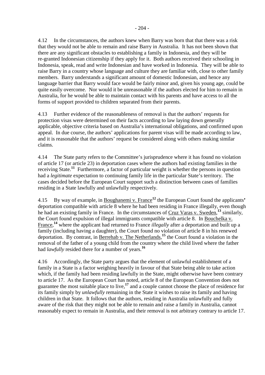4.12 In the circumstances, the authors knew when Barry was born that that there was a risk that they would not be able to remain and raise Barry in Australia. It has not been shown that there are any significant obstacles to establishing a family in Indonesia, and they will be re-granted Indonesian citizenship if they apply for it. Both authors received their schooling in Indonesia, speak, read and write Indonesian and have worked in Indonesia. They will be able to raise Barry in a country whose language and culture they are familiar with, close to other family members. Barry understands a significant amount of domestic Indonesian, and hence any language barrier that Barry would face would be fairly minor and, given his young age, could be quite easily overcome. Nor would it be unreasonable if the authors elected for him to remain in Australia, for he would be able to maintain contact with his parents and have access to all the forms of support provided to children separated from their parents.

4.13 Further evidence of the reasonableness of removal is that the authors' requests for protection visas were determined on their facts according to law laying down generally applicable, objective criteria based on Australia's international obligations, and confirmed upon appeal. In due course, the authors' applications for parent visas will be made according to law, and it is reasonable that the authors' request be considered along with others making similar claims.

4.14 The State party refers to the Committee's jurisprudence where it has found no violation of article 17 (or article 23) in deportation cases where the authors had existing families in the receiving State.**<sup>11</sup>** Furthermore, a factor of particular weight is whether the persons in question had a *legitimate* expectation to continuing family life in the particular State's territory. The cases decided before the European Court support such a distinction between cases of families residing in a State lawfully and unlawfully respectively.

4.15 By way of example, in Boughanemi v. France**<sup>12</sup>** the European Court found the applicants**'** deportation compatible with article 8 where he had been residing in France illegally, even though he had an existing family in France. In the circumstances of Cruz Varas v. Sweden, **<sup>13</sup>** similarly, the Court found expulsion of illegal immigrants compatible with article 8. In Bouchelka v. France, **<sup>14</sup>** where the applicant had returned to France *illegally* after a deportation and built up a family (including having a daughter), the Court found no violation of article 8 in his renewed deportation. By contrast, in Berrehab v. The Netherlands, **<sup>15</sup>** the Court found a violation in the removal of the father of a young child from the country where the child lived where the father had *lawfully* resided there for a number of years.**<sup>16</sup>**

4.16 Accordingly, the State party argues that the element of unlawful establishment of a family in a State is a factor weighing heavily in favour of that State being able to take action which, if the family had been residing lawfully in the State, might otherwise have been contrary to article 17. As the European Court has noted, article 8 of the European Convention does not guarantee the most suitable place to live,**<sup>17</sup>** and a couple cannot choose the place of residence for its family simply by *unlawfully* remaining in the State it wishes to raise its family and having children in that State. It follows that the authors, residing in Australia unlawfully and fully aware of the risk that they might not be able to remain and raise a family in Australia, cannot reasonably expect to remain in Australia, and their removal is not arbitrary contrary to article 17.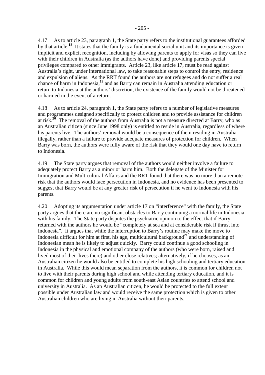4.17 As to article 23, paragraph 1, the State party refers to the institutional guarantees afforded by that article.**<sup>18</sup>** It states that the family is a fundamental social unit and its importance is given implicit and explicit recognition, including by allowing parents to apply for visas so they can live with their children in Australia (as the authors have done) and providing parents special privileges compared to other immigrants. Article 23, like article 17, must be read against Australia's right, under international law, to take reasonable steps to control the entry, residence and expulsion of aliens. As the RRT found the authors are not refugees and do not suffer a real chance of harm in Indonesia,**<sup>19</sup>** and as Barry can remain in Australia attending education or return to Indonesia at the authors' discretion, the existence of the family would not be threatened or harmed in the event of a return.

4.18 As to article 24, paragraph 1, the State party refers to a number of legislative measures and programmes designed specifically to protect children and to provide assistance for children at risk.**<sup>20</sup>** The removal of the authors from Australia is not a measure directed at Barry, who as an Australian citizen (since June 1998 only) is entitled to reside in Australia, regardless of where his parents live. The authors' removal would be a consequence of them residing in Australia illegally, rather than a failure to provide adequate measures of protection for children. When Barry was born, the authors were fully aware of the risk that they would one day have to return to Indonesia.

4.19 The State party argues that removal of the authors would neither involve a failure to adequately protect Barry as a minor or harm him. Both the delegate of the Minister for Immigration and Multicultural Affairs and the RRT found that there was no more than a remote risk that the authors would face persecution in Indonesia, and no evidence has been presented to suggest that Barry would be at any greater risk of persecution if he went to Indonesia with his parents.

4.20 Adopting its argumentation under article 17 on "interference" with the family, the State party argues that there are no significant obstacles to Barry continuing a normal life in Indonesia with his family. The State party disputes the psychiatric opinion to the effect that if Barry returned with the authors he would be "completely at sea and at considerable risk if thrust into Indonesia". It argues that while the interruption to Barry's routine may make the move to Indonesia difficult for him at first, his age, multicultural background**<sup>21</sup>** and understanding of Indonesian mean he is likely to adjust quickly. Barry could continue a good schooling in Indonesia in the physical and emotional company of the authors (who were born, raised and lived most of their lives there) and other close relatives; alternatively, if he chooses, as an Australian citizen he would also be entitled to complete his high schooling and tertiary education in Australia. While this would mean separation from the authors, it is common for children not to live with their parents during high school and while attending tertiary education, and it is common for children and young adults from south-east Asian countries to attend school and university in Australia. As an Australian citizen, he would be protected to the full extent possible under Australian law and would receive the same protection which is given to other Australian children who are living in Australia without their parents.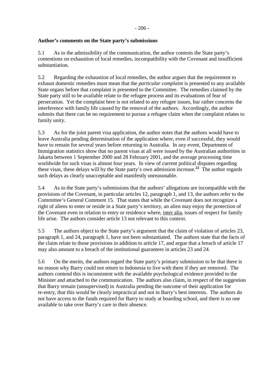## **Author's comments on the State party's submissions**

5.1 As to the admissibility of the communication, the author contests the State party's contentions on exhaustion of local remedies, incompatibility with the Covenant and insufficient substantiation.

5.2 Regarding the exhaustion of local remedies, the author argues that the requirement to exhaust domestic remedies must mean that the *particular complaint* is presented to any available State organs before that complaint is presented to the Committee. The remedies claimed by the State party still to be available relate to the refugee process and its evaluations of fear of persecution. Yet the complaint here is not related to any refugee issues, bur rather concerns the interference with family life caused by the removal of the authors. Accordingly, the author submits that there can be no requirement to pursue a refugee claim when the complaint relates to family unity.

5.3 As for the joint parent visa application, the author notes that the authors would have to leave Australia pending determination of the application where, even if successful, they would have to remain for several years before returning to Australia. In any event, Department of Immigration statistics show that no parent visas at all were issued by the Australian authorities in Jakarta between 1 September 2000 and 28 February 2001, and the average processing time worldwide for such visas is almost four years. In view of current political disputes regarding these visas, these delays will by the State party's own admission increase.**<sup>22</sup>** The author regards such delays as clearly unacceptable and manifestly unreasonable.

5.4 As to the State party's submissions that the authors' allegations are incompatible with the provisions of the Covenant, in particular articles 12, paragraph 1, and 13, the authors refer to the Committee's General Comment 15. That states that while the Covenant does not recognize a right of aliens to enter or reside in a State party's territory, an alien may enjoy the protection of the Covenant even in relation to entry or residence where, inter alia, issues of respect for family life arise. The authors consider article 13 not relevant to this context.

5.5 The authors object to the State party's argument that the claim of violation of articles 23, paragraph 1, and 24, paragraph 1, have not been substantiated. The authors state that the facts of the claim relate to those provisions in addition to article 17, and argue that a breach of article 17 may also amount to a breach of the institutional guarantees in articles 23 and 24.

5.6 On the merits, the authors regard the State party's primary submission to be that there is no reason why Barry could not return to Indonesia to live with them if they are removed. The authors contend this is inconsistent with the available psychological evidence provided to the Minister and attached to the communication. The authors also claim, in respect of the suggestion that Barry remain (unsupervised) in Australia pending the outcome of their application for re-entry, that this would be clearly impractical and not in Barry's best interests. The authors do not have access to the funds required for Barry to study at boarding school, and there is no one available to take over Barry's care in their absence.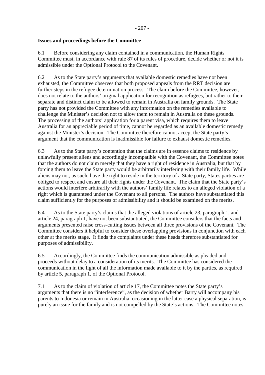## **Issues and proceedings before the Committee**

6.1 Before considering any claim contained in a communication, the Human Rights Committee must, in accordance with rule 87 of its rules of procedure, decide whether or not it is admissible under the Optional Protocol to the Covenant.

6.2 As to the State party's arguments that available domestic remedies have not been exhausted, the Committee observes that both proposed appeals from the RRT decision are further steps in the refugee determination process. The claim before the Committee, however, does not relate to the authors' original application for recognition as refugees, but rather to their separate and distinct claim to be allowed to remain in Australia on family grounds. The State party has not provided the Committee with any information on the remedies available to challenge the Minister's decision not to allow them to remain in Australia on these grounds. The processing of the authors' application for a parent visa, which requires them to leave Australia for an appreciable period of time, cannot be regarded as an available domestic remedy against the Minister's decision. The Committee therefore cannot accept the State party's argument that the communication is inadmissible for failure to exhaust domestic remedies.

6.3 As to the State party's contention that the claims are in essence claims to residence by unlawfully present aliens and accordingly incompatible with the Covenant, the Committee notes that the authors do not claim merely that they have a right of residence in Australia, but that by forcing them to leave the State party would be arbitrarily interfering with their family life. While aliens may not, as such, have the right to reside in the territory of a State party, States parties are obliged to respect and ensure all their rights under the Covenant. The claim that the State party's actions would interfere arbitrarily with the authors' family life relates to an alleged violation of a right which is guaranteed under the Covenant to all persons. The authors have substantiated this claim sufficiently for the purposes of admissibility and it should be examined on the merits.

6.4 As to the State party's claims that the alleged violations of article 23, paragraph 1, and article 24, paragraph 1, have not been substantiated, the Committee considers that the facts and arguments presented raise cross-cutting issues between all three provisions of the Covenant. The Committee considers it helpful to consider these overlapping provisions in conjunction with each other at the merits stage. It finds the complaints under these heads therefore substantiated for purposes of admissibility.

6.5 Accordingly, the Committee finds the communication admissible as pleaded and proceeds without delay to a consideration of its merits. The Committee has considered the communication in the light of all the information made available to it by the parties, as required by article 5, paragraph 1, of the Optional Protocol.

7.1 As to the claim of violation of article 17, the Committee notes the State party's arguments that there is no "interference", as the decision of whether Barry will accompany his parents to Indonesia or remain in Australia, occasioning in the latter case a physical separation, is purely an issue for the family and is not compelled by the State's actions. The Committee notes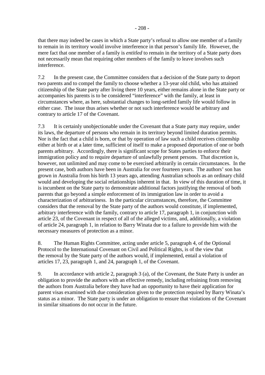that there may indeed be cases in which a State party's refusal to allow one member of a family to remain in its territory would involve interference in that person's family life. However, the mere fact that one member of a family is *entitled* to remain in the territory of a State party does not necessarily mean that requiring other members of the family to leave involves such interference.

7.2 In the present case, the Committee considers that a decision of the State party to deport two parents and to compel the family to choose whether a 13-year old child, who has attained citizenship of the State party after living there 10 years, either remains alone in the State party or accompanies his parents is to be considered "interference" with the family, at least in circumstances where, as here, substantial changes to long-settled family life would follow in either case. The issue thus arises whether or not such interference would be arbitrary and contrary to article 17 of the Covenant.

7.3 It is certainly unobjectionable under the Covenant that a State party may require, under its laws, the departure of persons who remain in its territory beyond limited duration permits. Nor is the fact that a child is born, or that by operation of law such a child receives citizenship either at birth or at a later time, sufficient of itself to make a proposed deportation of one or both parents arbitrary. Accordingly, there is significant scope for States parties to enforce their immigration policy and to require departure of unlawfully present persons. That discretion is, however, not unlimited and may come to be exercised arbitrarily in certain circumstances. In the present case, both authors have been in Australia for over fourteen years. The authors' son has grown in Australia from his birth 13 years ago, attending Australian schools as an ordinary child would and developing the social relationships inherent in that. In view of this duration of time, it is incumbent on the State party to demonstrate additional factors justifying the removal of both parents that go beyond a simple enforcement of its immigration law in order to avoid a characterization of arbitrariness. In the particular circumstances, therefore, the Committee considers that the removal by the State party of the authors would constitute, if implemented, arbitrary interference with the family, contrary to article 17, paragraph 1, in conjunction with article 23, of the Covenant in respect of all of the alleged victims, and, additionally, a violation of article 24, paragraph 1, in relation to Barry Winata due to a failure to provide him with the necessary measures of protection as a minor.

8. The Human Rights Committee, acting under article 5, paragraph 4, of the Optional Protocol to the International Covenant on Civil and Political Rights, is of the view that the removal by the State party of the authors would, if implemented, entail a violation of articles 17, 23, paragraph 1, and 24, paragraph 1, of the Covenant.

9. In accordance with article 2, paragraph 3 (a), of the Covenant, the State Party is under an obligation to provide the authors with an effective remedy, including refraining from removing the authors from Australia before they have had an opportunity to have their application for parent visas examined with due consideration given to the protection required by Barry Winata's status as a minor. The State party is under an obligation to ensure that violations of the Covenant in similar situations do not occur in the future.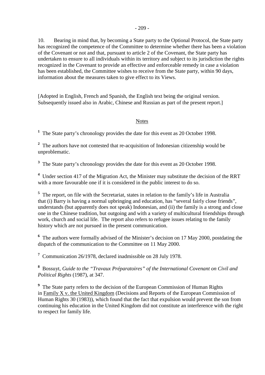10. Bearing in mind that, by becoming a State party to the Optional Protocol, the State party has recognized the competence of the Committee to determine whether there has been a violation of the Covenant or not and that, pursuant to article 2 of the Covenant, the State party has undertaken to ensure to all individuals within its territory and subject to its jurisdiction the rights recognized in the Covenant to provide an effective and enforceable remedy in case a violation has been established, the Committee wishes to receive from the State party, within 90 days, information about the measures taken to give effect to its Views.

[Adopted in English, French and Spanish, the English text being the original version. Subsequently issued also in Arabic, Chinese and Russian as part of the present report.]

## Notes

<sup>1</sup> The State party's chronology provides the date for this event as 20 October 1998.

<sup>2</sup> The authors have not contested that re-acquisition of Indonesian citizenship would be unproblematic.

<sup>3</sup> The State party's chronology provides the date for this event as 20 October 1998.

<sup>4</sup> Under section 417 of the Migration Act, the Minister may substitute the decision of the RRT with a more favourable one if it is considered in the public interest to do so.

<sup>5</sup> The report, on file with the Secretariat, states in relation to the family's life in Australia that (i) Barry is having a normal upbringing and education, has "several fairly close friends", understands (but apparently does not speak) Indonesian, and (ii) the family is a strong and close one in the Chinese tradition, but outgoing and with a variety of multicultural friendships through work, church and social life. The report also refers to refugee issues relating to the family history which are not pursued in the present communication.

<sup>6</sup> The authors were formally advised of the Minister's decision on 17 May 2000, postdating the dispatch of the communication to the Committee on 11 May 2000.

**7** Communication 26/1978, declared inadmissible on 28 July 1978.

**8** Bossuyt, *Guide to the "Travaux Préparatoires" of the International Covenant on Civil and Political Rights* (1987), at 347.

<sup>9</sup> The State party refers to the decision of the European Commission of Human Rights in Family X v. the United Kingdom (Decisions and Reports of the European Commission of Human Rights 30 (1983)), which found that the fact that expulsion would prevent the son from continuing his education in the United Kingdom did not constitute an interference with the right to respect for family life.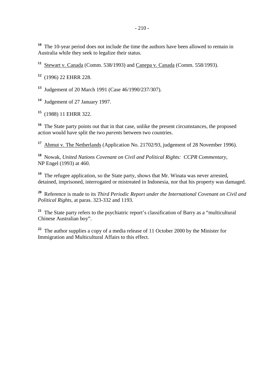**<sup>10</sup>** The 10-year period does not include the time the authors have been allowed to remain in Australia while they seek to legalize their status.

**<sup>11</sup>** Stewart v. Canada (Comm. 538/1993) and Canepa v. Canada (Comm. 558/1993).

**<sup>12</sup>** (1996) 22 EHRR 228.

**<sup>13</sup>** Judgement of 20 March 1991 (Case 46/1990/237/307).

**<sup>14</sup>** Judgement of 27 January 1997.

**<sup>15</sup>** (1988) 11 EHRR 322.

<sup>16</sup> The State party points out that in that case, unlike the present circumstances, the proposed action would have split the two *parents* between two countries.

**<sup>17</sup>** Ahmut v. The Netherlands (Application No. 21702/93, judgement of 28 November 1996).

**<sup>18</sup>** Nowak, *United Nations Covenant on Civil and Political Rights: CCPR Commentary*, NP Engel (1993) at 460.

**<sup>19</sup>** The refugee application, so the State party, shows that Mr. Winata was never arrested, detained, imprisoned, interrogated or mistreated in Indonesia, nor that his property was damaged.

**<sup>20</sup>** Reference is made to its *Third Periodic Report under the International Covenant on Civil and Political Rights*, at paras. 323-332 and 1193.

**<sup>21</sup>** The State party refers to the psychiatric report's classification of Barry as a "multicultural Chinese Australian boy".

**<sup>22</sup>** The author supplies a copy of a media release of 11 October 2000 by the Minister for Immigration and Multicultural Affairs to this effect.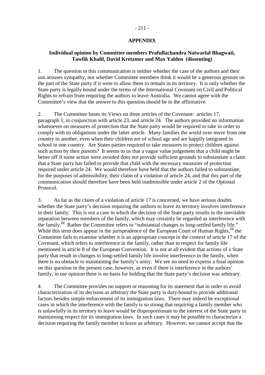## - 211 -

### **APPENDIX**

### **Individual opinion by Committee members Prafullachandra Natwarlal Bhagwati, Tawfik Khalil, David Kretzmer and Max Yalden (dissenting)**

1. The question in this communication is neither whether the case of the authors and their son arouses sympathy, nor whether Committee members think it would be a generous gesture on the part of the State party if it were to allow them to remain in its territory. It is only whether the State party is legally bound under the terms of the International Covenant on Civil and Political Rights to refrain from requiring the authors to leave Australia. We cannot agree with the Committee's view that the answer to this question should be in the affirmative.

2. The Committee bases its Views on three articles of the Covenant: articles 17, paragraph 1, in conjunction with article 23, and article 24. The authors provided no information whatsoever on measures of protection that the State party would be required to take in order to comply with its obligations under the latter article. Many families the world over move from one country to another, even when their children are of school age and are happily integrated in school in one country. Are States parties required to take measures to protect children against such action by their parents? It seems to us that a vague value judgement that a child might be better off if some action were avoided does not provide sufficient grounds to substantiate a claim that a State party has failed to provide that child with the necessary measures of protection required under article 24. We would therefore have held that the authors failed to substantiate, for the purposes of admissibility, their claim of a violation of article 24, and that this part of the communication should therefore have been held inadmissible under article 2 of the Optional Protocol.

3. As far as the claim of a violation of article 17 is concerned, we have serious doubts whether the State party's decision requiring the authors to leave its territory involves interference in their family. This is not a case in which the decision of the State party results in the inevitable separation between members of the family, which may certainly be regarded as interference with the family.**<sup>22</sup>** Rather the Committee refers to "substantial changes to long-settled family life." While this term does appear in the jurisprudence of the European Court of Human Rights,**<sup>22</sup>** the Committee fails to examine whether it is an appropriate concept in the context of article 17 of the Covenant, which refers to interference in the family, rather than to respect for family life mentioned in article 8 of the European Convention. It is not at all evident that actions of a State party that result in changes to long-settled family life involve interference in the family, when there is no obstacle to maintaining the family's unity. We see no need to express a final opinion on this question in the present case, however, as even if there is interference in the authors' family, in our opinion there is no basis for holding that the State party's decision was arbitrary.

4. The Committee provides no support or reasoning for its statement that in order to avoid characterization of its decision as arbitrary the State party is duty-bound to provide additional factors besides simple enforcement of its immigration laws. There may indeed be exceptional cases in which the interference with the family is so strong that requiring a family member who is unlawfully in its territory to leave would be disproportionate to the interest of the State party in maintaining respect for its immigration laws. In such cases it may be possible to characterize a decision requiring the family member to leave as arbitrary. However, we cannot accept that the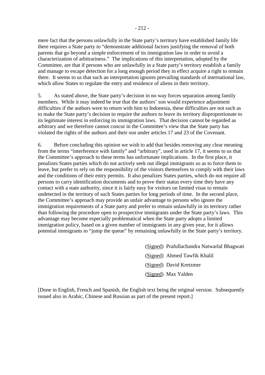mere fact that the persons unlawfully in the State party's territory have established family life there requires a State party to "demonstrate additional factors justifying the removal of both parents that go beyond a simple enforcement of its immigration law in order to avoid a characterization of arbitrariness." The implications of this interpretation, adopted by the Committee, are that if persons who are unlawfully in a State party's territory establish a family and manage to escape detection for a long enough period they in effect acquire a right to remain there. It seems to us that such an interpretation ignores prevailing standards of international law, which allow States to regulate the entry and residence of aliens in their territory.

5. As stated above, the State party's decision in no way forces separation among family members. While it may indeed be true that the authors' son would experience adjustment difficulties if the authors were to return with him to Indonesia, these difficulties are not such as to make the State party's decision to require the authors to leave its territory disproportionate to its legitimate interest in enforcing its immigration laws. That decision cannot be regarded as arbitrary and we therefore cannot concur in the Committee's view that the State party has violated the rights of the authors and their son under articles 17 and 23 of the Covenant.

6. Before concluding this opinion we wish to add that besides removing any clear meaning from the terms "interference with family" and "arbitrary", used in article 17, it seems to us that the Committee's approach to these terms has unfortunate implications. In the first place, it penalizes States parties which do not actively seek out illegal immigrants so as to force them to leave, but prefer to rely on the responsibility of the visitors themselves to comply with their laws and the conditions of their entry permits. It also penalizes States parties, which do not require all persons to carry identification documents and to prove their status every time they have any contact with a state authority, since it is fairly easy for visitors on limited visas to remain undetected in the territory of such States parties for long periods of time. In the second place, the Committee's approach may provide an unfair advantage to persons who ignore the immigration requirements of a State party and prefer to remain unlawfully in its territory rather than following the procedure open to prospective immigrants under the State party's laws. This advantage may become especially problematical when the State party adopts a limited immigration policy, based on a given number of immigrants in any given year, for it allows potential immigrants to "jump the queue" by remaining unlawfully in the State party's territory.

| (Signed) Prafullachandra Natwarlal Bhagwati |
|---------------------------------------------|
| (Signed) Ahmed Tawfik Khalil                |
| (Signed) David Kretzmer                     |
| (Signed) Max Yalden                         |

[Done in English, French and Spanish, the English text being the original version. Subsequently issued also in Arabic, Chinese and Russian as part of the present report.]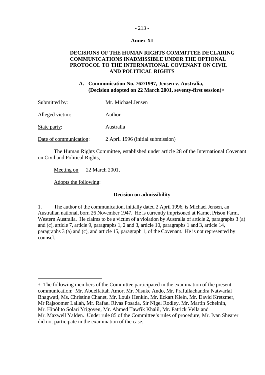#### - 213 -

#### **Annex XI**

## **DECISIONS OF THE HUMAN RIGHTS COMMITTEE DECLARING COMMUNICATIONS INADMISSIBLE UNDER THE OPTIONAL PROTOCOL TO THE INTERNATIONAL COVENANT ON CIVIL AND POLITICAL RIGHTS**

## **A. Communication No. 762/1997, Jensen v. Australia, (Decision adopted on 22 March 2001, seventy-first session)**∗

Submitted by: Mr. Michael Jensen

Alleged victim: Author

State party: Australia

Date of communication: 2 April 1996 (initial submission)

 The Human Rights Committee, established under article 28 of the International Covenant on Civil and Political Rights,

Meeting on 22 March 2001,

Adopts the following:

 $\overline{a}$ 

#### **Decision on admissibility**

1. The author of the communication, initially dated 2 April 1996, is Michael Jensen, an Australian national, born 26 November 1947. He is currently imprisoned at Karnet Prison Farm, Western Australia. He claims to be a victim of a violation by Australia of article 2, paragraphs 3 (a) and (c), article 7, article 9, paragraphs 1, 2 and 3, article 10, paragraphs 1 and 3, article 14, paragraphs 3 (a) and (c), and article 15, paragraph 1, of the Covenant. He is not represented by counsel.

<sup>∗</sup>The following members of the Committee participated in the examination of the present communication: Mr. Abdelfattah Amor, Mr. Nisuke Ando, Mr. Prafullachandra Natwarlal Bhagwati, Ms. Christine Chanet, Mr. Louis Henkin, Mr. Eckart Klein, Mr. David Kretzmer, Mr Rajsoomer Lallah, Mr. Rafael Rivas Posada, Sir Nigel Rodley, Mr. Martin Scheinin, Mr. Hipólito Solari Yrigoyen, Mr. Ahmed Tawfik Khalil, Mr. Patrick Vella and Mr. Maxwell Yalden. Under rule 85 of the Committee's rules of procedure, Mr. Ivan Shearer did not participate in the examination of the case.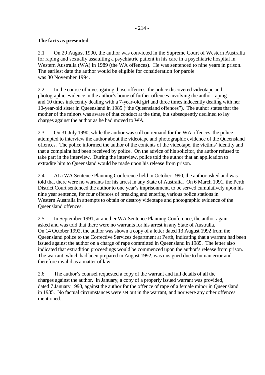## **The facts as presented**

2.1 On 29 August 1990, the author was convicted in the Supreme Court of Western Australia for raping and sexually assaulting a psychiatric patient in his care in a psychiatric hospital in Western Australia (WA) in 1989 (the WA offences). He was sentenced to nine years in prison. The earliest date the author would be eligible for consideration for parole was 30 November 1994.

2.2 In the course of investigating those offences, the police discovered videotape and photographic evidence in the author's home of further offences involving the author raping and 10 times indecently dealing with a 7-year-old girl and three times indecently dealing with her 10-year-old sister in Queensland in 1985 ("the Queensland offences"). The author states that the mother of the minors was aware of that conduct at the time, but subsequently declined to lay charges against the author as he had moved to WA.

2.3 On 31 July 1990, while the author was still on remand for the WA offences, the police attempted to interview the author about the videotape and photographic evidence of the Queensland offences. The police informed the author of the contents of the videotape, the victims' identity and that a complaint had been received by police. On the advice of his solicitor, the author refused to take part in the interview. During the interview, police told the author that an application to extradite him to Queensland would be made upon his release from prison.

2.4 At a WA Sentence Planning Conference held in October 1990, the author asked and was told that there were no warrants for his arrest in any State of Australia. On 6 March 1991, the Perth District Court sentenced the author to one year's imprisonment, to be served cumulatively upon his nine year sentence, for four offences of breaking and entering various police stations in Western Australia in attempts to obtain or destroy videotape and photographic evidence of the Queensland offences.

2.5 In September 1991, at another WA Sentence Planning Conference, the author again asked and was told that there were no warrants for his arrest in any State of Australia. On 14 October 1992, the author was shown a copy of a letter dated 13 August 1992 from the Queensland police to the Corrective Services department at Perth, indicating that a warrant had been issued against the author on a charge of rape committed in Queensland in 1985. The letter also indicated that extradition proceedings would be commenced upon the author's release from prison. The warrant, which had been prepared in August 1992, was unsigned due to human error and therefore invalid as a matter of law.

2.6 The author's counsel requested a copy of the warrant and full details of all the charges against the author. In January, a copy of a properly issued warrant was provided, dated 7 January 1993, against the author for the offence of rape of a female minor in Queensland in 1985. No factual circumstances were set out in the warrant, and nor were any other offences mentioned.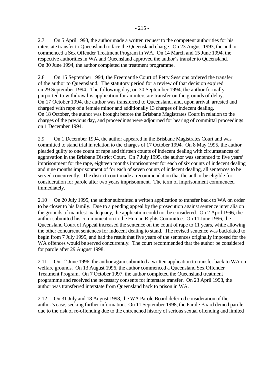2.7 On 5 April 1993, the author made a written request to the competent authorities for his interstate transfer to Queensland to face the Queensland charge. On 23 August 1993, the author commenced a Sex Offender Treatment Program in WA. On 14 March and 15 June 1994, the respective authorities in WA and Queensland approved the author's transfer to Queensland. On 30 June 1994, the author completed the treatment programme.

2.8 On 15 September 1994, the Freemantle Court of Petty Sessions ordered the transfer of the author to Queensland. The statutory period for a review of that decision expired on 29 September 1994. The following day, on 30 September 1994, the author formally purported to withdraw his application for an interstate transfer on the grounds of delay. On 17 October 1994, the author was transferred to Queensland, and, upon arrival, arrested and charged with rape of a female minor and additionally 13 charges of indecent dealing. On 18 October, the author was brought before the Brisbane Magistrates Court in relation to the charges of the previous day, and proceedings were adjourned for hearing of committal proceedings on 1 December 1994.

2.9 On 1 December 1994, the author appeared in the Brisbane Magistrates Court and was committed to stand trial in relation to the charges of 17 October 1994. On 8 May 1995, the author pleaded guilty to one count of rape and thirteen counts of indecent dealing with circumstances of aggravation in the Brisbane District Court. On 7 July 1995, the author was sentenced to five years' imprisonment for the rape, eighteen months imprisonment for each of six counts of indecent dealing and nine months imprisonment of for each of seven counts of indecent dealing, all sentences to be served concurrently. The district court made a recommendation that the author be eligible for consideration for parole after two years imprisonment. The term of imprisonment commenced immediately.

2.10 On 20 July 1995, the author submitted a written application to transfer back to WA on order to be closer to his family. Due to a pending appeal by the prosecution against sentence inter alia on the grounds of manifest inadequacy, the application could not be considered. On 2 April 1996, the author submitted his communication to the Human Rights Committee. On 11 June 1996, the Queensland Court of Appeal increased the sentence on the count of rape to 11 years, while allowing the other concurrent sentences for indecent dealing to stand. The revised sentence was backdated to begin from 7 July 1995, and had the result that five years of the sentences originally imposed for the WA offences would be served concurrently. The court recommended that the author be considered for parole after 29 August 1998.

2.11 On 12 June 1996, the author again submitted a written application to transfer back to WA on welfare grounds. On 13 August 1996, the author commenced a Queensland Sex Offender Treatment Program. On 7 October 1997, the author completed the Queensland treatment programme and received the necessary consents for interstate transfer. On 23 April 1998, the author was transferred interstate from Queensland back to prison in WA.

2.12 On 31 July and 18 August 1998, the WA Parole Board deferred consideration of the author's case, seeking further information. On 11 September 1998, the Parole Board denied parole due to the risk of re-offending due to the entrenched history of serious sexual offending and limited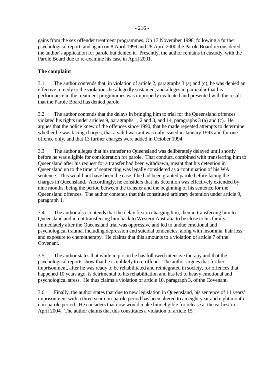gains from the sex offender treatment programmes. On 13 November 1998, following a further psychological report, and again on 8 April 1999 and 28 April 2000 the Parole Board reconsidered the author's application for parole but denied it. Presently, the author remains in custody, with the Parole Board due to re-examine his case in April 2001.

## **The complaint**

3.1 The author contends that, in violation of article 2, paragraphs 3 (a) and (c), he was denied an effective remedy to the violations he allegedly sustained, and alleges in particular that his performance in the treatment programmes was improperly evaluated and presented with the result that the Parole Board has denied parole.

3.2 The author contends that the delays in bringing him to trial for the Queensland offences violated his rights under articles 9, paragraphs 1, 2 and 3, and 14, paragraphs 3 (a) and (c). He argues that the police knew of the offences since 1990, that he made repeated attempts to determine whether he was facing charges, that a valid warrant was only issued in January 1993 and for one offence only, and that 13 further charges were added in October 1994.

3.3 The author alleges that his transfer to Queensland was deliberately delayed until shortly before he was eligible for consideration for parole. That conduct, combined with transferring him to Queensland after his request for a transfer had been withdrawn, meant that his detention in Queensland up to the time of sentencing was legally considered as a continuation of his WA sentence. This would not have been the case if he had been granted parole before facing the charges in Queensland. Accordingly, he considers that his detention was effectively extended by nine months, being the period between the transfer and the beginning of his sentence for the Queensland offences. The author contends that this constituted arbitrary detention under article 9, paragraph 1.

3.4 The author also contends that the delay first in charging him, then in transferring him to Queensland and in not transferring him back to Western Australia to be close to his family immediately after the Queensland trial was oppressive and led to undue emotional and psychological trauma, including depression and suicidal tendencies, along with insomnia, hair loss and exposure to chemotherapy. He claims that this amounts to a violation of article 7 of the Covenant.

3.5 The author states that while in prison he has followed intensive therapy and that the psychological reports show that he is unlikely to re-offend. The author argues that further imprisonment, after he was ready to be rehabilitated and reintegrated in society, for offences that happened 10 years ago, is detrimental to his rehabilitation and has led to heavy emotional and psychological stress. He thus claims a violation of article 10, paragraph 3, of the Covenant.

3.6 Finally, the author states that due to new legislation in Queensland, his sentence of 11 years' imprisonment with a three year non-parole period has been altered to an eight year and eight month non**-**parole period. He considers that now would make him eligible for release at the earliest in April 2004. The author claims that this constitutes a violation of article 15.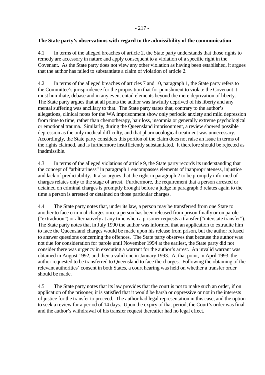### **The State party's observations with regard to the admissibility of the communication**

4.1 In terms of the alleged breaches of article 2, the State party understands that those rights to remedy are accessory in nature and apply consequent to a violation of a specific right in the Covenant. As the State party does not view any other violation as having been established, it argues that the author has failed to substantiate a claim of violation of article 2.

4.2 In terms of the alleged breaches of articles 7 and 10, paragraph 1, the State party refers to the Committee's jurisprudence for the proposition that for punishment to violate the Covenant it must humiliate, debase and in any event entail elements beyond the mere deprivation of liberty. The State party argues that at all points the author was lawfully deprived of his liberty and any mental suffering was ancillary to that. The State party states that, contrary to the author's allegations, clinical notes for the WA imprisonment show only periodic anxiety and mild depression from time to time, rather than chemotherapy, hair loss, insomnia or generally extreme psychological or emotional trauma. Similarly, during the Queensland imprisonment, a review showed possible depression as the only medical difficulty, and that pharmacological treatment was unnecessary. Accordingly, the State party considers this portion of the claim does not raise an issue in terms of the rights claimed, and is furthermore insufficiently substantiated. It therefore should be rejected as inadmissible.

4.3 In terms of the alleged violations of article 9, the State party records its understanding that the concept of "arbitrariness" in paragraph 1 encompasses elements of inappropriateness, injustice and lack of predictability. It also argues that the right in paragraph 2 to be promptly informed of charges relates only to the stage of arrest. Furthermore, the requirement that a person arrested or detained on criminal charges is promptly brought before a judge in paragraph 3 relates again to the time a person is arrested or detained on those particular charges.

4.4 The State party notes that, under its law, a person may be transferred from one State to another to face criminal charges once a person has been released from prison finally or on parole ("extradition") or alternatively at any time when a prisoner requests a transfer ("interstate transfer"). The State party notes that in July 1990 the author was informed that an application to extradite him to face the Queensland charges would be made upon his release from prison, but the author refused to answer questions concerning the offences. The State party observes that because the author was not due for consideration for parole until November 1994 at the earliest, the State party did not consider there was urgency in executing a warrant for the author's arrest. An invalid warrant was obtained in August 1992, and then a valid one in January 1993. At that point, in April 1993, the author requested to be transferred to Queensland to face the charges. Following the obtaining of the relevant authorities' consent in both States, a court hearing was held on whether a transfer order should be made.

4.5 The State party notes that its law provides that the court is not to make such an order, if on application of the prisoner, it is satisfied that it would be harsh or oppressive or not in the interests of justice for the transfer to proceed. The author had legal representation in this case, and the option to seek a review for a period of 14 days. Upon the expiry of that period, the Court's order was final and the author's withdrawal of his transfer request thereafter had no legal effect.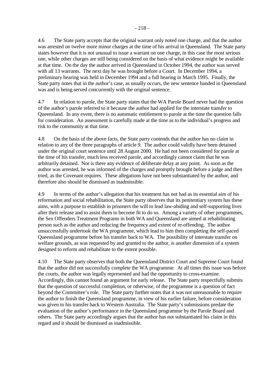4.6 The State party accepts that the original warrant only noted one charge, and that the author was arrested on twelve more minor charges at the time of his arrival in Queensland. The State party states however that it is not unusual to issue a warrant on one charge, in this case the most serious one, while other charges are still being considered on the basis of what evidence might be available at that time. On the day the author arrived in Queensland in October 1994, the author was served with all 13 warrants. The next day he was brought before a Court. In December 1994, a preliminary hearing was held in December 1994 and a full hearing in March 1995. Finally, the State party notes that in the author's case, as usually occurs, the new sentence handed in Queensland was and is being served concurrently with the original sentence.

4.7 In relation to parole, the State party states that the WA Parole Board never had the question of the author's parole referred to it because the author had applied for the interstate transfer to Queensland. In any event, there is no automatic entitlement to parole at the time the question falls for consideration. An assessment is carefully made at the time as to the individual's progress and risk to the community at that time.

4.8 On the basis of the above facts, the State party contends that the author has no claim in relation to any of the three paragraphs of article 9. The author could validly have been detained under the original court sentence until 28 August 2000. He had not been considered for parole at the time of his transfer, much less received parole, and accordingly cannot claim that he was arbitrarily detained. Nor is there any evidence of deliberate delay at any point. As soon as the author was arrested, he was informed of the charges and promptly brought before a judge and then tried, as the Covenant requires. These allegations have not been substantiated by the author, and therefore also should be dismissed as inadmissible.

4.9 In terms of the author's allegation that his treatment has not had as its essential aim of his reformation and social rehabilitation, the State party observes that its penitentiary system has these aims, with a purpose to establish in prisoners the will to lead law-abiding and self-supporting lives after their release and to assist them to become fit to do so. Among a variety of other programmes, the Sex Offenders Treatment Programs in both WA and Queensland are aimed at rehabilitating person such as the author and reducing the frequency and extent of re-offending. The author unsuccessfully undertook the WA programme, which lead to him then completing the self-paced Queensland programme before his transfer back to WA. The possibility of interstate transfer on welfare grounds, as was requested by and granted to the author, is another dimension of a system designed to reform and rehabilitate to the extent possible.

4.10 The State party observes that both the Queensland District Court and Supreme Court found that the author did not successfully complete the WA programme. At all times this issue was before the courts, the author was legally represented and had the opportunity to cross-examine. Accordingly, this cannot found an argument for early release. The State party respectfully submits that the question of successful completion, or otherwise, of the programme is a question of fact beyond the Committee's role. The State party further notes that it was not unreasonable to require the author to finish the Queensland programme, in view of his earlier failure, before consideration was given to his transfer back to Western Australia. The State party's submissions predate the evaluation of the author's performance in the Queensland programme by the Parole Board and others. The State party accordingly argues that the author has not substantiated his claim in this regard and it should be dismissed as inadmissible.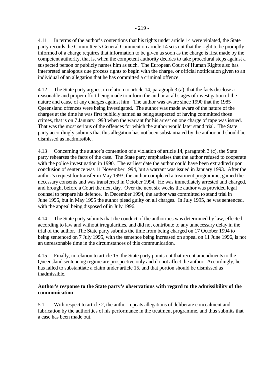4.11 In terms of the author's contentions that his rights under article 14 were violated, the State party records the Committee's General Comment on article 14 sets out that the right to be promptly informed of a charge requires that information to be given as soon as the charge is first made by the competent authority, that is, when the competent authority decides to take procedural steps against a suspected person or publicly names him as such. The European Court of Human Rights also has interpreted analogous due process rights to begin with the charge, or official notification given to an individual of an allegation that he has committed a criminal offence.

4.12 The State party argues, in relation to article 14, paragraph 3 (a), that the facts disclose a reasonable and proper effort being made to inform the author at all stages of investigation of the nature and cause of any charges against him. The author was aware since 1990 that the 1985 Queensland offences were being investigated. The author was made aware of the nature of the charges at the time he was first publicly named as being suspected of having committed those crimes, that is on 7 January 1993 when the warrant for his arrest on one charge of rape was issued. That was the most serious of the offences for which the author would later stand trial. The State party accordingly submits that this allegation has not been substantiated by the author and should be dismissed as inadmissible.

4.13 Concerning the author's contention of a violation of article 14, paragraph 3 (c), the State party rehearses the facts of the case. The State party emphasises that the author refused to cooperate with the police investigation in 1990. The earliest date the author could have been extradited upon conclusion of sentence was 11 November 1994, but a warrant was issued in January 1993. After the author's request for transfer in May 1993, the author completed a treatment programme, gained the necessary consents and was transferred in October 1994. He was immediately arrested and charged, and brought before a Court the next day. Over the next six weeks the author was provided legal counsel to prepare his defence. In December 1994, the author was committed to stand trial in June 1995, but in May 1995 the author plead guilty on all charges. In July 1995, he was sentenced, with the appeal being disposed of in July 1996.

4.14 The State party submits that the conduct of the authorities was determined by law, effected according to law and without irregularities, and did not contribute to any unnecessary delay in the trial of the author. The State party submits the time from being charged on 17 October 1994 to being sentenced on 7 July 1995, with the sentence being increased on appeal on 11 June 1996, is not an unreasonable time in the circumstances of this communication.

4.15 Finally, in relation to article 15, the State party points out that recent amendments to the Queensland sentencing regime are prospective only and do not affect the author. Accordingly, he has failed to substantiate a claim under article 15, and that portion should be dismissed as inadmissible.

#### **Author's response to the State party's observations with regard to the admissibility of the communication**

5.1 With respect to article 2, the author repeats allegations of deliberate concealment and fabrication by the authorities of his performance in the treatment programme, and thus submits that a case has been made out.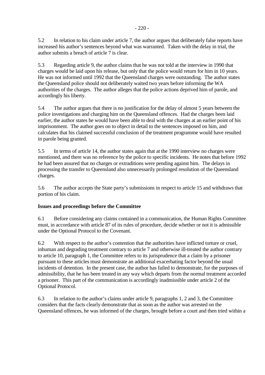5.2 In relation to his claim under article 7, the author argues that deliberately false reports have increased his author's sentences beyond what was warranted. Taken with the delay in trial, the author submits a breach of article 7 is clear.

5.3 Regarding article 9, the author claims that he was not told at the interview in 1990 that charges would be laid upon his release, but only that the police would return for him in 10 years. He was not informed until 1992 that the Queensland charges were outstanding. The author states the Queensland police should not deliberately waited two years before informing the WA authorities of the charges. The author alleges that the police actions deprived him of parole, and accordingly his liberty.

5.4 The author argues that there is no justification for the delay of almost 5 years between the police investigations and charging him on the Queensland offences. Had the charges been laid earlier, the author states he would have been able to deal with the charges at an earlier point of his imprisonment. The author goes on to object in detail to the sentences imposed on him, and calculates that his claimed successful conclusion of the treatment programme would have resulted in parole being granted.

5.5 In terms of article 14, the author states again that at the 1990 interview no charges were mentioned, and there was no reference by the police to specific incidents. He notes that before 1992 he had been assured that no charges or extraditions were pending against him. The delays in processing the transfer to Queensland also unnecessarily prolonged resolution of the Queensland charges.

5.6 The author accepts the State party's submissions in respect to article 15 and withdraws that portion of his claim.

# **Issues and proceedings before the Committee**

6.1 Before considering any claims contained in a communication, the Human Rights Committee must, in accordance with article 87 of its rules of procedure, decide whether or not it is admissible under the Optional Protocol to the Covenant.

6.2 With respect to the author's contention that the authorities have inflicted torture or cruel, inhuman and degrading treatment contrary to article 7 and otherwise ill-treated the author contrary to article 10, paragraph 1, the Committee refers to its jurisprudence that a claim by a prisoner pursuant to these articles must demonstrate an additional exacerbating factor beyond the usual incidents of detention. In the present case, the author has failed to demonstrate, for the purposes of admissibility, that he has been treated in any way which departs from the normal treatment accorded a prisoner. This part of the communication is accordingly inadmissible under article 2 of the Optional Protocol.

6.3 In relation to the author's claims under article 9, paragraphs 1, 2 and 3, the Committee considers that the facts clearly demonstrate that as soon as the author was arrested on the Queensland offences, he was informed of the charges, brought before a court and then tried within a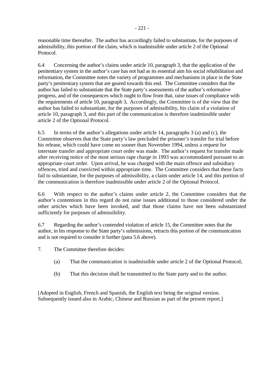6.4 Concerning the author's claims under article 10, paragraph 3, that the application of the penitentiary system in the author's case has not had as its essential aim his social rehabilitation and reformation, the Committee notes the variety of programmes and mechanisms in place in the State party's penitentiary system that are geared towards this end. The Committee considers that the author has failed to substantiate that the State party's assessments of the author's reformative progress, and of the consequences which ought to flow from that, raise issues of compliance with the requirements of article 10, paragraph 3**.** Accordingly, the Committee is of the view that the author has failed to substantiate, for the purposes of admissibility, his claim of a violation of article 10, paragraph 3, and this part of the communication is therefore inadmissible under article 2 of the Optional Protocol.

6.5 In terms of the author's allegations under article 14, paragraphs 3 (a) and (c), the Committee observes that the State party's law precluded the prisoner's transfer for trial before his release, which could have come no sooner than November 1994, unless a request for interstate transfer and appropriate court order was made. The author's request for transfer made after receiving notice of the most serious rape charge in 1993 was accommodated pursuant to an appropriate court order. Upon arrival, he was charged with the main offence and subsidiary offences, tried and convicted within appropriate time. The Committee considers that these facts fail to substantiate, for the purposes of admissibility, a claim under article 14, and this portion of the communication is therefore inadmissible under article 2 of the Optional Protocol.

6.6 With respect to the author's claims under article 2, the Committee considers that the author's contentions in this regard do not raise issues additional to those considered under the other articles which have been invoked, and that those claims have not been substantiated sufficiently for purposes of admissibility.

6.7 Regarding the author's contended violation of article 15, the Committee notes that the author, in his response to the State party's submissions, retracts this portion of the communication and is not required to consider it further (para 5.6 above).

- 7. The Committee therefore decides:
	- (a) That the communication is inadmissible under article 2 of the Optional Protocol;
	- (b) That this decision shall be transmitted to the State party and to the author.

[Adopted in English, French and Spanish, the English text being the original version. Subsequently issued also in Arabic, Chinese and Russian as part of the present report.]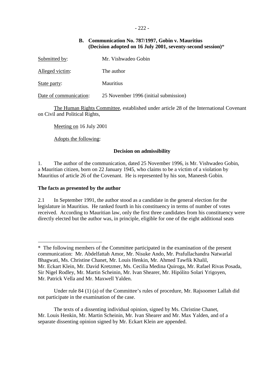#### - 222 -

#### **B. Communication No. 787/1997, Gobin v. Mauritius (Decision adopted on 16 July 2001, seventy-second session)**\*

| Submitted by:   | Mr. Vishwadeo Gobin |
|-----------------|---------------------|
| Alleged victim: | The author          |
| State party:    | Mauritius           |

Date of communication: 25 November 1996 (initial submission)

 The Human Rights Committee, established under article 28 of the International Covenant on Civil and Political Rights,

Meeting on 16 July 2001

Adopts the following:

#### **Decision on admissibility**

1. The author of the communication, dated 25 November 1996, is Mr. Vishwadeo Gobin, a Mauritian citizen, born on 22 January 1945, who claims to be a victim of a violation by Mauritius of article 26 of the Covenant. He is represented by his son, Maneesh Gobin.

#### **The facts as presented by the author**

 $\overline{a}$ 

2.1 In September 1991, the author stood as a candidate in the general election for the legislature in Mauritius. He ranked fourth in his constituency in terms of number of votes received. According to Mauritian law, only the first three candidates from his constituency were directly elected but the author was, in principle, eligible for one of the eight additional seats

<sup>\*</sup> The following members of the Committee participated in the examination of the present communication: Mr. Abdelfattah Amor, Mr. Nisuke Ando, Mr. Prafullachandra Natwarlal Bhagwati, Ms. Christine Chanet, Mr. Louis Henkin, Mr. Ahmed Tawfik Khalil, Mr. Eckart Klein, Mr. David Kretzmer, Ms. Cecilia Medina Quiroga, Mr. Rafael Rivas Posada, Sir Nigel Rodley, Mr. Martin Scheinin, Mr. Ivan Shearer, Mr. Hipólito Solari Yrigoyen, Mr. Patrick Vella and Mr. Maxwell Yalden.

Under rule 84 (1) (a) of the Committee's rules of procedure, Mr. Rajsoomer Lallah did not participate in the examination of the case.

The texts of a dissenting individual opinion, signed by Ms. Christine Chanet, Mr. Louis Henkin, Mr. Martin Scheinin, Mr. Ivan Shearer and Mr. Max Yalden, and of a separate dissenting opinion signed by Mr. Eckart Klein are appended.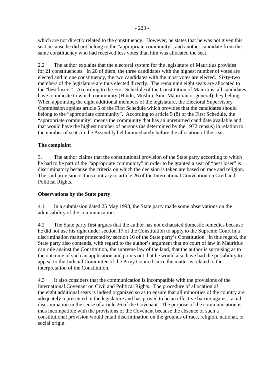which are not directly related to the constituency. However, he states that he was not given this seat because he did not belong to the "appropriate community", and another candidate from the same constituency who had received less votes than him was allocated the seat.

2.2 The author explains that the electoral system for the legislature of Mauritius provides for 21 constituencies. In 20 of them, the three candidates with the highest number of votes are elected and in one constituency, the two candidates with the most votes are elected. Sixty-two members of the legislature are thus elected directly. The remaining eight seats are allocated to the "best losers". According to the First Schedule of the Constitution of Mauritius, all candidates have to indicate to which community (Hindu, Muslim, Sino-Mauritian or general) they belong. When appointing the eight additional members of the legislature, the Electoral Supervisory Commission applies article 5 of the First Schedule which provides that the candidates should belong to the "appropriate community". According to article 5 (8) of the First Schedule, the "appropriate community" means the community that has an unreturned candidate available and that would have the highest number of persons (as determined by the 1972 census) in relation to the number of seats in the Assembly held immediately before the allocation of the seat.

#### **The complaint**

3. The author claims that the constitutional provision of the State party according to which he had to be part of the "appropriate community" in order to be granted a seat of "best loser" is discriminatory because the criteria on which the decision is taken are based on race and religion. The said provision is thus contrary to article 26 of the International Convention on Civil and Political Rights.

#### **Observations by the State party**

4.1 In a submission dated 25 May 1998, the State party made some observations on the admissibility of the communication.

4.2 The State party first argues that the author has not exhausted domestic remedies because he did not use his right under section 17 of the Constitution to apply to the Supreme Court in a discrimination matter protected by section 16 of the State party's Constitution. In this regard, the State party also contends, with regard to the author's argument that no court of law in Mauritius can rule against the Constitution, the supreme law of the land, that the author is surmising as to the outcome of such an application and points out that he would also have had the possibility to appeal to the Judicial Committee of the Privy Council since the matter is related to the interpretation of the Constitution.

4.3 It also considers that the communication is incompatible with the provisions of the International Covenant on Civil and Political Rights. The procedure of allocation of the eight additional seats is indeed organized so as to ensure that all minorities of the country are adequately represented in the legislature and has proved to be an effective barrier against racial discrimination in the sense of article 26 of the Covenant. The purpose of the communication is thus incompatible with the provisions of the Covenant because the absence of such a constitutional provision would entail discrimination on the grounds of race, religion, national, or social origin.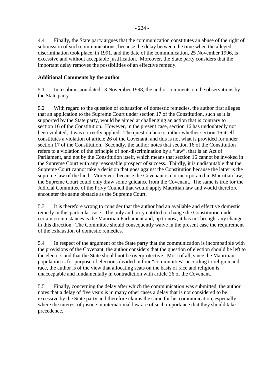4.4 Finally, the State party argues that the communication constitutes an abuse of the right of submission of such communications, because the delay between the time when the alleged discrimination took place, in 1991, and the date of the communication, 25 November 1996, is excessive and without acceptable justification. Moreover, the State party considers that the important delay removes the possibilities of an effective remedy.

#### **Additional Comments by the author**

5.1 In a submission dated 13 November 1998, the author comments on the observations by the State party.

5.2 With regard to the question of exhaustion of domestic remedies, the author first alleges that an application to the Supreme Court under section 17 of the Constitution, such as it is supported by the State party, would be aimed at challenging an action that is contrary to section 16 of the Constitution. However, in the present case, section 16 has undoubtedly not been violated; it was correctly applied. The question here is rather whether section 16 itself constitutes a violation of article 26 of the Covenant, and this is not what is provided for under section 17 of the Constitution. Secondly, the author notes that section 16 of the Constitution refers to a violation of the principle of non-discrimination by a "law", that is an Act of Parliament, and not by the Constitution itself, which means that section 16 cannot be invoked in the Supreme Court with any reasonable prospect of success. Thirdly, it is undisputable that the Supreme Court cannot take a decision that goes against the Constitution because the latter is the supreme law of the land. Moreover, because the Covenant is not incorporated in Mauritian law, the Supreme Court could only draw some guidance from the Covenant. The same is true for the Judicial Committee of the Privy Council that would apply Mauritian law and would therefore encounter the same obstacle as the Supreme Court.

5.3 It is therefore wrong to consider that the author had an available and effective domestic remedy in this particular case. The only authority entitled to change the Constitution under certain circumstances is the Mauritian Parliament and, up to now, it has not brought any change in this direction. The Committee should consequently waive in the present case the requirement of the exhaustion of domestic remedies.

5.4 In respect of the argument of the State party that the communication is incompatible with the provisions of the Covenant, the author considers that the question of election should be left to the electors and that the State should not be overprotective. Most of all, since the Mauritian population is for purpose of elections divided in four "communities" according to religion and race, the author is of the view that allocating seats on the basis of race and religion is unacceptable and fundamentally in contradiction with article 26 of the Covenant.

5.5 Finally, concerning the delay after which the communication was submitted, the author notes that a delay of five years is in many other cases a delay that is not considered to be excessive by the State party and therefore claims the same for his communication, especially where the interest of justice in international law are of such importance that they should take precedence.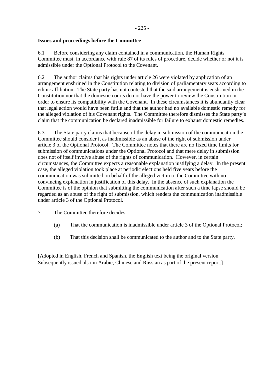#### **Issues and proceedings before the Committee**

6.1 Before considering any claim contained in a communication, the Human Rights Committee must, in accordance with rule 87 of its rules of procedure, decide whether or not it is admissible under the Optional Protocol to the Covenant.

6.2 The author claims that his rights under article 26 were violated by application of an arrangement enshrined in the Constitution relating to division of parliamentary seats according to ethnic affiliation. The State party has not contested that the said arrangement is enshrined in the Constitution nor that the domestic courts do not have the power to review the Constitution in order to ensure its compatibility with the Covenant. In these circumstances it is abundantly clear that legal action would have been futile and that the author had no available domestic remedy for the alleged violation of his Covenant rights. The Committee therefore dismisses the State party's claim that the communication be declared inadmissible for failure to exhaust domestic remedies.

6.3 The State party claims that because of the delay in submission of the communication the Committee should consider it as inadmissible as an abuse of the right of submission under article 3 of the Optional Protocol. The Committee notes that there are no fixed time limits for submission of communications under the Optional Protocol and that mere delay in submission does not of itself involve abuse of the rights of communication. However, in certain circumstances, the Committee expects a reasonable explanation justifying a delay. In the present case, the alleged violation took place at periodic elections held five years before the communication was submitted on behalf of the alleged victim to the Committee with no convincing explanation in justification of this delay. In the absence of such explanation the Committee is of the opinion that submitting the communication after such a time lapse should be regarded as an abuse of the right of submission, which renders the communication inadmissible under article 3 of the Optional Protocol.

- 7. The Committee therefore decides:
	- (a) That the communication is inadmissible under article 3 of the Optional Protocol;
	- (b) That this decision shall be communicated to the author and to the State party.

[Adopted in English, French and Spanish, the English text being the original version. Subsequently issued also in Arabic, Chinese and Russian as part of the present report.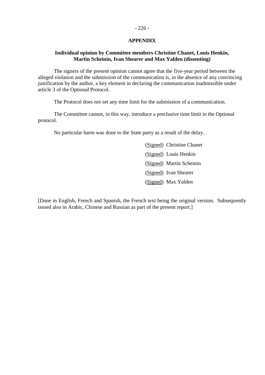# **APPENDIX**

#### **Individual opinion by Committee members Christine Chanet, Louis Henkin, Martin Scheinin, Ivan Shearer and Max Yalden (dissenting)**

 The signers of the present opinion cannot agree that the five-year period between the alleged violation and the submission of the communication is, in the absence of any convincing justification by the author, a key element in declaring the communication inadmissible under article 3 of the Optional Protocol.

The Protocol does not set any time limit for the submission of a communication.

 The Committee cannot, in this way, introduce a preclusive time limit in the Optional protocol.

No particular harm was done to the State party as a result of the delay.

 (Signed) Christine Chanet (Signed) Louis Henkin (Signed) Martin Scheinin (Signed) Ivan Shearer (Signed) Max Yalden

[Done in English, French and Spanish, the French text being the original version. Subsequently issued also in Arabic, Chinese and Russian as part of the present report.]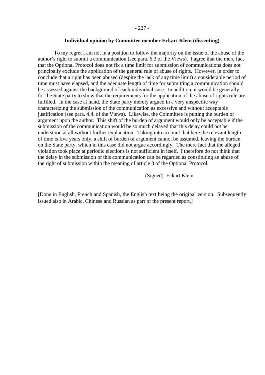#### **Individual opinion by Committee member Eckart Klein (dissenting)**

 To my regret I am not in a position to follow the majority on the issue of the abuse of the author's right to submit a communication (see para. 6.3 of the Views). I agree that the mere fact that the Optional Protocol does not fix a time limit for submission of communications does not principally exclude the application of the general rule of abuse of rights. However, in order to conclude that a right has been abused (despite the lack of any time limit) a considerable period of time must have elapsed, and the adequate length of time for submitting a communication should be assessed against the background of each individual case. In addition, it would be generally for the State party to show that the requirements for the application of the abuse of rights rule are fulfilled. In the case at hand, the State party merely argued in a very unspecific way characterizing the submission of the communication as excessive and without acceptable justification (see para. 4.4. of the Views). Likewise, the Committee is putting the burden of argument upon the author. This shift of the burden of argument would only be acceptable if the submission of the communication would be so much delayed that this delay could not be understood at all without further explanation. Taking into account that here the relevant length of time is five years only, a shift of burden of argument cannot be assumed, leaving the burden on the State party, which in this case did not argue accordingly. The mere fact that the alleged violation took place at periodic elections is not sufficient in itself. I therefore do not think that the delay in the submission of this communication can be regarded as constituting an abuse of the right of submission within the meaning of article 3 of the Optional Protocol.

(Signed) Eckart Klein

[Done in English, French and Spanish, the English text being the original version. Subsequently issued also in Arabic, Chinese and Russian as part of the present report.]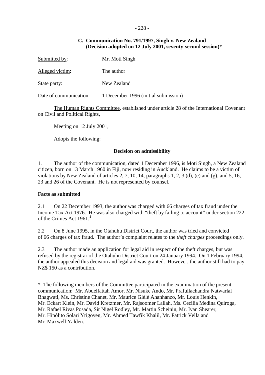#### - 228 -

#### **C. Communication No. 791/1997, Singh v. New Zealand (Decision adopted on 12 July 2001, seventy-second session)**\*

| Submitted by: | Mr. Moti Singh |
|---------------|----------------|
|---------------|----------------|

Alleged victim: The author

State party: New Zealand

Date of communication: 1 December 1996 (initial submission)

 The Human Rights Committee, established under article 28 of the International Covenant on Civil and Political Rights,

Meeting on 12 July 2001,

Adopts the following:

#### **Decision on admissibility**

1. The author of the communication, dated 1 December 1996, is Moti Singh, a New Zealand citizen, born on 13 March 1960 in Fiji, now residing in Auckland. He claims to be a victim of violations by New Zealand of articles 2, 7, 10, 14, paragraphs 1, 2, 3 (d), (e) and (g), and 5, 16, 23 and 26 of the Covenant. He is not represented by counsel.

# **Facts as submitted**

 $\overline{a}$ 

2.1 On 22 December 1993, the author was charged with 66 charges of tax fraud under the Income Tax Act 1976. He was also charged with "theft by failing to account" under section 222 of the Crimes Act 1961.**<sup>1</sup>**

2.2 On 8 June 1995, in the Otahuhu District Court, the author was tried and convicted of 66 charges of tax fraud. The author's complaint relates to the *theft charges* proceedings only.

2.3 The author made an application for legal aid in respect of the theft charges, but was refused by the registrar of the Otahuhu District Court on 24 January 1994. On 1 February 1994, the author appealed this decision and legal aid was granted. However, the author still had to pay NZ\$ 150 as a contribution.

<sup>\*</sup> The following members of the Committee participated in the examination of the present communication: Mr. Abdelfattah Amor, Mr. Nisuke Ando, Mr. Prafullachandra Natwarlal Bhagwati, Ms. Christine Chanet, Mr. Maurice Glèlè Ahanhanzo, Mr. Louis Henkin, Mr. Eckart Klein, Mr. David Kretzmer, Mr. Rajsoomer Lallah, Ms. Cecilia Medina Quiroga, Mr. Rafael Rivas Posada, Sir Nigel Rodley, Mr. Martin Scheinin, Mr. Ivan Shearer, Mr. Hipólito Solari Yrigoyen, Mr. Ahmed Tawfik Khalil, Mr. Patrick Vella and Mr. Maxwell Yalden.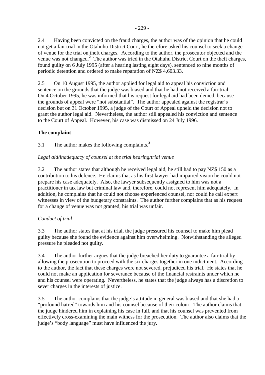2.4 Having been convicted on the fraud charges, the author was of the opinion that he could not get a fair trial in the Otahuhu District Court, he therefore asked his counsel to seek a change of venue for the trial on theft charges. According to the author, the prosecutor objected and the venue was not changed.<sup>2</sup> The author was tried in the Otahuhu District Court on the theft charges, found guilty on 6 July 1995 (after a hearing lasting eight days), sentenced to nine months of periodic detention and ordered to make reparation of NZ\$ 4,603.33.

2.5 On 10 August 1995, the author applied for legal aid to appeal his conviction and sentence on the grounds that the judge was biased and that he had not received a fair trial. On 4 October 1995, he was informed that his request for legal aid had been denied, because the grounds of appeal were "not substantial". The author appealed against the registrar's decision but on 31 October 1995, a judge of the Court of Appeal upheld the decision not to grant the author legal aid. Nevertheless, the author still appealed his conviction and sentence to the Court of Appeal. However, his case was dismissed on 24 July 1996.

# **The complaint**

3.1 The author makes the following complaints.**<sup>3</sup>**

## *Legal aid/inadequacy of counsel at the trial hearing/trial venue*

3.2 The author states that although he received legal aid, he still had to pay NZ\$ 150 as a contribution to his defence. He claims that as his first lawyer had impaired vision he could not prepare his case adequately. Also, the lawyer subsequently assigned to him was not a practitioner in tax law but criminal law and, therefore, could not represent him adequately. In addition, he complains that he could not choose experienced counsel, nor could he call expert witnesses in view of the budgetary constraints. The author further complains that as his request for a change of venue was not granted, his trial was unfair.

#### *Conduct of trial*

3.3 The author states that at his trial, the judge pressured his counsel to make him plead guilty because she found the evidence against him overwhelming. Notwithstanding the alleged pressure he pleaded not guilty.

3.4 The author further argues that the judge breached her duty to guarantee a fair trial by allowing the prosecution to proceed with the six charges together in one indictment. According to the author, the fact that these charges were not severed, prejudiced his trial. He states that he could not make an application for severance because of the financial restraints under which he and his counsel were operating. Nevertheless, he states that the judge always has a discretion to sever charges in the interests of justice.

3.5 The author complains that the judge's attitude in general was biased and that she had a "profound hatred" towards him and his counsel because of their colour. The author claims that the judge hindered him in explaining his case in full, and that his counsel was prevented from effectively cross-examining the main witness for the prosecution. The author also claims that the judge's "body language" must have influenced the jury.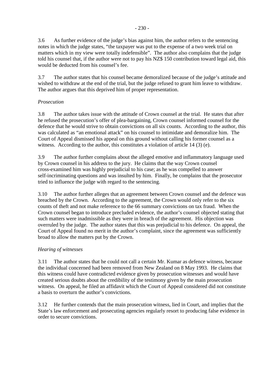3.7 The author states that his counsel became demoralized because of the judge's attitude and wished to withdraw at the end of the trial, but the judge refused to grant him leave to withdraw. The author argues that this deprived him of proper representation.

# *Prosecution*

3.8 The author takes issue with the attitude of Crown counsel at the trial. He states that after he refused the prosecution's offer of plea-bargaining, Crown counsel informed counsel for the defence that he would strive to obtain convictions on all six counts. According to the author, this was calculated as "an emotional attack" on his counsel to intimidate and demoralize him. The Court of Appeal dismissed his appeal on this ground without calling his former counsel as a witness. According to the author, this constitutes a violation of article 14 (3) (e).

3.9 The author further complains about the alleged emotive and inflammatory language used by Crown counsel in his address to the jury. He claims that the way Crown counsel cross-examined him was highly prejudicial to his case; as he was compelled to answer self-incriminating questions and was insulted by him. Finally, he complains that the prosecutor tried to influence the judge with regard to the sentencing.

3.10 The author further alleges that an agreement between Crown counsel and the defence was breached by the Crown. According to the agreement, the Crown would only refer to the six counts of theft and not make reference to the 66 summary convictions on tax fraud. When the Crown counsel began to introduce precluded evidence, the author's counsel objected stating that such matters were inadmissible as they were in breach of the agreement. His objection was overruled by the judge. The author states that this was prejudicial to his defence. On appeal, the Court of Appeal found no merit in the author's complaint, since the agreement was sufficiently broad to allow the matters put by the Crown.

# *Hearing of witnesses*

3.11 The author states that he could not call a certain Mr. Kumar as defence witness, because the individual concerned had been removed from New Zealand on 8 May 1993. He claims that this witness could have contradicted evidence given by prosecution witnesses and would have created serious doubts about the credibility of the testimony given by the main prosecution witness. On appeal, he filed an affidavit which the Court of Appeal considered did not constitute a basis to overturn the author's convictions.

3.12 He further contends that the main prosecution witness, lied in Court, and implies that the State's law enforcement and prosecuting agencies regularly resort to producing false evidence in order to secure convictions.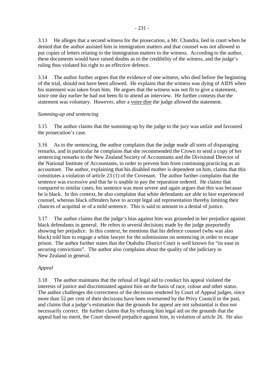3.13 He alleges that a second witness for the prosecution, a Mr. Chandra, lied in court when he denied that the author assisted him in immigration matters and that counsel was not allowed to put copies of letters relating to the immigration matters to the witness. According to the author, these documents would have raised doubts as to the credibility of the witness, and the judge's ruling thus violated his right to an effective defence.

3.14 The author further argues that the evidence of one witness, who died before the beginning of the trial, should not have been allowed. He explains that the witness was dying of AIDS when his statement was taken from him. He argues that the witness was not fit to give a statement, since one day earlier he had not been fit to attend an interview. He further contests that the statement was voluntary. However, after a voire dire the judge allowed the statement.

#### *Summing-up and sentencing*

3.15 The author claims that the summing-up by the judge to the jury was unfair and favoured the prosecution's case.

3.16 As to the sentencing, the author complains that the judge made all sorts of disparaging remarks, and in particular he complains that she recommended the Crown to send a copy of her sentencing remarks to the New Zealand Society of Accountants and the Divisional Director of the National Institute of Accountants, in order to prevent him from continuing practicing as an accountant. The author, explaining that his disabled mother is dependent on him, claims that this constitutes a violation of article 23 (1) of the Covenant. The author further complains that the sentence was excessive and that he is unable to pay the reparation ordered. He claims that compared to similar cases, his sentence was most severe and again argues that this was because he is black. In this context, he also complains that white defendants are able to hire experienced counsel, whereas black offenders have to accept legal aid representation thereby limiting their chances of acquittal or of a mild sentence. This is said to amount to a denial of justice.

3.17 The author claims that the judge's bias against him was grounded in her prejudice against black defendants in general. He refers to several decisions made by the judge purportedly showing her prejudice. In this context, he mentions that his defence counsel (who was also black) told him to engage a white lawyer for the submissions on sentencing in order to escape prison. The author further states that the Otahuhu District Court is well known for "its ease in securing convictions". The author also complains about the quality of the judiciary in New Zealand in general.

#### *Appeal*

3.18 The author maintains that the refusal of legal aid to conduct his appeal violated the interests of justice and discriminated against him on the basis of race, colour and other status. The author challenges the correctness of the decisions rendered by Court of Appeal judges, since more than 52 per cent of their decisions have been overturned by the Privy Council in the past, and claims that a judge's estimation that the grounds for appeal are not substantial is thus not necessarily correct. He further claims that by refusing him legal aid on the grounds that the appeal had no merit, the Court showed prejudice against him, in violation of article 26. He also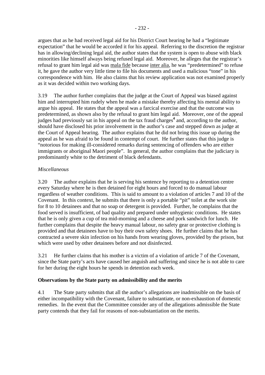argues that as he had received legal aid for his District Court hearing he had a "legitimate expectation" that he would be accorded it for his appeal. Referring to the discretion the registrar has in allowing/declining legal aid, the author states that the system is open to abuse with black minorities like himself always being refused legal aid. Moreover, he alleges that the registrar's refusal to grant him legal aid was mala fide because inter alia, he was "predetermined" to refuse it, he gave the author very little time to file his documents and used a malicious "tone" in his correspondence with him. He also claims that his review application was not examined properly as it was decided within two working days.

3.19 The author further complains that the judge at the Court of Appeal was biased against him and interrupted him rudely when he made a mistake thereby affecting his mental ability to argue his appeal. He states that the appeal was a farcical exercise and that the outcome was predetermined, as shown also by the refusal to grant him legal aid. Moreover, one of the appeal judges had previously sat in his appeal on the tax fraud charges**<sup>4</sup>** and, according to the author, should have disclosed his prior involvement in the author's case and stepped down as judge at the Court of Appeal hearing. The author explains that he did not bring this issue up during the appeal as he was afraid to be found in contempt of court. He further states that this judge is "notorious for making ill-considered remarks during sentencing of offenders who are either immigrants or aboriginal Maori people". In general, the author complains that the judiciary is predominantly white to the detriment of black defendants.

#### *Miscellaneous*

3.20 The author explains that he is serving his sentence by reporting to a detention centre every Saturday where he is then detained for eight hours and forced to do manual labour regardless of weather conditions. This is said to amount to a violation of articles 7 and 10 of the Covenant. In this context, he submits that there is only a portable "pit" toilet at the work site for 8 to 10 detainees and that no soap or detergent is provided. Further, he complains that the food served is insufficient, of bad quality and prepared under unhygienic conditions. He states that he is only given a cup of tea mid-morning and a cheese and pork sandwich for lunch. He further complains that despite the heavy manual labour, no safety gear or protective clothing is provided and that detainees have to buy their own safety shoes. He further claims that he has contracted a severe skin infection on his hands from wearing gloves, provided by the prison, but which were used by other detainees before and not disinfected.

3.21 He further claims that his mother is a victim of a violation of article 7 of the Covenant, since the State party's acts have caused her anguish and suffering and since he is not able to care for her during the eight hours he spends in detention each week.

#### **Observations by the State party on admissibility and the merits**

4.1 The State party submits that all the author's allegations are inadmissible on the basis of either incompatibility with the Covenant, failure to substantiate, or non-exhaustion of domestic remedies. In the event that the Committee consider any of the allegations admissible the State party contends that they fail for reasons of non-substantiation on the merits.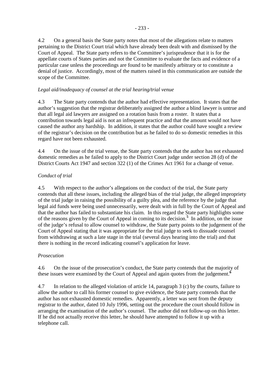4.2 On a general basis the State party notes that most of the allegations relate to matters pertaining to the District Court trial which have already been dealt with and dismissed by the Court of Appeal. The State party refers to the Committee's jurisprudence that it is for the appellate courts of States parties and not the Committee to evaluate the facts and evidence of a particular case unless the proceedings are found to be manifestly arbitrary or to constitute a denial of justice. Accordingly, most of the matters raised in this communication are outside the scope of the Committee.

#### *Legal aid/inadequacy of counsel at the trial hearing/trial venue*

4.3 The State party contends that the author had effective representation. It states that the author's suggestion that the registrar deliberately assigned the author a blind lawyer is untrue and that all legal aid lawyers are assigned on a rotation basis from a roster. It states that a contribution towards legal aid is not an infrequent practice and that the amount would not have caused the author any hardship. In addition, it states that the author could have sought a review of the registrar's decision on the contribution but as he failed to do so domestic remedies in this regard have not been exhausted.

4.4 On the issue of the trial venue, the State party contends that the author has not exhausted domestic remedies as he failed to apply to the District Court judge under section 28 (d) of the District Courts Act 1947 and section 322 (1) of the Crimes Act 1961 for a change of venue.

## *Conduct of trial*

4.5 With respect to the author's allegations on the conduct of the trial, the State party contends that all these issues, including the alleged bias of the trial judge, the alleged impropriety of the trial judge in raising the possibility of a guilty plea, and the reference by the judge that legal aid funds were being used unnecessarily, were dealt with in full by the Court of Appeal and that the author has failed to substantiate his claim. In this regard the State party highlights some of the reasons given by the Court of Appeal in coming to its decision.<sup>5</sup> In addition, on the issue of the judge's refusal to allow counsel to withdraw, the State party points to the judgement of the Court of Appeal stating that it was appropriate for the trial judge to seek to dissuade counsel from withdrawing at such a late stage in the trial (several days hearing into the trial) and that there is nothing in the record indicating counsel's application for leave.

# *Prosecution*

4.6 On the issue of the prosecution's conduct, the State party contends that the majority of these issues were examined by the Court of Appeal and again quotes from the judgement.**<sup>6</sup>**

4.7 In relation to the alleged violation of article 14, paragraph 3 (c) by the courts, failure to allow the author to call his former counsel to give evidence, the State party contends that the author has not exhausted domestic remedies. Apparently, a letter was sent from the deputy registrar to the author, dated 10 July 1996, setting out the procedure the court should follow in arranging the examination of the author's counsel. The author did not follow-up on this letter. If he did not actually receive this letter, he should have attempted to follow it up with a telephone call.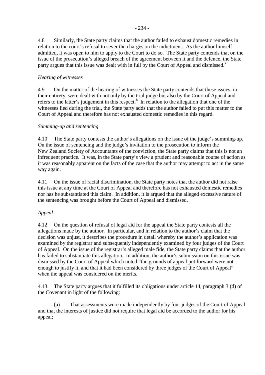## *Hearing of witnesses*

4.9 On the matter of the hearing of witnesses the State party contends that these issues, in their entirety, were dealt with not only by the trial judge but also by the Court of Appeal and refers to the latter's judgement in this respect.<sup>8</sup> In relation to the allegation that one of the witnesses lied during the trial, the State party adds that the author failed to put this matter to the Court of Appeal and therefore has not exhausted domestic remedies in this regard.

#### *Summing-up and sentencing*

4.10 The State party contests the author's allegations on the issue of the judge's summing-up. On the issue of sentencing and the judge's invitation to the prosecution to inform the New Zealand Society of Accountants of the conviction, the State party claims that this is not an infrequent practice. It was, in the State party's view a prudent and reasonable course of action as it was reasonably apparent on the facts of the case that the author may attempt to act in the same way again.

4.11 On the issue of racial discrimination, the State party notes that the author did not raise this issue at any time at the Court of Appeal and therefore has not exhausted domestic remedies nor has he substantiated this claim. In addition, it is argued that the alleged excessive nature of the sentencing was brought before the Court of Appeal and dismissed.

#### *Appeal*

4.12 On the question of refusal of legal aid for the appeal the State party contests all the allegations made by the author. In particular, and in relation to the author's claim that the decision was unjust, it describes the procedure in detail whereby the author's application was examined by the registrar and subsequently independently examined by four judges of the Court of Appeal. On the issue of the registrar's alleged male fide, the State party claims that the author has failed to substantiate this allegation. In addition, the author's submission on this issue was dismissed by the Court of Appeal which noted "the grounds of appeal put forward were not enough to justify it, and that it had been considered by three judges of the Court of Appeal" when the appeal was considered on the merits.

4.13 The State party argues that it fulfilled its obligations under article 14, paragraph 3 (d) of the Covenant in light of the following:

 (a) That assessments were made independently by four judges of the Court of Appeal and that the interests of justice did not require that legal aid be accorded to the author for his appeal;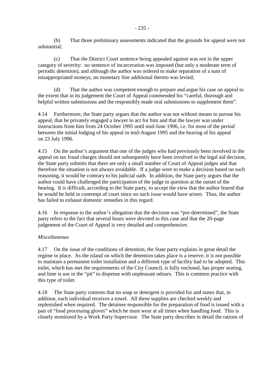(b) That those preliminary assessments indicated that the grounds for appeal were not substantial;

 (c) That the District Court sentence being appealed against was not in the upper category of severity: no sentence of incarceration was imposed (but only a moderate term of periodic detention), and although the author was ordered to make reparation of a sum of misappropriated moneys, no monetary fine additional thereto was levied;

 (d) That the author was competent enough to prepare and argue his case on appeal to the extent that in its judgement the Court of Appeal commended his "careful, thorough and helpful written submissions and the responsibly made oral submissions to supplement them".

4.14 Furthermore, the State party argues that the author was not without means to pursue his appeal, that he privately engaged a lawyer to act for him and that the lawyer was under instructions from him from 24 October 1995 until mid-June 1996, i.e. for most of the period between the initial lodging of his appeal in mid-August 1995 and the hearing of his appeal on 23 July 1996.

4.15 On the author's argument that one of the judges who had previously been involved in the appeal on tax fraud charges should not subsequently have been involved in the legal aid decision, the State party submits that there are only a small number of Court of Appeal judges and that therefore the situation is not always avoidable. If a judge were to make a decision based on such reasoning, it would be contrary to his judicial oath. In addition, the State party argues that the author could have challenged the participation of the judge in question at the outset of the hearing. It is difficult, according to the State party, to accept the view that the author feared that he would be held in contempt of court since no such issue would have arisen. Thus, the author has failed to exhaust domestic remedies in this regard.

4.16 In response to the author's allegation that the decision was "pre-determined", the State party refers to the fact that several hours were devoted to this case and that the 20-page judgement of the Court of Appeal is very detailed and comprehensive.

#### *Miscellaneous*

4.17 On the issue of the conditions of detention, the State party explains in great detail the regime in place. As the island on which the detention takes place is a reserve, it is not possible to maintain a permanent toilet installation and a different type of facility had to be adopted. This toilet, which has met the requirements of the City Council, is fully enclosed, has proper seating, and lime is use in the "pit" to dispense with unpleasant odours. This is common practice with this type of toilet.

4.18 The State party contests that no soap or detergent is provided for and states that, in addition, each individual receives a towel. All these supplies are checked weekly and replenished when required. The detainee responsible for the preparation of food is issued with a pair of "food processing gloves" which he must wear at all times when handling food. This is closely monitored by a Work Party Supervisor. The State party describes in detail the rations of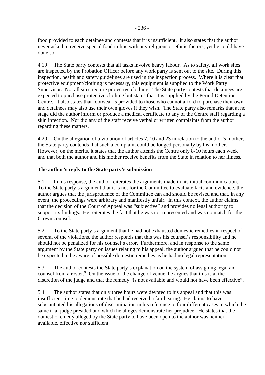food provided to each detainee and contests that it is insufficient. It also states that the author never asked to receive special food in line with any religious or ethnic factors, yet he could have done so.

4.19 The State party contests that all tasks involve heavy labour. As to safety, all work sites are inspected by the Probation Officer before any work party is sent out to the site. During this inspection, health and safety guidelines are used in the inspection process. Where it is clear that protective equipment/clothing is necessary, this equipment is supplied to the Work Party Supervisor. Not all sites require protective clothing. The State party contests that detainees are expected to purchase protective clothing but states that it is supplied by the Period Detention Centre. It also states that footwear is provided to those who cannot afford to purchase their own and detainees may also use their own gloves if they wish. The State party also remarks that at no stage did the author inform or produce a medical certificate to any of the Centre staff regarding a skin infection. Nor did any of the staff receive verbal or written complaints from the author regarding these matters.

4.20 On the allegation of a violation of articles 7, 10 and 23 in relation to the author's mother, the State party contends that such a complaint could be lodged personally by his mother. However, on the merits, it states that the author attends the Centre only 8-10 hours each week and that both the author and his mother receive benefits from the State in relation to her illness.

## **The author's reply to the State party's submission**

5.1 In his response, the author reiterates the arguments made in his initial communication. To the State party's argument that it is not for the Committee to evaluate facts and evidence, the author argues that the jurisprudence of the Committee can and should be revised and that, in any event, the proceedings were arbitrary and manifestly unfair. In this context, the author claims that the decision of the Court of Appeal was "subjective" and provides no legal authority to support its findings. He reiterates the fact that he was not represented and was no match for the Crown counsel.

5.2 To the State party's argument that he had not exhausted domestic remedies in respect of several of the violations, the author responds that this was his counsel's responsibility and he should not be penalized for his counsel's error. Furthermore, and in response to the same argument by the State party on issues relating to his appeal, the author argued that he could not be expected to be aware of possible domestic remedies as he had no legal representation.

5.3 The author contests the State party's explanation on the system of assigning legal aid counsel from a roster.**<sup>9</sup>** On the issue of the change of venue, he argues that this is at the discretion of the judge and that the remedy "is not available and would not have been effective".

5.4 The author states that only three hours were devoted to his appeal and that this was insufficient time to demonstrate that he had received a fair hearing. He claims to have substantiated his allegations of discrimination in his reference to four different cases in which the same trial judge presided and which he alleges demonstrate her prejudice. He states that the domestic remedy alleged by the State party to have been open to the author was neither available, effective nor sufficient.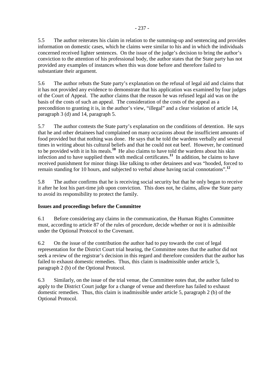5.5 The author reiterates his claim in relation to the summing-up and sentencing and provides information on domestic cases, which he claims were similar to his and in which the individuals concerned received lighter sentences. On the issue of the judge's decision to bring the author's conviction to the attention of his professional body, the author states that the State party has not provided any examples of instances when this was done before and therefore failed to substantiate their argument.

5.6 The author rebuts the State party's explanation on the refusal of legal aid and claims that it has not provided any evidence to demonstrate that his application was examined by four judges of the Court of Appeal. The author claims that the reason he was refused legal aid was on the basis of the costs of such an appeal. The consideration of the costs of the appeal as a precondition to granting it is, in the author's view, "illegal" and a clear violation of article 14, paragraph 3 (d) and 14, paragraph 5.

5.7 The author contests the State party's explanation on the conditions of detention. He says that he and other detainees had complained on many occasions about the insufficient amounts of food provided but that nothing was done. He says that he told the wardens verbally and several times in writing about his cultural beliefs and that he could not eat beef. However, he continued to be provided with it in his meals.<sup>10</sup> He also claims to have told the wardens about his skin infection and to have supplied them with medical certificates.**<sup>11</sup>** In addition, he claims to have received punishment for minor things like talking to other detainees and was "hooded, forced to remain standing for 10 hours, and subjected to verbal abuse having racial connotations".**<sup>12</sup>**

5.8 The author confirms that he is receiving social security but that he only began to receive it after he lost his part-time job upon conviction. This does not, he claims, allow the State party to avoid its responsibility to protect the family.

# **Issues and proceedings before the Committee**

6.1 Before considering any claims in the communication, the Human Rights Committee must, according to article 87 of the rules of procedure, decide whether or not it is admissible under the Optional Protocol to the Covenant.

6.2 On the issue of the contribution the author had to pay towards the cost of legal representation for the District Court trial hearing, the Committee notes that the author did not seek a review of the registrar's decision in this regard and therefore considers that the author has failed to exhaust domestic remedies. Thus, this claim is inadmissible under article 5, paragraph 2 (b) of the Optional Protocol.

6.3 Similarly, on the issue of the trial venue, the Committee notes that, the author failed to apply to the District Court judge for a change of venue and therefore has failed to exhaust domestic remedies. Thus, this claim is inadmissible under article 5, paragraph 2 (b) of the Optional Protocol.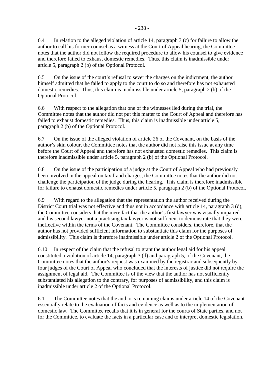6.4 In relation to the alleged violation of article 14, paragraph 3 (c) for failure to allow the author to call his former counsel as a witness at the Court of Appeal hearing, the Committee notes that the author did not follow the required procedure to allow his counsel to give evidence and therefore failed to exhaust domestic remedies. Thus, this claim is inadmissible under article 5, paragraph 2 (b) of the Optional Protocol.

6.5 On the issue of the court's refusal to sever the charges on the indictment, the author himself admitted that he failed to apply to the court to do so and therefore has not exhausted domestic remedies. Thus, this claim is inadmissible under article 5, paragraph 2 (b) of the Optional Protocol.

6.6 With respect to the allegation that one of the witnesses lied during the trial, the Committee notes that the author did not put this matter to the Court of Appeal and therefore has failed to exhaust domestic remedies. Thus, this claim is inadmissible under article 5, paragraph 2 (b) of the Optional Protocol.

6.7 On the issue of the alleged violation of article 26 of the Covenant, on the basis of the author's skin colour, the Committee notes that the author did not raise this issue at any time before the Court of Appeal and therefore has not exhausted domestic remedies. This claim is therefore inadmissible under article 5, paragraph 2 (b) of the Optional Protocol.

6.8 On the issue of the participation of a judge at the Court of Appeal who had previously been involved in the appeal on tax fraud charges, the Committee notes that the author did not challenge the participation of the judge during the hearing. This claim is therefore inadmissible for failure to exhaust domestic remedies under article 5, paragraph 2 (b) of the Optional Protocol.

6.9 With regard to the allegation that the representation the author received during the District Court trial was not effective and thus not in accordance with article 14, paragraph 3 (d), the Committee considers that the mere fact that the author's first lawyer was visually impaired and his second lawyer not a practising tax lawyer is not sufficient to demonstrate that they were ineffective within the terms of the Covenant. The Committee considers, therefore, that the author has not provided sufficient information to substantiate this claim for the purposes of admissibility. This claim is therefore inadmissible under article 2 of the Optional Protocol.

6.10 In respect of the claim that the refusal to grant the author legal aid for his appeal constituted a violation of article 14, paragraph 3 (d) and paragraph 5, of the Covenant, the Committee notes that the author's request was examined by the registrar and subsequently by four judges of the Court of Appeal who concluded that the interests of justice did not require the assignment of legal aid. The Committee is of the view that the author has not sufficiently substantiated his allegation to the contrary, for purposes of admissibility, and this claim is inadmissible under article 2 of the Optional Protocol.

6.11 The Committee notes that the author's remaining claims under article 14 of the Covenant essentially relate to the evaluation of facts and evidence as well as to the implementation of domestic law. The Committee recalls that it is in general for the courts of State parties, and not for the Committee, to evaluate the facts in a particular case and to interpret domestic legislation.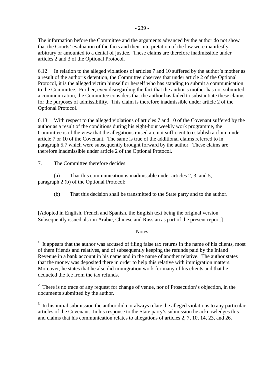The information before the Committee and the arguments advanced by the author do not show that the Courts' evaluation of the facts and their interpretation of the law were manifestly arbitrary or amounted to a denial of justice. These claims are therefore inadmissible under articles 2 and 3 of the Optional Protocol.

6.12 In relation to the alleged violations of articles 7 and 10 suffered by the author's mother as a result of the author's detention, the Committee observes that under article 2 of the Optional Protocol, it is the alleged victim himself or herself who has standing to submit a communication to the Committee. Further, even disregarding the fact that the author's mother has not submitted a communication, the Committee considers that the author has failed to substantiate these claims for the purposes of admissibility. This claim is therefore inadmissible under article 2 of the Optional Protocol.

6.13 With respect to the alleged violations of articles 7 and 10 of the Covenant suffered by the author as a result of the conditions during his eight-hour weekly work programme, the Committee is of the view that the allegations raised are not sufficient to establish a claim under article 7 or 10 of the Covenant. The same is true of the additional claims referred to in paragraph 5.7 which were subsequently brought forward by the author. These claims are therefore inadmissible under article 2 of the Optional Protocol.

7. The Committee therefore decides:

 (a) That this communication is inadmissible under articles 2, 3, and 5, paragraph 2 (b) of the Optional Protocol;

(b) That this decision shall be transmitted to the State party and to the author.

[Adopted in English, French and Spanish, the English text being the original version. Subsequently issued also in Arabic, Chinese and Russian as part of the present report.]

#### **Notes**

<sup>1</sup> It appears that the author was accused of filing false tax returns in the name of his clients, most of them friends and relatives, and of subsequently keeping the refunds paid by the Inland Revenue in a bank account in his name and in the name of another relative. The author states that the money was deposited there in order to help this relative with immigration matters. Moreover, he states that he also did immigration work for many of his clients and that he deducted the fee from the tax refunds.

<sup>2</sup> There is no trace of any request for change of venue, nor of Prosecution's objection, in the documents submitted by the author.

<sup>3</sup> In his initial submission the author did not always relate the alleged violations to any particular articles of the Covenant. In his response to the State party's submission he acknowledges this and claims that his communication relates to allegations of articles 2, 7, 10, 14, 23, and 26.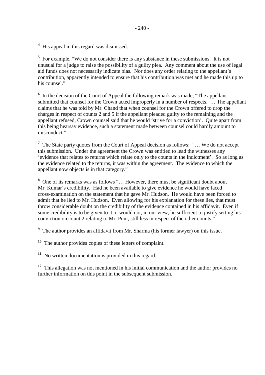<sup>4</sup> His appeal in this regard was dismissed.

<sup>5</sup> For example, "We do not consider there is any substance in these submissions. It is not unusual for a judge to raise the possibility of a guilty plea. Any comment about the use of legal aid funds does not necessarily indicate bias. Nor does any order relating to the appellant's contribution, apparently intended to ensure that his contribution was met and he made this up to his counsel."

<sup>6</sup> In the decision of the Court of Appeal the following remark was made, "The appellant submitted that counsel for the Crown acted improperly in a number of respects. … The appellant claims that he was told by Mr. Chand that when counsel for the Crown offered to drop the charges in respect of counts 2 and 5 if the appellant pleaded guilty to the remaining and the appellant refused, Crown counsel said that he would 'strive for a conviction'. Quite apart from this being hearsay evidence, such a statement made between counsel could hardly amount to misconduct."

<sup>7</sup> The State party quotes from the Court of Appeal decision as follows: "... We do not accept this submission. Under the agreement the Crown was entitled to lead the witnesses any 'evidence that relates to returns which relate only to the counts in the indictment'. So as long as the evidence related to the returns, it was within the agreement. The evidence to which the appellant now objects is in that category."

<sup>8</sup> One of its remarks was as follows "... However, there must be significant doubt about Mr. Kumar's credibility. Had he been available to give evidence he would have faced cross-examination on the statement that he gave Mr. Hudson. He would have been forced to admit that he lied to Mr. Hudson. Even allowing for his explanation for these lies, that must throw considerable doubt on the credibility of the evidence contained in his affidavit. Even if some credibility is to be given to it, it would not, in our view, be sufficient to justify setting his conviction on count 2 relating to Mr. Puni, still less in respect of the other counts."

<sup>9</sup> The author provides an affidavit from Mr. Sharma (his former lawyer) on this issue.

**<sup>10</sup>** The author provides copies of these letters of complaint.

**<sup>11</sup>** No written documentation is provided in this regard.

<sup>12</sup> This allegation was not mentioned in his initial communication and the author provides no further information on this point in the subsequent submission.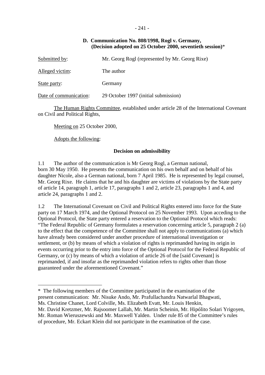#### - 241 -

#### **D. Communication No. 808/1998, Rogl v. Germany, (Decision adopted on 25 October 2000, seventieth session)**\*

| Submitted by:          | Mr. Georg Rogl (represented by Mr. Georg Rixe) |
|------------------------|------------------------------------------------|
| Alleged victim:        | The author                                     |
| State party:           | Germany                                        |
| Date of communication: | 29 October 1997 (initial submission)           |

 The Human Rights Committee, established under article 28 of the International Covenant on Civil and Political Rights,

Meeting on 25 October 2000,

Adopts the following:

 $\overline{a}$ 

#### **Decision on admissibility**

1.1 The author of the communication is Mr Georg Rogl, a German national, born 30 May 1950. He presents the communication on his own behalf and on behalf of his daughter Nicole, also a German national, born 7 April 1985. He is represented by legal counsel, Mr. Georg Rixe. He claims that he and his daughter are victims of violations by the State party of article 14, paragraph 1, article 17, paragraphs 1 and 2, article 23, paragraphs 1 and 4, and article 24, paragraphs 1 and 2.

1.2 The International Covenant on Civil and Political Rights entered into force for the State party on 17 March 1974, and the Optional Protocol on 25 November 1993. Upon acceding to the Optional Protocol, the State party entered a reservation to the Optional Protocol which reads: "The Federal Republic of Germany formulates a reservation concerning article 5, paragraph 2 (a) to the effect that the competence of the Committee shall not apply to communications (a) which have already been considered under another procedure of international investigation or settlement, or (b) by means of which a violation of rights is reprimanded having its origin in events occurring prior to the entry into force of the Optional Protocol for the Federal Republic of Germany, or (c) by means of which a violation of article 26 of the [said Covenant] is reprimanded, if and insofar as the reprimanded violation refers to rights other than those guaranteed under the aforementioned Covenant."

<sup>\*</sup> The following members of the Committee participated in the examination of the present communication: Mr. Nisuke Ando, Mr. Prafullachandra Natwarlal Bhagwati, Ms. Christine Chanet, Lord Colville, Ms. Elizabeth Evatt, Mr. Louis Henkin, Mr. David Kretzmer, Mr. Rajsoomer Lallah, Mr. Martin Scheinin, Mr. Hipólito Solari Yrigoyen, Mr. Roman Wieruszewski and Mr. Maxwell Yalden. Under rule 85 of the Committee's rules of procedure, Mr. Eckart Klein did not participate in the examination of the case.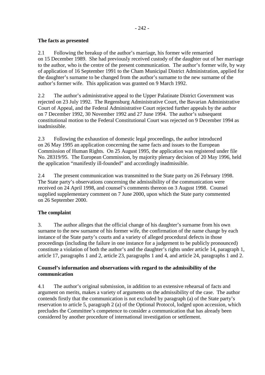# **The facts as presented**

2.1 Following the breakup of the author's marriage, his former wife remarried on 15 December 1989. She had previously received custody of the daughter out of her marriage to the author, who is the centre of the present communication. The author's former wife, by way of application of 16 September 1991 to the Cham Municipal District Administration, applied for the daughter's surname to be changed from the author's surname to the new surname of the author's former wife. This application was granted on 9 March 1992.

2.2 The author's administrative appeal to the Upper Palatinate District Government was rejected on 23 July 1992. The Regensburg Administrative Court, the Bavarian Administrative Court of Appeal, and the Federal Administrative Court rejected further appeals by the author on 7 December 1992, 30 November 1992 and 27 June 1994. The author's subsequent constitutional motion to the Federal Constitutional Court was rejected on 9 December 1994 as inadmissible.

2.3 Following the exhaustion of domestic legal proceedings, the author introduced on 26 May 1995 an application concerning the same facts and issues to the European Commission of Human Rights. On 25 August 1995, the application was registered under file No. 28319/95. The European Commission, by majority plenary decision of 20 May 1996, held the application "manifestly ill-founded" and accordingly inadmissible.

2.4 The present communication was transmitted to the State party on 26 February 1998. The State party's observations concerning the admissibility of the communication were received on 24 April 1998, and counsel's comments thereon on 3 August 1998. Counsel supplied supplementary comment on 7 June 2000, upon which the State party commented on 26 September 2000.

# **The complaint**

3. The author alleges that the official change of his daughter's surname from his own surname to the new surname of his former wife, the confirmation of the name change by each instance of the State party's courts and a variety of alleged procedural defects in those proceedings (including the failure in one instance for a judgement to be publicly pronounced) constitute a violation of both the author's and the daughter's rights under article 14, paragraph 1, article 17, paragraphs 1 and 2, article 23, paragraphs 1 and 4, and article 24, paragraphs 1 and 2.

#### **Counsel's information and observations with regard to the admissibility of the communication**

4.1 The author's original submission, in addition to an extensive rehearsal of facts and argument on merits, makes a variety of arguments on the admissibility of the case. The author contends firstly that the communication is not excluded by paragraph (a) of the State party's reservation to article 5, paragraph 2 (a) of the Optional Protocol, lodged upon accession, which precludes the Committee's competence to consider a communication that has already been considered by another procedure of international investigation or settlement.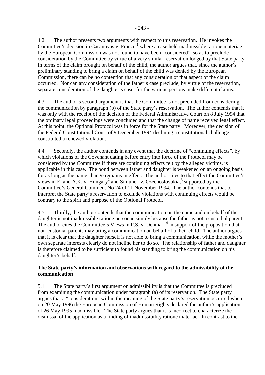4.2 The author presents two arguments with respect to this reservation. He invokes the Committee's decision in Casanovas v. France,<sup>1</sup> where a case held inadmissible ratione materiae by the European Commission was not found to have been "considered", so as to preclude consideration by the Committee by virtue of a very similar reservation lodged by that State party. In terms of the claim brought on behalf of the child, the author argues that, since the author's preliminary standing to bring a claim on behalf of the child was denied by the European Commission, there can be no contention that any consideration of that aspect of the claim occurred. Nor can any consideration of the father's case preclude, by virtue of the reservation, separate consideration of the daughter's case, for the various persons make different claims.

4.3 The author's second argument is that the Committee is not precluded from considering the communication by paragraph (b) of the State party's reservation. The author contends that it was only with the receipt of the decision of the Federal Administrative Court on 8 July 1994 that the ordinary legal proceedings were concluded and that the change of name received legal effect. At this point, the Optional Protocol was in force for the State party. Moreover, the decision of the Federal Constitutional Court of 9 December 1994 declining a constitutional challenge constituted a renewed violation.

4.4 Secondly, the author contends in any event that the doctrine of "continuing effects", by which violations of the Covenant dating before entry into force of the Protocol may be considered by the Committee if there are continuing effects felt by the alleged victims, is applicable in this case. The bond between father and daughter is weakened on an ongoing basis for as long as the name change remains in effect. The author cites to that effect the Committee's views in  $\overline{E}$ , and A.K. v. Hungary<sup>2</sup> and Simunek v. Czechoslovakia,<sup>3</sup> supported by the Committee's General Comment No 24 of 11 November 1994. The author contends that to interpret the State party's reservation to exclude violations with continuing effects would be contrary to the spirit and purpose of the Optional Protocol.

4.5 Thirdly, the author contends that the communication on the name and on behalf of the daughter is not inadmissible ratione personae simply because the father is not a custodial parent. The author cites the Committee's Views in P.S. v. Denmark<sup>4</sup> in support of the proposition that non-custodial parents may bring a communication on behalf of a their child. The author argues that it is clear that the daughter herself is not able to bring a communication, while the mother's own separate interests clearly do not incline her to do so. The relationship of father and daughter is therefore claimed to be sufficient to found his standing to bring the communication on his daughter's behalf.

#### **The State party's information and observations with regard to the admissibility of the communication**

5.1 The State party's first argument on admissibility is that the Committee is precluded from examining the communication under paragraph (a) of its reservation. The State party argues that a "consideration" within the meaning of the State party's reservation occurred when on 20 May 1996 the European Commission of Human Rights declared the author's application of 26 May 1995 inadmissible. The State party argues that it is incorrect to characterize the dismissal of the application as a finding of inadmissibility ratione materiae. In contrast to the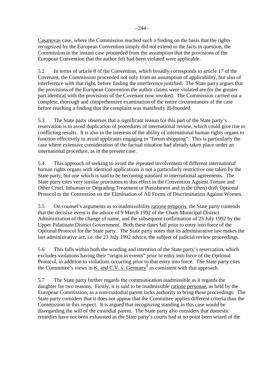Casanovas case, where the Commission reached such a finding on the basis that the rights recognized by the European Convention simply did not extend to the facts in question, the Commission in the instant case proceeded from the assumption that the provisions of the European Convention that the author felt had been violated were applicable.

5.2 In terms of article 8 of the Convention, which broadly corresponds to article 17 of the Covenant, the Commission proceeded not only from an assumption of applicability, but also of interference with that right, before finding the interference justified. The State party argues that the provisions of the European Convention the author claims were violated are for the greater part identical with the provisions of the Covenant now invoked. The Commission carried out a complete, thorough and comprehensive examination of the entire circumstances of the case before reaching a finding that the complaint was manifestly ill-founded.

5.3 The State party observes that a significant reason for this part of the State party's reservation is to avoid duplication of procedures of international review, which could give rise to conflicting results. It is also in the interests of the ability of international human rights organs to function effectively to avoid applicants engaging in "forum shopping". This is particularly the case where extensive consideration of the factual situation had already taken place under an international procedure, as in the present case.

5.4 This approach of seeking to avoid the repeated involvement of different international human rights organs with identical applications is not a particularly restrictive one taken by the State party, but one which is said to be becoming standard in international agreements. The State party cites very similar provisions to this effect in the Convention Against Torture and Other Cruel, Inhuman or Degrading Treatment or Punishment and in the (then) draft Optional Protocol to the Convention on the Elimination of All Forms of Discrimination Against Women.

5.5 On counsel's arguments as to inadmissibility ratione temporis, the State party contends that the decisive event is the advice of 9 March 1992 of the Cham Municipal District Administration of the change of name, and the subsequent confirmation of 23 July 1992 by the Upper Palatinate District Government. Both these dates fall prior to entry into force of the Optional Protocol for the State party. The State party notes that its administrative law makes the last administrative act, i.e. the 23 July 1992 advice, the subject of judicial review proceedings.

5.6 This falls within both the wording and intention of the State party's reservation, which excludes violations having their "origin in events" prior to entry into force of the Optional Protocol, in addition to violations occurring prior to that entry into force. The State party cites the Committee's views in K. and C.V. v. Germany**<sup>5</sup>** as consistent with that approach.

5.7 The State party further regards the communication inadmissible as it regards the daughter for two reasons. Firstly, it is said to be inadmissible ratione personae, as held by the European Commission, as a non-custodial parent lacks authority to bring these proceedings. The State party considers that it does not appear that the Committee applies different criteria than the Commission in this respect. It is argued that recognizing standing in this case would be disregarding the will of the custodial parent. The State party also considers that domestic remedies have not been exhausted as the State party's courts had at no point been seized of the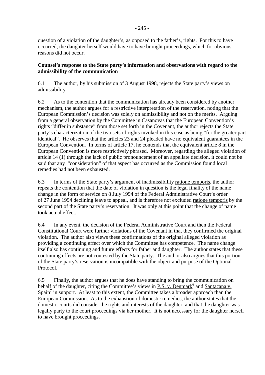question of a violation of the daughter's, as opposed to the father's, rights. For this to have occurred, the daughter herself would have to have brought proceedings, which for obvious reasons did not occur.

#### **Counsel's response to the State party's information and observations with regard to the admissibility of the communication**

6.1 The author, by his submission of 3 August 1998, rejects the State party's views on admissibility.

6.2 As to the contention that the communication has already been considered by another mechanism, the author argues for a restrictive interpretation of the reservation, noting that the European Commission's decision was solely on admissibility and not on the merits. Arguing from a general observation by the Committee in Casanovas that the European Convention's rights "differ in substance" from those set forth in the Covenant, the author rejects the State party's characterization of the two sets of rights invoked in this case as being "for the greater part identical". He observes that the articles 23 and 24 pleaded have no equivalent guarantees in the European Convention. In terms of article 17, he contends that the equivalent article 8 in the European Convention is more restrictively phrased. Moreover, regarding the alleged violation of article 14 (1) through the lack of public pronouncement of an appellate decision, it could not be said that any "consideration" of that aspect has occurred as the Commission found local remedies had not been exhausted.

6.3 In terms of the State party's argument of inadmissibility ratione temporis, the author repeats the contention that the date of violation in question is the legal finality of the name change in the form of service on 8 July 1994 of the Federal Administrative Court's order of 27 June 1994 declining leave to appeal, and is therefore not excluded ratione temporis by the second part of the State party's reservation. It was only at this point that the change of name took actual effect.

6.4 In any event, the decision of the Federal Administrative Court and then the Federal Constitutional Court were further violations of the Covenant in that they confirmed the original violation. The author also views these confirmations of the original alleged violation as providing a continuing effect over which the Committee has competence. The name change itself also has continuing and future effects for father and daughter. The author states that these continuing effects are not contested by the State party. The author also argues that this portion of the State party's reservation is incompatible with the object and purpose of the Optional Protocol.

6.5 Finally, the author argues that he does have standing to bring the communication on behalf of the daughter, citing the Committee's views in **P.S. v. Denmark<sup>6</sup>** and <u>Santacana v.</u> Spain<sup>7</sup> in support. At least to this extent, the Committee takes a broader approach than the European Commission. As to the exhaustion of domestic remedies, the author states that the domestic courts did consider the rights and interests of the daughter, and that the daughter was legally party to the court proceedings via her mother. It is not necessary for the daughter herself to have brought proceedings.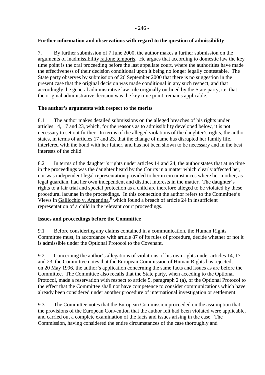# **Further information and observations with regard to the question of admissibility**

7. By further submission of 7 June 2000, the author makes a further submission on the arguments of inadmissibility ratione temporis. He argues that according to domestic law the key time point is the oral proceeding before the last appellate court, where the authorities have made the effectiveness of their decision conditional upon it being no longer legally contestable. The State party observes by submission of 26 September 2000 that there is no suggestion in the present case that the original decision was made conditional in any such respect, and that accordingly the general administrative law rule originally outlined by the State party, i.e. that the original administrative decision was the key time point, remains applicable.

# **The author's arguments with respect to the merits**

8.1 The author makes detailed submissions on the alleged breaches of his rights under articles 14, 17 and 23, which, for the reasons as to admissibility developed below, it is not necessary to set out further. In terms of the alleged violations of the daughter's rights, the author states, in terms of articles 17 and 23, that the change of name has disrupted her family life, interfered with the bond with her father, and has not been shown to be necessary and in the best interests of the child.

8.2 In terms of the daughter's rights under articles 14 and 24, the author states that at no time in the proceedings was the daughter heard by the Courts in a matter which clearly affected her, nor was independent legal representation provided to her in circumstances where her mother, as legal guardian, had her own independent and distinct interests in the matter. The daughter's rights to a fair trial and special protection as a child are therefore alleged to be violated by these procedural lacunae in the proceedings. In this connection the author refers to the Committee's Views in Gallicchio v. Argentina,<sup>8</sup> which found a breach of article 24 in insufficient representation of a child in the relevant court proceedings.

#### **Issues and proceedings before the Committee**

9.1 Before considering any claims contained in a communication, the Human Rights Committee must, in accordance with article 87 of its rules of procedure, decide whether or not it is admissible under the Optional Protocol to the Covenant.

9.2 Concerning the author's allegations of violations of his own rights under articles 14, 17 and 23, the Committee notes that the European Commission of Human Rights has rejected, on 20 May 1996, the author's application concerning the same facts and issues as are before the Committee. The Committee also recalls that the State party, when acceding to the Optional Protocol, made a reservation with respect to article 5, paragraph 2 (a), of the Optional Protocol to the effect that the Committee shall not have competence to consider communications which have already been considered under another procedure of international investigation or settlement.

9.3 The Committee notes that the European Commission proceeded on the assumption that the provisions of the European Convention that the author felt had been violated were applicable, and carried out a complete examination of the facts and issues arising in the case. The Commission, having considered the entire circumstances of the case thoroughly and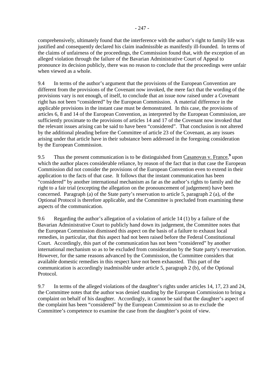comprehensively, ultimately found that the interference with the author's right to family life was justified and consequently declared his claim inadmissible as manifestly ill-founded. In terms of the claims of unfairness of the proceedings, the Commission found that, with the exception of an alleged violation through the failure of the Bavarian Administrative Court of Appeal to pronounce its decision publicly, there was no reason to conclude that the proceedings were unfair when viewed as a whole.

9.4 In terms of the author's argument that the provisions of the European Convention are different from the provisions of the Covenant now invoked, the mere fact that the wording of the provisions vary is not enough, of itself, to conclude that an issue now raised under a Covenant right has not been "considered" by the European Commission. A material difference in the applicable provisions in the instant case must be demonstrated. In this case, the provisions of articles 6, 8 and 14 of the European Convention, as interpreted by the European Commission, are sufficiently proximate to the provisions of articles 14 and 17 of the Covenant now invoked that the relevant issues arising can be said to have been "considered". That conclusion is not altered by the additional pleading before the Committee of article 23 of the Covenant, as any issues arising under that article have in their substance been addressed in the foregoing consideration by the European Commission.

9.5 Thus the present communication is to be distinguished from Casanovas v. France,<sup>9</sup> upon which the author places considerable reliance, by reason of the fact that in that case the European Commission did not consider the provisions of the European Convention even to extend in their application to the facts of that case. It follows that the instant communication has been "considered" by another international mechanism as far as the author's rights to family and the right to a fair trial (excepting the allegation on the pronouncement of judgement) have been concerned. Paragraph (a) of the State party's reservation to article 5, paragraph 2 (a), of the Optional Protocol is therefore applicable, and the Committee is precluded from examining these aspects of the communication.

9.6 Regarding the author's allegation of a violation of article 14 (1) by a failure of the Bavarian Administrative Court to publicly hand down its judgement, the Committee notes that the European Commission dismissed this aspect on the basis of a failure to exhaust local remedies, in particular, that this aspect had not been raised before the Federal Constitutional Court. Accordingly, this part of the communication has not been "considered" by another international mechanism so as to be excluded from consideration by the State party's reservation. However, for the same reasons advanced by the Commission, the Committee considers that available domestic remedies in this respect have not been exhausted. This part of the communication is accordingly inadmissible under article 5, paragraph 2 (b), of the Optional Protocol.

9.7 In terms of the alleged violations of the daughter's rights under articles 14, 17, 23 and 24, the Committee notes that the author was denied standing by the European Commission to bring a complaint on behalf of his daughter. Accordingly, it cannot be said that the daughter's aspect of the complaint has been "considered" by the European Commission so as to exclude the Committee's competence to examine the case from the daughter's point of view.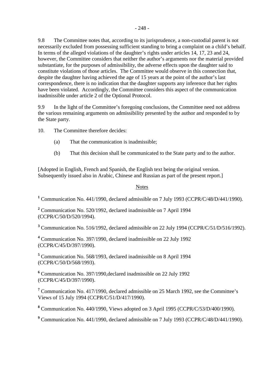9.8 The Committee notes that, according to its jurisprudence, a non-custodial parent is not necessarily excluded from possessing sufficient standing to bring a complaint on a child's behalf. In terms of the alleged violations of the daughter's rights under articles 14, 17, 23 and 24, however, the Committee considers that neither the author's arguments nor the material provided substantiate, for the purposes of admissibility, the adverse effects upon the daughter said to constitute violations of those articles. The Committee would observe in this connection that, despite the daughter having achieved the age of 15 years at the point of the author's last correspondence, there is no indication that the daughter supports any inference that her rights have been violated. Accordingly, the Committee considers this aspect of the communication inadmissible under article 2 of the Optional Protocol.

9.9 In the light of the Committee's foregoing conclusions, the Committee need not address the various remaining arguments on admissibility presented by the author and responded to by the State party.

10. The Committee therefore decides:

- (a) That the communication is inadmissible;
- (b) That this decision shall be communicated to the State party and to the author.

[Adopted in English, French and Spanish, the English text being the original version. Subsequently issued also in Arabic, Chinese and Russian as part of the present report.]

#### **Notes**

**1** Communication No. 441/1990, declared admissible on 7 July 1993 (CCPR/C/48/D/441/1990).

<sup>2</sup> Communication No. 520/1992, declared inadmissible on 7 April 1994 (CCPR/C/50/D/520/1994).

**3** Communication No. 516/1992, declared admissible on 22 July 1994 (CCPR/C/51/D/516/1992).

**4** Communication No. 397/1990, declared inadmissible on 22 July 1992 (CCPR/C/45/D/397/1990).

**5** Communication No. 568/1993, declared inadmissible on 8 April 1994 (CCPR/C/50/D/568/1993).

**6** Communication No. 397/1990,declared inadmissible on 22 July 1992 (CCPR/C/45/D/397/1990).

<sup>7</sup> Communication No. 417/1990, declared admissible on 25 March 1992, see the Committee's Views of 15 July 1994 (CCPR/C/51/D/417/1990).

**8** Communication No. 440/1990, Views adopted on 3 April 1995 (CCPR/C/53/D/400/1990).

<sup>9</sup> Communication No. 441/1990, declared admissible on 7 July 1993 (CCPR/C/48/D/441/1990).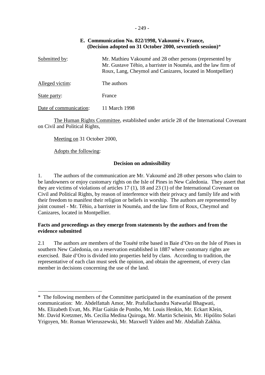# - 249 -

#### **E. Communication No. 822/1998, Vakoumé v. France, (Decision adopted on 31 October 2000, seventieth session)**\*

- Submitted by: Mr. Mathieu Vakoumé and 28 other persons (represented by Mr. Gustave Téhio, a barrister in Nouméa, and the law firm of Roux, Lang, Cheymol and Canizares, located in Montpellier)
- Alleged victim: The authors

State party: France

Date of communication: 11 March 1998

 The Human Rights Committee, established under article 28 of the International Covenant on Civil and Political Rights,

Meeting on 31 October 2000,

Adopts the following:

 $\overline{a}$ 

## **Decision on admissibility**

1. The authors of the communication are Mr. Vakoumé and 28 other persons who claim to be landowners or enjoy customary rights on the Isle of Pines in New Caledonia. They assert that they are victims of violations of articles 17 (1), 18 and 23 (1) of the International Covenant on Civil and Political Rights, by reason of interference with their privacy and family life and with their freedom to manifest their religion or beliefs in worship. The authors are represented by joint counsel - Mr. Téhio, a barrister in Nouméa, and the law firm of Roux, Cheymol and Canizares, located in Montpellier.

#### **Facts and proceedings as they emerge from statements by the authors and from the evidence submitted**

2.1 The authors are members of the Touété tribe based in Baie d'Oro on the Isle of Pines in southern New Caledonia, on a reservation established in 1887 where customary rights are exercised. Baie d'Oro is divided into properties held by clans. According to tradition, the representative of each clan must seek the opinion, and obtain the agreement, of every clan member in decisions concerning the use of the land.

<sup>\*</sup> The following members of the Committee participated in the examination of the present communication: Mr. Abdelfattah Amor, Mr. Prafullachandra Natwarlal Bhagwati, Ms. Elizabeth Evatt, Ms. Pilar Gaitán de Pombo, Mr. Louis Henkin, Mr. Eckart Klein, Mr. David Kretzmer, Ms. Cecilia Medina Quiroga, Mr. Martin Scheinin, Mr. Hipólito Solari Yrigoyen, Mr. Roman Wieruszewski, Mr. Maxwell Yalden and Mr. Abdallah Zakhia.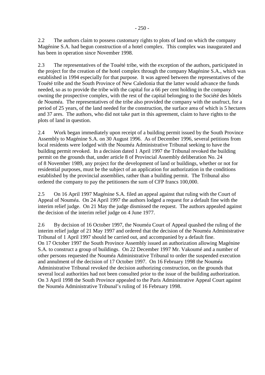2.3 The representatives of the Touété tribe, with the exception of the authors, participated in the project for the creation of the hotel complex through the company Magénine S.A., which was established in 1994 especially for that purpose. It was agreed between the representatives of the Touété tribe and the South Province of New Caledonia that the latter would advance the funds needed, so as to provide the tribe with the capital for a 66 per cent holding in the company owning the prospective complex, with the rest of the capital belonging to the Société des hôtels de Nouméa. The representatives of the tribe also provided the company with the usufruct, for a period of 25 years, of the land needed for the construction, the surface area of which is 5 hectares and 37 ares. The authors, who did not take part in this agreement, claim to have rights to the plots of land in question.

2.4 Work began immediately upon receipt of a building permit issued by the South Province Assembly to Magénine S.A. on 30 August 1996. As of December 1996, several petitions from local residents were lodged with the Nouméa Administrative Tribunal seeking to have the building permit revoked. In a decision dated 1 April 1997 the Tribunal revoked the building permit on the grounds that, under article 8 of Provincial Assembly deliberation No. 24 of 8 November 1989, any project for the development of land or buildings, whether or not for residential purposes, must be the subject of an application for authorization in the conditions established by the provincial assemblies, rather than a building permit. The Tribunal also ordered the company to pay the petitioners the sum of CFP francs 100,000.

2.5 On 16 April 1997 Magénine S.A. filed an appeal against that ruling with the Court of Appeal of Nouméa. On 24 April 1997 the authors lodged a request for a default fine with the interim relief judge. On 21 May the judge dismissed the request. The authors appealed against the decision of the interim relief judge on 4 June 1977.

2.6 By decision of 16 October 1997, the Nouméa Court of Appeal quashed the ruling of the interim relief judge of 21 May 1997 and ordered that the decision of the Nouméa Administrative Tribunal of 1 April 1997 should be carried out, and accompanied by a default fine. On 17 October 1997 the South Province Assembly issued an authorization allowing Magénine S.A. to construct a group of buildings. On 22 December 1997 Mr. Vakoumé and a number of other persons requested the Nouméa Administrative Tribunal to order the suspended execution and annulment of the decision of 17 October 1997. On 16 February 1998 the Nouméa Administrative Tribunal revoked the decision authorizing construction, on the grounds that several local authorities had not been consulted prior to the issue of the building authorization. On 3 April 1998 the South Province appealed to the Paris Administrative Appeal Court against the Nouméa Administrative Tribunal's ruling of 16 February 1998.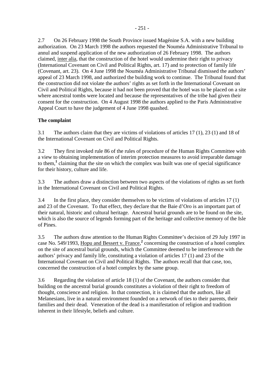2.7 On 26 February 1998 the South Province issued Magénine S.A. with a new building authorization. On 23 March 1998 the authors requested the Nouméa Administrative Tribunal to annul and suspend application of the new authorization of 26 February 1998. The authors claimed, inter alia, that the construction of the hotel would undermine their right to privacy (International Covenant on Civil and Political Rights, art. 17) and to protection of family life (Covenant, art. 23). On 4 June 1998 the Nouméa Administrative Tribunal dismissed the authors' appeal of 23 March 1998, and authorized the building work to continue. The Tribunal found that the construction did not violate the authors' rights as set forth in the International Covenant on Civil and Political Rights, because it had not been proved that the hotel was to be placed on a site where ancestral tombs were located and because the representatives of the tribe had given their consent for the construction. On 4 August 1998 the authors applied to the Paris Administrative Appeal Court to have the judgement of 4 June 1998 quashed.

## **The complaint**

3.1 The authors claim that they are victims of violations of articles 17 (1), 23 (1) and 18 of the International Covenant on Civil and Political Rights.

3.2 They first invoked rule 86 of the rules of procedure of the Human Rights Committee with a view to obtaining implementation of interim protection measures to avoid irreparable damage to them,<sup>1</sup> claiming that the site on which the complex was built was one of special significance for their history, culture and life.

3.3 The authors draw a distinction between two aspects of the violations of rights as set forth in the International Covenant on Civil and Political Rights.

3.4 In the first place, they consider themselves to be victims of violations of articles 17 (1) and 23 of the Covenant. To that effect, they declare that the Baie d'Oro is an important part of their natural, historic and cultural heritage. Ancestral burial grounds are to be found on the site, which is also the source of legends forming part of the heritage and collective memory of the Isle of Pines.

3.5 The authors draw attention to the Human Rights Committee's decision of 29 July 1997 in case No. 549/1993, Hopu and Bessert v. France,<sup>2</sup> concerning the construction of a hotel complex on the site of ancestral burial grounds, which the Committee deemed to be interference with the authors' privacy and family life, constituting a violation of articles 17 (1) and 23 of the International Covenant on Civil and Political Rights. The authors recall that that case, too, concerned the construction of a hotel complex by the same group.

3.6 Regarding the violation of article 18 (1) of the Covenant, the authors consider that building on the ancestral burial grounds constitutes a violation of their right to freedom of thought, conscience and religion. In that connection, it is claimed that the authors, like all Melanesians, live in a natural environment founded on a network of ties to their parents, their families and their dead. Veneration of the dead is a manifestation of religion and tradition inherent in their lifestyle, beliefs and culture.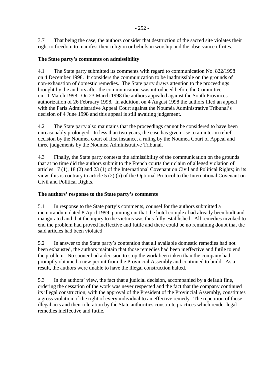3.7 That being the case, the authors consider that destruction of the sacred site violates their right to freedom to manifest their religion or beliefs in worship and the observance of rites.

#### **The State party's comments on admissibility**

4.1 The State party submitted its comments with regard to communication No. 822/1998 on 4 December 1998. It considers the communication to be inadmissible on the grounds of non-exhaustion of domestic remedies. The State party draws attention to the proceedings brought by the authors after the communication was introduced before the Committee on 11 March 1998. On 23 March 1998 the authors appealed against the South Provinces authorization of 26 February 1998. In addition, on 4 August 1998 the authors filed an appeal with the Paris Administrative Appeal Court against the Nouméa Administrative Tribunal's decision of 4 June 1998 and this appeal is still awaiting judgement.

4.2 The State party also maintains that the proceedings cannot be considered to have been unreasonably prolonged. In less than two years, the case has given rise to an interim relief decision by the Nouméa court of first instance, a ruling by the Nouméa Court of Appeal and three judgements by the Nouméa Administrative Tribunal.

4.3 Finally, the State party contests the admissibility of the communication on the grounds that at no time did the authors submit to the French courts their claim of alleged violation of articles 17 (1), 18 (2) and 23 (1) of the International Covenant on Civil and Political Rights; in its view, this is contrary to article 5 (2) (b) of the Optional Protocol to the International Covenant on Civil and Political Rights.

# **The authors' response to the State party's comments**

5.1 In response to the State party's comments, counsel for the authors submitted a memorandum dated 8 April 1999, pointing out that the hotel complex had already been built and inaugurated and that the injury to the victims was thus fully established. All remedies invoked to end the problem had proved ineffective and futile and there could be no remaining doubt that the said articles had been violated.

5.2 In answer to the State party's contention that all available domestic remedies had not been exhausted, the authors maintain that those remedies had been ineffective and futile to end the problem. No sooner had a decision to stop the work been taken than the company had promptly obtained a new permit from the Provincial Assembly and continued to build. As a result, the authors were unable to have the illegal construction halted.

5.3 In the authors' view, the fact that a judicial decision, accompanied by a default fine, ordering the cessation of the work was never respected and the fact that the company continued its illegal construction, with the approval of the President of the Provincial Assembly, constitutes a gross violation of the right of every individual to an effective remedy. The repetition of those illegal acts and their toleration by the State authorities constitute practices which render legal remedies ineffective and futile.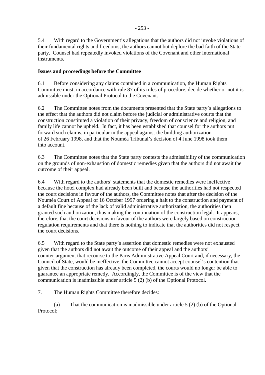5.4 With regard to the Government's allegations that the authors did not invoke violations of their fundamental rights and freedoms, the authors cannot but deplore the bad faith of the State party. Counsel had repeatedly invoked violations of the Covenant and other international instruments.

## **Issues and proceedings before the Committee**

6.1 Before considering any claims contained in a communication, the Human Rights Committee must, in accordance with rule 87 of its rules of procedure, decide whether or not it is admissible under the Optional Protocol to the Covenant.

6.2 The Committee notes from the documents presented that the State party's allegations to the effect that the authors did not claim before the judicial or administrative courts that the construction constituted a violation of their privacy, freedom of conscience and religion, and family life cannot be upheld. In fact, it has been established that counsel for the authors put forward such claims, in particular in the appeal against the building authorization of 26 February 1998, and that the Nouméa Tribunal's decision of 4 June 1998 took them into account.

6.3 The Committee notes that the State party contests the admissibility of the communication on the grounds of non-exhaustion of domestic remedies given that the authors did not await the outcome of their appeal.

6.4 With regard to the authors' statements that the domestic remedies were ineffective because the hotel complex had already been built and because the authorities had not respected the court decisions in favour of the authors, the Committee notes that after the decision of the Nouméa Court of Appeal of 16 October 1997 ordering a halt to the construction and payment of a default fine because of the lack of valid administrative authorization, the authorities then granted such authorization, thus making the continuation of the construction legal. It appears, therefore, that the court decisions in favour of the authors were largely based on construction regulation requirements and that there is nothing to indicate that the authorities did not respect the court decisions.

6.5 With regard to the State party's assertion that domestic remedies were not exhausted given that the authors did not await the outcome of their appeal and the authors' counter-argument that recourse to the Paris Administrative Appeal Court and, if necessary, the Council of State, would be ineffective, the Committee cannot accept counsel's contention that given that the construction has already been completed, the courts would no longer be able to guarantee an appropriate remedy. Accordingly, the Committee is of the view that the communication is inadmissible under article 5 (2) (b) of the Optional Protocol.

7. The Human Rights Committee therefore decides:

(a) That the communication is inadmissible under article  $5(2)$  (b) of the Optional Protocol;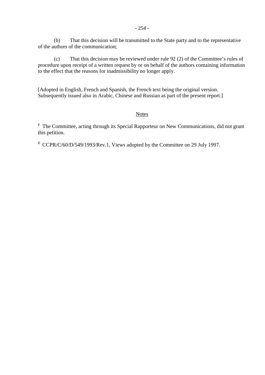(c) That this decision may be reviewed under rule 92 (2) of the Committee's rules of procedure upon receipt of a written request by or on behalf of the authors containing information to the effect that the reasons for inadmissibility no longer apply.

[Adopted in English, French and Spanish, the French text being the original version. Subsequently issued also in Arabic, Chinese and Russian as part of the present report.]

#### Notes

<sup>1</sup> The Committee, acting through its Special Rapporteur on New Communications, did not grant this petition.

<sup>2</sup> CCPR/C/60/D/549/1993/Rev.1, Views adopted by the Committee on 29 July 1997.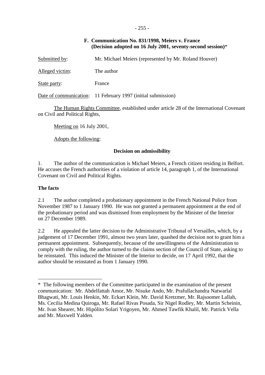#### **F. Communication No. 831/1998, Meiers v. France (Decision adopted on 16 July 2001, seventy-second session)**\*

Submitted by: Mr. Michael Meiers (represented by Mr. Roland Houver) Alleged victim: The author State party: France Date of communication: 11 February 1997 (initial submission)

 The Human Rights Committee, established under article 28 of the International Covenant on Civil and Political Rights,

Meeting on 16 July 2001,

Adopts the following:

## **Decision on admissibility**

1. The author of the communication is Michael Meiers, a French citizen residing in Belfort. He accuses the French authorities of a violation of article 14, paragraph 1, of the International Covenant on Civil and Political Rights.

## **The facts**

 $\overline{a}$ 

2.1 The author completed a probationary appointment in the French National Police from November 1987 to 1 January 1990. He was not granted a permanent appointment at the end of the probationary period and was dismissed from employment by the Minister of the Interior on 27 December 1989.

2.2 He appealed the latter decision to the Administrative Tribunal of Versailles, which, by a judgement of 17 December 1991, almost two years later, quashed the decision not to grant him a permanent appointment. Subsequently, because of the unwillingness of the Administration to comply with the ruling, the author turned to the claims section of the Council of State, asking to be reinstated. This induced the Minister of the Interior to decide, on 17 April 1992, that the author should be reinstated as from 1 January 1990.

<sup>\*</sup> The following members of the Committee participated in the examination of the present communication: Mr. Abdelfattah Amor, Mr. Nisuke Ando, Mr. Prafullachandra Natwarlal Bhagwati, Mr. Louis Henkin, Mr. Eckart Klein, Mr. David Kretzmer, Mr. Rajsoomer Lallah, Ms. Cecilia Medina Quiroga, Mr. Rafael Rivas Posada, Sir Nigel Rodley, Mr. Martin Scheinin, Mr. Ivan Shearer, Mr. Hipólito Solari Yrigoyen, Mr. Ahmed Tawfik Khalil, Mr. Patrick Vella and Mr. Maxwell Yalden.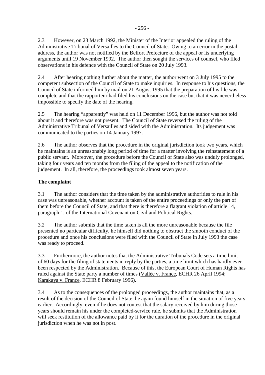2.3 However, on 23 March 1992, the Minister of the Interior appealed the ruling of the Administrative Tribunal of Versailles to the Council of State. Owing to an error in the postal address, the author was not notified by the Belfort Prefecture of the appeal or its underlying arguments until 19 November 1992. The author then sought the services of counsel, who filed observations in his defence with the Council of State on 20 July 1993.

2.4 After hearing nothing further about the matter, the author went on 3 July 1995 to the competent subsection of the Council of State to make inquiries. In response to his questions, the Council of State informed him by mail on 21 August 1995 that the preparation of his file was complete and that the rapporteur had filed his conclusions on the case but that it was nevertheless impossible to specify the date of the hearing.

2.5 The hearing "apparently" was held on 11 December 1996, but the author was not told about it and therefore was not present. The Council of State reversed the ruling of the Administrative Tribunal of Versailles and sided with the Administration. Its judgement was communicated to the parties on 14 January 1997.

2.6 The author observes that the procedure in the original jurisdiction took two years, which he maintains is an unreasonably long period of time for a matter involving the reinstatement of a public servant. Moreover, the procedure before the Council of State also was unduly prolonged, taking four years and ten months from the filing of the appeal to the notification of the judgement. In all, therefore, the proceedings took almost seven years.

## **The complaint**

3.1 The author considers that the time taken by the administrative authorities to rule in his case was unreasonable, whether account is taken of the entire proceedings or only the part of them before the Council of State, and that there is therefore a flagrant violation of article 14, paragraph 1, of the International Covenant on Civil and Political Rights.

3.2 The author submits that the time taken is all the more unreasonable because the file presented no particular difficulty, he himself did nothing to obstruct the smooth conduct of the procedure and once his conclusions were filed with the Council of State in July 1993 the case was ready to proceed.

3.3 Furthermore, the author notes that the Administrative Tribunals Code sets a time limit of 60 days for the filing of statements in reply by the parties, a time limit which has hardly ever been respected by the Administration. Because of this, the European Court of Human Rights has ruled against the State party a number of times (Vallée v. France, ECHR 26 April 1994; Karakaya v. France, ECHR 8 February 1996).

3.4 As to the consequences of the prolonged proceedings, the author maintains that, as a result of the decision of the Council of State, he again found himself in the situation of five years earlier. Accordingly, even if he does not contest that the salary received by him during those years should remain his under the completed-service rule, he submits that the Administration will seek restitution of the allowance paid by it for the duration of the procedure in the original jurisdiction when he was not in post.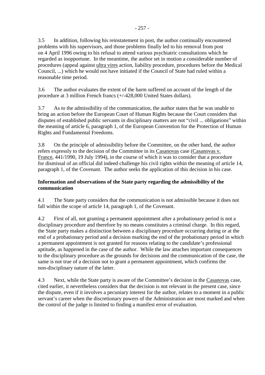3.5 In addition, following his reinstatement in post, the author continually encountered problems with his supervisors, and those problems finally led to his removal from post on 4 April 1996 owing to his refusal to attend various psychiatric consultations which he regarded as inopportune. In the meantime, the author set in motion a considerable number of procedures (appeal against ultra vires action, liability procedure, procedures before the Medical Council, ...) which he would not have initiated if the Council of State had ruled within a reasonable time period.

3.6 The author evaluates the extent of the harm suffered on account of the length of the procedure at 3 million French francs (+/-428,000 United States dollars).

3.7 As to the admissibility of the communication, the author states that he was unable to bring an action before the European Court of Human Rights because the Court considers that disputes of established public servants in disciplinary matters are not "civil ... obligations" within the meaning of article 6, paragraph 1, of the European Convention for the Protection of Human Rights and Fundamental Freedoms.

3.8 On the principle of admissibility before the Committee, on the other hand, the author refers expressly to the decision of the Committee in its Casanovas case (Casanovas v. France, 441/1990, 19 July 1994), in the course of which it was to consider that a procedure for dismissal of an official did indeed challenge his civil rights within the meaning of article 14, paragraph 1, of the Covenant. The author seeks the application of this decision in his case.

## **Information and observations of the State party regarding the admissibility of the communication**

4.1 The State party considers that the communication is not admissible because it does not fall within the scope of article 14, paragraph 1, of the Covenant.

4.2 First of all, not granting a permanent appointment after a probationary period is not a disciplinary procedure and therefore by no means constitutes a criminal charge. In this regard, the State party makes a distinction between a disciplinary procedure occurring during or at the end of a probationary period and a decision marking the end of the probationary period in which a permanent appointment is not granted for reasons relating to the candidate's professional aptitude, as happened in the case of the author. While the law attaches important consequences to the disciplinary procedure as the grounds for decisions and the communication of the case, the same is not true of a decision not to grant a permanent appointment, which confirms the non-disciplinary nature of the latter.

4.3 Next, while the State party is aware of the Committee's decision in the Casanovas case, cited earlier, it nevertheless considers that the decision is not relevant in the present case, since the dispute, even if it involves a pecuniary interest for the author, relates to a moment in a public servant's career when the discretionary powers of the Administration are most marked and when the control of the judge is limited to finding a manifest error of evaluation.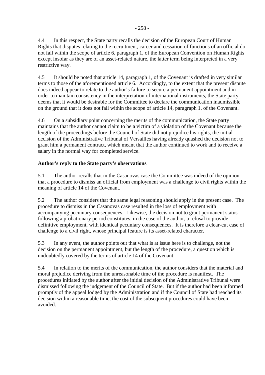Rights that disputes relating to the recruitment, career and cessation of functions of an official do not fall within the scope of article 6, paragraph 1, of the European Convention on Human Rights except insofar as they are of an asset-related nature, the latter term being interpreted in a very restrictive way.

- 258 -

4.5 It should be noted that article 14, paragraph 1, of the Covenant is drafted in very similar terms to those of the aforementioned article 6. Accordingly, to the extent that the present dispute does indeed appear to relate to the author's failure to secure a permanent appointment and in order to maintain consistency in the interpretation of international instruments, the State party deems that it would be desirable for the Committee to declare the communication inadmissible on the ground that it does not fall within the scope of article 14, paragraph 1, of the Covenant.

4.6 On a subsidiary point concerning the merits of the communication, the State party maintains that the author cannot claim to be a victim of a violation of the Covenant because the length of the proceedings before the Council of State did not prejudice his rights, the initial decision of the Administrative Tribunal of Versailles having already quashed the decision not to grant him a permanent contract, which meant that the author continued to work and to receive a salary in the normal way for completed service.

# **Author's reply to the State party's observations**

5.1 The author recalls that in the Casanovas case the Committee was indeed of the opinion that a procedure to dismiss an official from employment was a challenge to civil rights within the meaning of article 14 of the Covenant.

5.2 The author considers that the same legal reasoning should apply in the present case. The procedure to dismiss in the Casanovas case resulted in the loss of employment with accompanying pecuniary consequences. Likewise, the decision not to grant permanent status following a probationary period constitutes, in the case of the author, a refusal to provide definitive employment, with identical pecuniary consequences. It is therefore a clear-cut case of challenge to a civil right, whose principal feature is its asset-related character.

5.3 In any event, the author points out that what is at issue here is to challenge, not the decision on the permanent appointment, but the length of the procedure, a question which is undoubtedly covered by the terms of article 14 of the Covenant.

5.4 In relation to the merits of the communication, the author considers that the material and moral prejudice deriving from the unreasonable time of the procedure is manifest. The procedures initiated by the author after the initial decision of the Administrative Tribunal were dismissed following the judgement of the Council of State. But if the author had been informed promptly of the appeal lodged by the Administration and if the Council of State had reached its decision within a reasonable time, the cost of the subsequent procedures could have been avoided.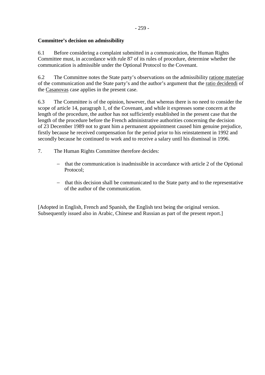# **Committee's decision on admissibility**

6.1 Before considering a complaint submitted in a communication, the Human Rights Committee must, in accordance with rule 87 of its rules of procedure, determine whether the communication is admissible under the Optional Protocol to the Covenant.

6.2 The Committee notes the State party's observations on the admissibility ratione materiae of the communication and the State party's and the author's argument that the ratio decidendi of the Casanovas case applies in the present case.

6.3 The Committee is of the opinion, however, that whereas there is no need to consider the scope of article 14, paragraph 1, of the Covenant, and while it expresses some concern at the length of the procedure, the author has not sufficiently established in the present case that the length of the procedure before the French administrative authorities concerning the decision of 23 December 1989 not to grant him a permanent appointment caused him genuine prejudice, firstly because he received compensation for the period prior to his reinstatement in 1992 and secondly because he continued to work and to receive a salary until his dismissal in 1996.

- 7. The Human Rights Committee therefore decides:
	- − that the communication is inadmissible in accordance with article 2 of the Optional Protocol;
	- − that this decision shall be communicated to the State party and to the representative of the author of the communication.

[Adopted in English, French and Spanish, the English text being the original version. Subsequently issued also in Arabic, Chinese and Russian as part of the present report.]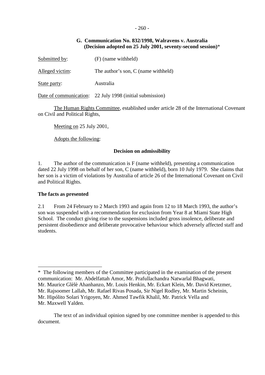#### - 260 -

#### **G. Communication No. 832/1998, Walravens v. Australia (Decision adopted on 25 July 2001, seventy-second session)**\*

| Submitted by:   | (F) (name withheld)                                      |
|-----------------|----------------------------------------------------------|
| Alleged victim: | The author's son, C (name withheld)                      |
| State party:    | Australia                                                |
|                 | Date of communication: 22 July 1998 (initial submission) |

 The Human Rights Committee, established under article 28 of the International Covenant on Civil and Political Rights,

Meeting on 25 July 2001,

Adopts the following:

#### **Decision on admissibility**

1. The author of the communication is F (name withheld), presenting a communication dated 22 July 1998 on behalf of her son, C (name withheld), born 10 July 1979. She claims that her son is a victim of violations by Australia of article 26 of the International Covenant on Civil and Political Rights.

### **The facts as presented**

 $\overline{a}$ 

2.1 From 24 February to 2 March 1993 and again from 12 to 18 March 1993, the author's son was suspended with a recommendation for exclusion from Year 8 at Miami State High School. The conduct giving rise to the suspensions included gross insolence, deliberate and persistent disobedience and deliberate provocative behaviour which adversely affected staff and students.

 The text of an individual opinion signed by one committee member is appended to this document.

<sup>\*</sup> The following members of the Committee participated in the examination of the present communication: Mr. Abdelfattah Amor, Mr. Prafullachandra Natwarlal Bhagwati, Mr. Maurice Glèlè Ahanhanzo, Mr. Louis Henkin, Mr. Eckart Klein, Mr. David Kretzmer, Mr. Rajsoomer Lallah, Mr. Rafael Rivas Posada, Sir Nigel Rodley, Mr. Martin Scheinin, Mr. Hipólito Solari Yrigoyen, Mr. Ahmed Tawfik Khalil, Mr. Patrick Vella and Mr. Maxwell Yalden.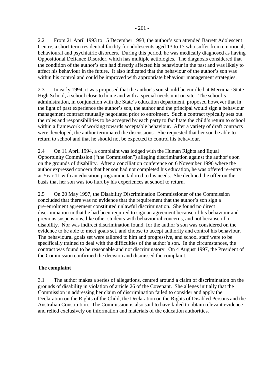2.2 From 21 April 1993 to 15 December 1993, the author's son attended Barrett Adolescent Centre, a short-term residential facility for adolescents aged 13 to 17 who suffer from emotional, behavioural and psychiatric disorders. During this period, he was medically diagnosed as having Oppositional Defiance Disorder, which has multiple aetiologies. The diagnosis considered that the condition of the author's son had directly affected his behaviour in the past and was likely to affect his behaviour in the future. It also indicated that the behaviour of the author's son was within his control and could be improved with appropriate behaviour management strategies.

2.3 In early 1994, it was proposed that the author's son should be enrolled at Merrimac State High School, a school close to home and with a special needs unit on site. The school's administration, in conjunction with the State's education department, proposed however that in the light of past experience the author's son, the author and the principal would sign a behaviour management contract mutually negotiated prior to enrolment. Such a contract typically sets out the roles and responsibilities to be accepted by each party to facilitate the child's return to school within a framework of working towards acceptable behaviour. After a variety of draft contracts were developed, the author terminated the discussions. She requested that her son be able to return to school and that he should not be expected to control his behaviour.

2.4 On 11 April 1994, a complaint was lodged with the Human Rights and Equal Opportunity Commission ("the Commission") alleging discrimination against the author's son on the grounds of disability. After a conciliation conference on 6 November 1996 where the author expressed concern that her son had not completed his education, he was offered re-entry at Year 11 with an education programme tailored to his needs. She declined the offer on the basis that her son was too hurt by his experiences at school to return.

2.5 On 20 May 1997, the Disability Discrimination Commissioner of the Commission concluded that there was no evidence that the requirement that the author's son sign a pre-enrolment agreement constituted unlawful discrimination. She found no direct discrimination in that he had been required to sign an agreement because of his behaviour and previous suspensions, like other students with behavioural concerns, and not because of a disability. Nor was indirect discrimination found, for the author's son was considered on the evidence to be able to meet goals set, and choose to accept authority and control his behaviour. The behavioural goals set were tailored to him and progressive, and school staff were to be specifically trained to deal with the difficulties of the author's son. In the circumstances, the contract was found to be reasonable and not discriminatory. On 4 August 1997, the President of the Commission confirmed the decision and dismissed the complaint.

## **The complaint**

3.1 The author makes a series of allegations, centred around a claim of discrimination on the grounds of disability in violation of article 26 of the Covenant. She alleges initially that the Commission in addressing her claim of discrimination failed to consider and apply the Declaration on the Rights of the Child, the Declaration on the Rights of Disabled Persons and the Australian Constitution. The Commission is also said to have failed to obtain relevant evidence and relied exclusively on information and materials of the education authorities.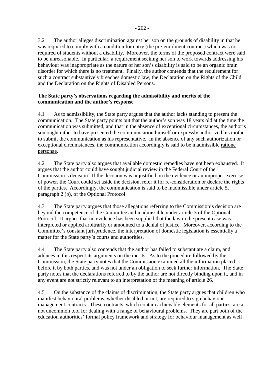3.2 The author alleges discrimination against her son on the grounds of disability in that he was required to comply with a condition for entry (the pre-enrolment contract) which was not required of students without a disability. Moreover, the terms of the proposed contract were said to be unreasonable. In particular, a requirement seeking her son to work towards addressing his behaviour was inappropriate as the nature of her son's disability is said to be an organic brain disorder for which there is no treatment. Finally, the author contends that the requirement for such a contract substantively breaches domestic law, the Declaration on the Rights of the Child and the Declaration on the Rights of Disabled Persons.

## **The State party's observations regarding the admissibility and merits of the communication and the author's response**

4.1 As to admissibility, the State party argues that the author lacks standing to present the communication. The State party points out that the author's son was 18 years old at the time the communication was submitted, and that in the absence of exceptional circumstances, the author's son ought either to have presented the communication himself or expressly authorized his mother to submit the communication as his representative. In the absence of any such authorization or exceptional circumstances, the communication accordingly is said to be inadmissible ratione personae.

4.2 The State party also argues that available domestic remedies have not been exhausted. It argues that the author could have sought judicial review in the Federal Court of the Commission's decision. If the decision was unjustified on the evidence or an improper exercise of power, the Court could set aside the decision, refer it for re-consideration or declare the rights of the parties. Accordingly, the communication is said to be inadmissible under article 5, paragraph 2 (b), of the Optional Protocol.

4.3 The State party argues that those allegations referring to the Commission's decision are beyond the competence of the Committee and inadmissible under article 3 of the Optional Protocol. It argues that no evidence has been supplied that the law in the present case was interpreted or applied arbitrarily or amounted to a denial of justice. Moreover, according to the Committee's constant jurisprudence, the interpretation of domestic legislation is essentially a matter for the State party's courts and authorities.

4.4 The State party also contends that the author has failed to substantiate a claim, and adduces in this respect its arguments on the merits. As to the procedure followed by the Commission, the State party notes that the Commission examined all the information placed before it by both parties, and was not under an obligation to seek further information. The State party notes that the declarations referred to by the author are not directly binding upon it, and in any event are not strictly relevant to an interpretation of the meaning of article 26.

4.5 On the substance of the claims of discrimination, the State party argues that children who manifest behavioural problems, whether disabled or not, are required to sign behaviour management contracts. These contracts, which contain achievable elements for all parties, are a not uncommon tool for dealing with a range of behavioural problems. They are part both of the education authorities' formal policy framework and strategy for behaviour management as well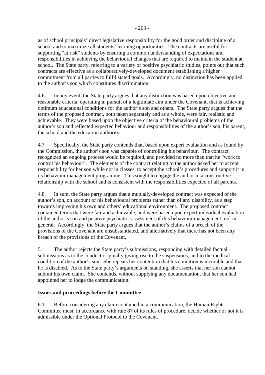as of school principals' direct legislative responsibility for the good order and discipline of a school and to maximize all students' learning opportunities. The contracts are useful for supporting "at risk" students by ensuring a common understanding of expectations and responsibilities in achieving the behavioural changes that are required to maintain the student at school. The State party, referring to a variety of positive psychiatric studies, points out that such contracts are effective as a collaboratively-developed document establishing a higher commitment from all parties to fulfil stated goals. Accordingly, no distinction has been applied to the author's son which constitutes discrimination.

4.6 In any event, the State party argues that any distinction was based upon objective and reasonable criteria, operating in pursuit of a legitimate aim under the Covenant, that is achieving optimum educational conditions for the author's son and others. The State party argues that the terms of the proposed contract, both taken separately and as a whole, were fair, realistic and achievable. They were based upon the objective criteria of the behavioural problems of the author's son and reflected expected behaviour and responsibilities of the author's son, his parent, the school and the education authority.

4.7 Specifically, the State party contends that, based upon expert evaluation and as found by the Commission, the author's son was capable of controlling his behaviour. The contract recognized an ongoing process would be required, and provided no more than that he "work to control his behaviour". The elements of the contract relating to the author asked her to accept responsibility for her son while not in classes, to accept the school's procedures and support it in its behaviour management programme. This sought to engage the author in a constructive relationship with the school and is consistent with the responsibilities expected of all parents.

4.8 In sum, the State party argues that a mutually-developed contract was expected of the author's son, on account of his behavioural problems rather than of any disability, as a step towards improving his own and others' educational environment. The proposed contract contained terms that were fair and achievable, and were based upon expert individual evaluation of the author's son and positive psychiatric assessment of this behaviour management tool in general. Accordingly, the State party argues that the author's claims of a breach of the provisions of the Covenant are unsubstantiated, and alternatively that there has not been any breach of the provisions of the Covenant.

5. The author rejects the State party's submissions, responding with detailed factual submissions as to the conduct originally giving rise to the suspensions, and to the medical condition of the author's son. She repeats her contention that his condition is incurable and that he is disabled. As to the State party's arguments on standing, she asserts that her son cannot submit his own claim. She contends, without supplying any documentation, that her son had appointed her to lodge the communication.

### **Issues and proceedings before the Committee**

6.1 Before considering any claim contained in a communication, the Human Rights Committee must, in accordance with rule 87 of its rules of procedure, decide whether or not it is admissible under the Optional Protocol to the Covenant.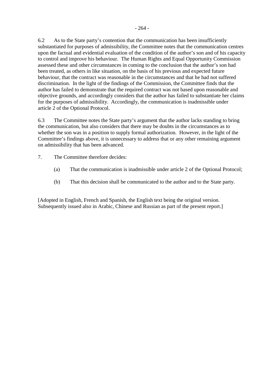6.2 As to the State party's contention that the communication has been insufficiently substantiated for purposes of admissibility, the Committee notes that the communication centres upon the factual and evidential evaluation of the condition of the author's son and of his capacity to control and improve his behaviour. The Human Rights and Equal Opportunity Commission assessed these and other circumstances in coming to the conclusion that the author's son had been treated, as others in like situation, on the basis of his previous and expected future behaviour, that the contract was reasonable in the circumstances and that he had not suffered discrimination. In the light of the findings of the Commission, the Committee finds that the author has failed to demonstrate that the required contract was not based upon reasonable and objective grounds, and accordingly considers that the author has failed to substantiate her claims for the purposes of admissibility. Accordingly, the communication is inadmissible under article 2 of the Optional Protocol.

6.3 The Committee notes the State party's argument that the author lacks standing to bring the communication, but also considers that there may be doubts in the circumstances as to whether the son was in a position to supply formal authorization. However, in the light of the Committee's findings above, it is unnecessary to address that or any other remaining argument on admissibility that has been advanced.

- 7. The Committee therefore decides:
	- (a) That the communication is inadmissible under article 2 of the Optional Protocol;
	- (b) That this decision shall be communicated to the author and to the State party.

[Adopted in English, French and Spanish, the English text being the original version. Subsequently issued also in Arabic, Chinese and Russian as part of the present report.]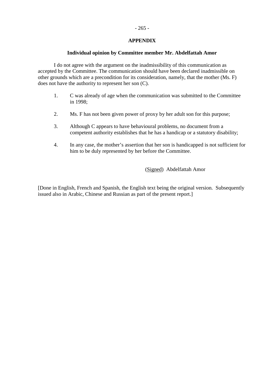#### - 265 -

#### **APPENDIX**

#### **Individual opinion by Committee member Mr. Abdelfattah Amor**

 I do not agree with the argument on the inadmissibility of this communication as accepted by the Committee. The communication should have been declared inadmissible on other grounds which are a precondition for its consideration, namely, that the mother (Ms. F) does not have the authority to represent her son (C).

- 1. C was already of age when the communication was submitted to the Committee in 1998;
- 2. Ms. F has not been given power of proxy by her adult son for this purpose;
- 3. Although C appears to have behavioural problems, no document from a competent authority establishes that he has a handicap or a statutory disability;
- 4. In any case, the mother's assertion that her son is handicapped is not sufficient for him to be duly represented by her before the Committee.

### (Signed) Abdelfattah Amor

[Done in English, French and Spanish, the English text being the original version. Subsequently issued also in Arabic, Chinese and Russian as part of the present report.]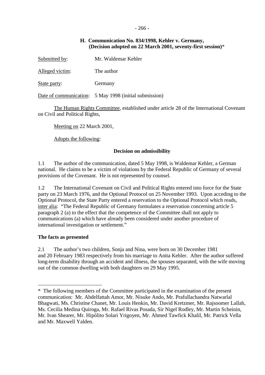#### - 266 -

#### **H. Communication No. 834/1998, Kehler v. Germany, (Decision adopted on 22 March 2001, seventy-first session)**\*

- Submitted by: Mr. Waldemar Kehler
- Alleged victim: The author
- State party: Germany

Date of communication: 5 May 1998 (initial submission)

 The Human Rights Committee, established under article 28 of the International Covenant on Civil and Political Rights,

Meeting on 22 March 2001,

Adopts the following:

### **Decision on admissibility**

1.1 The author of the communication, dated 5 May 1998, is Waldemar Kehler, a German national. He claims to be a victim of violations by the Federal Republic of Germany of several provisions of the Covenant. He is not represented by counsel.

1.2 The International Covenant on Civil and Political Rights entered into force for the State party on 23 March 1976, and the Optional Protocol on 25 November 1993. Upon acceding to the Optional Protocol, the State Party entered a reservation to the Optional Protocol which reads, inter alia: "The Federal Republic of Germany formulates a reservation concerning article 5 paragraph 2 (a) to the effect that the competence of the Committee shall not apply to communications (a) which have already been considered under another procedure of international investigation or settlement."

### **The facts as presented**

 $\overline{a}$ 

2.1 The author's two children, Sonja and Nina, were born on 30 December 1981 and 20 February 1983 respectively from his marriage to Anita Kehler. After the author suffered long-term disability through an accident and illness, the spouses separated, with the wife moving out of the common dwelling with both daughters on 29 May 1995.

<sup>\*</sup> The following members of the Committee participated in the examination of the present communication: Mr. Abdelfattah Amor, Mr. Nisuke Ando, Mr. Prafullachandra Natwarlal Bhagwati, Ms. Christine Chanet, Mr. Louis Henkin, Mr. David Kretzmer, Mr. Rajsoomer Lallah, Ms. Cecilia Medina Quiroga, Mr. Rafael Rivas Posada, Sir Nigel Rodley, Mr. Martin Scheinin, Mr. Ivan Shearer, Mr. Hipólito Solari Yrigoyen, Mr. Ahmed Tawfick Khalil, Mr. Patrick Vella and Mr. Maxwell Yalden.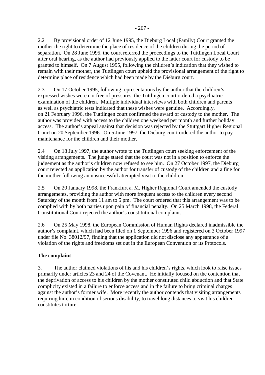2.2 By provisional order of 12 June 1995, the Dieburg Local (Family) Court granted the mother the right to determine the place of residence of the children during the period of separation. On 28 June 1995, the court referred the proceedings to the Tuttlingen Local Court after oral hearing, as the author had previously applied to the latter court for custody to be granted to himself. On 7 August 1995, following the children's indication that they wished to remain with their mother, the Tuttlingen court upheld the provisional arrangement of the right to determine place of residence which had been made by the Dieburg court.

2.3 On 17 October 1995, following representations by the author that the children's expressed wishes were not free of pressures, the Tuttlingen court ordered a psychiatric examination of the children. Multiple individual interviews with both children and parents as well as psychiatric tests indicated that these wishes were genuine. Accordingly, on 21 February 1996, the Tuttlingen court confirmed the award of custody to the mother. The author was provided with access to the children one weekend per month and further holiday access. The author's appeal against that decision was rejected by the Stuttgart Higher Regional Court on 20 September 1996. On 5 June 1997, the Dieburg court ordered the author to pay maintenance for the children and their mother.

2.4 On 18 July 1997, the author wrote to the Tuttlingen court seeking enforcement of the visiting arrangements. The judge stated that the court was not in a position to enforce the judgement as the author's children now refused to see him. On 27 October 1997, the Dieburg court rejected an application by the author for transfer of custody of the children and a fine for the mother following an unsuccessful attempted visit to the children.

2.5 On 20 January 1998, the Frankfurt a. M. Higher Regional Court amended the custody arrangements, providing the author with more frequent access to the children every second Saturday of the month from 11 am to 5 pm. The court ordered that this arrangement was to be complied with by both parties upon pain of financial penalty. On 25 March 1998, the Federal Constitutional Court rejected the author's constitutional complaint.

2.6 On 25 May 1998, the European Commission of Human Rights declared inadmissible the author's complaint, which had been filed on 1 September 1996 and registered on 3 October 1997 under file No. 38012/97, finding that the application did not disclose any appearance of a violation of the rights and freedoms set out in the European Convention or its Protocols.

### **The complaint**

3. The author claimed violations of his and his children's rights, which look to raise issues primarily under articles 23 and 24 of the Covenant. He initially focused on the contention that the deprivation of access to his children by the mother constituted child abduction and that State complicity existed in a failure to enforce access and in the failure to bring criminal charges against the author's former wife. More recently the author contends that visiting arrangements requiring him, in condition of serious disability, to travel long distances to visit his children constitutes torture.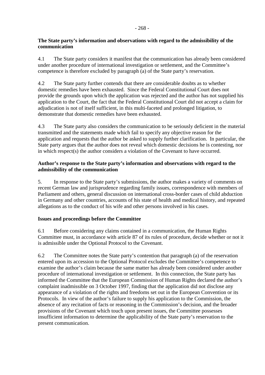#### - 268 -

### **The State party's information and observations with regard to the admissibility of the communication**

4.1 The State party considers it manifest that the communication has already been considered under another procedure of international investigation or settlement, and the Committee's competence is therefore excluded by paragraph (a) of the State party's reservation.

4.2 The State party further contends that there are considerable doubts as to whether domestic remedies have been exhausted. Since the Federal Constitutional Court does not provide the grounds upon which the application was rejected and the author has not supplied his application to the Court, the fact that the Federal Constitutional Court did not accept a claim for adjudication is not of itself sufficient, in this multi-faceted and prolonged litigation, to demonstrate that domestic remedies have been exhausted.

4.3 The State party also considers the communication to be seriously deficient in the material transmitted and the statements made which fail to specify any objective reason for the application and requests that the author be asked to supply further clarification. In particular, the State party argues that the author does not reveal which domestic decisions he is contesting, nor in which respect(s) the author considers a violation of the Covenant to have occurred.

## **Author's response to the State party's information and observations with regard to the admissibility of the communication**

5. In response to the State party's submissions, the author makes a variety of comments on recent German law and jurisprudence regarding family issues, correspondence with members of Parliament and others, general discussion on international cross-border cases of child abduction in Germany and other countries, accounts of his state of health and medical history, and repeated allegations as to the conduct of his wife and other persons involved in his cases.

## **Issues and proceedings before the Committee**

6.1 Before considering any claims contained in a communication, the Human Rights Committee must, in accordance with article 87 of its rules of procedure, decide whether or not it is admissible under the Optional Protocol to the Covenant.

6.2 The Committee notes the State party's contention that paragraph (a) of the reservation entered upon its accession to the Optional Protocol excludes the Committee's competence to examine the author's claim because the same matter has already been considered under another procedure of international investigation or settlement. In this connection, the State party has informed the Committee that the European Commission of Human Rights declared the author's complaint inadmissible on 3 October 1997, finding that the application did not disclose any appearance of a violation of the rights and freedoms set out in the European Convention or its Protocols. In view of the author's failure to supply his application to the Commission, the absence of any recitation of facts or reasoning in the Commission's decision, and the broader provisions of the Covenant which touch upon present issues, the Committee possesses insufficient information to determine the applicability of the State party's reservation to the present communication.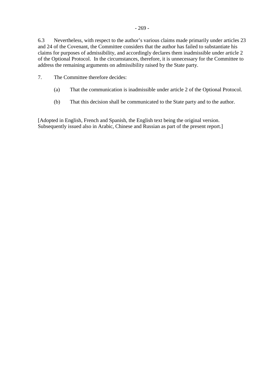6.3 Nevertheless, with respect to the author's various claims made primarily under articles 23 and 24 of the Covenant, the Committee considers that the author has failed to substantiate his claims for purposes of admissibility, and accordingly declares them inadmissible under article 2 of the Optional Protocol. In the circumstances, therefore, it is unnecessary for the Committee to address the remaining arguments on admissibility raised by the State party.

- 7. The Committee therefore decides:
	- (a) That the communication is inadmissible under article 2 of the Optional Protocol.
	- (b) That this decision shall be communicated to the State party and to the author.

[Adopted in English, French and Spanish, the English text being the original version. Subsequently issued also in Arabic, Chinese and Russian as part of the present report.]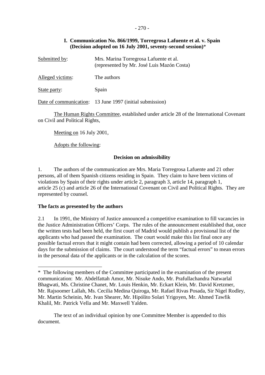#### - 270 -

#### **I. Communication No. 866/1999, Torregrosa Lafuente et al. v. Spain (Decision adopted on 16 July 2001, seventy-second session)**\*

| Submitted by:    | Mrs. Marina Torregrosa Lafuente et al.<br>(represented by Mr. José Luis Mazón Costa) |
|------------------|--------------------------------------------------------------------------------------|
| Alleged victims: | The authors                                                                          |
| State party:     | Spain                                                                                |
|                  | Date of communication: 13 June 1997 (initial submission)                             |

 The Human Rights Committee, established under article 28 of the International Covenant on Civil and Political Rights,

Meeting on 16 July 2001,

Adopts the following:

### **Decision on admissibility**

1. The authors of the communication are Mrs. Maria Torregrosa Lafuente and 21 other persons, all of them Spanish citizens residing in Spain. They claim to have been victims of violations by Spain of their rights under article 2, paragraph 3, article 14, paragraph 1, article 25 (c) and article 26 of the International Covenant on Civil and Political Rights. They are represented by counsel.

### **The facts as presented by the authors**

 $\overline{a}$ 

2.1 In 1991, the Ministry of Justice announced a competitive examination to fill vacancies in the Justice Administration Officers' Corps. The rules of the announcement established that, once the written tests had been held, the first court of Madrid would publish a provisional list of the applicants who had passed the examination. The court would make this list final once any possible factual errors that it might contain had been corrected, allowing a period of 10 calendar days for the submission of claims. The court understood the term "factual errors" to mean errors in the personal data of the applicants or in the calculation of the scores.

 The text of an individual opinion by one Committee Member is appended to this document.

<sup>\*</sup> The following members of the Committee participated in the examination of the present communication: Mr. Abdelfattah Amor, Mr. Nisuke Ando, Mr. Prafullachandra Natwarlal Bhagwati, Ms. Christine Chanet, Mr. Louis Henkin, Mr. Eckart Klein, Mr. David Kretzmer, Mr. Rajsoomer Lallah, Ms. Cecilia Medina Quiroga, Mr. Rafael Rivas Posada, Sir Nigel Rodley, Mr. Martin Scheinin, Mr. Ivan Shearer, Mr. Hipólito Solari Yrigoyen, Mr. Ahmed Tawfik Khalil, Mr. Patrick Vella and Mr. Maxwell Yalden.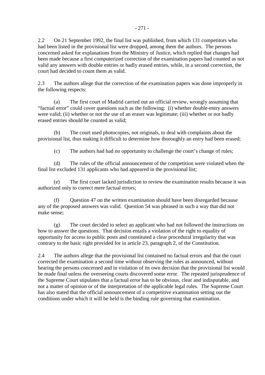2.2 On 21 September 1992, the final list was published, from which 131 competitors who had been listed in the provisional list were dropped, among them the authors. The persons concerned asked for explanations from the Ministry of Justice, which replied that changes had been made because a first computerized correction of the examination papers had counted as not valid any answers with double entries or badly erased entries, while, in a second correction, the court had decided to count them as valid.

2.3 The authors allege that the correction of the examination papers was done improperly in the following respects:

 (a) The first court of Madrid carried out an official review, wrongly assuming that "factual error" could cover questions such as the following: (i) whether double-entry answers were valid; (ii) whether or not the use of an eraser was legitimate; (iii) whether or not badly erased entries should be counted as valid;

 (b) The court used photocopies, not originals, to deal with complaints about the provisional list, thus making it difficult to determine how thoroughly an entry had been erased;

(c) The authors had had no opportunity to challenge the court's change of rules;

 (d) The rules of the official announcement of the competition were violated when the final list excluded 131 applicants who had appeared in the provisional list;

 (e) The first court lacked jurisdiction to review the examination results because it was authorized only to correct mere factual errors;

 (f) Question 47 on the written examination should have been disregarded because any of the proposed answers was valid. Question 54 was phrased in such a way that did not make sense;

 (g) The court decided to select an applicant who had not followed the instructions on how to answer the questions. That decision entails a violation of the right to equality of opportunity for access to public posts and constituted a clear procedural irregularity that was contrary to the basic right provided for in article 23, paragraph 2, of the Constitution.

2.4 The authors allege that the provisional list contained no factual errors and that the court corrected the examination a second time without observing the rules as announced, without hearing the persons concerned and in violation of its own decision that the provisional list would be made final unless the overseeing courts discovered some error. The repeated jurisprudence of the Supreme Court stipulates that a factual error has to be obvious, clear and indisputable, and not a matter of opinion or of the interpretation of the applicable legal rules. The Supreme Court has also stated that the official announcement of a competitive examination setting out the conditions under which it will be held is the binding rule governing that examination.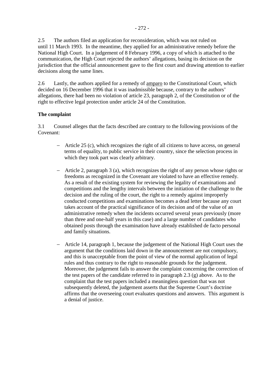2.5 The authors filed an application for reconsideration, which was not ruled on until 11 March 1993. In the meantime, they applied for an administrative remedy before the National High Court. In a judgement of 8 February 1996, a copy of which is attached to the communication, the High Court rejected the authors' allegations, basing its decision on the jurisdiction that the official announcement gave to the first court and drawing attention to earlier decisions along the same lines.

2.6 Lastly, the authors applied for a remedy of amparo to the Constitutional Court, which decided on 16 December 1996 that it was inadmissible because, contrary to the authors' allegations, there had been no violation of article 23, paragraph 2, of the Constitution or of the right to effective legal protection under article 24 of the Constitution.

#### **The complaint**

3.1 Counsel alleges that the facts described are contrary to the following provisions of the Covenant:

- − Article 25 (c), which recognizes the right of all citizens to have access, on general terms of equality, to public service in their country, since the selection process in which they took part was clearly arbitrary.
- − Article 2, paragraph 3 (a), which recognizes the right of any person whose rights or freedoms as recognized in the Covenant are violated to have an effective remedy. As a result of the existing system for reviewing the legality of examinations and competitions and the lengthy intervals between the initiation of the challenge to the decision and the ruling of the court, the right to a remedy against improperly conducted competitions and examinations becomes a dead letter because any court takes account of the practical significance of its decision and of the value of an administrative remedy when the incidents occurred several years previously (more than three and one-half years in this case) and a large number of candidates who obtained posts through the examination have already established de facto personal and family situations.
- − Article 14, paragraph 1, because the judgement of the National High Court uses the argument that the conditions laid down in the announcement are not compulsory, and this is unacceptable from the point of view of the normal application of legal rules and thus contrary to the right to reasonable grounds for the judgement. Moreover, the judgement fails to answer the complaint concerning the correction of the test papers of the candidate referred to in paragraph 2.3 (g) above. As to the complaint that the test papers included a meaningless question that was not subsequently deleted, the judgement asserts that the Supreme Court's doctrine affirms that the overseeing court evaluates questions and answers. This argument is a denial of justice.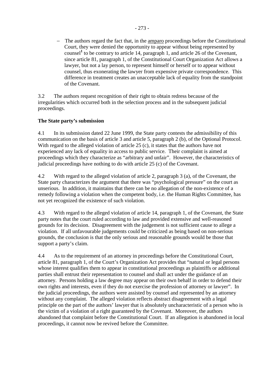− The authors regard the fact that, in the amparo proceedings before the Constitutional Court, they were denied the opportunity to appear without being represented by counsel**<sup>1</sup>** to be contrary to article 14, paragraph 1, and article 26 of the Covenant, since article 81, paragraph 1, of the Constitutional Court Organization Act allows a lawyer, but not a lay person, to represent himself or herself or to appear without counsel, thus exonerating the lawyer from expensive private correspondence. This difference in treatment creates an unacceptable lack of equality from the standpoint of the Covenant.

3.2 The authors request recognition of their right to obtain redress because of the irregularities which occurred both in the selection process and in the subsequent judicial proceedings.

## **The State party's submission**

4.1 In its submission dated 22 June 1999, the State party contests the admissibility of this communication on the basis of article 3 and article 5, paragraph 2 (b), of the Optional Protocol. With regard to the alleged violation of article 25 (c), it states that the authors have not experienced any lack of equality in access to public service. Their complaint is aimed at proceedings which they characterize as "arbitrary and unfair". However, the characteristics of judicial proceedings have nothing to do with article 25 (c) of the Covenant.

4.2 With regard to the alleged violation of article 2, paragraph 3 (a), of the Covenant, the State party characterizes the argument that there was "psychological pressure" on the court as unserious. In addition, it maintains that there can be no allegation of the non-existence of a remedy following a violation when the competent body, i.e. the Human Rights Committee, has not yet recognized the existence of such violation.

4.3 With regard to the alleged violation of article 14, paragraph 1, of the Covenant, the State party notes that the court ruled according to law and provided extensive and well-reasoned grounds for its decision. Disagreement with the judgement is not sufficient cause to allege a violation. If all unfavourable judgements could be criticized as being based on non-serious grounds, the conclusion is that the only serious and reasonable grounds would be those that support a party's claim.

4.4 As to the requirement of an attorney in proceedings before the Constitutional Court, article 81, paragraph 1, of the Court's Organization Act provides that "natural or legal persons whose interest qualifies them to appear in constitutional proceedings as plaintiffs or additional parties shall entrust their representation to counsel and shall act under the guidance of an attorney. Persons holding a law degree may appear on their own behalf in order to defend their own rights and interests, even if they do not exercise the profession of attorney or lawyer". In the judicial proceedings, the authors were assisted by counsel and represented by an attorney without any complaint. The alleged violation reflects abstract disagreement with a legal principle on the part of the authors' lawyer that is absolutely uncharacteristic of a person who is the victim of a violation of a right guaranteed by the Covenant. Moreover, the authors abandoned that complaint before the Constitutional Court. If an allegation is abandoned in local proceedings, it cannot now be revived before the Committee.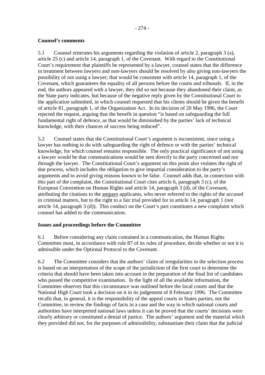#### **Counsel's comments**

5.1 Counsel reiterates his arguments regarding the violation of article 2, paragraph 3 (a), article 25 (c) and article 14, paragraph 1, of the Covenant. With regard to the Constitutional Court's requirement that plaintiffs be represented by a lawyer, counsel states that the difference in treatment between lawyers and non-lawyers should be resolved by also giving non-lawyers the possibility of not using a lawyer; that would be consistent with article 14, paragraph 1, of the Covenant, which guarantees the equality of all persons before the courts and tribunals. If, in the end, the authors appeared with a lawyer, they did so not because they abandoned their claim, as the State party indicates, but because of the negative reply given by the Constitutional Court to the application submitted, in which counsel requested that his clients should be given the benefit of article 81, paragraph 1, of the Organization Act. In its decision of 20 May 1996, the Court rejected the request, arguing that the benefit in question "is based on safeguarding the full fundamental right of defence, as that would be diminished by the parties' lack of technical knowledge, with their chances of success being reduced".

5.2 Counsel states that the Constitutional Court's argument is inconsistent, since using a lawyer has nothing to do with safeguarding the right of defence or with the parties' technical knowledge, for which counsel remains responsible. The only practical significance of not using a lawyer would be that communications would be sent directly to the party concerned and not through the lawyer. The Constitutional Court's argument on this point also violates the right of due process, which includes the obligation to give impartial consideration to the party's arguments and to avoid giving reasons known to be false. Counsel adds that, in connection with this part of the complaint, the Constitutional Court cites article 6, paragraph 3 (c), of the European Convention on Human Rights and article 14, paragraph 3 (d), of the Covenant, attributing the citations to the amparo applicants, who never referred to the rights of the accused in criminal matters, but to the right to a fair trial provided for in article 14, paragraph 1 (not article 14, paragraph 3 (d)). This conduct on the Court's part constitutes a new complaint which counsel has added to the communication.

### **Issues and proceedings before the Committee**

6.1 Before considering any claim contained in a communication, the Human Rights Committee must, in accordance with rule 87 of its rules of procedure, decide whether or not it is admissible under the Optional Protocol to the Covenant.

6.2 The Committee considers that the authors' claim of irregularities in the selection process is based on an interpretation of the scope of the jurisdiction of the first court to determine the criteria that should have been taken into account in the preparation of the final list of candidates who passed the competitive examination. In the light of all the available information, the Committee observes that this circumstance was outlined before the local courts and that the National High Court took a decision on it in its judgement of 8 February 1996. The Committee recalls that, in general, it is the responsibility of the appeal courts in States parties, not the Committee, to review the findings of facts in a case and the way in which national courts and authorities have interpreted national laws unless it can be proved that the courts' decisions were clearly arbitrary or constituted a denial of justice. The authors' argument and the material which they provided did not, for the purposes of admissibility, substantiate their claim that the judicial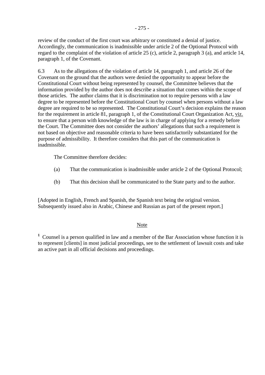review of the conduct of the first court was arbitrary or constituted a denial of justice. Accordingly, the communication is inadmissible under article 2 of the Optional Protocol with regard to the complaint of the violation of article 25 (c), article 2, paragraph 3 (a), and article 14, paragraph 1, of the Covenant.

6.3 As to the allegations of the violation of article 14, paragraph 1, and article 26 of the Covenant on the ground that the authors were denied the opportunity to appear before the Constitutional Court without being represented by counsel, the Committee believes that the information provided by the author does not describe a situation that comes within the scope of those articles. The author claims that it is discrimination not to require persons with a law degree to be represented before the Constitutional Court by counsel when persons without a law degree are required to be so represented. The Constitutional Court's decision explains the reason for the requirement in article 81, paragraph 1, of the Constitutional Court Organization Act, viz. to ensure that a person with knowledge of the law is in charge of applying for a remedy before the Court. The Committee does not consider the authors' allegations that such a requirement is not based on objective and reasonable criteria to have been satisfactorily substantiated for the purpose of admissibility. It therefore considers that this part of the communication is inadmissible.

The Committee therefore decides:

- (a) That the communication is inadmissible under article 2 of the Optional Protocol;
- (b) That this decision shall be communicated to the State party and to the author.

[Adopted in English, French and Spanish, the Spanish text being the original version. Subsequently issued also in Arabic, Chinese and Russian as part of the present report.]

#### Note

<sup>1</sup> Counsel is a person qualified in law and a member of the Bar Association whose function it is to represent [clients] in most judicial proceedings, see to the settlement of lawsuit costs and take an active part in all official decisions and proceedings.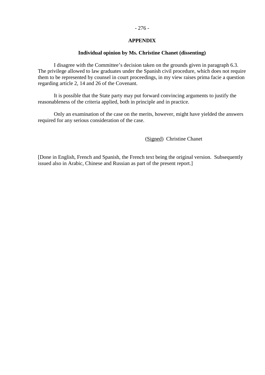#### - 276 -

#### **APPENDIX**

#### **Individual opinion by Ms. Christine Chanet (dissenting)**

 I disagree with the Committee's decision taken on the grounds given in paragraph 6.3. The privilege allowed to law graduates under the Spanish civil procedure, which does not require them to be represented by counsel in court proceedings, in my view raises prima facie a question regarding article 2, 14 and 26 of the Covenant.

 It is possible that the State party may put forward convincing arguments to justify the reasonableness of the criteria applied, both in principle and in practice.

 Only an examination of the case on the merits, however, might have yielded the answers required for any serious consideration of the case.

#### (Signed) Christine Chanet

[Done in English, French and Spanish, the French text being the original version. Subsequently issued also in Arabic, Chinese and Russian as part of the present report.]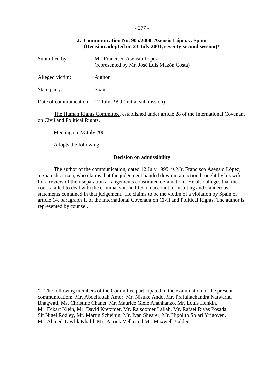## - 277 -

#### **J. Communication No. 905/2000, Asensio López v. Spain (Decision adopted on 23 July 2001, seventy-second session)**\*

| Submitted by:   | Mr. Francisco Asensio López<br>(represented by Mr. José Luis Mazón Costa) |
|-----------------|---------------------------------------------------------------------------|
| Alleged victim: | Author                                                                    |
| State party:    | Spain                                                                     |
|                 | Date of communication: 12 July 1999 (initial submission)                  |

 The Human Rights Committee, established under article 28 of the International Covenant on Civil and Political Rights,

Meeting on 23 July 2001,

Adopts the following:

 $\overline{a}$ 

#### **Decision on admissibility**

1. The author of the communication, dated 12 July 1999, is Mr. Francisco Asensio López, a Spanish citizen, who claims that the judgement handed down in an action brought by his wife for a review of their separation arrangements constituted defamation. He also alleges that the courts failed to deal with the criminal suit he filed on account of insulting and slanderous statements contained in that judgement. He claims to be the victim of a violation by Spain of article 14, paragraph 1, of the International Covenant on Civil and Political Rights. The author is represented by counsel.

<sup>\*</sup> The following members of the Committee participated in the examination of the present communication: Mr. Abdelfattah Amor, Mr. Nisuke Ando, Mr. Prafullachandra Natwarlal Bhagwati, Ms. Christine Chanet, Mr. Maurice Glèlè Ahanhanzo, Mr. Louis Henkin, Mr. Eckart Klein, Mr. David Kretzmer, Mr. Rajsoomer Lallah, Mr. Rafael Rivas Posada, Sir Nigel Rodley, Mr. Martin Scheinin, Mr. Ivan Shearer, Mr. Hipólito Solari Yrigoyen, Mr. Ahmed Tawfik Khalil, Mr. Patrick Vella and Mr. Maxwell Yalden.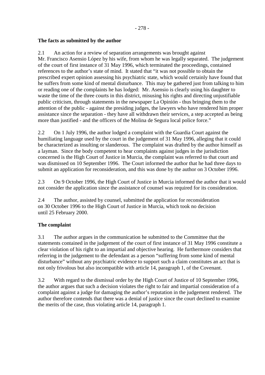### **The facts as submitted by the author**

2.1 An action for a review of separation arrangements was brought against Mr. Francisco Asensio López by his wife, from whom he was legally separated. The judgement of the court of first instance of 31 May 1996, which terminated the proceedings, contained references to the author's state of mind. It stated that "it was not possible to obtain the prescribed expert opinion assessing his psychiatric state, which would certainly have found that he suffers from some kind of mental disturbance. This may be gathered just from talking to him or reading one of the complaints he has lodged: Mr. Asensio is clearly using his daughter to waste the time of the three courts in this district, misusing his rights and directing unjustifiable public criticism, through statements in the newspaper La Opinión - thus bringing them to the attention of the public - against the presiding judges, the lawyers who have rendered him proper assistance since the separation - they have all withdrawn their services, a step accepted as being more than justified - and the officers of the Molina de Segura local police force."

2.2 On 1 July 1996, the author lodged a complaint with the Guardia Court against the humiliating language used by the court in the judgement of 31 May 1996, alleging that it could be characterized as insulting or slanderous. The complaint was drafted by the author himself as a layman. Since the body competent to hear complaints against judges in the jurisdiction concerned is the High Court of Justice in Murcia, the complaint was referred to that court and was dismissed on 10 September 1996. The Court informed the author that he had three days to submit an application for reconsideration, and this was done by the author on 3 October 1996.

2.3 On 9 October 1996, the High Court of Justice in Murcia informed the author that it would not consider the application since the assistance of counsel was required for its consideration.

2.4 The author, assisted by counsel, submitted the application for reconsideration on 30 October 1996 to the High Court of Justice in Murcia, which took no decision until 25 February 2000.

## **The complaint**

3.1 The author argues in the communication he submitted to the Committee that the statements contained in the judgement of the court of first instance of 31 May 1996 constitute a clear violation of his right to an impartial and objective hearing. He furthermore considers that referring in the judgement to the defendant as a person "suffering from some kind of mental disturbance" without any psychiatric evidence to support such a claim constitutes an act that is not only frivolous but also incompatible with article 14, paragraph 1, of the Covenant.

3.2 With regard to the dismissal order by the High Court of Justice of 10 September 1996, the author argues that such a decision violates the right to fair and impartial consideration of a complaint against a judge for damaging the author's reputation in the judgement rendered. The author therefore contends that there was a denial of justice since the court declined to examine the merits of the case, thus violating article 14, paragraph 1.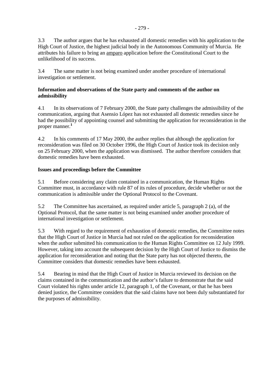3.3 The author argues that he has exhausted all domestic remedies with his application to the High Court of Justice, the highest judicial body in the Autonomous Community of Murcia. He attributes his failure to bring an amparo application before the Constitutional Court to the unlikelihood of its success.

3.4 The same matter is not being examined under another procedure of international investigation or settlement.

#### **Information and observations of the State party and comments of the author on admissibility**

4.1 In its observations of 7 February 2000, the State party challenges the admissibility of the communication, arguing that Asensio López has not exhausted all domestic remedies since he had the possibility of appointing counsel and submitting the application for reconsideration in the proper manner. **1**

4.2 In his comments of 17 May 2000, the author replies that although the application for reconsideration was filed on 30 October 1996, the High Court of Justice took its decision only on 25 February 2000, when the application was dismissed. The author therefore considers that domestic remedies have been exhausted.

### **Issues and proceedings before the Committee**

5.1 Before considering any claim contained in a communication, the Human Rights Committee must, in accordance with rule 87 of its rules of procedure, decide whether or not the communication is admissible under the Optional Protocol to the Covenant.

5.2 The Committee has ascertained, as required under article 5, paragraph 2 (a), of the Optional Protocol, that the same matter is not being examined under another procedure of international investigation or settlement.

5.3 With regard to the requirement of exhaustion of domestic remedies, the Committee notes that the High Court of Justice in Murcia had not ruled on the application for reconsideration when the author submitted his communication to the Human Rights Committee on 12 July 1999. However, taking into account the subsequent decision by the High Court of Justice to dismiss the application for reconsideration and noting that the State party has not objected thereto, the Committee considers that domestic remedies have been exhausted.

5.4 Bearing in mind that the High Court of Justice in Murcia reviewed its decision on the claims contained in the communication and the author's failure to demonstrate that the said Court violated his rights under article 12, paragraph 1, of the Covenant, or that he has been denied justice, the Committee considers that the said claims have not been duly substantiated for the purposes of admissibility.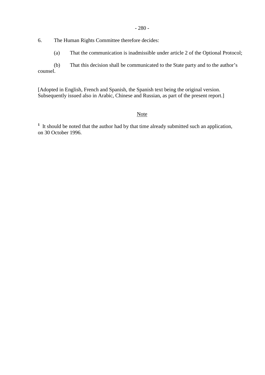6. The Human Rights Committee therefore decides:

(a) That the communication is inadmissible under article 2 of the Optional Protocol;

 (b) That this decision shall be communicated to the State party and to the author's counsel.

[Adopted in English, French and Spanish, the Spanish text being the original version. Subsequently issued also in Arabic, Chinese and Russian, as part of the present report.]

#### **Note**

<sup>1</sup> It should be noted that the author had by that time already submitted such an application, on 30 October 1996.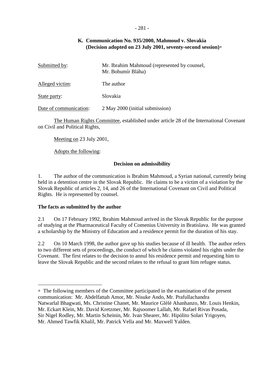- 281 -

## **K. Communication No. 935/2000, Mahmoud v. Slovakia (Decision adopted on 23 July 2001, seventy-second session)**∗

| Submitted by:          | Mr. Ibrahim Mahmoud (represented by counsel,<br>Mr. Bohumír Bláha) |
|------------------------|--------------------------------------------------------------------|
| Alleged victim:        | The author                                                         |
| State party:           | Slovakia                                                           |
| Date of communication: | 2 May 2000 (initial submission)                                    |

 The Human Rights Committee, established under article 28 of the International Covenant on Civil and Political Rights,

Meeting on 23 July 2001,

Adopts the following:

## **Decision on admissibility**

1. The author of the communication is Ibrahim Mahmoud, a Syrian national, currently being held in a detention centre in the Slovak Republic. He claims to be a victim of a violation by the Slovak Republic of articles 2, 14, and 26 of the International Covenant on Civil and Political Rights. He is represented by counsel.

### **The facts as submitted by the author**

 $\overline{a}$ 

2.1 On 17 February 1992, Ibrahim Mahmoud arrived in the Slovak Republic for the purpose of studying at the Pharmaceutical Faculty of Comenius University in Bratislava. He was granted a scholarship by the Ministry of Education and a residence permit for the duration of his stay.

2.2 On 10 March 1998, the author gave up his studies because of ill health. The author refers to two different sets of proceedings, the conduct of which he claims violated his rights under the Covenant. The first relates to the decision to annul his residence permit and requesting him to leave the Slovak Republic and the second relates to the refusal to grant him refugee status.

<sup>∗</sup> The following members of the Committee participated in the examination of the present communication: Mr. Abdelfattah Amor, Mr. Nisuke Ando, Mr. Prafullachandra Natwarlal Bhagwati, Ms. Christine Chanet, Mr. Maurice Glèlè Ahanhanzo, Mr. Louis Henkin, Mr. Eckart Klein, Mr. David Kretzmer, Mr. Rajsoomer Lallah, Mr. Rafael Rivas Posada, Sir Nigel Rodley, Mr. Martin Scheinin, Mr. Ivan Shearer, Mr. Hipólito Solari Yrigoyen, Mr. Ahmed Tawfik Khalil, Mr. Patrick Vella and Mr. Maxwell Yalden.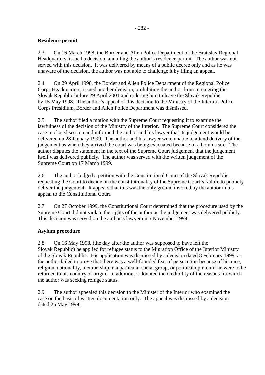## **Residence permit**

2.3 On 16 March 1998, the Border and Alien Police Department of the Bratislav Regional Headquarters, issued a decision, annulling the author's residence permit. The author was not served with this decision. It was delivered by means of a public decree only and as he was unaware of the decision, the author was not able to challenge it by filing an appeal.

2.4 On 29 April 1998, the Border and Alien Police Department of the Regional Police Corps Headquarters, issued another decision, prohibiting the author from re-entering the Slovak Republic before 29 April 2001 and ordering him to leave the Slovak Republic by 15 May 1998. The author's appeal of this decision to the Ministry of the Interior, Police Corps Presidium, Border and Alien Police Department was dismissed.

2.5 The author filed a motion with the Supreme Court requesting it to examine the lawfulness of the decision of the Ministry of the Interior. The Supreme Court considered the case in closed session and informed the author and his lawyer that its judgement would be delivered on 28 January 1999. The author and his lawyer were unable to attend delivery of the judgement as when they arrived the court was being evacuated because of a bomb scare. The author disputes the statement in the text of the Supreme Court judgement that the judgement itself was delivered publicly. The author was served with the written judgement of the Supreme Court on 17 March 1999.

2.6 The author lodged a petition with the Constitutional Court of the Slovak Republic requesting the Court to decide on the constitutionality of the Supreme Court's failure to publicly deliver the judgement. It appears that this was the only ground invoked by the author in his appeal to the Constitutional Court.

2.7 On 27 October 1999, the Constitutional Court determined that the procedure used by the Supreme Court did not violate the rights of the author as the judgement was delivered publicly. This decision was served on the author's lawyer on 5 November 1999.

### **Asylum procedure**

2.8 On 16 May 1998, (the day after the author was supposed to have left the Slovak Republic) he applied for refugee status to the Migration Office of the Interior Ministry of the Slovak Republic. His application was dismissed by a decision dated 8 February 1999, as the author failed to prove that there was a well-founded fear of persecution because of his race, religion, nationality, membership in a particular social group, or political opinion if he were to be returned to his country of origin. In addition, it doubted the credibility of the reasons for which the author was seeking refugee status.

2.9 The author appealed this decision to the Minister of the Interior who examined the case on the basis of written documentation only. The appeal was dismissed by a decision dated 25 May 1999.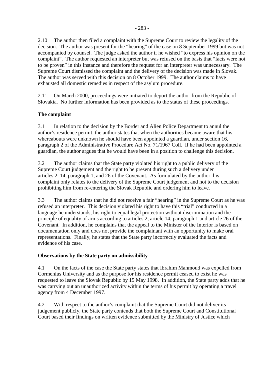2.10 The author then filed a complaint with the Supreme Court to review the legality of the decision. The author was present for the "hearing" of the case on 8 September 1999 but was not accompanied by counsel. The judge asked the author if he wished "to express his opinion on the complaint". The author requested an interpreter but was refused on the basis that "facts were not to be proven" in this instance and therefore the request for an interpreter was unnecessary. The Supreme Court dismissed the complaint and the delivery of the decision was made in Slovak. The author was served with this decision on 8 October 1999. The author claims to have exhausted all domestic remedies in respect of the asylum procedure.

2.11 On March 2000, proceedings were initiated to deport the author from the Republic of Slovakia. No further information has been provided as to the status of these proceedings.

## **The complaint**

3.1 In relation to the decision by the Border and Alien Police Department to annul the author's residence permit, the author states that when the authorities became aware that his whereabouts were unknown he should have been appointed a guardian, under section 16, paragraph 2 of the Administrative Procedure Act No. 71/1967 Coll. If he had been appointed a guardian, the author argues that he would have been in a position to challenge this decision.

3.2 The author claims that the State party violated his right to a public delivery of the Supreme Court judgement and the right to be present during such a delivery under articles 2, 14, paragraph 1, and 26 of the Covenant. As formulated by the author, his complaint only relates to the delivery of the Supreme Court judgement and not to the decision prohibiting him from re-entering the Slovak Republic and ordering him to leave.

3.3 The author claims that he did not receive a fair "hearing" in the Supreme Court as he was refused an interpreter. This decision violated his right to have this "trial" conducted in a language he understands, his right to equal legal protection without discrimination and the principle of equality of arms according to articles 2, article 14, paragraph 1 and article 26 of the Covenant. In addition, he complains that the appeal to the Minister of the Interior is based on documentation only and does not provide the complainant with an opportunity to make oral representations. Finally, he states that the State party incorrectly evaluated the facts and evidence of his case.

### **Observations by the State party on admissibility**

4.1 On the facts of the case the State party states that Ibrahim Mahmoud was expelled from Cormenius University and as the purpose for his residence permit ceased to exist he was requested to leave the Slovak Republic by 15 May 1998. In addition, the State party adds that he was carrying out an unauthorized activity within the terms of his permit by operating a travel agency from 4 December 1997.

4.2 With respect to the author's complaint that the Supreme Court did not deliver its judgement publicly, the State party contends that both the Supreme Court and Constitutional Court based their findings on written evidence submitted by the Ministry of Justice which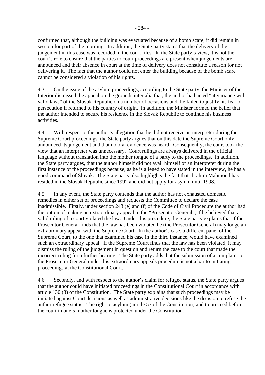confirmed that, although the building was evacuated because of a bomb scare, it did remain in session for part of the morning. In addition, the State party states that the delivery of the judgement in this case was recorded in the court files. In the State party's view, it is not the court's role to ensure that the parties to court proceedings are present when judgements are announced and their absence in court at the time of delivery does not constitute a reason for not delivering it. The fact that the author could not enter the building because of the bomb scare cannot be considered a violation of his rights.

4.3 On the issue of the asylum proceedings, according to the State party, the Minister of the Interior dismissed the appeal on the grounds inter alia that, the author had acted "at variance with valid laws" of the Slovak Republic on a number of occasions and, he failed to justify his fear of persecution if returned to his country of origin. In addition, the Minister formed the belief that the author intended to secure his residence in the Slovak Republic to continue his business activities.

4.4 With respect to the author's allegation that he did not receive an interpreter during the Supreme Court proceedings, the State party argues that on this date the Supreme Court only announced its judgement and that no oral evidence was heard. Consequently, the court took the view that an interpreter was unnecessary. Court rulings are always delivered in the official language without translation into the mother tongue of a party to the proceedings. In addition, the State party argues, that the author himself did not avail himself of an interpreter during the first instance of the proceedings because, as he is alleged to have stated in the interview, he has a good command of Slovak. The State party also highlights the fact that Ibrahim Mahmoud has resided in the Slovak Republic since 1992 and did not apply for asylum until 1998.

4.5 In any event, the State party contends that the author has not exhausted domestic remedies in either set of proceedings and requests the Committee to declare the case inadmissible. Firstly, under section 243 (e) and (f) of the Code of Civil Procedure the author had the option of making an extraordinary appeal to the "Prosecutor General", if he believed that a valid ruling of a court violated the law. Under this procedure, the State party explains that if the Prosecutor General finds that the law has been violated he (the Prosecutor General) may lodge an extraordinary appeal with the Supreme Court. In the author's case, a different panel of the Supreme Court, to the one that examined his case in the third instance, would have examined such an extraordinary appeal. If the Supreme Court finds that the law has been violated, it may dismiss the ruling of the judgement in question and return the case to the court that made the incorrect ruling for a further hearing. The State party adds that the submission of a complaint to the Prosecutor General under this extraordinary appeals procedure is not a bar to initiating proceedings at the Constitutional Court.

4.6 Secondly, and with respect to the author's claim for refugee status, the State party argues that the author could have initiated proceedings in the Constitutional Court in accordance with article 130 (3) of the Constitution. The State party explains that such proceedings may be initiated against Court decisions as well as administrative decisions like the decision to refuse the author refugee status. The right to asylum (article 53 of the Constitution) and to proceed before the court in one's mother tongue is protected under the Constitution.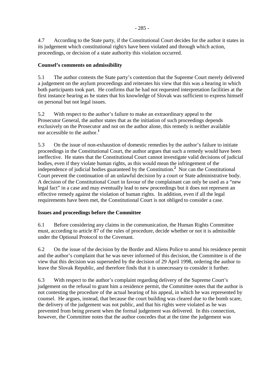4.7 According to the State party, if the Constitutional Court decides for the author it states in its judgement which constitutional right/s have been violated and through which action, proceedings, or decision of a state authority this violation occurred.

## **Counsel's comments on admissibility**

5.1 The author contests the State party's contention that the Supreme Court merely delivered a judgement on the asylum proceedings and reiterates his view that this was a hearing in which both participants took part. He confirms that he had not requested interpretation facilities at the first instance hearing as he states that his knowledge of Slovak was sufficient to express himself on personal but not legal issues.

5.2 With respect to the author's failure to make an extraordinary appeal to the Prosecutor General, the author states that as the initiation of such proceedings depends exclusively on the Prosecutor and not on the author alone, this remedy is neither available nor accessible to the author.**<sup>1</sup>**

5.3 On the issue of non-exhaustion of domestic remedies by the author's failure to initiate proceedings in the Constitutional Court, the author argues that such a remedy would have been ineffective. He states that the Constitutional Court cannot investigate valid decisions of judicial bodies, even if they violate human rights, as this would mean the infringement of the independence of judicial bodies guaranteed by the Constitution.**<sup>2</sup>** Nor can the Constitutional Court prevent the continuation of an unlawful decision by a court or State administrative body. A decision of the Constitutional Court in favour of the complainant can only be used as a "new legal fact" in a case and may eventually lead to new proceedings but it does not represent an effective remedy against the violation of human rights. In addition, even if all the legal requirements have been met, the Constitutional Court is not obliged to consider a case.

### **Issues and proceedings before the Committee**

6.1 Before considering any claims in the communication, the Human Rights Committee must, according to article 87 of the rules of procedure, decide whether or not it is admissible under the Optional Protocol to the Covenant.

6.2 On the issue of the decision by the Border and Aliens Police to annul his residence permit and the author's complaint that he was never informed of this decision, the Committee is of the view that this decision was superseded by the decision of 29 April 1998, ordering the author to leave the Slovak Republic, and therefore finds that it is unnecessary to consider it further.

6.3 With respect to the author's complaint regarding delivery of the Supreme Court's judgement on the refusal to grant him a residence permit, the Committee notes that the author is not contesting the procedure of the actual hearing of his appeal, in which he was represented by counsel. He argues, instead, that because the court building was cleared due to the bomb scare, the delivery of the judgement was not public, and that his rights were violated as he was prevented from being present when the formal judgement was delivered. In this connection, however, the Committee notes that the author concedes that at the time the judgement was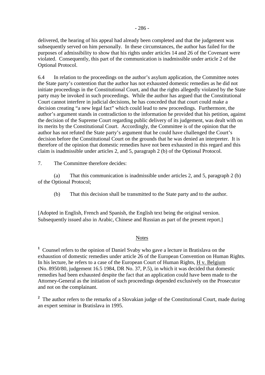delivered, the hearing of his appeal had already been completed and that the judgement was subsequently served on him personally. In these circumstances, the author has failed for the purposes of admissibility to show that his rights under articles 14 and 26 of the Covenant were violated. Consequently, this part of the communication is inadmissible under article 2 of the Optional Protocol.

6.4 In relation to the proceedings on the author's asylum application, the Committee notes the State party's contention that the author has not exhausted domestic remedies as he did not initiate proceedings in the Constitutional Court, and that the rights allegedly violated by the State party may be invoked in such proceedings. While the author has argued that the Constitutional Court cannot interfere in judicial decisions, he has conceded that that court could make a decision creating "a new legal fact" which could lead to new proceedings. Furthermore, the author's argument stands in contradiction to the information he provided that his petition, against the decision of the Supreme Court regarding public delivery of its judgement, was dealt with on its merits by the Constitutional Court. Accordingly, the Committee is of the opinion that the author has not refuted the State party's argument that he could have challenged the Court's decision before the Constitutional Court on the grounds that he was denied an interpreter. It is therefore of the opinion that domestic remedies have not been exhausted in this regard and this claim is inadmissible under articles 2, and 5, paragraph 2 (b) of the Optional Protocol.

7. The Committee therefore decides:

 (a) That this communication is inadmissible under articles 2, and 5, paragraph 2 (b) of the Optional Protocol;

(b) That this decision shall be transmitted to the State party and to the author.

[Adopted in English, French and Spanish, the English text being the original version. Subsequently issued also in Arabic, Chinese and Russian as part of the present report.]

#### **Notes**

**1** Counsel refers to the opinion of Daniel Svaby who gave a lecture in Bratislava on the exhaustion of domestic remedies under article 26 of the European Convention on Human Rights. In his lecture, he refers to a case of the European Court of Human Rights, H v. Belgium (No. 8950/80, judgement 16.5 1984, DR No. 37, P.5), in which it was decided that domestic remedies had been exhausted despite the fact that an application could have been made to the Attorney-General as the initiation of such proceedings depended exclusively on the Prosecutor and not on the complainant.

<sup>2</sup> The author refers to the remarks of a Slovakian judge of the Constitutional Court, made during an expert seminar in Bratislava in 1995.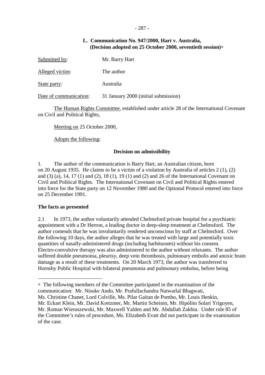#### - 287 -

#### **L. Communication No. 947/2000, Hart v. Australia, (Decision adopted on 25 October 2000, seventieth session)**∗

|  | Submitted by: | Mr. Barry Hart |
|--|---------------|----------------|
|--|---------------|----------------|

Alleged victim: The author

State party: Australia

Date of communication: 31 January 2000 (initial submission)

 The Human Rights Committee, established under article 28 of the International Covenant on Civil and Political Rights,

Meeting on 25 October 2000,

Adopts the following:

### **Decision on admissibility**

1. The author of the communication is Barry Hart, an Australian citizen, born on 20 August 1935. He claims to be a victim of a violation by Australia of articles 2 (1), (2) and (3) (a), 14, 17 (1) and (2), 18 (1), 19 (1) and (2) and 26 of the International Covenant on Civil and Political Rights. The International Covenant on Civil and Political Rights entered into force for the State party on 12 November 1980 and the Optional Protocol entered into force on 25 December 1991.

### **The facts as presented**

 $\overline{a}$ 

2.1 In 1973, the author voluntarily attended Chelmsford private hospital for a psychiatric appointment with a Dr Herron, a leading doctor in deep-sleep treatment at Chelmsford. The author contends that he was involuntarily rendered unconscious by staff at Chelmsford. Over the following 10 days, the author alleges that he was treated with large and potentially toxic quantities of nasally-administered drugs (including barbiturates) without his consent. Electro-convulsive therapy was also administered to the author without relaxants. The author suffered double pneumonia, pleurisy, deep vein thrombosis, pulmonary embolis and anoxic brain damage as a result of these treatments. On 20 March 1973, the author was transferred to Hornsby Public Hospital with bilateral pneumonia and pulmonary embolus, before being

∗ The following members of the Committee participated in the examination of the communication: Mr. Nisuke Ando, Mr. Prafullachandra Natwarlal Bhagwati, Ms. Christine Chanet, Lord Colville, Ms. Pilar Gaitan de Pombo, Mr. Louis Henkin,

Mr. Eckart Klein, Mr. David Kretzmer, Mr. Martin Scheinin, Mr. Hipólito Solari Yrigoyen, Mr. Roman Wieruszewski, Mr. Maxwell Yalden and Mr. Abdallah Zakhia. Under rule 85 of the Committee's rules of procedure, Ms. Elizabeth Evatt did not participate in the examination of the case.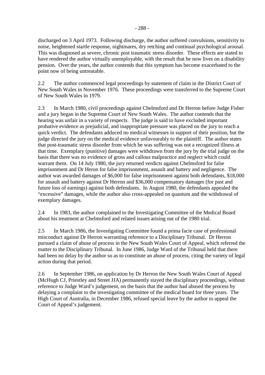discharged on 3 April 1973. Following discharge, the author suffered convulsions, sensitivity to noise, heightened startle response, nightmares, dry retching and continual psychological arousal. This was diagnosed as severe, chronic post traumatic stress disorder. These effects are stated to have rendered the author virtually unemployable, with the result that he now lives on a disability pension. Over the years, the author contends that this symptom has become exacerbated to the point now of being untreatable.

2.2 The author commenced legal proceedings by statement of claim in the District Court of New South Wales in November 1976. These proceedings were transferred to the Supreme Court of New South Wales in 1979.

2.3 In March 1980, civil proceedings against Chelmsford and Dr Herron before Judge Fisher and a jury began in the Supreme Court of New South Wales. The author contends that the hearing was unfair in a variety of respects. The judge is said to have excluded important probative evidence as prejudicial, and inappropriate pressure was placed on the jury to reach a quick verdict. The defendants adduced no medical witnesses in support of their position, but the judge directed the jury on the medical evidence unfavourably to the plaintiff. The author states that post-traumatic stress disorder from which he was suffering was not a recognized illness at that time. Exemplary (punitive) damages were withdrawn from the jury by the trial judge on the basis that there was no evidence of gross and callous malpractice and neglect which could warrant them. On 14 July 1980, the jury returned verdicts against Chelmsford for false imprisonment and Dr Heron for false imprisonment, assault and battery and negligence. The author was awarded damages of \$6,000 for false imprisonment against both defendants, \$18,000 for assault and battery against Dr Herron and \$36,000 compensatory damages (for past and future loss of earnings) against both defendants. In August 1980, the defendants appealed the "excessive" damages, while the author also cross-appealed on quantum and the withdrawal of exemplary damages.

2.4 In 1983, the author complained to the Investigating Committee of the Medical Board about his treatment at Chelmsford and related issues arising out of the 1980 trial.

2.5 In March 1986, the Investigating Committee found a prima facie case of professional misconduct against Dr Herron warranting reference to a Disciplinary Tribunal. Dr Herron pursued a claim of abuse of process in the New South Wales Court of Appeal, which referred the matter to the Disciplinary Tribunal. In June 1986, Judge Ward of the Tribunal held that there had been no delay by the author so as to constitute an abuse of process, citing the variety of legal action during that period.

2.6 In September 1986, on application by Dr Herron the New South Wales Court of Appeal (McHugh CJ, Priestley and Street JJA) permanently stayed the disciplinary proceedings, without reference to Judge Ward's judgement, on the basis that the author had abused the process by delaying a complaint to the investigating committee of the medical board for three years. The High Court of Australia, in December 1986, refused special leave by the author to appeal the Court of Appeal's judgement.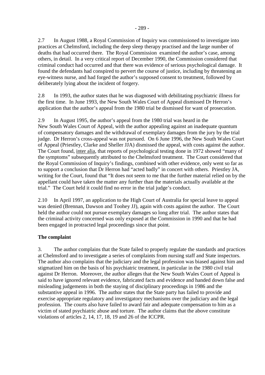2.7 In August 1988, a Royal Commission of Inquiry was commissioned to investigate into practices at Chelmsford, including the deep sleep therapy practised and the large number of deaths that had occurred there. The Royal Commission examined the author's case, among others, in detail. In a very critical report of December 1990, the Commission considered that criminal conduct had occurred and that there was evidence of serious psychological damage. It found the defendants had conspired to pervert the course of justice, including by threatening an eye-witness nurse, and had forged the author's supposed consent to treatment, followed by deliberately lying about the incident of forgery.

2.8 In 1993, the author states that he was diagnosed with debilitating psychiatric illness for the first time. In June 1993, the New South Wales Court of Appeal dismissed Dr Herron's application that the author's appeal from the 1980 trial be dismissed for want of prosecution.

2.9 In August 1995, the author's appeal from the 1980 trial was heard in the New South Wales Court of Appeal, with the author appealing against an inadequate quantum of compensatory damages and the withdrawal of exemplary damages from the jury by the trial judge. Dr Herron's cross-appeal was not pursued. On 6 June 1996, the New South Wales Court of Appeal (Priestley, Clarke and Sheller JJA) dismissed the appeal, with costs against the author. The Court found, inter alia, that reports of psychological testing done in 1972 showed "many of the symptoms" subsequently attributed to the Chelmsford treatment. The Court considered that the Royal Commission of Inquiry's findings, combined with other evidence, only went so far as to support a conclusion that Dr Herron had "acted badly" in concert with others. Priestley JA, writing for the Court, found that "It does not seem to me that the further material relied on by the appellant could have taken the matter any further than the materials actually available at the trial." The Court held it could find no error in the trial judge's conduct.

2.10 In April 1997, an application to the High Court of Australia for special leave to appeal was denied (Brennan, Dawson and Toohey JJ), again with costs against the author. The Court held the author could not pursue exemplary damages so long after trial. The author states that the criminal activity concerned was only exposed at the Commission in 1990 and that he had been engaged in protracted legal proceedings since that point.

## **The complaint**

3. The author complains that the State failed to properly regulate the standards and practices at Chelmsford and to investigate a series of complaints from nursing staff and State inspectors. The author also complains that the judiciary and the legal profession was biased against him and stigmatized him on the basis of his psychiatric treatment, in particular in the 1980 civil trial against Dr Herron. Moreover, the author alleges that the New South Wales Court of Appeal is said to have ignored relevant evidence, fabricated facts and evidence and handed down false and misleading judgements in both the staying of disciplinary proceedings in 1986 and the substantive appeal in 1996. The author states that the State party has failed to provide and exercise appropriate regulatory and investigatory mechanisms over the judiciary and the legal profession. The courts also have failed to award fair and adequate compensation to him as a victim of stated psychiatric abuse and torture. The author claims that the above constitute violations of articles 2, 14, 17, 18, 19 and 26 of the ICCPR.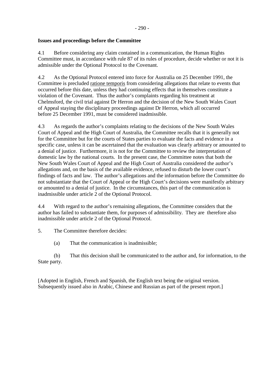## **Issues and proceedings before the Committee**

4.1 Before considering any claim contained in a communication, the Human Rights Committee must, in accordance with rule 87 of its rules of procedure, decide whether or not it is admissible under the Optional Protocol to the Covenant.

4.2 As the Optional Protocol entered into force for Australia on 25 December 1991, the Committee is precluded ratione temporis from considering allegations that relate to events that occurred before this date, unless they had continuing effects that in themselves constitute a violation of the Covenant. Thus the author's complaints regarding his treatment at Chelmsford, the civil trial against Dr Herron and the decision of the New South Wales Court of Appeal staying the disciplinary proceedings against Dr Herron, which all occurred before 25 December 1991, must be considered inadmissible.

4.3 As regards the author's complaints relating to the decisions of the New South Wales Court of Appeal and the High Court of Australia, the Committee recalls that it is generally not for the Committee but for the courts of States parties to evaluate the facts and evidence in a specific case, unless it can be ascertained that the evaluation was clearly arbitrary or amounted to a denial of justice. Furthermore, it is not for the Committee to review the interpretation of domestic law by the national courts. In the present case, the Committee notes that both the New South Wales Court of Appeal and the High Court of Australia considered the author's allegations and, on the basis of the available evidence, refused to disturb the lower court's findings of facts and law. The author's allegations and the information before the Committee do not substantiate that the Court of Appeal or the High Court's decisions were manifestly arbitrary or amounted to a denial of justice. In the circumstances, this part of the communication is inadmissible under article 2 of the Optional Protocol.

4.4 With regard to the author's remaining allegations, the Committee considers that the author has failed to substantiate them, for purposes of admissibility. They are therefore also inadmissible under article 2 of the Optional Protocol.

5. The Committee therefore decides:

(a) That the communication is inadmissible;

 (b) That this decision shall be communicated to the author and, for information, to the State party.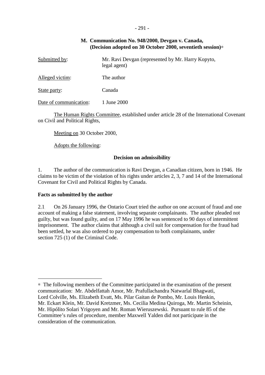## **M. Communication No. 948/2000, Devgan v. Canada, (Decision adopted on 30 October 2000, seventieth session)**∗

Submitted by: Mr. Ravi Devgan (represented by Mr. Harry Kopyto, legal agent)

Alleged victim: The author

State party: Canada

Date of communication: 1 June 2000

 The Human Rights Committee, established under article 28 of the International Covenant on Civil and Political Rights,

Meeting on 30 October 2000,

Adopts the following:

#### **Decision on admissibility**

1. The author of the communication is Ravi Devgan, a Canadian citizen, born in 1946. He claims to be victim of the violation of his rights under articles 2, 3, 7 and 14 of the International Covenant for Civil and Political Rights by Canada.

#### **Facts as submitted by the author**

 $\overline{a}$ 

2.1 On 26 January 1996, the Ontario Court tried the author on one account of fraud and one account of making a false statement, involving separate complainants. The author pleaded not guilty, but was found guilty, and on 17 May 1996 he was sentenced to 90 days of intermittent imprisonment. The author claims that although a civil suit for compensation for the fraud had been settled, he was also ordered to pay compensation to both complainants, under section 725 (1) of the Criminal Code.

<sup>∗</sup> The following members of the Committee participated in the examination of the present communication: Mr. Abdelfattah Amor, Mr. Prafullachandra Natwarlal Bhagwati, Lord Colville, Ms. Elizabeth Evatt, Ms. Pilar Gaitan de Pombo, Mr. Louis Henkin, Mr. Eckart Klein, Mr. David Kretzmer, Ms. Cecilia Medina Quiroga, Mr. Martin Scheinin, Mr. Hipólito Solari Yrigoyen and Mr. Roman Wieruszewski. Pursuant to rule 85 of the Committee's rules of procedure, member Maxwell Yalden did not participate in the consideration of the communication.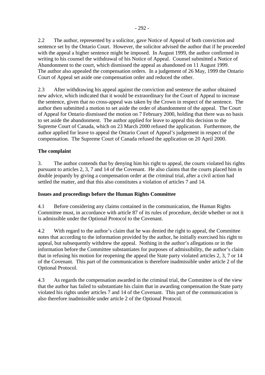2.2 The author, represented by a solicitor, gave Notice of Appeal of both conviction and sentence set by the Ontario Court. However, the solicitor advised the author that if he proceeded with the appeal a higher sentence might be imposed. In August 1999, the author confirmed in writing to his counsel the withdrawal of his Notice of Appeal. Counsel submitted a Notice of Abandonment to the court, which dismissed the appeal as abandoned on 11 August 1999. The author also appealed the compensation orders. In a judgement of 26 May, 1999 the Ontario Court of Appeal set aside one compensation order and reduced the other.

2.3 After withdrawing his appeal against the conviction and sentence the author obtained new advice, which indicated that it would be extraordinary for the Court of Appeal to increase the sentence, given that no cross-appeal was taken by the Crown in respect of the sentence. The author then submitted a motion to set aside the order of abandonment of the appeal. The Court of Appeal for Ontario dismissed the motion on 7 February 2000, holding that there was no basis to set aside the abandonment. The author applied for leave to appeal this decision to the Supreme Court of Canada, which on 23 March 2000 refused the application. Furthermore, the author applied for leave to appeal the Ontario Court of Appeal's judgement in respect of the compensation. The Supreme Court of Canada refused the application on 20 April 2000.

# **The complaint**

3. The author contends that by denying him his right to appeal, the courts violated his rights pursuant to articles 2, 3, 7 and 14 of the Covenant. He also claims that the courts placed him in double jeopardy by giving a compensation order at the criminal trial, after a civil action had settled the matter, and that this also constitutes a violation of articles 7 and 14.

## **Issues and proceedings before the Human Rights Committee**

4.1 Before considering any claims contained in the communication, the Human Rights Committee must, in accordance with article 87 of its rules of procedure, decide whether or not it is admissible under the Optional Protocol to the Covenant.

4.2 With regard to the author's claim that he was denied the right to appeal, the Committee notes that according to the information provided by the author, he initially exercised his right to appeal, but subsequently withdrew the appeal. Nothing in the author's allegations or in the information before the Committee substantiates for purposes of admissibility, the author's claim that in refusing his motion for reopening the appeal the State party violated articles 2, 3, 7 or 14 of the Covenant. This part of the communication is therefore inadmissible under article 2 of the Optional Protocol.

4.3 As regards the compensation awarded in the criminal trial, the Committee is of the view that the author has failed to substantiate his claim that in awarding compensation the State party violated his rights under articles 7 and 14 of the Covenant. This part of the communication is also therefore inadmissible under article 2 of the Optional Protocol.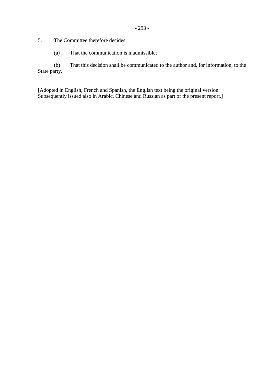5. The Committee therefore decides:

(a) That the communication is inadmissible;

 (b) That this decision shall be communicated to the author and, for information, to the State party.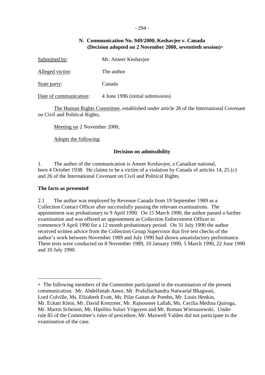#### - 294 -

#### **N. Communication No. 949/2000, Keshavjee v. Canada (Decision adopted on 2 November 2000, seventieth session)**∗

Alleged victim: The author

State party: Canada

Date of communication: 4 June 1996 (initial submission)

 The Human Rights Committee, established under article 28 of the International Covenant on Civil and Political Rights,

Meeting on 2 November 2000,

Adopts the following:

## **Decision on admissibility**

1. The author of the communication is Ameer Keshavjee, a Canadian national, born 4 October 1938. He claims to be a victim of a violation by Canada of articles 14, 25 (c) and 26 of the International Covenant on Civil and Political Rights.

#### **The facts as presented**

 $\overline{a}$ 

2.1 The author was employed by Revenue Canada from 19 September 1989 as a Collection Contact Officer after successfully passing the relevant examinations. The appointment was probationary to 9 April 1990. On 15 March 1990, the author passed a further examination and was offered an appointment as Collection Enforcement Officer to commence 9 April 1990 for a 12 month probationary period. On 31 July 1990 the author received written advice from the Collection Group Supervisor that five test checks of the author's work between November 1989 and July 1990 had shown unsatisfactory performance. These tests were conducted on 8 November 1989, 10 January 1990, 5 March 1990, 22 June 1990 and 10 July 1990.

<sup>∗</sup> The following members of the Committee participated in the examination of the present communication: Mr. Abdelfattah Amor, Mr. Prafullachandra Natwarlal Bhagwati, Lord Colville, Ms. Elizabeth Evatt, Ms. Pilar Gaitan de Pombo, Mr. Louis Henkin, Mr. Eckart Klein, Mr. David Kretzmer, Mr. Rajsoomer Lallah, Ms. Cecilia Medina Quiroga, Mr. Martin Scheinin, Mr. Hipólito Solari Yrigoyen and Mr. Roman Wieruszewski. Under rule 85 of the Committee's rules of procedure, Mr. Maxwell Yalden did not participate in the examination of the case.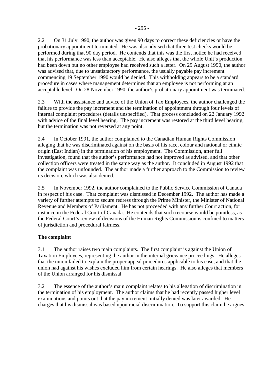2.2 On 31 July 1990, the author was given 90 days to correct these deficiencies or have the probationary appointment terminated. He was also advised that three test checks would be performed during that 90 day period. He contends that this was the first notice he had received that his performance was less than acceptable. He also alleges that the whole Unit's production had been down but no other employee had received such a letter. On 29 August 1990, the author was advised that, due to unsatisfactory performance, the usually payable pay increment commencing 19 September 1990 would be denied. This withholding appears to be a standard procedure in cases where management determines that an employee is not performing at an acceptable level. On 28 November 1990, the author's probationary appointment was terminated.

2.3 With the assistance and advice of the Union of Tax Employees, the author challenged the failure to provide the pay increment and the termination of appointment through four levels of internal complaint procedures (details unspecified). That process concluded on 22 January 1992 with advice of the final level hearing. The pay increment was restored at the third level hearing, but the termination was not reversed at any point.

2.4 In October 1991, the author complained to the Canadian Human Rights Commission alleging that he was discriminated against on the basis of his race, colour and national or ethnic origin (East Indian) in the termination of his employment. The Commission, after full investigation, found that the author's performance had not improved as advised, and that other collection officers were treated in the same way as the author. It concluded in August 1992 that the complaint was unfounded. The author made a further approach to the Commission to review its decision, which was also denied.

2.5 In November 1992, the author complained to the Public Service Commission of Canada in respect of his case. That complaint was dismissed in December 1992. The author has made a variety of further attempts to secure redress through the Prime Minister, the Minister of National Revenue and Members of Parliament. He has not proceeded with any further Court action, for instance in the Federal Court of Canada. He contends that such recourse would be pointless, as the Federal Court's review of decisions of the Human Rights Commission is confined to matters of jurisdiction and procedural fairness.

# **The complaint**

3.1 The author raises two main complaints. The first complaint is against the Union of Taxation Employees, representing the author in the internal grievance proceedings. He alleges that the union failed to explain the proper appeal procedures applicable to his case, and that the union had against his wishes excluded him from certain hearings. He also alleges that members of the Union arranged for his dismissal.

3.2 The essence of the author's main complaint relates to his allegation of discrimination in the termination of his employment. The author claims that he had recently passed higher level examinations and points out that the pay increment initially denied was later awarded. He charges that his dismissal was based upon racial discrimination. To support this claim he argues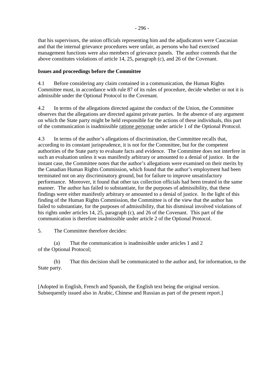that his supervisors, the union officials representing him and the adjudicators were Caucasian and that the internal grievance procedures were unfair, as persons who had exercised management functions were also members of grievance panels. The author contends that the above constitutes violations of article 14, 25, paragraph (c), and 26 of the Covenant.

#### **Issues and proceedings before the Committee**

4.1 Before considering any claim contained in a communication, the Human Rights Committee must, in accordance with rule 87 of its rules of procedure, decide whether or not it is admissible under the Optional Protocol to the Covenant.

4.2 In terms of the allegations directed against the conduct of the Union, the Committee observes that the allegations are directed against private parties. In the absence of any argument on which the State party might be held responsible for the actions of these individuals, this part of the communication is inadmissible ratione personae under article 1 of the Optional Protocol.

4.3 In terms of the author's allegations of discrimination, the Committee recalls that, according to its constant jurisprudence, it is not for the Committee, but for the competent authorities of the State party to evaluate facts and evidence. The Committee does not interfere in such an evaluation unless it was manifestly arbitrary or amounted to a denial of justice. In the instant case, the Committee notes that the author's allegations were examined on their merits by the Canadian Human Rights Commission, which found that the author's employment had been terminated not on any discriminatory ground, but for failure to improve unsatisfactory performance. Moreover, it found that other tax collection officials had been treated in the same manner. The author has failed to substantiate, for the purposes of admissibility, that these findings were either manifestly arbitrary or amounted to a denial of justice. In the light of this finding of the Human Rights Commission, the Committee is of the view that the author has failed to substantiate, for the purposes of admissibility, that his dismissal involved violations of his rights under articles 14, 25, paragraph (c), and 26 of the Covenant. This part of the communication is therefore inadmissible under article 2 of the Optional Protocol.

5. The Committee therefore decides:

 (a) That the communication is inadmissible under articles 1 and 2 of the Optional Protocol;

 (b) That this decision shall be communicated to the author and, for information, to the State party.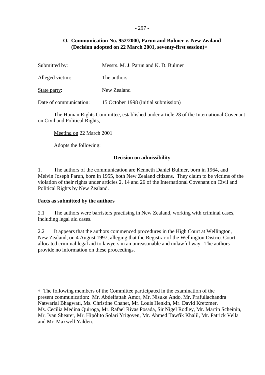#### - 297 -

## **O. Communication No. 952/2000, Parun and Bulmer v. New Zealand (Decision adopted on 22 March 2001, seventy-first session)**∗

| Submitted by: | Messrs. M. J. Parun and K. D. Bulmer |
|---------------|--------------------------------------|
|               |                                      |

Alleged victim: The authors

State party: New Zealand

Date of communication: 15 October 1998 (initial submission)

 The Human Rights Committee, established under article 28 of the International Covenant on Civil and Political Rights,

Meeting on 22 March 2001

Adopts the following:

# **Decision on admissibility**

1. The authors of the communication are Kenneth Daniel Bulmer, born in 1964, and Melvin Joseph Parun, born in 1955, both New Zealand citizens. They claim to be victims of the violation of their rights under articles 2, 14 and 26 of the International Covenant on Civil and Political Rights by New Zealand.

## **Facts as submitted by the authors**

 $\overline{a}$ 

2.1 The authors were barristers practising in New Zealand, working with criminal cases, including legal aid cases.

2.2 It appears that the authors commenced procedures in the High Court at Wellington, New Zealand, on 4 August 1997, alleging that the Registrar of the Wellington District Court allocated criminal legal aid to lawyers in an unreasonable and unlawful way. The authors provide no information on these proceedings.

<sup>∗</sup> The following members of the Committee participated in the examination of the present communication: Mr. Abdelfattah Amor, Mr. Nisuke Ando, Mr. Prafullachandra Natwarlal Bhagwati, Ms. Christine Chanet, Mr. Louis Henkin, Mr. David Kretzmer, Ms. Cecilia Medina Quiroga, Mr. Rafael Rivas Posada, Sir Nigel Rodley, Mr. Martin Scheinin, Mr. Ivan Shearer, Mr. Hipólito Solari Yrigoyen, Mr. Ahmed Tawfik Khalil, Mr. Patrick Vella and Mr. Maxwell Yalden.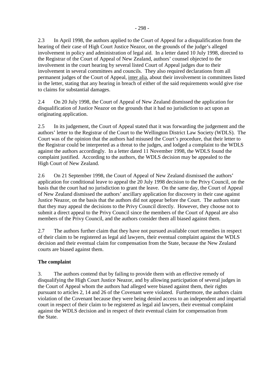2.3 In April 1998, the authors applied to the Court of Appeal for a disqualification from the hearing of their case of High Court Justice Neazor, on the grounds of the judge's alleged involvement in policy and administration of legal aid. In a letter dated 10 July 1998, directed to the Registrar of the Court of Appeal of New Zealand, authors' counsel objected to the involvement in the court hearing by several listed Court of Appeal judges due to their involvement in several committees and councils. They also required declarations from all permanent judges of the Court of Appeal, inter alia, about their involvement in committees listed in the letter, stating that any hearing in breach of either of the said requirements would give rise to claims for substantial damages.

2.4 On 20 July 1998, the Court of Appeal of New Zealand dismissed the application for disqualification of Justice Neazor on the grounds that it had no jurisdiction to act upon an originating application.

2.5 In its judgement, the Court of Appeal stated that it was forwarding the judgement and the authors' letter to the Registrar of the Court to the Wellington District Law Society (WDLS). The Court was of the opinion that the authors had misused the Court's procedure, that their letter to the Registrar could be interpreted as a threat to the judges, and lodged a complaint to the WDLS against the authors accordingly. In a letter dated 11 November 1998, the WDLS found the complaint justified. According to the authors, the WDLS decision may be appealed to the High Court of New Zealand.

2.6 On 21 September 1998, the Court of Appeal of New Zealand dismissed the authors' application for conditional leave to appeal the 20 July 1998 decision to the Privy Council, on the basis that the court had no jurisdiction to grant the leave. On the same day, the Court of Appeal of New Zealand dismissed the authors' ancillary application for discovery in their case against Justice Neazor, on the basis that the authors did not appear before the Court. The authors state that they may appeal the decisions to the Privy Council directly. However, they choose not to submit a direct appeal to the Privy Council since the members of the Court of Appeal are also members of the Privy Council, and the authors consider them all biased against them.

2.7 The authors further claim that they have not pursued available court remedies in respect of their claim to be registered as legal aid lawyers, their eventual complaint against the WDLS decision and their eventual claim for compensation from the State, because the New Zealand courts are biased against them.

# **The complaint**

3. The authors contend that by failing to provide them with an effective remedy of disqualifying the High Court Justice Neazor, and by allowing participation of several judges in the Court of Appeal whom the authors had alleged were biased against them, their rights pursuant to articles 2, 14 and 26 of the Covenant were violated. Furthermore, the authors claim violation of the Covenant because they were being denied access to an independent and impartial court in respect of their claim to be registered as legal aid lawyers, their eventual complaint against the WDLS decision and in respect of their eventual claim for compensation from the State.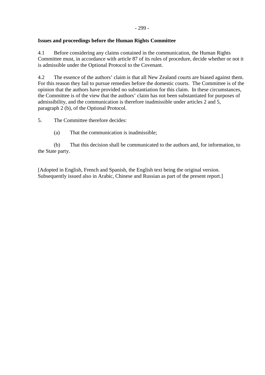# **Issues and proceedings before the Human Rights Committee**

4.1 Before considering any claims contained in the communication, the Human Rights Committee must, in accordance with article 87 of its rules of procedure, decide whether or not it is admissible under the Optional Protocol to the Covenant.

4.2 The essence of the authors' claim is that all New Zealand courts are biased against them. For this reason they fail to pursue remedies before the domestic courts. The Committee is of the opinion that the authors have provided no substantiation for this claim. In these circumstances, the Committee is of the view that the authors' claim has not been substantiated for purposes of admissibility, and the communication is therefore inadmissible under articles 2 and 5, paragraph 2 (b), of the Optional Protocol.

5. The Committee therefore decides:

(a) That the communication is inadmissible;

 (b) That this decision shall be communicated to the authors and, for information, to the State party.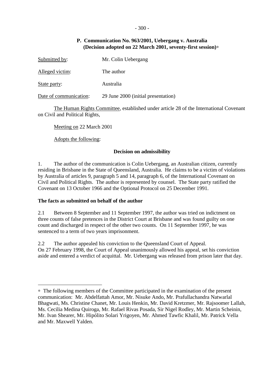#### - 300 -

#### **P. Communication No. 963/2001, Uebergang v. Australia (Decision adopted on 22 March 2001, seventy-first session)**∗

| Submitted by: |  | Mr. Colin Uebergang |
|---------------|--|---------------------|
|               |  |                     |

Alleged victim: The author

State party: Australia

Date of communication: 29 June 2000 (initial presentation)

 The Human Rights Committee, established under article 28 of the International Covenant on Civil and Political Rights,

Meeting on 22 March 2001

Adopts the following:

 $\overline{a}$ 

# **Decision on admissibility**

1. The author of the communication is Colin Uebergang, an Australian citizen, currently residing in Brisbane in the State of Queensland, Australia. He claims to be a victim of violations by Australia of articles 9, paragraph 5 and 14, paragraph 6, of the International Covenant on Civil and Political Rights. The author is represented by counsel. The State party ratified the Covenant on 13 October 1966 and the Optional Protocol on 25 December 1991.

## **The facts as submitted on behalf of the author**

2.1 Between 8 September and 11 September 1997, the author was tried on indictment on three counts of false pretences in the District Court at Brisbane and was found guilty on one count and discharged in respect of the other two counts. On 11 September 1997, he was sentenced to a term of two years imprisonment.

2.2 The author appealed his conviction to the Queensland Court of Appeal. On 27 February 1998, the Court of Appeal unanimously allowed his appeal, set his conviction aside and entered a verdict of acquittal. Mr. Uebergang was released from prison later that day.

<sup>∗</sup> The following members of the Committee participated in the examination of the present communication: Mr. Abdelfattah Amor, Mr. Nisuke Ando, Mr. Prafullachandra Natwarlal Bhagwati, Ms. Christine Chanet, Mr. Louis Henkin, Mr. David Kretzmer, Mr. Rajsoomer Lallah, Ms. Cecilia Medina Quiroga, Mr. Rafael Rivas Posada, Sir Nigel Rodley, Mr. Martin Scheinin, Mr. Ivan Shearer, Mr. Hipólito Solari Yrigoyen, Mr. Ahmed Tawfic Khalil, Mr. Patrick Vella and Mr. Maxwell Yalden.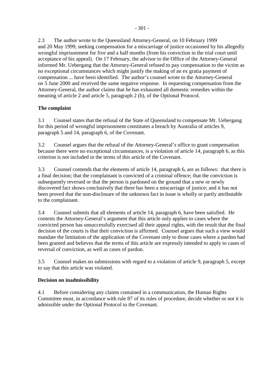2.3 The author wrote to the Queensland Attorney-General, on 10 February 1999 and 20 May 1999, seeking compensation for a miscarriage of justice occasioned by his allegedly wrongful imprisonment for five and a half months (from his conviction in the trial court until acceptance of his appeal). On 17 February, the advisor to the Office of the Attorney-General informed Mr. Uebergang that the Attorney-General refused to pay compensation to the victim as no exceptional circumstances which might justify the making of an ex gratia payment of compensation ... have been identified. The author's counsel wrote to the Attorney-General on 5 June 2000 and received the same negative response. In requesting compensation from the Attorney-General, the author claims that he has exhausted all domestic remedies within the meaning of article 2 and article 5, paragraph 2 (b), of the Optional Protocol.

# **The complaint**

3.1 Counsel states that the refusal of the State of Queensland to compensate Mr. Uebergang for this period of wrongful imprisonment constitutes a breach by Australia of articles 9, paragraph 5 and 14, paragraph 6, of the Covenant.

3.2 Counsel argues that the refusal of the Attorney-General's office to grant compensation because there were no exceptional circumstances, is a violation of article 14, paragraph 6, as this criterion is not included in the terms of this article of the Covenant.

3.3 Counsel contends that the elements of article 14, paragraph 6, are as follows: that there is a final decision; that the complainant is convicted of a criminal offence; that the conviction is subsequently reversed or that the person is pardoned on the ground that a new or newly discovered fact shows conclusively that there has been a miscarriage of justice; and it has not been proved that the non-disclosure of the unknown fact in issue is wholly or partly attributable to the complainant.

3.4 Counsel submits that all elements of article 14, paragraph 6, have been satisfied. He contests the Attorney-General's argument that this article only applies to cases where the convicted person has unsuccessfully exercised all their appeal rights, with the result that the final decision of the courts is that their conviction is affirmed. Counsel argues that such a view would mandate the limitation of the application of the Covenant only to those cases where a pardon had been granted and believes that the terms of this article are expressly intended to apply to cases of reversal of conviction, as well as cases of pardon.

3.5 Counsel makes no submissions with regard to a violation of article 9, paragraph 5, except to say that this article was violated.

# **Decision on inadmissibility**

4.1 Before considering any claims contained in a communication, the Human Rights Committee must, in accordance with rule 87 of its rules of procedure, decide whether or not it is admissible under the Optional Protocol to the Covenant.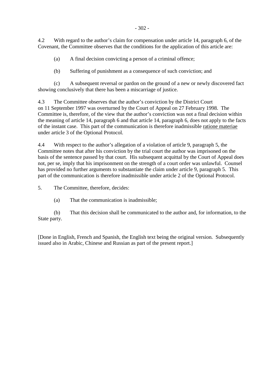4.2 With regard to the author's claim for compensation under article 14, paragraph 6, of the Covenant, the Committee observes that the conditions for the application of this article are:

(a) A final decision convicting a person of a criminal offence;

(b) Suffering of punishment as a consequence of such conviction; and

 (c) A subsequent reversal or pardon on the ground of a new or newly discovered fact showing conclusively that there has been a miscarriage of justice.

4.3 The Committee observes that the author's conviction by the District Court on 11 September 1997 was overturned by the Court of Appeal on 27 February 1998. The Committee is, therefore, of the view that the author's conviction was not a final decision within the meaning of article 14, paragraph 6 and that article 14, paragraph 6, does not apply to the facts of the instant case. This part of the communication is therefore inadmissible ratione materiae under article 3 of the Optional Protocol.

4.4 With respect to the author's allegation of a violation of article 9, paragraph 5, the Committee notes that after his conviction by the trial court the author was imprisoned on the basis of the sentence passed by that court. His subsequent acquittal by the Court of Appeal does not, per se, imply that his imprisonment on the strength of a court order was unlawful. Counsel has provided no further arguments to substantiate the claim under article 9, paragraph 5. This part of the communication is therefore inadmissible under article 2 of the Optional Protocol.

5. The Committee, therefore, decides:

(a) That the communication is inadmissible;

 (b) That this decision shall be communicated to the author and, for information, to the State party.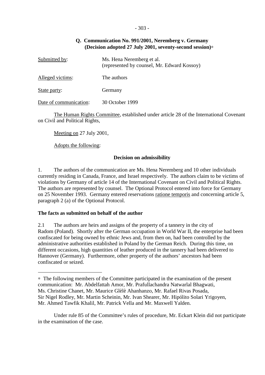#### - 303 -

#### **Q. Communication No. 991/2001, Neremberg v. Germany (Decision adopted 27 July 2001, seventy-second session)**∗

| Submitted by:          | Ms. Hena Neremberg et al.<br>(represented by counsel, Mr. Edward Kossoy) |
|------------------------|--------------------------------------------------------------------------|
| Alleged victims:       | The authors                                                              |
| State party:           | Germany                                                                  |
| Date of communication: | 30 October 1999                                                          |

 The Human Rights Committee, established under article 28 of the International Covenant on Civil and Political Rights,

Meeting on 27 July 2001,

Adopts the following:

#### **Decision on admissibility**

1. The authors of the communication are Ms. Hena Neremberg and 10 other individuals currently residing in Canada, France, and Israel respectively. The authors claim to be victims of violations by Germany of article 14 of the International Covenant on Civil and Political Rights. The authors are represented by counsel. The Optional Protocol entered into force for Germany on 25 November 1993. Germany entered reservations ratione temporis and concerning article 5, paragraph 2 (a) of the Optional Protocol.

## **The facts as submitted on behalf of the author**

 $\overline{a}$ 

2.1 The authors are heirs and assigns of the property of a tannery in the city of Radom (Poland). Shortly after the German occupation in World War II, the enterprise had been confiscated for being owned by ethnic Jews and, from then on, had been controlled by the administrative authorities established in Poland by the German Reich. During this time, on different occasions, high quantities of leather produced in the tannery had been delivered to Hannover (Germany). Furthermore, other property of the authors' ancestors had been confiscated or seized.

 Under rule 85 of the Committee's rules of procedure, Mr. Eckart Klein did not participate in the examination of the case.

<sup>∗</sup> The following members of the Committee participated in the examination of the present communication: Mr. Abdelfattah Amor, Mr. Prafullachandra Natwarlal Bhagwati, Ms. Christine Chanet, Mr. Maurice Glèlè Ahanhanzo, Mr. Rafael Rivas Posada, Sir Nigel Rodley, Mr. Martin Scheinin, Mr. Ivan Shearer, Mr. Hipólito Solari Yrigoyen, Mr. Ahmed Tawfik Khalil, Mr. Patrick Vella and Mr. Maxwell Yalden.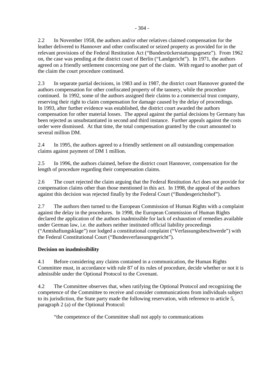2.2 In November 1958, the authors and/or other relatives claimed compensation for the leather delivered to Hannover and other confiscated or seized property as provided for in the relevant provisions of the Federal Restitution Act ("Bundesrückerstattungsgesetz"). From 1962 on, the case was pending at the district court of Berlin ("Landgericht"). In 1971, the authors agreed on a friendly settlement concerning one part of the claim. With regard to another part of the claim the court procedure continued.

2.3 In separate partial decisions, in 1983 and in 1987, the district court Hannover granted the authors compensation for other confiscated property of the tannery, while the procedure continued. In 1992, some of the authors assigned their claims to a commercial trust company, reserving their right to claim compensation for damage caused by the delay of proceedings. In 1993, after further evidence was established, the district court awarded the authors compensation for other material losses. The appeal against the partial decisions by Germany has been rejected as unsubstantiated in second and third instance. Further appeals against the costs order were dismissed. At that time, the total compensation granted by the court amounted to several million DM.

2.4 In 1995, the authors agreed to a friendly settlement on all outstanding compensation claims against payment of DM 1 million.

2.5 In 1996, the authors claimed, before the district court Hannover, compensation for the length of procedure regarding their compensation claims.

2.6 The court rejected the claim arguing that the Federal Restitution Act does not provide for compensation claims other than those mentioned in this act. In 1998, the appeal of the authors against this decision was rejected finally by the Federal Court ("Bundesgerichtshof").

2.7 The authors then turned to the European Commission of Human Rights with a complaint against the delay in the procedures. In 1998, the European Commission of Human Rights declared the application of the authors inadmissible for lack of exhaustion of remedies available under German law, i.e. the authors neither instituted official liability proceedings ("Amtshaftungsklage") nor lodged a constitutional complaint ("Verfassungsbeschwerde") with the Federal Constitutional Court ("Bundesverfassungsgericht").

# **Decision on inadmissibility**

4.1 Before considering any claims contained in a communication, the Human Rights Committee must, in accordance with rule 87 of its rules of procedure, decide whether or not it is admissible under the Optional Protocol to the Covenant.

4.2 The Committee observes that, when ratifying the Optional Protocol and recognizing the competence of the Committee to receive and consider communications from individuals subject to its jurisdiction, the State party made the following reservation, with reference to article 5, paragraph 2 (a) of the Optional Protocol:

"the competence of the Committee shall not apply to communications